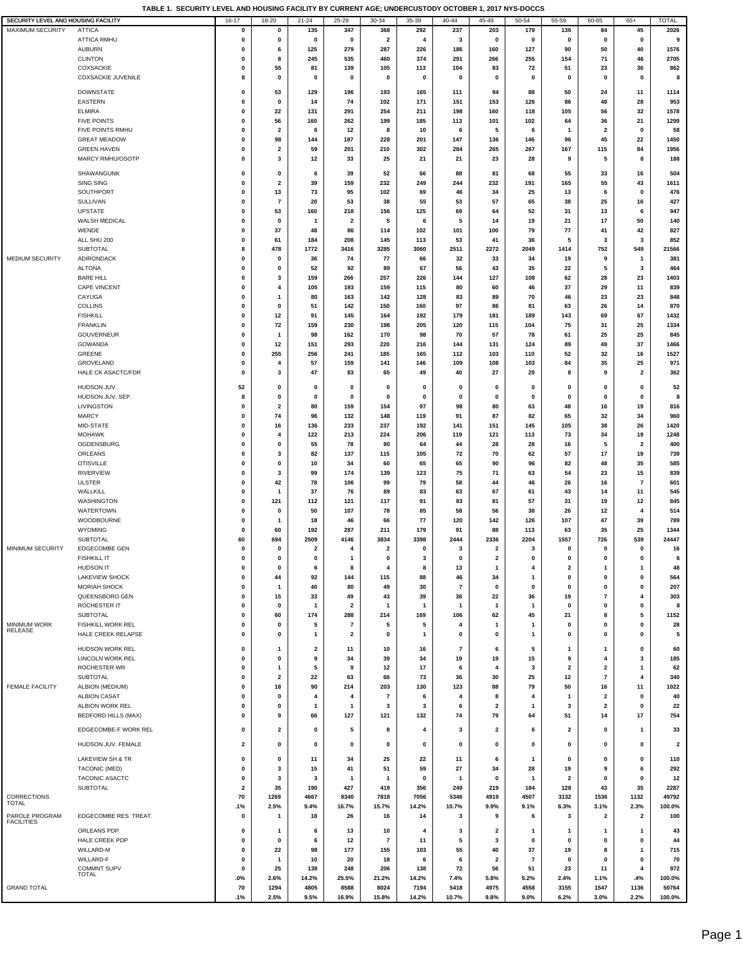| SECURITY LEVEL AND HOUSING FACILITY   |                                         | $16 - 17$                  | 18-20                   | $21 - 24$               | $25 - 29$                                 | 30-34                   | 35-39       | $40 - 44$      | 45-49                   | 50-54             | 55-59            | 60-65                        | $65+$                   | <b>TOTAL</b>            |
|---------------------------------------|-----------------------------------------|----------------------------|-------------------------|-------------------------|-------------------------------------------|-------------------------|-------------|----------------|-------------------------|-------------------|------------------|------------------------------|-------------------------|-------------------------|
| MAXIMUM SECURITY                      | <b>ATTICA</b>                           | 0                          | 0                       | 135                     | 347                                       | 368                     | 292         | 237            | 203                     | 179               | 136              | 84                           | 45                      | 2026                    |
|                                       | <b>ATTICA RMHU</b>                      | 0                          | 0                       | $\mathbf 0$             | 0                                         | $\overline{\mathbf{2}}$ | 4           | 3              | $\mathbf 0$             | 0                 | 0                | 0                            | 0                       | 9                       |
|                                       | <b>AUBURN</b>                           | $\Omega$                   | 6                       | 125                     | 279                                       | 287                     | 226         | 186            | 160                     | 127               | 90               | 50                           | 40                      | 1576                    |
|                                       | <b>CLINTON</b>                          | $\mathbf 0$                | 8                       | 245                     | 535                                       | 460                     | 374         | 291            | 266                     | 255               | 154              | 71                           | 46                      | 2705                    |
|                                       | COXSACKIE                               | $\mathbf 0$                | 55                      | 81                      | 139                                       | 105                     | 113         | 104            | 83                      | 72                | 51               | 23                           | 36                      | 862                     |
|                                       | <b>COXSACKIE JUVENILE</b>               | 8                          | 0                       | $\mathbf 0$             | 0                                         | $\mathbf 0$             | 0           | $\mathbf 0$    | $\mathbf 0$             | 0                 | $\mathbf 0$      | 0                            | 0                       | 8                       |
|                                       | <b>DOWNSTATE</b>                        | $\mathbf 0$                | 53                      | 129                     | 196                                       | 193                     | 165         | 111            | 94                      | 88                | 50               | 24                           | 11                      | 1114                    |
|                                       | EASTERN                                 | $\Omega$                   | 0                       | 14                      | 74                                        | 102                     | 171         | 151            | 153                     | 126               | 86               | 48                           | 28                      | 953                     |
|                                       | <b>ELMIRA</b>                           | $\mathbf 0$                | 22                      | 131                     | 291                                       | 254                     | 211         | 198            | 160                     | 118               | 105              | 56                           | 32                      | 1578                    |
|                                       | <b>FIVE POINTS</b>                      | $\mathbf 0$                | 56                      | 160                     | 262                                       | 199                     | 185         | 113            | 101                     | 102               | 64               | 36                           | 21                      | 1299                    |
|                                       | FIVE POINTS RMHU                        | $\mathbf 0$                | $\overline{\mathbf{2}}$ | 6                       | 12                                        | 8                       | 10          | 6              | 5                       | 6                 | $\mathbf{1}$     | $\overline{2}$               | $\mathbf 0$             | 58                      |
|                                       | <b>GREAT MEADOW</b>                     | $\mathbf 0$                | 98                      | 144                     | 187                                       | 228                     | 201         | 147            | 136                     | 146               | 96               | 45                           | 22                      | 1450                    |
|                                       | <b>GREEN HAVEN</b>                      | $\Omega$                   | 2                       | 59                      | 201                                       | 210                     | 302         | 284            | 265                     | 267               | 167              | 115                          | 84                      | 1956                    |
|                                       | MARCY RMHU/OSOTP                        | $\mathbf 0$                | 3                       | 12                      | 33                                        | 25                      | 21          | 21             | 23                      | 28                | 9                | 5                            | 8                       | 188                     |
|                                       | SHAWANGUNK                              | $\mathbf 0$                | 0                       | 6                       | 39                                        | 52                      | 66          | 88             | 81                      | 68                | 55               | 33                           | 16                      | 504                     |
|                                       | SING SING                               | $\mathbf 0$                | 2                       | 39                      | 159                                       | 232                     | 249         | 244            | 232                     | 191               | 165              | 55                           | 43                      | 1611                    |
|                                       | SOUTHPORT                               | $\mathbf 0$                | 13                      | 73                      | 95                                        | 102                     | 69          | 46             | 34                      | 25                | 13               | 6                            | 0                       | 476                     |
|                                       | SULLIVAN                                | $\Omega$                   | $\overline{7}$          | 20                      | 53                                        | 38                      | 55          | 53             | 57                      | 65                | 38               | 25                           | 16                      | 427                     |
|                                       | <b>UPSTATE</b>                          | $\mathbf 0$                | 53                      | 160                     | 218                                       | 156                     | 125         | 69             | 64                      | 52                | 31               | 13                           | 6                       | 947                     |
|                                       | WALSH MEDICAL                           | $\mathbf 0$                | 0                       | 1                       | $\overline{\mathbf{2}}$                   | 5                       | 6           | 5              | 14                      | 19                | 21               | 17                           | 50                      | 140                     |
|                                       | WENDE                                   | $\mathbf 0$<br>$\mathbf 0$ | 37                      | 48                      | 86                                        | 114                     | 102         | 101            | 100                     | 79                | 77               | 41                           | 42<br>3                 | 827                     |
|                                       | ALL SHU 200<br>SUBTOTAL                 | 8                          | 61<br>478               | 184<br>1772             | 208<br>3416                               | 145<br>3285             | 113<br>3060 | 53<br>2511     | 41<br>2272              | 36<br>2049        | 5<br>1414        | 3<br>752                     | 549                     | 852<br>21566            |
| <b>MEDIUM SECURITY</b>                | ADIRONDACK                              | $\mathbf 0$                | 0                       | 36                      | 74                                        | 77                      | 66          | 32             | 33                      | 34                | 19               | 9                            | $\mathbf{1}$            | 381                     |
|                                       | <b>ALTONA</b>                           | $\mathbf 0$                | 0                       | 52                      | 92                                        | 89                      | 67          | 56             | 43                      | 35                | 22               | 5                            | 3                       | 464                     |
|                                       | <b>BARE HILL</b>                        | $\mathbf 0$                | 3                       | 159                     | 266                                       | 257                     | 226         | 144            | 127                     | 108               | 62               | 28                           | 23                      | 1403                    |
|                                       | CAPE VINCENT                            | $\Omega$                   | 4                       | 105                     | 193                                       | 159                     | 115         | 80             | 60                      | 46                | 37               | 29                           | 11                      | 839                     |
|                                       | CAYUGA                                  | $\mathbf 0$                | 1                       | 80                      | 163                                       | 142                     | 128         | 83             | 89                      | 70                | 46               | 23                           | 23                      | 848                     |
|                                       | <b>COLLINS</b>                          | $\mathbf 0$                | 0                       | 51                      | 142                                       | 150                     | 160         | 97             | 86                      | 81                | 63               | 26                           | 14                      | 870                     |
|                                       | <b>FISHKILL</b>                         | $\mathbf 0$                | 12                      | 91                      | 145                                       | 164                     | 192         | 179            | 181                     | 189               | 143              | 69                           | 67                      | 1432                    |
|                                       | <b>FRANKLIN</b>                         | $\mathbf 0$                | 72                      | 159                     | 230                                       | 198                     | 205         | 120            | 115                     | 104               | 75               | 31                           | 25                      | 1334                    |
|                                       | GOUVERNEUR                              | $\Omega$                   | $\overline{1}$          | 98                      | 162                                       | 170                     | 98          | 70             | 57                      | 78                | 61               | 25                           | 25                      | 845                     |
|                                       | GOWANDA                                 | $\mathbf 0$                | 12                      | 151                     | 293                                       | 220                     | 216         | 144            | 131                     | 124               | 89               | 49                           | 37                      | 1466                    |
|                                       | GREENE<br><b>GROVELAND</b>              | $\mathbf 0$<br>$\Omega$    | 255<br>4                | 256<br>57               | 241<br>159                                | 185<br>141              | 165<br>146  | 112<br>109     | 103<br>108              | 110<br>103        | 52<br>84         | 32<br>35                     | 16<br>25                | 1527<br>971             |
|                                       | HALE CK ASACTC/FDR                      | $\mathbf 0$                | 3                       | 47                      | 83                                        | 65                      | 49          | 40             | 27                      | 29                | 8                | 9                            | $\overline{2}$          | 362                     |
|                                       |                                         |                            |                         |                         |                                           |                         |             |                |                         |                   |                  |                              |                         |                         |
|                                       | HUDSON JUV.                             | 52                         | 0                       | $\mathbf 0$             | 0                                         | $\mathbf 0$             | 0           | 0              | 0                       | 0                 | 0                | 0                            | $\mathbf 0$             | 52                      |
|                                       | HUDSON JUV. SEP.                        | 8                          | 0                       | $\mathbf 0$             | 0                                         | 0                       | 0           | 0              | $\mathbf 0$             | 0                 | 0                | 0                            | 0                       | 8                       |
|                                       | LIVINGSTON                              | $\mathbf 0$                | $\overline{2}$          | 80                      | 159                                       | 154                     | 97          | 98             | 80                      | 63                | 48               | 16                           | 19                      | 816                     |
|                                       | <b>MARCY</b><br>MID-STATE               | $\mathbf 0$<br>$\Omega$    | 74<br>16                | 96<br>136               | 132<br>233                                | 148<br>237              | 119<br>192  | 91<br>141      | 87<br>151               | 82<br>145         | 65<br>105        | 32<br>38                     | 34<br>26                | 960<br>1420             |
|                                       | <b>MOHAWK</b>                           | $\Omega$                   | $\overline{4}$          | 122                     | 213                                       | 224                     | 206         | 119            | 121                     | 113               | 73               | 34                           | 19                      | 1248                    |
|                                       | OGDENSBURG                              | $\mathbf 0$                | 0                       | 55                      | 78                                        | 80                      | 64          | 44             | 28                      | 28                | 16               | 5                            | $\overline{\mathbf{2}}$ | 400                     |
|                                       | ORLEANS                                 | $\mathbf 0$                | 3                       | 82                      | 137                                       | 115                     | 105         | 72             | 70                      | 62                | 57               | 17                           | 19                      | 739                     |
|                                       | <b>OTISVILLE</b>                        | $\mathbf 0$                | $\mathbf{0}$            | 10                      | 34                                        | 60                      | 65          | 65             | 90                      | 96                | 82               | 48                           | 35                      | 585                     |
|                                       | <b>RIVERVIEW</b>                        | $\Omega$                   | 3                       | 99                      | 174                                       | 139                     | 123         | 75             | 71                      | 63                | 54               | 23                           | 15                      | 839                     |
|                                       | <b>ULSTER</b>                           | $\mathbf 0$                | 42                      | 78                      | 106                                       | 99                      | 79          | 58             | 44                      | 46                | 26               | 16                           | $\overline{7}$          | 601                     |
|                                       | WALLKILL                                | $\mathbf 0$                | $\overline{1}$          | 37                      | 76                                        | 89                      | 83          | 63             | 67                      | 61                | 43               | 14                           | 11                      | 545                     |
|                                       | WASHINGTON                              | $\mathbf 0$                | 121                     | 112                     | 121                                       | 117                     | 91          | 83             | 81                      | 57                | 31               | 19                           | 12                      | 845                     |
|                                       | WATERTOWN                               | $\Omega$                   | 0                       | 50                      | 107<br>46                                 | 78                      | 85          | 58             | 56                      | 38                | 26               | 12                           | $\overline{4}$          | 514                     |
|                                       | WOODBOURNE<br>WYOMING                   | $\Omega$<br>$\mathbf 0$    | 1<br>60                 | 18<br>192               | 287                                       | 66<br>211               | 77<br>179   | 120<br>91      | 142<br>88               | 126<br>113        | 107<br>63        | 47<br>35                     | 39<br>25                | 789<br>1344             |
|                                       | <b>SUBTOTAL</b>                         | 60                         | 694                     | 2509                    | 4146                                      | 3834                    | 3398        | 2444           | 2336                    | 2204              | 1557             | 726                          | 539                     | 24447                   |
| MINIMUM SECURITY                      | <b>EDGECOMBE GEN</b>                    | $\mathbf 0$                | 0                       | 2                       | 4                                         | $\overline{\mathbf{2}}$ | 0           | 3              | 2                       | 3                 | 0                | 0                            | 0                       | 16                      |
|                                       | <b>FISHKILL IT</b>                      | 0                          | 0                       | $\mathbf 0$             | -1                                        | $\mathbf{o}$            | 3           | 0              | $\mathbf{2}$            | $\pmb{0}$         | 0                | $\pmb{0}$                    | $\mathbf 0$             | 6                       |
|                                       | HUDSON IT                               | $\mathbf 0$                | 0                       | 6                       | 8                                         | 4                       | 8           | 13             | $\mathbf{1}$            | 4                 | 2                | 1                            | 1                       | 48                      |
|                                       | <b>LAKEVIEW SHOCK</b>                   | $\mathbf 0$                | 44                      | 92                      | 144                                       | 115                     | 88          | 46             | 34                      | $\mathbf{1}$      | 0                | 0                            | 0                       | 564                     |
|                                       | <b>MORIAH SHOCK</b>                     | $\mathbf 0$                | $\overline{1}$          | 40                      | 80                                        | 49                      | 30          | $\overline{7}$ | $\mathbf 0$             | 0                 | 0                | 0                            | 0                       | 207                     |
|                                       | QUEENSBORO GEN                          | $\mathbf 0$                | 15                      | 33                      | 49                                        | 43                      | 39          | 36             | 22                      | 36                | 19               | $\overline{\mathbf{r}}$      | 4                       | 303                     |
|                                       | ROCHESTER IT                            | 0                          | 0                       | -1                      | $\overline{\mathbf{2}}$                   | -1                      | 1           | $\mathbf{1}$   | $\mathbf{1}$            | -1                | 0                | $\pmb{0}$                    | 0                       | 8                       |
|                                       | SUBTOTAL                                | $\mathbf 0$                | 60                      | 174                     | 288                                       | 214                     | 169         | 106            | 62                      | 45                | 21               | 8                            | 5                       | 1152                    |
| <b>MINIMUM WORK</b><br><b>RELEASE</b> | FISHKILL WORK REL<br>HALE CREEK RELAPSE | $\mathbf 0$<br>$\mathbf 0$ | $\mathbf 0$<br>0        | 5<br>$\mathbf{1}$       | $\overline{7}$<br>$\overline{\mathbf{2}}$ | 5<br>$\mathbf 0$        | 5<br>1      | 4<br>0         | 1<br>0                  | 1<br>$\mathbf{1}$ | $\mathbf 0$<br>0 | 0<br>0                       | 0<br>$\mathbf 0$        | 28<br>5                 |
|                                       |                                         |                            |                         |                         |                                           |                         |             |                |                         |                   |                  |                              |                         |                         |
|                                       | HUDSON WORK REL                         | 0                          | 1                       | $\overline{\mathbf{2}}$ | 11                                        | 10                      | 16          | $\overline{7}$ | 6                       | 5                 | 1                | 1                            | 0                       | 60                      |
|                                       | LINCOLN WORK REL                        | $\mathbf 0$                | 0                       | 9                       | 34                                        | 39                      | 34          | 19             | 19                      | 15                | 9                | 4                            | 3                       | 185                     |
|                                       | ROCHESTER WR<br>SUBTOTAL                | $\mathbf 0$<br>$\mathbf 0$ | 1<br>2                  | 5<br>22                 | 9<br>63                                   | 12<br>66                | 17<br>73    | 6<br>36        | 4<br>30                 | 3<br>25           | 2<br>12          | 2<br>$\overline{\mathbf{r}}$ | 1<br>4                  | 62<br>340               |
| <b>FEMALE FACILITY</b>                | ALBION (MEDIUM)                         | $\mathbf 0$                | 18                      | 90                      | 214                                       | 203                     | 130         | 123            | 88                      | 79                | 50               | 16                           | 11                      | 1022                    |
|                                       | <b>ALBION CASAT</b>                     | $\Omega$                   | 0                       | 4                       | $\overline{4}$                            | $\overline{7}$          | 6           | 4              | 8                       | 4                 | $\mathbf{1}$     | $\overline{\mathbf{2}}$      | 0                       | 40                      |
|                                       | ALBION WORK REL                         | $\mathbf 0$                | 0                       | 1                       | $\mathbf{1}$                              | 3                       | 3           | 6              | $\overline{\mathbf{2}}$ | -1                | 3                | $\overline{\mathbf{2}}$      | 0                       | 22                      |
|                                       | BEDFORD HILLS (MAX)                     | 0                          | 9                       | 66                      | 127                                       | 121                     | 132         | 74             | 79                      | 64                | 51               | 14                           | 17                      | 754                     |
|                                       | EDGECOMBE-F WORK REL                    | 0                          | 2                       | 0                       | 5                                         | 8                       | 4           | 3              | 2                       | 6                 | 2                | 0                            | $\overline{1}$          | 33                      |
|                                       | HUDSON JUV. FEMALE                      | 2                          | 0                       | 0                       | 0                                         | 0                       | 0           | 0              | 0                       | 0                 | 0                | 0                            | 0                       | $\overline{\mathbf{2}}$ |
|                                       |                                         |                            |                         |                         |                                           |                         |             |                |                         |                   |                  |                              |                         |                         |
|                                       | LAKEVIEW SH & TR                        | 0                          | 0                       | 11                      | 34                                        | 25                      | 22          | 11             | 6                       | -1                | 0                | 0                            | 0                       | 110                     |
|                                       | <b>TACONIC (MED)</b>                    | $\mathbf 0$<br>$\mathbf 0$ | 3<br>3                  | 15<br>3                 | 41<br>-1                                  | 51<br>-1                | 59<br>0     | 27             | 34<br>$\mathbf 0$       | 28<br>-1          | 19               | 9<br>$\bf{0}$                | 6<br>0                  | 292                     |
|                                       | TACONIC ASACTC<br>SUBTOTAL              | 2                          | 35                      | 190                     | 427                                       | 419                     | 356         | -1<br>249      | 219                     | 184               | 2<br>128         | 43                           | 35                      | 12<br>2287              |
| CORRECTIONS                           |                                         | 70                         | 1269                    | 4667                    | 8340                                      | 7818                    | 7056        | 5346           | 4919                    | 4507              | 3132             | 1536                         | 1132                    | 49792                   |
| TOTAL                                 |                                         | .1%                        | 2.5%                    | 9.4%                    | 16.7%                                     | 15.7%                   | 14.2%       | 10.7%          | 9.9%                    | 9.1%              | 6.3%             | 3.1%                         | 2.3%                    | 100.0%                  |
| PAROLE PROGRAM                        | EDGECOMBE RES. TREAT.                   | 0                          | $\mathbf{1}$            | 18                      | 26                                        | 16                      | 14          | 3              | 9                       | 6                 | 3                | $\overline{\mathbf{2}}$      | $\overline{2}$          | 100                     |
| <b>FACILITIES</b>                     | ORLEANS PDP                             | 0                          | -1                      | 6                       | 13                                        | 10                      | 4           | 3              | $\overline{\mathbf{2}}$ | 1                 | -1               | 1                            | -1                      | 43                      |
|                                       | HALE CREEK PDP                          | $\mathbf 0$                | 0                       | 6                       | 12                                        | $\overline{7}$          | 11          | 5              | 3                       | 0                 | 0                | $\bf{0}$                     | $\mathbf{0}$            | 44                      |
|                                       | WILLARD-M                               | $\mathbf 0$                | 22                      | 98                      | 177                                       | 155                     | 103         | 55             | 40                      | 37                | 19               | 8                            | 1                       | 715                     |
|                                       | WILLARD-F                               | $\mathbf 0$                | $\overline{1}$          | 10                      | 20                                        | 18                      | 6           | 6              | $\overline{\mathbf{2}}$ | $\overline{7}$    | $\mathbf 0$      | 0                            | $\mathbf 0$             | 70                      |
|                                       | COMMNT SUPV                             | 0                          | 25                      | 138                     | 248                                       | 206                     | 138         | 72             | 56                      | 51                | 23               | 11                           | 4                       | 972                     |
|                                       | TOTAL                                   | .0%                        | 2.6%                    | 14.2%                   | 25.5%                                     | 21.2%                   | 14.2%       | 7.4%           | 5.8%                    | 5.2%              | 2.4%             | 1.1%                         | .4%                     | 100.0%                  |
| <b>GRAND TOTAL</b>                    |                                         | 70                         | 1294                    | 4805                    | 8588                                      | 8024                    | 7194        | 5418           | 4975                    | 4558              | 3155             | 1547                         | 1136                    | 50764                   |
|                                       |                                         | .1%                        | 2.5%                    | 9.5%                    | 16.9%                                     | 15.8%                   | 14.2%       | 10.7%          | 9.8%                    | $9.0\%$           | 6.2%             | 3.0%                         | 2.2%                    | 100.0%                  |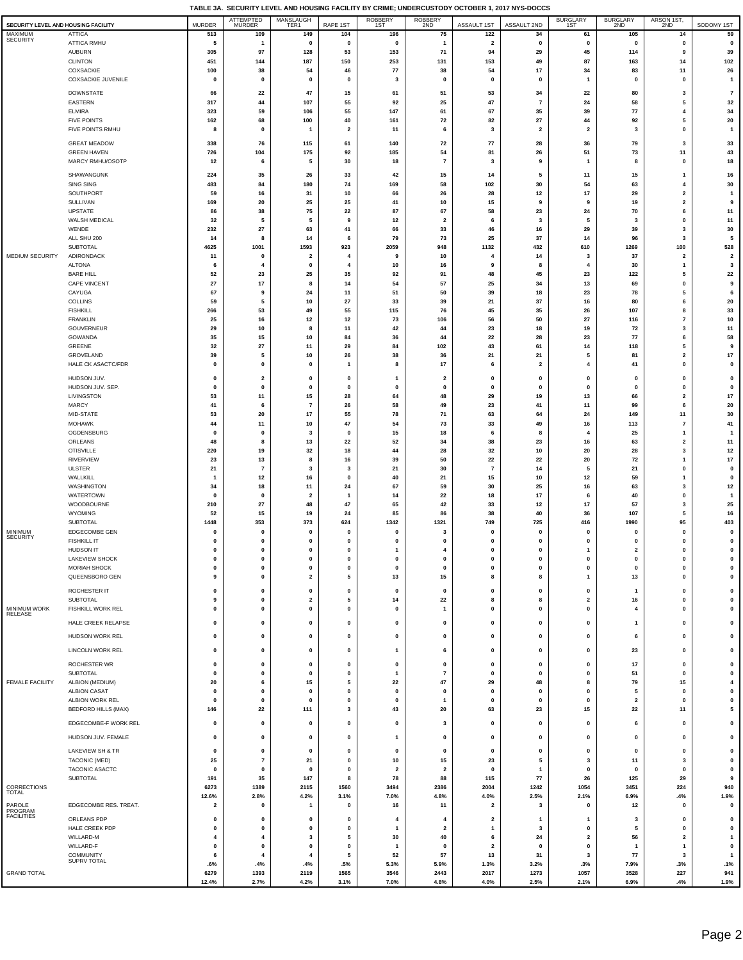|                                                |                                        |                              | ATTEMPTED<br>MURDER                  | MANSLAUGH<br>TER1             |                           | <b>ROBBERY</b>                | ROBBERY<br>2ND                       |                          |                              | BURGLARY<br>1ST                | BURGLARY<br>2ND                         | ARSON 1ST                              |                           |
|------------------------------------------------|----------------------------------------|------------------------------|--------------------------------------|-------------------------------|---------------------------|-------------------------------|--------------------------------------|--------------------------|------------------------------|--------------------------------|-----------------------------------------|----------------------------------------|---------------------------|
| SECURITY LEVEL AND HOUSING FACILITY<br>MAXIMUM | <b>ATTICA</b>                          | <b>MURDER</b><br>513         | 109                                  | 149                           | RAPE 1ST<br>104           | 1ST<br>196                    | 75                                   | ASSAULT 1ST<br>122       | ASSAULT 2ND<br>34            | 61                             | 105                                     | 14                                     | SODOMY 1ST<br>59          |
| <b>SECURITY</b>                                | ATTICA RMHU                            | 5                            | -1                                   | $\mathbf 0$                   | $\pmb{0}$                 | $\mathbf 0$                   | $\mathbf{1}$                         | $\overline{\mathbf{2}}$  | $\pmb{0}$                    | $\mathbf{0}$                   | $\mathbf{0}$                            | 0                                      | $\pmb{0}$                 |
|                                                | <b>AUBURN</b>                          | 305                          | 97                                   | 128                           | 53                        | 153                           | 71                                   | 94                       | 29                           | 45                             | 114                                     | 9                                      | 39                        |
|                                                | <b>CLINTON</b>                         | 451                          | 144                                  | 187                           | 150                       | 253                           | 131                                  | 153                      | 49                           | 87                             | 163                                     | 14                                     | 102                       |
|                                                | COXSACKIE<br><b>COXSACKIE JUVENILE</b> | 100<br>$\mathbf{0}$          | 38<br>$\pmb{0}$                      | 54<br>$\mathbf 0$             | 46<br>$\pmb{0}$           | 77<br>$\overline{\mathbf{3}}$ | 38<br>$\mathbf 0$                    | 54<br>$\mathbf 0$        | 17<br>$\pmb{0}$              | 34<br>$\overline{1}$           | 83<br>$\pmb{0}$                         | 11<br>$\mathbf 0$                      | 26<br>$\overline{1}$      |
|                                                |                                        |                              |                                      |                               |                           |                               |                                      |                          |                              |                                |                                         |                                        |                           |
|                                                | <b>DOWNSTATE</b><br>EASTERN            | 66<br>317                    | 22<br>44                             | 47<br>107                     | 15<br>55                  | 61<br>92                      | 51<br>25                             | 53<br>47                 | 34<br>$\overline{7}$         | 22<br>24                       | 80<br>58                                | 3<br>5                                 | $\overline{7}$<br>32      |
|                                                | <b>ELMIRA</b>                          | 323                          | 59                                   | 106                           | 55                        | 147                           | 61                                   | 67                       | 35                           | 39                             | ${\bf 77}$                              | 4                                      | 34                        |
|                                                | <b>FIVE POINTS</b>                     | 162                          | 68                                   | 100                           | 40                        | 161                           | 72                                   | 82                       | 27                           | 44                             | 92                                      | 5                                      | 20                        |
|                                                | FIVE POINTS RMHU                       | 8                            | $\mathbf 0$                          | $\mathbf{1}$                  | $\overline{\mathbf{2}}$   | 11                            | 6                                    | 3                        | $\overline{\mathbf{2}}$      | $\overline{2}$                 | 3                                       | $\pmb{0}$                              | $\mathbf{1}$              |
|                                                | <b>GREAT MEADOW</b>                    | 338                          | 76                                   | 115                           | 61                        | 140                           | 72                                   | 77                       | 28                           | 36                             | 79                                      | 3                                      | 33                        |
|                                                | <b>GREEN HAVEN</b>                     | 726                          | 104                                  | 175                           | 92                        | 185                           | 54                                   | 81                       | 26                           | 51                             | 73                                      | 11                                     | 43                        |
|                                                | MARCY RMHU/OSOTP                       | 12                           | 6                                    | 5                             | 30                        | 18                            | $\overline{7}$                       | 3                        | 9                            | $\overline{1}$                 | 8                                       | $\mathbf 0$                            | 18                        |
|                                                | SHAWANGUNK                             | 224                          | 35                                   | 26                            | 33                        | 42                            | 15                                   | 14                       | 5                            | 11                             | 15                                      | 1                                      | 16                        |
|                                                | SING SING<br>SOUTHPORT                 | 483<br>59                    | 84<br>16                             | 180<br>31                     | 74<br>10                  | 169<br>66                     | 58<br>26                             | 102<br>28                | 30<br>12                     | 54<br>17                       | 63<br>29                                | 4<br>$\overline{\mathbf{2}}$           | 30<br>$\mathbf{1}$        |
|                                                | SULLIVAN                               | 169                          | 20                                   | 25                            | 25                        | 41                            | 10                                   | 15                       | 9                            | 9                              | 19                                      | $\mathbf{2}$                           | 9                         |
|                                                | <b>UPSTATE</b>                         | 86                           | 38                                   | 75                            | 22                        | 87                            | 67                                   | 58                       | 23                           | 24                             | 70                                      | 6                                      | 11                        |
|                                                | WALSH MEDICAL                          | 32                           | 5<br>27                              | 5                             | 9                         | 12                            | $\overline{\mathbf{2}}$              | 6                        | 3                            | 5                              | 3                                       | $\pmb{0}$<br>3                         | 11<br>30                  |
|                                                | WENDE<br>ALL SHU 200                   | 232<br>14                    | 8                                    | 63<br>14                      | 41<br>6                   | 66<br>79                      | 33<br>73                             | 46<br>25                 | 16<br>37                     | 29<br>14                       | 39<br>96                                | 3                                      | 5                         |
|                                                | SUBTOTAL                               | 4625                         | 1001                                 | 1593                          | 923                       | 2059                          | 948                                  | 1132                     | 432                          | 610                            | 1269                                    | 100                                    | 528                       |
| MEDIUM SECURITY                                | ADIRONDACK                             | 11                           | $\pmb{0}$                            | $\mathbf{2}$                  | 4                         | 9                             | 10                                   | 4                        | 14                           | 3                              | 37                                      | $\overline{\mathbf{2}}$                | $\overline{\mathbf{2}}$   |
|                                                | <b>ALTONA</b><br><b>BARE HILL</b>      | 6<br>52                      | $\overline{4}$<br>23                 | $\mathbf 0$<br>25             | 4<br>35                   | 10<br>92                      | 16<br>91                             | 9<br>48                  | 8<br>45                      | $\overline{4}$<br>23           | 30<br>122                               | $\overline{1}$<br>5                    | $\mathbf{3}$<br>22        |
|                                                | CAPE VINCENT                           | 27                           | 17                                   | 8                             | 14                        | 54                            | 57                                   | 25                       | 34                           | 13                             | 69                                      | $\mathbf 0$                            | 9                         |
|                                                | CAYUGA                                 | 67                           | 9                                    | 24                            | 11                        | 51                            | 50                                   | 39                       | 18                           | 23                             | 78                                      | 5                                      | 6                         |
|                                                | COLLINS                                | 59                           | 5                                    | 10                            | 27                        | 33                            | 39                                   | 21                       | 37                           | 16                             | 80                                      | 6<br>8                                 | ${\bf 20}$                |
|                                                | <b>FISHKILL</b><br><b>FRANKLIN</b>     | 266<br>25                    | 53<br>16                             | 49<br>12                      | 55<br>12                  | 115<br>73                     | 76<br>106                            | 45<br>56                 | 35<br>50                     | 26<br>27                       | 107<br>116                              | $\overline{7}$                         | 33<br>10                  |
|                                                | GOUVERNEUR                             | 29                           | 10                                   | 8                             | 11                        | 42                            | 44                                   | 23                       | 18                           | 19                             | 72                                      | $\overline{\mathbf{3}}$                | 11                        |
|                                                | <b>GOWANDA</b>                         | 35                           | 15                                   | 10                            | 84                        | 36                            | 44                                   | 22                       | 28                           | 23                             | 77                                      | 6                                      | 58                        |
|                                                | GREENE                                 | 32<br>39                     | 27<br>5                              | 11<br>10                      | 29<br>26                  | 84<br>38                      | 102<br>36                            | 43<br>21                 | 61<br>21                     | 14<br>5                        | 118<br>81                               | 5<br>$\overline{\mathbf{2}}$           | 9<br>$17\,$               |
|                                                | GROVELAND<br>HALE CK ASACTC/FDR        | 0                            | $\mathbf{0}$                         | $\pmb{0}$                     | $\mathbf{1}$              | 8                             | 17                                   | 6                        | $\overline{\mathbf{2}}$      | 4                              | 41                                      | $\mathbf 0$                            | $\mathbf{0}$              |
|                                                | HUDSON JUV.                            | 0                            |                                      | 0                             |                           | $\mathbf{1}$                  |                                      | 0                        |                              | 0                              | $\mathbf 0$                             | 0                                      |                           |
|                                                | HUDSON JUV. SEP.                       | 0                            | $\overline{\mathbf{2}}$<br>$\pmb{0}$ | $\pmb{0}$                     | 0<br>$\pmb{0}$            | 0                             | $\overline{\mathbf{2}}$<br>0         | $\pmb{0}$                | 0<br>$\pmb{0}$               | $\mathbf 0$                    | $\mathbf 0$                             | $\pmb{0}$                              | 0<br>$\pmb{0}$            |
|                                                | LIVINGSTON                             | 53                           | 11                                   | 15                            | 28                        | 64                            | 48                                   | 29                       | 19                           | 13                             | 66                                      | $\overline{\mathbf{2}}$                | $17\,$                    |
|                                                | <b>MARCY</b>                           | 41                           | 6                                    | $\overline{7}$                | 26                        | 58                            | 49                                   | 23                       | 41                           | 11                             | 99                                      | 6                                      | ${\bf 20}$                |
|                                                | MID-STATE<br><b>MOHAWK</b>             | 53<br>44                     | 20<br>11                             | 17<br>10                      | 55<br>47                  | 78<br>54                      | 71<br>73                             | 63<br>33                 | 64<br>49                     | 24<br>16                       | 149<br>113                              | 11<br>$\overline{7}$                   | 30<br>41                  |
|                                                | OGDENSBURG                             | 0                            | $\mathbf 0$                          | 3                             | $\pmb{0}$                 | 15                            | 18                                   | 6                        | 8                            | $\overline{4}$                 | 25                                      | $\overline{1}$                         | $\overline{1}$            |
|                                                | ORLEANS                                | 48                           | 8                                    | 13                            | 22                        | 52                            | 34                                   | 38                       | 23                           | 16                             | 63                                      | $\mathbf{2}$                           | 11                        |
|                                                | <b>OTISVILLE</b>                       | 220                          | 19                                   | 32                            | 18                        | 44                            | 28                                   | 32                       | 10                           | 20                             | 28                                      | $\overline{\mathbf{3}}$                | $12\,$                    |
|                                                | <b>RIVERVIEW</b><br><b>ULSTER</b>      | 23<br>21                     | 13<br>$\overline{7}$                 | 8<br>3                        | 16<br>$\mathbf{3}$        | 39<br>21                      | 50<br>30                             | 22<br>$\overline{7}$     | 22<br>14                     | 20<br>5                        | 72<br>21                                | $\overline{\mathbf{1}}$<br>$\mathbf 0$ | $17\,$<br>$\pmb{0}$       |
|                                                | WALLKILL                               | $\mathbf{1}$                 | 12                                   | 16                            | $\pmb{0}$                 | 40                            | 21                                   | 15                       | 10                           | 12                             | 59                                      | $\overline{1}$                         | $\pmb{0}$                 |
|                                                | WASHINGTON                             | 34                           | 18                                   | 11                            | 24                        | 67                            | 59                                   | 30                       | 25                           | 16                             | 63                                      | 3                                      | $12$                      |
|                                                | WATERTOWN<br>WOODBOURNE                | 0<br>210                     | $\mathbf{0}$<br>27                   | $\overline{\mathbf{2}}$<br>48 | $\overline{1}$<br>47      | 14<br>65                      | 22<br>42                             | 18<br>33                 | 17<br>12                     | 6<br>17                        | 40<br>57                                | $\mathbf 0$<br>$\overline{\mathbf{3}}$ | $\mathbf{1}$<br>25        |
|                                                | WYOMING                                | 52                           | 15                                   | 19                            | 24                        | 85                            | 86                                   | 38                       | 40                           | 36                             | 107                                     | 5                                      | 16                        |
|                                                | SUBTOTAL                               | 1448                         | 353                                  | 373                           | 624                       | 1342                          | 1321                                 | 749                      | 725                          | 416                            | 1990                                    | 95                                     | 403                       |
| MINIMUM<br><b>SECURITY</b>                     | EDGECOMBE GEN                          | 0                            | $\mathbf{0}$                         | 0                             | $\mathbf{0}$              | $\mathbf 0$                   | 3                                    | 0                        | $\pmb{0}$                    | 0                              | $\Omega$                                | 0                                      | 0                         |
|                                                | <b>FISHKILL IT</b><br><b>HUDSON IT</b> | $\mathbf{0}$<br>$\mathbf{0}$ | $\mathbf{0}$<br>$\pmb{0}$            | $\pmb{0}$<br>$\pmb{0}$        | $\pmb{0}$<br>$\mathbf{0}$ | $\mathbf 0$<br>$\overline{1}$ | $\pmb{0}$<br>$\overline{\mathbf{4}}$ | $\pmb{0}$<br>$\mathbf 0$ | $\mathbf{0}$<br>$\mathbf{0}$ | $\mathbf{0}$<br>$\overline{1}$ | $\mathbf{0}$<br>$\overline{\mathbf{2}}$ | $\pmb{0}$<br>$\mathbf 0$               | $\pmb{0}$<br>$\pmb{0}$    |
|                                                | <b>LAKEVIEW SHOCK</b>                  | 0                            | $\mathbf 0$                          | $\pmb{0}$                     | $\pmb{0}$                 | $\mathbf 0$                   | $\pmb{0}$                            | $\pmb{0}$                | $\pmb{0}$                    | 0                              | 0                                       | $\pmb{0}$                              | $\pmb{0}$                 |
|                                                | <b>MORIAH SHOCK</b>                    | 0                            | $\pmb{0}$                            | $\pmb{0}$                     | $\pmb{0}$                 | $\mathbf 0$                   | $\pmb{0}$                            | $\mathbf 0$              | $\pmb{0}$                    | $\mathbf{0}$                   | $\pmb{0}$                               | $\pmb{0}$                              | $\pmb{0}$                 |
|                                                | QUEENSBORO GEN                         | 9                            | $\pmb{0}$                            | $\mathbf{2}$                  | 5                         | 13                            | 15                                   | 8                        | 8                            | 1                              | 13                                      | $\pmb{0}$                              | $\pmb{0}$                 |
|                                                | ROCHESTER IT                           | $\mathbf 0$                  | $\mathbf 0$                          | $\pmb{0}$                     | $\pmb{0}$                 | $\mathbf 0$                   | $\pmb{0}$                            | $\mathbf 0$              | $\pmb{0}$                    | $\mathbf{0}$                   | $\mathbf{1}$                            | $\pmb{0}$                              | $\pmb{0}$                 |
| MINIMUM WORK                                   | SUBTOTAL<br>FISHKILL WORK REL          | 9<br>$\mathbf{0}$            | $\pmb{0}$<br>$\pmb{0}$               | $\mathbf 2$<br>$\pmb{0}$      | 5<br>$\pmb{0}$            | 14<br>$\mathbf 0$             | 22<br>$\overline{1}$                 | 8<br>$\mathbf 0$         | 8<br>$\pmb{0}$               | $\overline{2}$<br>$\mathbf{0}$ | 16<br>$\overline{4}$                    | $\mathbf 0$<br>$\mathbf{0}$            | $\pmb{0}$<br>$\pmb{0}$    |
| RELEASE                                        |                                        |                              |                                      |                               |                           |                               |                                      |                          |                              |                                |                                         |                                        |                           |
|                                                | HALE CREEK RELAPSE                     | $\mathbf{0}$                 | $\pmb{0}$                            | $\pmb{0}$                     | $\pmb{0}$                 | $\mathbf 0$                   | $\pmb{0}$                            | 0                        | $\pmb{0}$                    | $\mathbf{0}$                   | $\mathbf{1}$                            | 0                                      | $\pmb{0}$                 |
|                                                | <b>HUDSON WORK REL</b>                 | 0                            | $\pmb{0}$                            | 0                             | $\pmb{0}$                 | 0                             | 0                                    | 0                        | 0                            | 0                              | 6                                       | $\pmb{0}$                              | 0                         |
|                                                | LINCOLN WORK REL                       | $\mathbf{0}$                 | $\pmb{0}$                            | $\mathbf 0$                   | $\pmb{0}$                 | $\mathbf{1}$                  | 6                                    | $\mathbf 0$              | $\pmb{0}$                    | $\mathbf{0}$                   | 23                                      | $\mathbf 0$                            | $\pmb{0}$                 |
|                                                | ROCHESTER WR                           | 0                            | $\pmb{0}$                            | $\pmb{0}$                     | $\pmb{0}$                 | $\mathbf 0$                   | $\pmb{0}$                            | $\pmb{0}$                | $\pmb{0}$                    | $\mathbf{0}$                   | 17                                      | $\pmb{0}$                              | $\pmb{0}$                 |
|                                                | SUBTOTAL                               | 0                            | $\pmb{0}$                            | $\pmb{0}$                     | $\pmb{0}$                 | $\mathbf{1}$                  | $\overline{7}$                       | $\pmb{0}$                | $\pmb{0}$                    | $\mathbf{0}$                   | 51                                      | $\pmb{0}$                              | $\pmb{0}$                 |
| <b>FEMALE FACILITY</b>                         | ALBION (MEDIUM)                        | 20                           | 6                                    | 15                            | 5                         | 22                            | 47                                   | 29                       | 48                           | 8                              | 79                                      | 15                                     | $\overline{\mathbf{4}}$   |
|                                                | <b>ALBION CASAT</b><br>ALBION WORK REL | 0<br>$\mathbf{0}$            | $\pmb{0}$<br>$\pmb{0}$               | $\pmb{0}$<br>$\pmb{0}$        | $\pmb{0}$<br>$\pmb{0}$    | $\mathbf 0$<br>$\mathbf 0$    | $\pmb{0}$<br>$\overline{1}$          | 0<br>$\pmb{0}$           | $\pmb{0}$<br>$\pmb{0}$       | $\mathbf{0}$<br>$\mathbf{0}$   | 5<br>$\overline{\mathbf{2}}$            | 0<br>$\pmb{0}$                         | $\pmb{0}$<br>$\pmb{0}$    |
|                                                | <b>BEDFORD HILLS (MAX)</b>             | 146                          | 22                                   | 111                           | 3                         | 43                            | 20                                   | 63                       | 23                           | 15                             | 22                                      | 11                                     | 5                         |
|                                                | EDGECOMBE-F WORK REL                   | $\mathbf{0}$                 | $\pmb{0}$                            | $\mathbf 0$                   | $\pmb{0}$                 | $\mathbf{0}$                  | 3                                    | $\mathbf 0$              | $\pmb{0}$                    | $\mathbf{0}$                   | 6                                       | $\mathbf 0$                            | $\pmb{0}$                 |
|                                                |                                        |                              |                                      |                               |                           |                               |                                      |                          |                              |                                |                                         |                                        |                           |
|                                                | HUDSON JUV. FEMALE                     | $\mathbf{0}$                 | $\pmb{0}$                            | $\mathbf 0$                   | $\pmb{0}$                 | $\mathbf{1}$                  | $\mathbf 0$                          | $\mathbf 0$              | $\pmb{0}$                    | $\mathbf{0}$                   | $\pmb{0}$                               | $\mathbf 0$                            | $\pmb{0}$                 |
|                                                | LAKEVIEW SH & TR                       | 0                            | 0                                    | 0                             | $\pmb{0}$                 | 0                             | 0                                    | 0                        | $\pmb{0}$                    | 0                              | 0                                       | $\pmb{0}$                              | $\pmb{0}$                 |
|                                                | TACONIC (MED)<br>TACONIC ASACTC        | 25<br>0                      | $\overline{7}$<br>$\pmb{0}$          | 21<br>0                       | $\pmb{0}$<br>$\pmb{0}$    | 10<br>$\overline{\mathbf{2}}$ | 15<br>$\overline{\mathbf{2}}$        | 23<br>0                  | 5<br>$\mathbf{1}$            | 3<br>0                         | 11<br>$\pmb{0}$                         | $\mathbf{3}$<br>$\pmb{0}$              | $\pmb{0}$<br>$\pmb{0}$    |
|                                                | SUBTOTAL                               | 191                          | 35                                   | 147                           | 8                         | 78                            | 88                                   | 115                      | 77                           | 26                             | 125                                     | 29                                     | 9                         |
| CORRECTIONS                                    |                                        | 6273                         | 1389                                 | 2115                          | 1560                      | 3494                          | 2386                                 | 2004                     | 1242                         | 1054                           | 3451                                    | 224                                    | 940                       |
| TOTAL                                          |                                        | 12.6%                        | 2.8%                                 | 4.2%                          | 3.1%                      | 7.0%                          | 4.8%                                 | 4.0%                     | 2.5%                         | 2.1%                           | 6.9%                                    | .4%                                    | 1.9%                      |
| PAROLE<br>PROGRAM                              | EDGECOMBE RES. TREAT.                  | $\overline{\mathbf{2}}$      | $\mathbf 0$                          | $\mathbf{1}$                  | $\pmb{0}$                 | 16                            | 11                                   | $\mathbf 2$              | 3                            | $\mathbf{0}$                   | 12                                      | $\pmb{0}$                              | $\pmb{0}$                 |
| <b>FACILITIES</b>                              | ORLEANS PDP                            | $\mathbf 0$                  | $\mathbf{0}$                         | $\pmb{0}$                     | $\pmb{0}$                 | 4                             | $\overline{\mathbf{4}}$              | $\overline{2}$           | $\overline{1}$               | -1                             | $\mathbf{3}$                            | $\mathbf{0}$                           | $\pmb{0}$                 |
|                                                | HALE CREEK PDP<br>WILLARD-M            | $\mathbf 0$<br>4             | $\pmb{0}$<br>$\overline{4}$          | $\pmb{0}$<br>3                | $\pmb{0}$<br>5            | $\mathbf{1}$<br>30            | $\overline{\mathbf{2}}$<br>40        | $\mathbf{1}$<br>6        | 3<br>24                      | $\mathbf{0}$<br>$\overline{2}$ | 5<br>56                                 | $\pmb{0}$<br>$\mathbf{2}$              | $\pmb{0}$<br>$\mathbf{1}$ |
|                                                | WILLARD-F                              | $\mathbf 0$                  | $\pmb{0}$                            | $\pmb{0}$                     | $\pmb{0}$                 | $\mathbf{1}$                  | $\pmb{0}$                            | $\mathbf{2}$             | $\pmb{0}$                    | $\mathbf{0}$                   | $\mathbf{1}$                            | $\overline{\mathbf{1}}$                | $\pmb{0}$                 |
|                                                | <b>COMMUNITY</b><br>SUPRV TOTAL        | 6                            | $\overline{\mathbf{4}}$              | 4                             | 5                         | 52                            | 57                                   | 13                       | 31                           | 3                              | 77                                      | 3                                      | $\mathbf{1}$              |
| <b>GRAND TOTAL</b>                             |                                        | .6%<br>6279                  | .4%<br>1393                          | .4%<br>2119                   | .5%<br>1565               | 5.3%<br>3546                  | 5.9%<br>2443                         | 1.3%<br>2017             | 3.2%<br>1273                 | .3%<br>1057                    | 7.9%<br>3528                            | .3%<br>227                             | .1%<br>941                |
|                                                |                                        | 12.4%                        | 2.7%                                 | 4.2%                          | 3.1%                      | 7.0%                          | 4.8%                                 | 4.0%                     | 2.5%                         | 2.1%                           | 6.9%                                    | .4%                                    | 1.9%                      |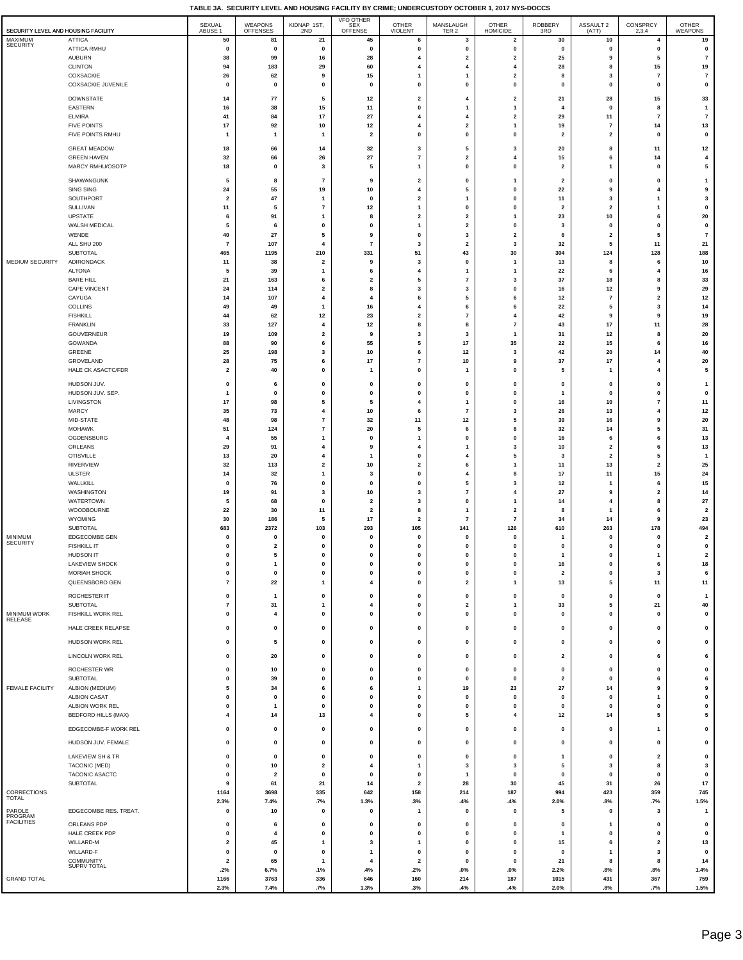$\overline{\phantom{a}}$ 

| SECURITY LEVEL AND HOUSING FACILITY |                                               | SEXUAL<br>ABUSE 1             | <b>WEAPONS</b><br>OFFENSES | KIDNAP 1ST,<br>2ND                      | <b>VFO OTHER</b><br><b>SEX</b><br>OFFENSE          | <b>OTHER</b><br><b>VIOLENT</b> | MANSLAUGH<br>TER <sub>2</sub>  | <b>OTHER</b><br><b>HOMICIDE</b> | <b>ROBBERY</b><br>3RD   | ASSAULT 2<br>(ATT)       | CONSPRCY<br>2,3,4              | <b>OTHER</b><br>WEAPONS              |
|-------------------------------------|-----------------------------------------------|-------------------------------|----------------------------|-----------------------------------------|----------------------------------------------------|--------------------------------|--------------------------------|---------------------------------|-------------------------|--------------------------|--------------------------------|--------------------------------------|
| MAXIMUM<br><b>SECURITY</b>          | <b>ATTICA</b>                                 | 50                            | 81                         | 21                                      | 45                                                 | 6                              | $\mathbf{3}$                   | $\mathbf{2}$                    | 30                      | 10                       | $\overline{4}$                 | 19                                   |
|                                     | ATTICA RMHU<br><b>AUBURN</b>                  | $\mathbf 0$<br>38             | $\pmb{0}$<br>99            | $\pmb{0}$                               | $\pmb{0}$<br>28                                    | $\mathbf{0}$<br>4              | $\pmb{0}$                      | 0<br>$\overline{2}$             | $\pmb{0}$<br>25         | $\pmb{0}$<br>9           | $\pmb{0}$<br>5                 | $\pmb{\mathsf{o}}$<br>$\overline{7}$ |
|                                     | <b>CLINTON</b>                                | 94                            | 183                        | 16<br>29                                | 60                                                 | 4                              | $\overline{\mathbf{2}}$<br>4   | 4                               | 28                      | 8                        | 15                             | 19                                   |
|                                     | COXSACKIE                                     | 26                            | 62                         | 9                                       | 15                                                 | 1                              | $\mathbf{1}$                   | $\overline{\mathbf{2}}$         | 8                       | 3                        | $\overline{7}$                 | $\overline{7}$                       |
|                                     | <b>COXSACKIE JUVENILE</b>                     | 0                             | $\mathbf{0}$               | $\mathbf 0$                             | $\pmb{0}$                                          | $\mathbf{0}$                   | 0                              | 0                               | $\pmb{0}$               | $\pmb{0}$                | $\pmb{0}$                      | $\pmb{0}$                            |
|                                     | <b>DOWNSTATE</b>                              | 14                            | 77                         | 5                                       | 12                                                 | $\overline{\mathbf{2}}$        | 4                              | $\overline{\mathbf{2}}$         | 21                      | 28                       | 15                             | 33                                   |
|                                     | <b>EASTERN</b>                                | 16                            | 38<br>84                   | 15                                      | $11$                                               | 0                              | 1<br>4                         | 1                               | 4                       | 0                        | 8                              | $\mathbf{1}$                         |
|                                     | <b>ELMIRA</b><br><b>FIVE POINTS</b>           | 41<br>17                      | 92                         | $17\,$<br>$10\,$                        | 27<br>$12\,$                                       | 4<br>4                         | $\overline{\mathbf{2}}$        | $\overline{\mathbf{2}}$<br>1    | 29<br>19                | 11<br>$\bf 7$            | $\overline{7}$<br>14           | $\overline{7}$<br>$13$               |
|                                     | FIVE POINTS RMHU                              | $\mathbf{1}$                  | $\mathbf{1}$               | $\overline{1}$                          | $\overline{\mathbf{2}}$                            | $\mathbf{0}$                   | $\pmb{0}$                      | 0                               | $\overline{\mathbf{2}}$ | $\overline{\mathbf{2}}$  | $\mathbf 0$                    | $\pmb{\mathsf{o}}$                   |
|                                     | <b>GREAT MEADOW</b>                           | 18                            | 66                         | 14                                      | 32                                                 | 3                              | 5                              | 3                               | 20                      | 8                        | 11                             | 12                                   |
|                                     | <b>GREEN HAVEN</b>                            | 32                            | 66                         | 26                                      | 27                                                 | $\overline{7}$                 | $\overline{\mathbf{2}}$        | 4                               | 15                      | 6                        | 14                             | 4                                    |
|                                     | MARCY RMHU/OSOTP                              | 18                            | 0                          | 3                                       | 5                                                  | 1                              | 0                              | 0                               | $\mathbf{2}$            | 1                        | $\mathbf 0$                    | 5                                    |
|                                     | SHAWANGUNK                                    | 5                             | 8                          | $\overline{7}$                          | 9                                                  | $\overline{\mathbf{2}}$        | 0                              | 1                               | 2                       | 0                        | 0                              | $\mathbf{1}$                         |
|                                     | SING SING<br>SOUTHPORT                        | 24<br>$\overline{\mathbf{2}}$ | 55<br>47                   | 19<br>$\mathbf{1}$                      | 10<br>$\mathbf 0$                                  | 4<br>$\overline{\mathbf{2}}$   | 5<br>$\mathbf{1}$              | 0<br>0                          | 22<br>11                | 9<br>3                   | $\overline{4}$<br>$\mathbf{1}$ | 9<br>3                               |
|                                     | SULLIVAN                                      | 11                            | 5                          | $\overline{7}$                          | 12                                                 | -1                             | $\pmb{0}$                      | 0                               | $\mathbf{2}$            | $\mathbf 2$              | $\mathbf{1}$                   | $\pmb{\mathsf{o}}$                   |
|                                     | UPSTATE                                       | 6                             | 91                         | $\mathbf{1}$                            | 8                                                  | $\overline{\mathbf{2}}$        | $\overline{2}$                 | 1                               | 23                      | $10\,$                   | 6                              | ${\bf 20}$                           |
|                                     | WALSH MEDICAL<br>WENDE                        | 5<br>40                       | 6<br>27                    | $\mathbf 0$<br>5                        | $\mathbf 0$<br>9                                   | $\mathbf{1}$<br>$\pmb{0}$      | $\overline{\mathbf{2}}$        | 0<br>2                          | 3<br>6                  | $\pmb{0}$<br>$\mathbf 2$ | $\mathbf 0$<br>5               | $\pmb{\mathsf{o}}$<br>$\overline{7}$ |
|                                     | ALL SHU 200                                   | $\overline{7}$                | 107                        | 4                                       | $\overline{7}$                                     | 3                              | $\mathbf{3}$<br>$\overline{2}$ | 3                               | 32                      | ${\bf 5}$                | 11                             | 21                                   |
|                                     | <b>SUBTOTAL</b>                               | 465                           | 1195                       | 210                                     | 331                                                | 51                             | 43                             | 30                              | 304                     | 124                      | 128                            | 188                                  |
| MEDIUM SECURITY                     | ADIRONDACK<br><b>ALTONA</b>                   | 11<br>5                       | 38<br>39                   | $\overline{\mathbf{2}}$<br>$\mathbf{1}$ | 9<br>6                                             | 3<br>$\overline{4}$            | $\mathbf{0}$<br>$\overline{1}$ | 1<br>1                          | 13<br>22                | 8<br>6                   | 6<br>$\overline{4}$            | 10<br>16                             |
|                                     | <b>BARE HILL</b>                              | 21                            | 163                        | 6                                       | $\overline{2}$                                     | 5                              | $\overline{7}$                 | 3                               | 37                      | 18                       | 8                              | 33                                   |
|                                     | <b>CAPE VINCENT</b>                           | 24                            | 114                        | $\overline{\mathbf{2}}$                 | 8                                                  | $\overline{\mathbf{3}}$        | $\mathbf{3}$                   | $\mathbf 0$                     | 16                      | 12                       | 9                              | 29                                   |
|                                     | CAYUGA                                        | 14<br>49                      | 107                        | $\overline{\mathbf{4}}$                 | $\overline{4}$                                     | 6<br>$\overline{\mathbf{4}}$   | 5<br>6                         | 6                               | 12                      | $\overline{7}$           | $\overline{\mathbf{2}}$        | 12                                   |
|                                     | <b>COLLINS</b><br><b>FISHKILL</b>             | 44                            | 49<br>62                   | $\mathbf{1}$<br>12                      | 16<br>23                                           | $\overline{2}$                 | $\overline{7}$                 | 6<br>4                          | 22<br>42                | 5<br>9                   | $\mathbf{3}$<br>9              | 14<br>19                             |
|                                     | <b>FRANKLIN</b>                               | 33                            | 127                        | $\overline{\mathbf{4}}$                 | 12                                                 | 8                              | 8                              | 7                               | 43                      | 17                       | 11                             | 28                                   |
|                                     | <b>GOUVERNEUR</b><br>GOWANDA                  | 19<br>88                      | 109<br>90                  | $\overline{\mathbf{2}}$<br>6            | 9<br>55                                            | 3<br>5                         | 3<br>17                        | 1<br>35                         | 31<br>22                | 12<br>15                 | 8<br>6                         | 20<br>16                             |
|                                     | GREENE                                        | 25                            | 198                        | 3                                       | 10                                                 | 6                              | 12                             | 3                               | 42                      | 20                       | 14                             | 40                                   |
|                                     | GROVELAND                                     | 28                            | 75                         | 6                                       | 17                                                 | $\overline{7}$                 | 10                             | 9                               | 37                      | 17                       | $\overline{\mathbf{4}}$        | 20                                   |
|                                     | HALE CK ASACTC/FDR                            | $\overline{\mathbf{z}}$       | 40                         | $\mathbf 0$                             | $\mathbf{1}$                                       | $\mathbf{0}$                   | 1                              | 0                               | 5                       | $\overline{1}$           | $\overline{\mathbf{4}}$        | 5                                    |
|                                     | HUDSON JUV.                                   | 0                             | 6                          | $\mathbf 0$                             | $\mathbf 0$                                        | $\mathbf{0}$                   | $\mathbf 0$                    | 0                               | $\pmb{0}$               | $\pmb{0}$                | 0                              | $\mathbf{1}$                         |
|                                     | HUDSON JUV. SEP.<br>LIVINGSTON                | -1<br>17                      | $\mathbf 0$<br>98          | $\mathbf 0$<br>5                        | $\mathbf 0$<br>5                                   | $\mathbf 0$<br>4               | 0<br>$\mathbf{1}$              | $\mathbf 0$<br>0                | -1<br>16                | $\pmb{0}$<br>10          | $\mathbf 0$<br>$\overline{7}$  | $\pmb{0}$<br>11                      |
|                                     | <b>MARCY</b>                                  | 35                            | 73                         | 4                                       | 10                                                 | 6                              | $\overline{7}$                 | 3                               | 26                      | 13                       | $\overline{4}$                 | 12                                   |
|                                     | MID-STATE                                     | 48                            | 98                         | $\overline{7}$                          | 32                                                 | 11                             | $12$                           | 5                               | 39                      | 16                       | 9                              | 20                                   |
|                                     | <b>MOHAWK</b><br>OGDENSBURG                   | 51<br>4                       | 124<br>55                  | $\overline{7}$<br>$\mathbf{1}$          | 20<br>0                                            | 5<br>$\overline{1}$            | 6<br>$\pmb{0}$                 | 8<br>$\mathbf 0$                | 32<br>16                | 14<br>6                  | 5<br>6                         | 31<br>13                             |
|                                     | ORLEANS                                       | 29                            | 91                         | $\overline{\mathbf{4}}$                 | 9                                                  | 4                              | $\mathbf{1}$                   | 3                               | 10                      | $\overline{\mathbf{2}}$  | 6                              | 13                                   |
|                                     | <b>OTISVILLE</b>                              | 13                            | 20                         | 4                                       | $\mathbf{1}$                                       | $\mathbf{0}$                   | 4                              | 5                               | 3                       | $\overline{\mathbf{2}}$  | 5                              | $\mathbf{1}$                         |
|                                     | <b>RIVERVIEW</b><br><b>ULSTER</b>             | 32<br>14                      | 113<br>32                  | $\overline{\mathbf{2}}$<br>$\mathbf{1}$ | 10<br>3                                            | $\overline{2}$<br>$\mathbf{0}$ | 6<br>4                         | 1<br>8                          | 11<br>17                | 13<br>11                 | $\overline{\mathbf{2}}$<br>15  | 25<br>24                             |
|                                     | WALLKILL                                      | 0                             | 76                         | $\pmb{0}$                               | 0                                                  | $\mathbf{0}$                   | 5                              | 3                               | 12                      | $\overline{1}$           | 6                              | 15                                   |
|                                     | WASHINGTON                                    | 19                            | 91                         | 3                                       | 10                                                 | $\overline{\mathbf{3}}$        | $\scriptstyle\rm{7}$           | 4                               | 27                      | 9                        | $\overline{\mathbf{2}}$        | 14                                   |
|                                     | <b>WATERTOWN</b><br>WOODBOURNE                | 5<br>22                       | 68<br>30                   | $\pmb{0}$<br>11                         | $\overline{\mathbf{2}}$<br>$\overline{\mathbf{2}}$ | 3<br>8                         | 0<br>1                         | 1<br>$\overline{2}$             | 14<br>8                 | 4<br>1                   | 8<br>6                         | 27<br>$\overline{\mathbf{2}}$        |
|                                     | WYOMING                                       | 30                            | 186                        | 5                                       | 17                                                 | $\overline{\mathbf{2}}$        | $\overline{7}$                 | 7                               | 34                      | 14                       | 9                              | 23                                   |
|                                     | SUBTOTAL                                      | 683                           | 2372                       | 103                                     | 293                                                | 105                            | 141                            | 126                             | 610                     | 263                      | 178                            | 494                                  |
| MINIMUM<br><b>SECURITY</b>          | EDGECOMBE GEN<br><b>FISHKILL IT</b>           | 0<br>$\mathbf 0$              | 0<br>$\overline{2}$        | $\mathbf 0$<br>$\mathbf 0$              | $\mathbf{0}$<br>$\mathbf 0$                        | 0<br>$\mathbf{0}$              | 0<br>$\pmb{0}$                 | 0<br>$\mathbf 0$                | 1<br>$\pmb{0}$          | 0<br>$\pmb{0}$           | $\mathbf 0$<br>$\pmb{0}$       | $\overline{\mathbf{2}}$<br>$\pmb{0}$ |
|                                     | <b>HUDSON IT</b>                              |                               |                            |                                         |                                                    |                                |                                |                                 |                         |                          |                                |                                      |
|                                     | <b>LAKEVIEW SHOCK</b>                         | 0                             | 1                          | 0                                       | $\pmb{0}$                                          | 0                              | $\pmb{0}$                      | 0                               | 16                      | $\pmb{0}$                | 6                              | 18                                   |
|                                     | <b>MORIAH SHOCK</b><br>QUEENSBORO GEN         | $\pmb{0}$<br>$\overline{7}$   | 0<br>22                    | 0<br>$\mathbf{1}$                       | $\pmb{0}$<br>4                                     | 0<br>0                         | $\pmb{0}$<br>$\overline{2}$    | 0<br>1                          | $\mathbf{2}$<br>13      | $\pmb{0}$<br>5           | $\mathbf{3}$<br>11             | 6<br>11                              |
|                                     | ROCHESTER IT                                  | $\mathbf{0}$                  | $\overline{1}$             | $\pmb{0}$                               | $\pmb{0}$                                          | $\mathbf{0}$                   | $\pmb{0}$                      | $\mathbf{0}$                    | $\pmb{0}$               | $\pmb{0}$                | $\pmb{0}$                      | $\overline{1}$                       |
|                                     | SUBTOTAL                                      | $\overline{7}$                | 31                         | $\mathbf{1}$                            | 4                                                  | $\mathbf{0}$                   | $\mathbf{2}$                   | 1                               | 33                      | 5                        | 21                             | 40                                   |
| MINIMUM WORK<br>RELEASE             | FISHKILL WORK REL                             | $\mathbf{0}$                  | $\overline{4}$             | $\pmb{0}$                               | 0                                                  | $\mathbf{0}$                   | $\pmb{\mathsf{o}}$             | $\mathbf{0}$                    | $\pmb{0}$               | $\pmb{0}$                | $\pmb{0}$                      | $\pmb{\mathsf{o}}$                   |
|                                     | HALE CREEK RELAPSE                            | 0                             | 0                          | 0                                       | $\pmb{0}$                                          | 0                              | $\pmb{0}$                      | 0                               | 0                       | $\pmb{0}$                | 0                              | $\pmb{0}$                            |
|                                     | HUDSON WORK REL                               | $\mathbf{0}$                  | 5                          | $\pmb{0}$                               | $\pmb{0}$                                          | $\pmb{0}$                      | $\mathbf 0$                    | 0                               | $\pmb{0}$               | $\pmb{0}$                | $\pmb{0}$                      | $\pmb{0}$                            |
|                                     | LINCOLN WORK REL                              | $\mathbf{0}$                  | 20                         | $\pmb{0}$                               | $\pmb{0}$                                          | $\pmb{0}$                      | $\pmb{0}$                      | 0                               | $\mathbf{2}$            | $\pmb{\mathsf{o}}$       | 6                              | 6                                    |
|                                     | ROCHESTER WR                                  | 0                             | 10                         | 0                                       | 0                                                  | 0                              | 0                              | 0                               | 0                       | 0                        | 0                              | $\pmb{0}$                            |
|                                     | SUBTOTAL                                      | 0                             | 39                         | 0                                       | $\pmb{0}$                                          | 0                              | $\pmb{0}$                      | 0                               | $\mathbf{2}$            | $\pmb{0}$                | 6                              | 6                                    |
| <b>FEMALE FACILITY</b>              | ALBION (MEDIUM)                               | 5                             | 34                         | 6                                       | 6                                                  | $\mathbf{1}$                   | 19                             | 23                              | 27                      | 14                       | 9                              | 9                                    |
|                                     | <b>ALBION CASAT</b>                           | 0<br>$\mathbf 0$              | $\mathbf 0$                | 0                                       | $\pmb{0}$                                          | 0                              | $\pmb{0}$<br>$\pmb{0}$         | 0                               | 0                       | $\pmb{0}$                | $\mathbf{1}$                   | $\pmb{0}$                            |
|                                     | ALBION WORK REL<br><b>BEDFORD HILLS (MAX)</b> | $\overline{4}$                | 1<br>14                    | 0<br>13                                 | 0<br>4                                             | 0<br>$\mathbf{0}$              | 5                              | 0<br>4                          | 0<br>$12$               | $\pmb{0}$<br>14          | 0<br>5                         | $\pmb{0}$<br>${\bf 5}$               |
|                                     | EDGECOMBE-F WORK REL                          | $\mathbf{0}$                  | 0                          | $\pmb{0}$                               | $\pmb{0}$                                          | $\pmb{0}$                      | $\pmb{0}$                      | $\mathbf 0$                     | $\pmb{0}$               | $\pmb{\mathsf{o}}$       | $\overline{1}$                 | $\pmb{\mathsf{o}}$                   |
|                                     |                                               |                               |                            |                                         |                                                    |                                |                                |                                 |                         |                          |                                |                                      |
|                                     | HUDSON JUV. FEMALE                            | $\pmb{0}$                     | 0                          | $\pmb{0}$                               | $\pmb{0}$                                          | 0                              | $\pmb{0}$                      | 0                               | $\pmb{0}$               | $\pmb{0}$                | $\pmb{0}$                      | $\pmb{0}$                            |
|                                     | LAKEVIEW SH & TR<br>TACONIC (MED)             | $\mathbf{0}$<br>$\mathbf 0$   | 0<br>10                    | $\pmb{0}$<br>$\overline{\mathbf{2}}$    | $\mathbf 0$<br>4                                   | $\pmb{0}$<br>$\mathbf{1}$      | $\pmb{0}$<br>$\mathbf{3}$      | $\mathbf 0$<br>3                | $\mathbf{1}$<br>5       | $\pmb{0}$<br>$\mathbf 3$ | $\overline{\mathbf{2}}$<br>8   | $\pmb{0}$<br>3                       |
|                                     | TACONIC ASACTC                                | 0                             | $\mathbf{2}$               | $\pmb{0}$                               | $\mathbf 0$                                        | $\pmb{0}$                      | $\mathbf{1}$                   | $\mathbf{0}$                    | $\pmb{0}$               | $\pmb{0}$                | $\pmb{0}$                      | $\pmb{\mathsf{o}}$                   |
|                                     | SUBTOTAL                                      | 9                             | 61                         | 21                                      | 14                                                 | $\overline{\mathbf{2}}$        | 28                             | 30                              | 45                      | 31                       | 26                             | $17$                                 |
| CORRECTIONS<br>TOTAL                |                                               | 1164<br>2.3%                  | 3698<br>7.4%               | 335<br>.7%                              | 642<br>1.3%                                        | 158<br>.3%                     | 214<br>.4%                     | 187<br>.4%                      | 994<br>2.0%             | 423<br>.8%               | 359<br>.7%                     | 745<br>1.5%                          |
| PAROLE                              | EDGECOMBE RES. TREAT.                         | $\mathbf{0}$                  | 10                         | $\pmb{0}$                               | $\pmb{0}$                                          | $\overline{1}$                 | $\mathbf 0$                    | $\mathbf 0$                     | 5                       | $\pmb{0}$                | $\mathbf{3}$                   | $\overline{1}$                       |
| PROGRAM<br><b>FACILITIES</b>        | ORLEANS PDP                                   | 0                             | 6                          | $\pmb{0}$                               | $\pmb{0}$                                          | $\mathbf{0}$                   | $\mathbf 0$                    | 0                               | $\pmb{0}$               | $\mathbf{1}$             | 0                              | $\mathbf{0}$                         |
|                                     | HALE CREEK PDP                                | 0                             | $\overline{4}$             | $\pmb{0}$                               | 0                                                  | $\mathbf{0}$                   | 0                              | 0                               | $\mathbf{1}$            | $\pmb{0}$                | $\mathbf 0$                    | $\pmb{0}$                            |
|                                     | WILLARD-M<br>WILLARD-F                        | $\overline{\mathbf{2}}$       | 45                         | $\mathbf{1}$                            | 3<br>$\mathbf{1}$                                  | $\mathbf{1}$                   | 0                              | 0                               | 15                      | 6                        | $\overline{\mathbf{2}}$        | 13                                   |
|                                     | COMMUNITY                                     | 0<br>$\overline{\mathbf{2}}$  | 0<br>65                    | 0<br>$\mathbf{1}$                       | 4                                                  | 0<br>$\overline{\mathbf{2}}$   | 0<br>$\pmb{0}$                 | 0<br>0                          | 0<br>21                 | $\mathbf{1}$<br>8        | 3<br>8                         | $\pmb{0}$<br>14                      |
|                                     | <b>SUPRV TOTAL</b>                            | .2%                           | 6.7%                       | .1%                                     | .4%                                                | .2%                            | .0%                            | .0%                             | 2.2%                    | .8%                      | .8%                            | 1.4%                                 |
| <b>GRAND TOTAL</b>                  |                                               | 1166<br>2.3%                  | 3763<br>7.4%               | 336<br>.7%                              | 646<br>1.3%                                        | 160<br>.3%                     | 214<br>.4%                     | 187<br>.4%                      | 1015<br>2.0%            | 431<br>.8%               | 367<br>.7%                     | 759<br>1.5%                          |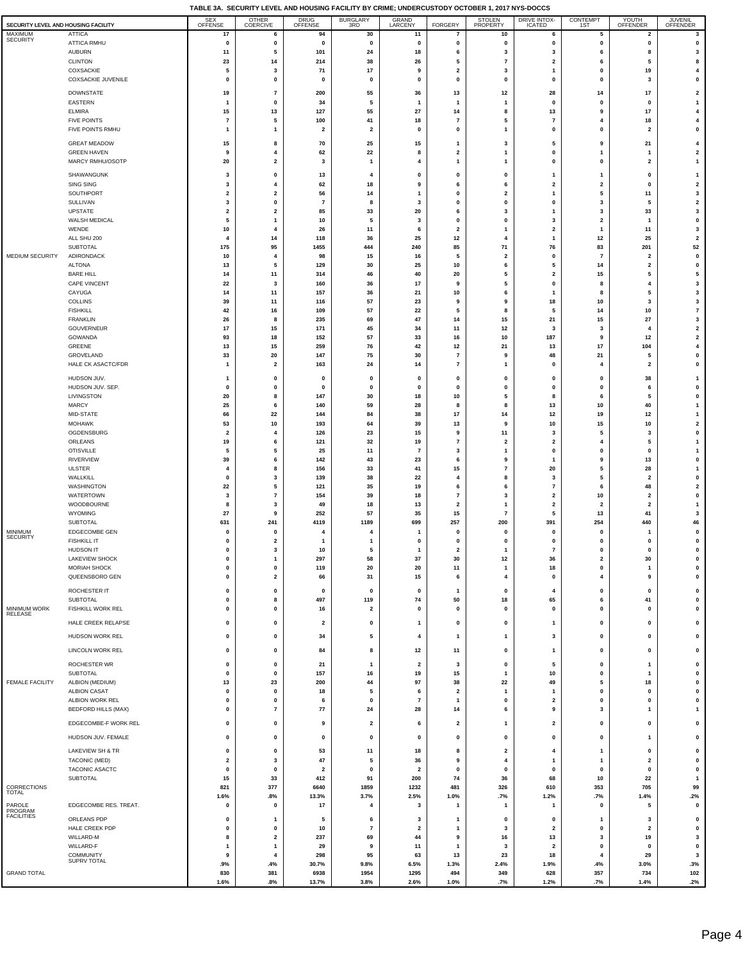$\overline{\phantom{a}}$ 

|                                                |                                               | SEX<br>OFFENSE                       | OTHER                                              | <b>DRUG</b>                   | BURGLARY<br>3RD         | GRAND                         |                                         | STOLEN                        | <b>DRIVE INTOX-</b>                     | CONTEMPT                                           | YOUTH                | JUVENIL                                 |
|------------------------------------------------|-----------------------------------------------|--------------------------------------|----------------------------------------------------|-------------------------------|-------------------------|-------------------------------|-----------------------------------------|-------------------------------|-----------------------------------------|----------------------------------------------------|----------------------|-----------------------------------------|
| SECURITY LEVEL AND HOUSING FACILITY<br>MAXIMUM | <b>ATTICA</b>                                 | 17                                   | COERCIVE<br>6                                      | OFFENSE<br>94                 | 30                      | LARCENY<br>11                 | <b>FORGERY</b><br>$\overline{7}$        | PROPERTY<br>10                | <b>ICATED</b><br>6                      | 1ST<br>5                                           | OFFENDER<br>2        | OFFENDER<br>3                           |
| <b>SECURITY</b>                                | ATTICA RMHU                                   | 0                                    | $\mathbf 0$                                        | $\pmb{0}$                     | $\pmb{0}$               | 0                             | $\pmb{0}$                               | 0                             | 0                                       | 0                                                  | 0                    | $\pmb{0}$                               |
|                                                | <b>AUBURN</b>                                 | 11                                   | 5                                                  | 101                           | 24                      | 18                            | 6                                       | 3                             | 3                                       | 6                                                  | 8                    | 3                                       |
|                                                | <b>CLINTON</b><br>COXSACKIE                   | 23<br>5                              | 14<br>3                                            | 214<br>71                     | 38<br>17                | 26<br>9                       | 5<br>$\overline{\mathbf{2}}$            | 7<br>3                        | $\overline{\mathbf{2}}$<br>$\mathbf{1}$ | 6<br>0                                             | 5<br>19              | 8<br>4                                  |
|                                                | COXSACKIE JUVENILE                            | 0                                    | 0                                                  | 0                             | 0                       | 0                             | $\pmb{0}$                               | 0                             | 0                                       | 0                                                  | 3                    | $\pmb{0}$                               |
|                                                | <b>DOWNSTATE</b>                              | 19                                   | $\overline{7}$                                     | 200                           | 55                      | 36                            | 13                                      | $12$                          | 28                                      | 14                                                 | 17                   | $\overline{\mathbf{2}}$                 |
|                                                | EASTERN                                       | $\mathbf{1}$                         | $\mathbf 0$                                        | 34                            | 5                       | $\mathbf{1}$                  | $\overline{1}$                          | -1                            | $\pmb{0}$                               | $\mathbf 0$                                        | 0                    | $\overline{1}$                          |
|                                                | <b>ELMIRA</b>                                 | 15                                   | 13                                                 | 127                           | 55                      | 27                            | 14                                      | 8                             | 13                                      | 9                                                  | 17                   | $\overline{\mathbf{4}}$                 |
|                                                | <b>FIVE POINTS</b>                            | $\scriptstyle\rm{7}$                 | 5                                                  | 100                           | 41                      | 18<br>$\mathbf{0}$            | $\overline{7}$                          | 5                             | $\overline{7}$                          | 4<br>$\mathbf{0}$                                  | 18                   | $\overline{\mathbf{4}}$                 |
|                                                | FIVE POINTS RMHU                              | $\mathbf{1}$                         | $\overline{1}$                                     | $\overline{\mathbf{2}}$       | $\overline{\mathbf{2}}$ |                               | $\pmb{0}$                               | 1                             | $\pmb{0}$                               |                                                    | $\mathbf{2}$         | $\pmb{0}$                               |
|                                                | <b>GREAT MEADOW</b>                           | 15                                   | 8                                                  | 70                            | 25                      | 15                            | $\mathbf{1}$                            | 3                             | 5                                       | 9                                                  | 21                   | 4                                       |
|                                                | <b>GREEN HAVEN</b><br>MARCY RMHU/OSOTP        | 9<br>20                              | $\overline{\mathbf{4}}$<br>$\overline{\mathbf{2}}$ | 62<br>3                       | 22<br>$\overline{1}$    | 8<br>4                        | $\overline{\mathbf{2}}$<br>$\mathbf{1}$ | 1<br>1                        | 0<br>$\mathbf 0$                        | 1<br>0                                             | 1<br>$\mathbf{2}$    | $\overline{\mathbf{2}}$<br>$\mathbf{1}$ |
|                                                |                                               |                                      |                                                    |                               |                         |                               |                                         |                               |                                         |                                                    |                      |                                         |
|                                                | SHAWANGUNK<br>SING SING                       | 3<br>3                               | $\mathbf 0$<br>$\overline{4}$                      | 13<br>62                      | $\overline{4}$<br>18    | $\mathbf 0$<br>9              | $\mathbf 0$<br>6                        | 0<br>6                        | $\mathbf{1}$<br>$\overline{\mathbf{2}}$ | 1<br>$\mathbf 2$                                   | 0<br>$\pmb{0}$       | $\mathbf{1}$<br>$\mathbf 2$             |
|                                                | SOUTHPORT                                     | $\overline{\mathbf{2}}$              | $\overline{\mathbf{2}}$                            | 56                            | 14                      | $\mathbf{1}$                  | $\pmb{0}$                               | $\overline{2}$                | $\overline{1}$                          | ${\bf 5}$                                          | 11                   | $\mathbf{3}$                            |
|                                                | SULLIVAN                                      | 3                                    | $\mathbf 0$                                        | $\overline{7}$                | 8                       | $\overline{\mathbf{3}}$       | $\pmb{0}$                               | $\mathbf 0$                   | $\pmb{0}$                               | 3                                                  | 5                    | $\mathbf 2$                             |
|                                                | <b>UPSTATE</b><br>WALSH MEDICAL               | $\overline{\mathbf{2}}$<br>5         | $\overline{\mathbf{2}}$<br>$\overline{1}$          | 85<br>10                      | 33<br>5                 | 20<br>$\overline{\mathbf{3}}$ | 6<br>$\pmb{0}$                          | 3<br>$\mathbf 0$              | $\mathbf{1}$<br>3                       | $\overline{\mathbf{3}}$<br>$\overline{\mathbf{2}}$ | 33<br>$\overline{1}$ | 3<br>$\pmb{0}$                          |
|                                                | WENDE                                         | 10                                   | $\overline{4}$                                     | 26                            | 11                      | 6                             | $\overline{\mathbf{2}}$                 | 1                             | $\overline{2}$                          | $\mathbf{1}$                                       | 11                   | $\mathbf{3}$                            |
|                                                | ALL SHU 200                                   | 4                                    | 14                                                 | 118                           | 36                      | 25                            | 12                                      | $\overline{4}$                | $\mathbf{1}$                            | 12                                                 | 25                   | $\mathbf 2$                             |
| MEDIUM SECURITY                                | <b>SUBTOTAL</b><br><b>ADIRONDACK</b>          | 175<br>10                            | 95<br>$\overline{\mathbf{4}}$                      | 1455<br>98                    | 444<br>15               | 240<br>16                     | 85<br>5                                 | 71<br>$\overline{2}$          | 76<br>$\pmb{0}$                         | 83<br>$\overline{7}$                               | 201<br>$\mathbf{2}$  | 52<br>$\pmb{0}$                         |
|                                                | <b>ALTONA</b>                                 | 13                                   | 5                                                  | 129                           | 30                      | 25                            | 10                                      | 6                             | 5                                       | 14                                                 | $\mathbf{2}$         | $\pmb{0}$                               |
|                                                | <b>BARE HILL</b>                              | 14                                   | 11                                                 | 314                           | 46                      | 40                            | 20                                      | 5                             | $\overline{2}$                          | 15                                                 | 5                    | 5                                       |
|                                                | CAPE VINCENT                                  | 22                                   | 3                                                  | 160                           | 36                      | 17                            | 9                                       | 5                             | $\mathbf 0$                             | 8                                                  | 4                    | 3                                       |
|                                                | CAYUGA<br><b>COLLINS</b>                      | 14<br>39                             | 11<br>11                                           | 157<br>116                    | 36<br>57                | 21<br>23                      | 10<br>9                                 | 6<br>9                        | 1<br>18                                 | 8<br>10                                            | 5<br>3               | 3<br>3                                  |
|                                                | <b>FISHKILL</b>                               | 42                                   | 16                                                 | 109                           | 57                      | 22                            | 5                                       | 8                             | 5                                       | 14                                                 | 10                   | $\overline{7}$                          |
|                                                | <b>FRANKLIN</b>                               | 26                                   | 8                                                  | 235                           | 69                      | 47                            | 14                                      | 15                            | 21                                      | 15                                                 | 27                   | $\mathbf{3}$                            |
|                                                | <b>GOUVERNEUR</b><br>GOWANDA                  | 17                                   | 15                                                 | 171                           | 45                      | 34                            | 11                                      | 12                            | 3                                       | 3                                                  | $\overline{4}$       | $\overline{\mathbf{2}}$                 |
|                                                | GREENE                                        | 93<br>13                             | 18<br>15                                           | 152<br>259                    | 57<br>76                | 33<br>42                      | 16<br>12                                | 10<br>21                      | 187<br>13                               | 9<br>17                                            | 12<br>104            | $\mathbf 2$<br>$\overline{\mathbf{4}}$  |
|                                                | GROVELAND                                     | 33                                   | 20                                                 | 147                           | 75                      | 30                            | $\boldsymbol{7}$                        | 9                             | 48                                      | 21                                                 | 5                    | $\pmb{0}$                               |
|                                                | HALE CK ASACTC/FDR                            | $\mathbf{1}$                         | $\overline{\mathbf{2}}$                            | 163                           | 24                      | 14                            | $\overline{7}$                          | 1                             | $\mathbf 0$                             | $\overline{\mathbf{4}}$                            | $\mathbf{2}$         | $\pmb{0}$                               |
|                                                | HUDSON JUV.                                   | $\mathbf{1}$                         | $\mathbf 0$                                        | $\pmb{0}$                     | $\pmb{0}$               | $\mathbf{0}$                  | $\pmb{0}$                               | $\mathbf 0$                   | $\mathbf 0$                             | $\mathbf{0}$                                       | 38                   | $\mathbf{1}$                            |
|                                                | HUDSON JUV. SEP.                              | $\pmb{0}$                            | $\mathbf 0$                                        | 0                             | $\pmb{0}$               | $\mathbf{0}$                  | $\pmb{0}$                               | $\mathbf 0$                   | $\pmb{0}$                               | $\mathbf{0}$                                       | 6                    | $\pmb{0}$                               |
|                                                | LIVINGSTON<br><b>MARCY</b>                    | 20<br>25                             | 8<br>6                                             | 147<br>140                    | 30<br>59                | 18<br>28                      | 10<br>8                                 | 5<br>8                        | 8<br>13                                 | 6<br>10                                            | 5<br>40              | $\pmb{0}$<br>$\overline{1}$             |
|                                                | MID-STATE                                     | 66                                   | 22                                                 | 144                           | 84                      | 38                            | 17                                      | 14                            | 12                                      | 19                                                 | 12                   | $\mathbf{1}$                            |
|                                                | <b>MOHAWK</b>                                 | 53                                   | 10                                                 | 193                           | 64                      | 39                            | 13                                      | 9                             | 10                                      | 15                                                 | 10                   | $\overline{\mathbf{2}}$                 |
|                                                | OGDENSBURG                                    | $\overline{\mathbf{2}}$              | $\overline{4}$                                     | 126                           | 23                      | 15                            | 9                                       | 11                            | 3                                       | 5                                                  | 3                    | $\pmb{0}$                               |
|                                                | ORLEANS<br><b>OTISVILLE</b>                   | 19<br>5                              | 6<br>5                                             | 121<br>25                     | 32<br>11                | 19<br>$\overline{7}$          | $\overline{7}$<br>3                     | $\overline{\mathbf{2}}$<br>1  | $\overline{\mathbf{2}}$<br>$\mathbf 0$  | 4<br>0                                             | 5<br>0               | $\overline{1}$<br>$\mathbf{1}$          |
|                                                | <b>RIVERVIEW</b>                              | 39                                   | 6                                                  | 142                           | 43                      | 23                            | 6                                       | 9                             | 1                                       | 9                                                  | 13                   | $\pmb{0}$                               |
|                                                | <b>ULSTER</b>                                 | $\overline{\mathbf{4}}$              | 8                                                  | 156                           | 33                      | 41                            | 15                                      | $\overline{7}$                | 20                                      | 5                                                  | 28                   | $\overline{1}$                          |
|                                                | WALLKILL<br><b>WASHINGTON</b>                 | 0<br>22                              | 3<br>5                                             | 139<br>121                    | 38<br>35                | 22<br>19                      | $\overline{4}$<br>6                     | 8<br>6                        | 3<br>$\overline{7}$                     | 5<br>6                                             | 2<br>48              | $\pmb{0}$<br>$\overline{\mathbf{2}}$    |
|                                                | WATERTOWN                                     | 3                                    | $\overline{7}$                                     | 154                           | 39                      | 18                            | $\overline{7}$                          | 3                             | $\overline{\mathbf{2}}$                 | 10                                                 | 2                    | $\pmb{0}$                               |
|                                                | WOODBOURNE                                    | 8                                    | 3                                                  | 49                            | 18                      | 13                            | $\overline{\mathbf{2}}$                 | 1                             | $\overline{\mathbf{2}}$                 | $\overline{\mathbf{2}}$                            | $\mathbf{2}$         | $\mathbf{1}$                            |
|                                                | WYOMING<br><b>SUBTOTAL</b>                    | 27<br>631                            | 9                                                  | 252                           | 57                      | 35<br>699                     | 15<br>257                               | $\overline{7}$                | 5                                       | 13<br>254                                          | 41                   | 3                                       |
| <b>MINIMUM</b>                                 | EDGECOMBE GEN                                 | $\mathbf 0$                          | 241<br>$\mathbf 0$                                 | 4119<br>4                     | 1189<br>4               | -1                            | $\mathbf{0}$                            | 200<br>$\Omega$               | 391<br>$\mathbf{0}$                     | $\mathbf 0$                                        | 440<br>-1            | 46<br>$\pmb{0}$                         |
| <b>SECURITY</b>                                | <b>FISHKILL IT</b>                            | $\pmb{0}$                            | $\overline{\mathbf{2}}$                            | $\mathbf{1}$                  | -1                      | $\pmb{0}$                     | $\mathbf{0}$                            | 0                             | $\mathbf 0$                             | 0                                                  | $\pmb{0}$            | $\pmb{0}$                               |
|                                                | HUDSON IT                                     | $\pmb{0}$                            | 3                                                  | 10                            | 5                       | $\mathbf{1}$                  | $\overline{\mathbf{2}}$                 | $\mathbf{1}$                  | $\overline{7}$                          | $\mathbf{0}$                                       | $\pmb{0}$            | $\pmb{0}$                               |
|                                                | <b>LAKEVIEW SHOCK</b><br>MORIAH SHOCK         | $\mathbf 0$<br>$\pmb{0}$             | -1<br>$\pmb{0}$                                    | 297<br>119                    | 58<br>20                | 37<br>20                      | 30<br>11                                | $12$<br>$\mathbf{1}$          | 36<br>18                                | $\overline{\mathbf{z}}$<br>$\pmb{0}$               | 30<br>1              | 0<br>$\pmb{0}$                          |
|                                                | QUEENSBORO GEN                                | $\pmb{0}$                            | $\overline{2}$                                     | 66                            | 31                      | 15                            | 6                                       | $\overline{4}$                | $\pmb{0}$                               | $\pmb{4}$                                          | 9                    | $\pmb{0}$                               |
|                                                | ROCHESTER IT                                  | $\pmb{0}$                            | $\mathbf 0$                                        | $\pmb{0}$                     | $\pmb{0}$               | 0                             | $\mathbf{1}$                            | $\mathbf 0$                   | 4                                       | 0                                                  | 0                    | $\pmb{0}$                               |
|                                                | <b>SUBTOTAL</b>                               | $\pmb{0}$                            | 8                                                  | 497                           | 119                     | 74                            | 50                                      | 18                            | 65                                      | 6                                                  | 41                   | $\pmb{0}$                               |
| MINIMUM WORK<br>RELEASE                        | FISHKILL WORK REL                             | $\pmb{0}$                            | $\mathbf 0$                                        | 16                            | $\overline{\mathbf{2}}$ | 0                             | $\pmb{0}$                               | $\mathbf{0}$                  | $\pmb{0}$                               | 0                                                  | 0                    | $\pmb{0}$                               |
|                                                | HALE CREEK RELAPSE                            | $\pmb{0}$                            | $\mathbf 0$                                        | $\overline{\mathbf{2}}$       | $\pmb{0}$               | $\mathbf{1}$                  | $\pmb{0}$                               | $\mathbf 0$                   | $\overline{1}$                          | 0                                                  | 0                    | $\pmb{0}$                               |
|                                                | HUDSON WORK REL                               | $\pmb{0}$                            | $\mathbf 0$                                        | 34                            | 5                       | $\overline{4}$                | $\overline{1}$                          | 1                             | 3                                       | $\mathbf{0}$                                       | 0                    | $\pmb{0}$                               |
|                                                | LINCOLN WORK REL                              | $\pmb{0}$                            | $\mathbf 0$                                        | 84                            | 8                       | 12                            | 11                                      | 0                             | $\mathbf{1}$                            | 0                                                  | 0                    | $\pmb{0}$                               |
|                                                |                                               |                                      |                                                    |                               | $\overline{1}$          |                               |                                         |                               |                                         | $\pmb{0}$                                          |                      |                                         |
|                                                | ROCHESTER WR<br>SUBTOTAL                      | $\pmb{0}$<br>$\pmb{0}$               | $\mathbf 0$<br>$\mathbf 0$                         | 21<br>157                     | 16                      | $\mathbf{2}$<br>19            | $\mathbf{3}$<br>15                      | $\pmb{0}$<br>$\overline{1}$   | 5<br>10                                 | $\mathbf{0}$                                       | 1<br>1               | $\pmb{0}$<br>$\mathbf 0$                |
| <b>FEMALE FACILITY</b>                         | ALBION (MEDIUM)                               | 13                                   | 23                                                 | 200                           | 44                      | 97                            | 38                                      | 22                            | 49                                      | ${\bf 5}$                                          | 18                   | $\pmb{0}$                               |
|                                                | <b>ALBION CASAT</b>                           | $\pmb{0}$                            | $\mathbf 0$                                        | 18                            | 5                       | 6                             | $\overline{\mathbf{2}}$                 | $\overline{1}$                | $\overline{1}$                          | $\mathbf{0}$                                       | 0                    | $\pmb{0}$                               |
|                                                | ALBION WORK REL<br><b>BEDFORD HILLS (MAX)</b> | $\pmb{0}$<br>$\pmb{0}$               | $\pmb{0}$<br>$\overline{7}$                        | 6<br>77                       | $\pmb{0}$<br>24         | $\overline{7}$<br>28          | $\overline{1}$<br>14                    | $\pmb{0}$<br>6                | $\overline{2}$<br>9                     | $\pmb{0}$<br>3                                     | $\pmb{0}$<br>1       | $\pmb{0}$<br>$\mathbf{1}$               |
|                                                |                                               |                                      |                                                    |                               |                         |                               |                                         |                               |                                         |                                                    |                      |                                         |
|                                                | EDGECOMBE-F WORK REL                          | $\pmb{0}$                            | $\mathbf 0$                                        | 9                             | $\overline{\mathbf{2}}$ | 6                             | $\overline{\mathbf{2}}$                 | 1                             | $\overline{\mathbf{2}}$                 | 0                                                  | 0                    | $\pmb{0}$                               |
|                                                | HUDSON JUV. FEMALE                            | 0                                    | 0                                                  | 0                             | 0                       | 0                             | 0                                       | 0                             | 0                                       | $\pmb{0}$                                          | 1                    | $\pmb{0}$                               |
|                                                | LAKEVIEW SH & TR                              | $\pmb{0}$                            | $\mathbf 0$                                        | 53                            | 11                      | 18                            | 8                                       | $\overline{2}$                | 4                                       | $\overline{1}$                                     | 0                    | $\pmb{0}$                               |
|                                                | TACONIC (MED)<br>TACONIC ASACTC               | $\overline{\mathbf{2}}$<br>$\pmb{0}$ | 3<br>$\mathbf 0$                                   | 47<br>$\overline{\mathbf{2}}$ | 5<br>$\pmb{0}$          | 36<br>$\overline{\mathbf{2}}$ | $\boldsymbol{9}$<br>$\pmb{\mathsf{o}}$  | $\overline{4}$<br>$\mathbf 0$ | $\overline{1}$<br>$\pmb{0}$             | $\overline{1}$<br>$\pmb{0}$                        | $\mathbf{2}$<br>0    | $\pmb{0}$<br>$\pmb{0}$                  |
|                                                | SUBTOTAL                                      | 15                                   | 33                                                 | 412                           | 91                      | 200                           | 74                                      | 36                            | 68                                      | 10                                                 | 22                   | $\mathbf{1}$                            |
| CORRECTIONS                                    |                                               | 821                                  | 377                                                | 6640                          | 1859                    | 1232                          | 481                                     | 326                           | 610                                     | 353                                                | 705                  | 99                                      |
| <b>TOTAL</b>                                   |                                               | 1.6%                                 | .8%                                                | 13.3%                         | 3.7%                    | 2.5%                          | 1.0%                                    | .7%                           | 1.2%                                    | .7%                                                | 1.4%                 | .2%                                     |
| PAROLE<br>PROGRAM                              | EDGECOMBE RES. TREAT.                         | $\pmb{0}$                            | $\mathbf 0$                                        | 17                            | 4                       | 3                             | $\mathbf{1}$                            | $\mathbf{1}$                  | 1                                       | $\mathbf 0$                                        | 5                    | $\pmb{0}$                               |
| <b>FACILITIES</b>                              | ORLEANS PDP                                   | 0                                    | $\mathbf{1}$                                       | 5                             | 6                       | 3                             | $\mathbf{1}$                            | 0                             | 0                                       | $\mathbf{1}$                                       | 3                    | 0                                       |
|                                                | HALE CREEK PDP<br>WILLARD-M                   | 0<br>8                               | 0<br>$\overline{\mathbf{2}}$                       | 10<br>237                     | $\bf 7$<br>69           | $\overline{\mathbf{2}}$<br>44 | $\mathbf{1}$<br>9                       | 3<br>16                       | $\overline{\mathbf{2}}$<br>13           | $\pmb{0}$<br>$\mathbf{3}$                          | $\mathbf{2}$<br>19   | 0<br>3                                  |
|                                                | WILLARD-F                                     | $\mathbf{1}$                         | $\mathbf{1}$                                       | 29                            | 9                       | 11                            | $\overline{1}$                          | $\overline{\mathbf{3}}$       | $\overline{2}$                          | $\pmb{0}$                                          | 0                    | $\pmb{0}$                               |
|                                                | COMMUNITY<br>SUPRV TOTAL                      | 9                                    | $\overline{4}$                                     | 298                           | 95                      | 63                            | 13                                      | 23                            | 18                                      | 4                                                  | 29                   | $\mathbf{3}$                            |
| <b>GRAND TOTAL</b>                             |                                               | .9%<br>830                           | .4%<br>381                                         | 30.7%<br>6938                 | 9.8%<br>1954            | 6.5%<br>1295                  | 1.3%<br>494                             | 2.4%<br>349                   | 1.9%<br>628                             | .4%<br>357                                         | 3.0%<br>734          | .3%<br>102                              |
|                                                |                                               | 1.6%                                 | .8%                                                | 13.7%                         | 3.8%                    | 2.6%                          | 1.0%                                    | .7%                           | 1.2%                                    | .7%                                                | 1.4%                 | .2%                                     |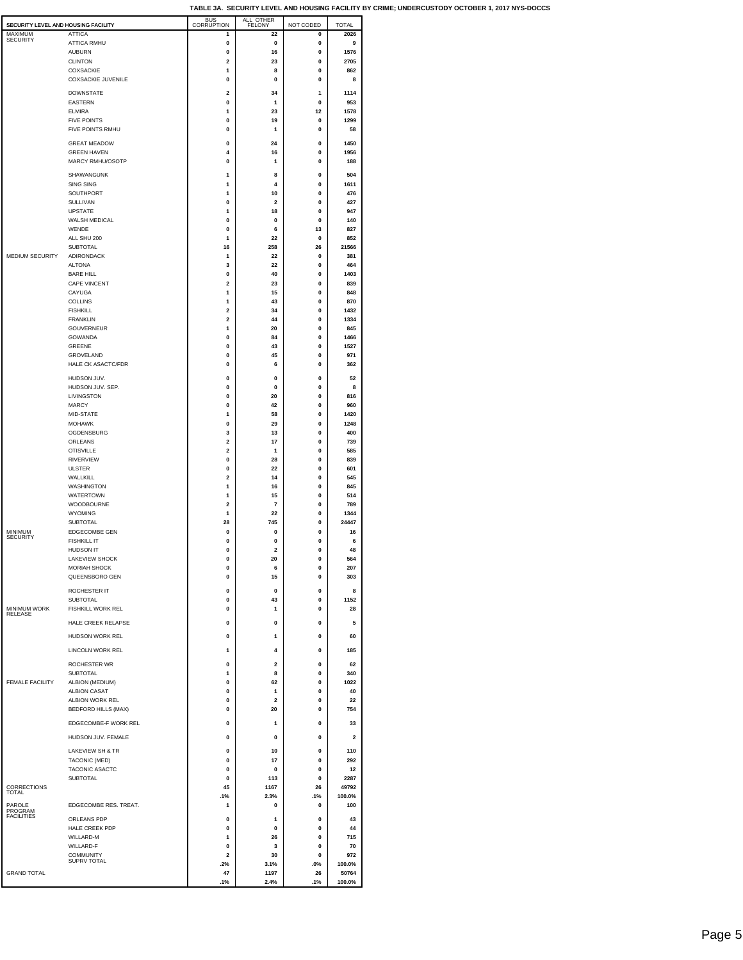| SECURITY LEVEL AND HOUSING FACILITY |                                        | <b>BUS</b><br>CORRUPTION     | ALL OTHER<br><b>FELONY</b> | NOT CODED        | <b>TOTAL</b>  |
|-------------------------------------|----------------------------------------|------------------------------|----------------------------|------------------|---------------|
| MAXIMUM                             | <b>ATTICA</b>                          | 1                            | 22                         | 0                | 2026          |
| SECURITY                            | <b>ATTICA RMHU</b>                     | 0                            | 0                          | 0                | 9             |
|                                     | <b>AUBURN</b>                          | 0                            | 16                         | 0                | 1576          |
|                                     | <b>CLINTON</b><br><b>COXSACKIE</b>     | $\overline{2}$<br>1          | 23<br>8                    | 0<br>0           | 2705<br>862   |
|                                     | <b>COXSACKIE JUVENILE</b>              | $\mathbf{0}$                 | 0                          | 0                | 8             |
|                                     |                                        |                              |                            |                  |               |
|                                     | <b>DOWNSTATE</b><br><b>EASTERN</b>     | 2<br>0                       | 34<br>1                    | 1<br>$\bf{0}$    | 1114<br>953   |
|                                     | <b>ELMIRA</b>                          | 1                            | 23                         | 12               | 1578          |
|                                     | <b>FIVE POINTS</b>                     | 0                            | 19                         | 0                | 1299          |
|                                     | FIVE POINTS RMHU                       | 0                            | 1                          | 0                | 58            |
|                                     | <b>GREAT MEADOW</b>                    | $\mathbf 0$                  | 24                         | 0                | 1450          |
|                                     | <b>GREEN HAVEN</b>                     | 4                            | 16                         | 0                | 1956          |
|                                     | <b>MARCY RMHU/OSOTP</b>                | 0                            | 1                          | 0                | 188           |
|                                     | SHAWANGUNK                             |                              |                            |                  |               |
|                                     | <b>SING SING</b>                       | 1<br>1                       | 8<br>4                     | $\bf{0}$<br>0    | 504<br>1611   |
|                                     | SOUTHPORT                              | 1                            | 10                         | 0                | 476           |
|                                     | SULLIVAN                               | 0                            | 2                          | 0                | 427           |
|                                     | <b>UPSTATE</b>                         | 1                            | 18                         | 0                | 947           |
|                                     | WALSH MEDICAL                          | 0                            | 0                          | 0                | 140           |
|                                     | WENDE                                  | 0                            | 6                          | 13               | 827           |
|                                     | ALL SHU 200                            | 1                            | 22                         | 0                | 852           |
| MEDIUM SECURITY                     | <b>SUBTOTAL</b><br><b>ADIRONDACK</b>   | 16<br>1                      | 258<br>22                  | 26<br>0          | 21566<br>381  |
|                                     | <b>ALTONA</b>                          | 3                            | 22                         | 0                | 464           |
|                                     | <b>BARE HILL</b>                       | 0                            | 40                         | 0                | 1403          |
|                                     | CAPE VINCENT                           | 2                            | 23                         | 0                | 839           |
|                                     | CAYUGA                                 | 1                            | 15                         | 0                | 848           |
|                                     | <b>COLLINS</b>                         | 1                            | 43                         | 0                | 870           |
|                                     | <b>FISHKILL</b>                        | $\overline{2}$               | 34                         | 0                | 1432          |
|                                     | <b>FRANKLIN</b><br><b>GOUVERNEUR</b>   | $\overline{\mathbf{2}}$<br>1 | 44<br>20                   | 0<br>$\mathbf 0$ | 1334<br>845   |
|                                     | <b>GOWANDA</b>                         | $\mathbf{0}$                 | 84                         | 0                | 1466          |
|                                     | <b>GREENE</b>                          | $\mathbf{0}$                 | 43                         | 0                | 1527          |
|                                     | GROVELAND                              | $\Omega$                     | 45                         | 0                | 971           |
|                                     | HALE CK ASACTC/FDR                     | 0                            | 6                          | 0                | 362           |
|                                     | HUDSON JUV.                            | 0                            | 0                          | 0                | 52            |
|                                     | HUDSON JUV. SEP.                       | 0                            | 0                          | 0                | 8             |
|                                     | LIVINGSTON                             | 0                            | 20                         | 0                | 816           |
|                                     | <b>MARCY</b>                           | 0                            | 42                         | 0                | 960           |
|                                     | MID-STATE                              | 1                            | 58                         | 0                | 1420          |
|                                     | <b>MOHAWK</b>                          | 0                            | 29                         | 0                | 1248          |
|                                     | OGDENSBURG<br>ORLEANS                  | 3<br>2                       | 13<br>17                   | 0<br>0           | 400<br>739    |
|                                     | <b>OTISVILLE</b>                       | 2                            | 1                          | 0                | 585           |
|                                     | <b>RIVERVIEW</b>                       | 0                            | 28                         | 0                | 839           |
|                                     | <b>ULSTER</b>                          | 0                            | 22                         | 0                | 601           |
|                                     | WALLKILL                               | $\overline{2}$               | 14                         | 0                | 545           |
|                                     | <b>WASHINGTON</b>                      | 1                            | 16                         | 0                | 845           |
|                                     | <b>WATERTOWN</b><br>WOODBOURNE         | 1<br>$\overline{\mathbf{2}}$ | 15<br>$\overline{7}$       | 0<br>0           | 514<br>789    |
|                                     | <b>WYOMING</b>                         | 1                            | 22                         | 0                | 1344          |
|                                     | <b>SUBTOTAL</b>                        | 28                           | 745                        | 0                | 24447         |
| <b>MINIMUM</b>                      | <b>EDGECOMBE GEN</b>                   | 0                            | 0                          | 0                | 16            |
| <b>SECURITY</b>                     | <b>FISHKILL IT</b>                     | 0                            | 0                          | 0                | 6             |
|                                     | <b>HUDSON IT</b>                       | $\mathbf 0$                  | $\mathbf 2$                | 0                | 48            |
|                                     | LAKEVIEW SHOCK                         | 0                            | 20                         | 0                | 564           |
|                                     | <b>MORIAH SHOCK</b><br>QUEENSBORO GEN  | 0<br>0                       | 6<br>15                    | 0<br>0           | 207<br>303    |
|                                     |                                        |                              |                            |                  |               |
|                                     | ROCHESTER IT                           | $\mathbf 0$                  | 0                          | 0                | 8             |
|                                     | <b>SUBTOTAL</b>                        | 0                            | 43                         | 0                | 1152          |
| <b>MINIMUM WORK</b><br>RELEASE      | <b>FISHKILL WORK REL</b>               | 0                            | 1                          | 0                | 28            |
|                                     | HALE CREEK RELAPSE                     | 0                            | 0                          | 0                | 5             |
|                                     | HUDSON WORK REL                        | 0                            | 1                          | 0                | 60            |
|                                     |                                        |                              | 4                          |                  |               |
|                                     | <b>LINCOLN WORK REL</b>                | 1                            |                            | 0                | 185           |
|                                     | <b>ROCHESTER WR</b>                    | 0                            | $\mathbf 2$                | 0                | 62            |
|                                     | <b>SUBTOTAL</b>                        | 1                            | 8                          | 0                | 340           |
| FEMALE FACILITY                     | ALBION (MEDIUM)<br><b>ALBION CASAT</b> | 0<br>0                       | 62<br>1                    | 0<br>0           | 1022<br>40    |
|                                     | ALBION WORK REL                        | 0                            | $\mathbf 2$                | 0                | 22            |
|                                     | <b>BEDFORD HILLS (MAX)</b>             | 0                            | 20                         | 0                | 754           |
|                                     |                                        |                              |                            |                  |               |
|                                     | EDGECOMBE-F WORK REL                   | $\mathbf 0$                  | 1                          | 0                | 33            |
|                                     | HUDSON JUV. FEMALE                     | $\mathbf 0$                  | $\mathbf 0$                | 0                | 2             |
|                                     | LAKEVIEW SH & TR                       | 0                            | 10                         | 0                | 110           |
|                                     | TACONIC (MED)                          | 0                            | 17                         | 0                | 292           |
|                                     | TACONIC ASACTC                         | 0                            | $\mathbf 0$                | 0                | 12            |
|                                     | SUBTOTAL                               | 0                            | 113                        | 0                | 2287          |
| CORRECTIONS<br>TOTAL                |                                        | 45                           | 1167                       | 26               | 49792         |
|                                     | EDGECOMBE RES. TREAT.                  | .1%<br>1                     | 2.3%<br>0                  | .1%<br>0         | 100.0%<br>100 |
| PAROLE<br>PROGRAM                   |                                        |                              |                            |                  |               |
| <b>FACILITIES</b>                   | ORLEANS PDP                            | $\Omega$                     | $\mathbf{1}$               | 0                | 43            |
|                                     | HALE CREEK PDP                         | $\mathbf 0$                  | $\mathbf 0$                | 0                | 44            |
|                                     | WILLARD-M<br>WILLARD-F                 | 1<br>0                       | 26<br>3                    | 0<br>0           | 715<br>70     |
|                                     | <b>COMMUNITY</b>                       | $\overline{\mathbf{2}}$      | 30                         | 0                | 972           |
|                                     | <b>SUPRV TOTAL</b>                     | .2%                          | 3.1%                       | .0%              | 100.0%        |
| <b>GRAND TOTAL</b>                  |                                        | 47                           | 1197                       | 26               | 50764         |
|                                     |                                        | .1%                          | 2.4%                       | .1%              | 100.0%        |

F

 $\overline{\mathsf{L}}$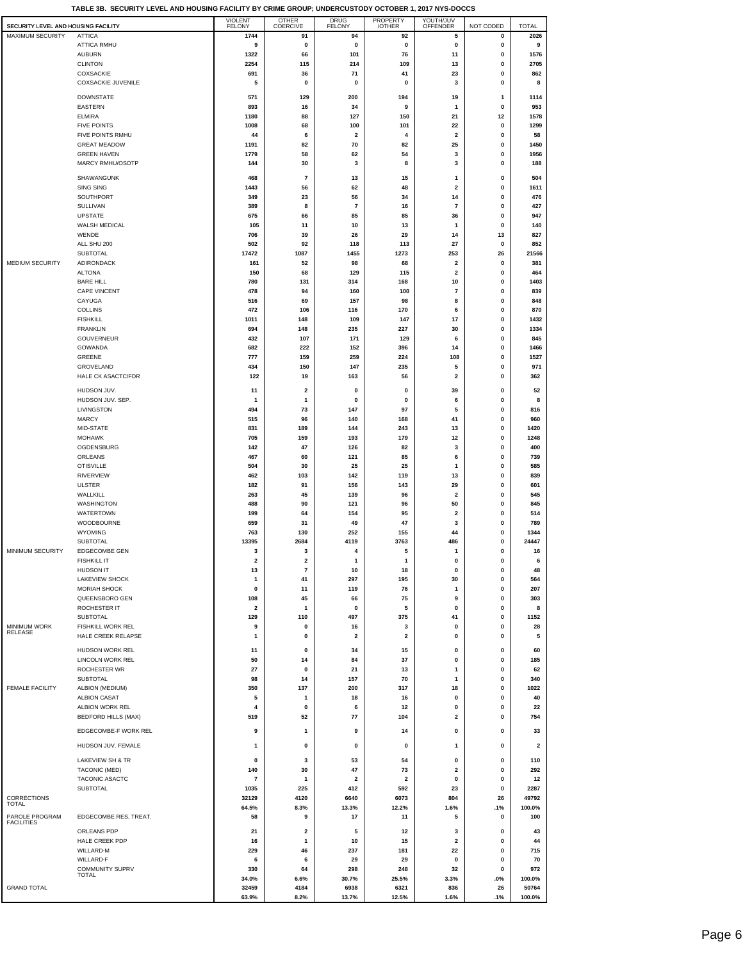| SECURITY LEVEL AND HOUSING FACILITY |                                        | <b>VIOLENT</b><br><b>FELONY</b> | <b>OTHER</b><br>COERCIVE     | <b>DRUG</b><br><b>FELONY</b>   | PROPERTY<br>/OTHER             | YOUTH/JUV<br>OFFENDER                              | NOT CODED              | <b>TOTAL</b>            |
|-------------------------------------|----------------------------------------|---------------------------------|------------------------------|--------------------------------|--------------------------------|----------------------------------------------------|------------------------|-------------------------|
| <b>MAXIMUM SECURITY</b>             | <b>ATTICA</b><br><b>ATTICA RMHU</b>    | 1744<br>9                       | 91<br>0                      | 94<br>$\pmb{0}$                | 92<br>0                        | 5<br>$\pmb{0}$                                     | 0<br>0                 | 2026<br>9               |
|                                     | <b>AUBURN</b>                          | 1322                            | 66                           | 101                            | 76                             | 11                                                 | 0                      | 1576                    |
|                                     | <b>CLINTON</b>                         | 2254                            | 115                          | 214                            | 109                            | 13                                                 | 0                      | 2705                    |
|                                     | COXSACKIE<br><b>COXSACKIE JUVENILE</b> | 691<br>5                        | 36<br>0                      | 71<br>0                        | 41<br>0                        | 23<br>3                                            | 0<br>$\pmb{0}$         | 862<br>8                |
|                                     | <b>DOWNSTATE</b>                       | 571                             | 129                          | 200                            | 194                            | 19                                                 | $\mathbf{1}$           | 1114                    |
|                                     | EASTERN                                | 893                             | 16                           | 34                             | 9                              | $\mathbf{1}$                                       | 0                      | 953                     |
|                                     | <b>ELMIRA</b><br><b>FIVE POINTS</b>    | 1180<br>1008                    | 88<br>68                     | 127<br>100                     | 150<br>101                     | 21<br>22                                           | 12<br>0                | 1578<br>1299            |
|                                     | FIVE POINTS RMHU                       | 44                              | 6                            | 2                              | 4                              | $\overline{\mathbf{2}}$                            | 0                      | 58                      |
|                                     | <b>GREAT MEADOW</b>                    | 1191                            | 82                           | 70                             | 82                             | 25                                                 | $\pmb{0}$              | 1450                    |
|                                     | <b>GREEN HAVEN</b><br>MARCY RMHU/OSOTP | 1779<br>144                     | 58<br>30                     | 62<br>3                        | 54<br>8                        | 3<br>3                                             | 0<br>0                 | 1956<br>188             |
|                                     | SHAWANGUNK                             | 468                             | 7                            | 13                             | 15                             | 1                                                  | 0                      | 504                     |
|                                     | SING SING                              | 1443                            | 56                           | 62                             | 48                             | 2                                                  | 0                      | 1611                    |
|                                     | SOUTHPORT<br>SULLIVAN                  | 349<br>389                      | 23<br>8                      | 56<br>$\overline{7}$           | 34<br>16                       | 14<br>$\overline{7}$                               | 0<br>$\pmb{0}$         | 476<br>427              |
|                                     | <b>UPSTATE</b>                         | 675                             | 66                           | 85                             | 85                             | 36                                                 | $\mathbf 0$            | 947                     |
|                                     | <b>WALSH MEDICAL</b>                   | 105                             | 11                           | 10                             | 13                             | 1                                                  | 0                      | 140                     |
|                                     | WENDE<br>ALL SHU 200                   | 706<br>502                      | 39<br>92                     | 26<br>118                      | 29<br>113                      | 14<br>27                                           | 13<br>0                | 827<br>852              |
|                                     | SUBTOTAL                               | 17472                           | 1087                         | 1455                           | 1273                           | 253                                                | 26                     | 21566                   |
| <b>MEDIUM SECURITY</b>              | ADIRONDACK<br><b>ALTONA</b>            | 161<br>150                      | 52<br>68                     | 98<br>129                      | 68<br>115                      | $\overline{\mathbf{2}}$<br>$\overline{\mathbf{2}}$ | $\mathbf 0$<br>0       | 381<br>464              |
|                                     | <b>BARE HILL</b>                       | 780                             | 131                          | 314                            | 168                            | 10                                                 | 0                      | 1403                    |
|                                     | <b>CAPE VINCENT</b><br>CAYUGA          | 478<br>516                      | 94<br>69                     | 160<br>157                     | 100<br>98                      | $\overline{7}$<br>8                                | 0<br>0                 | 839<br>848              |
|                                     | <b>COLLINS</b>                         | 472                             | 106                          | 116                            | 170                            | 6                                                  | $\mathbf{0}$           | 870                     |
|                                     | <b>FISHKILL</b>                        | 1011                            | 148                          | 109                            | 147                            | 17                                                 | 0                      | 1432                    |
|                                     | <b>FRANKLIN</b><br><b>GOUVERNEUR</b>   | 694<br>432                      | 148<br>107                   | 235<br>171                     | 227<br>129                     | 30<br>6                                            | 0<br>0                 | 1334<br>845             |
|                                     | GOWANDA                                | 682                             | 222                          | 152                            | 396                            | 14                                                 | 0                      | 1466                    |
|                                     | GREENE<br>GROVELAND                    | 777<br>434                      | 159<br>150                   | 259<br>147                     | 224<br>235                     | 108<br>5                                           | $\pmb{0}$<br>0         | 1527<br>971             |
|                                     | HALE CK ASACTC/FDR                     | 122                             | 19                           | 163                            | 56                             | 2                                                  | 0                      | 362                     |
|                                     | HUDSON JUV.                            | 11                              | 2                            | 0                              | 0                              | 39                                                 | 0                      | 52                      |
|                                     | HUDSON JUV. SEP.<br>LIVINGSTON         | $\mathbf{1}$<br>494             | 1<br>73                      | 0<br>147                       | 0<br>97                        | 6<br>5                                             | 0<br>0                 | 8<br>816                |
|                                     | <b>MARCY</b>                           | 515                             | 96                           | 140                            | 168                            | 41                                                 | $\pmb{0}$              | 960                     |
|                                     | MID-STATE                              | 831                             | 189                          | 144                            | 243                            | 13                                                 | $\pmb{0}$              | 1420                    |
|                                     | <b>MOHAWK</b><br>OGDENSBURG            | 705<br>142                      | 159<br>47                    | 193<br>126                     | 179<br>82                      | 12<br>3                                            | 0<br>0                 | 1248<br>400             |
|                                     | ORLEANS                                | 467                             | 60                           | 121                            | 85                             | 6                                                  | $\mathbf 0$            | 739                     |
|                                     | <b>OTISVILLE</b><br>RIVERVIEW          | 504<br>462                      | 30<br>103                    | 25<br>142                      | 25<br>119                      | 1<br>13                                            | 0<br>$\pmb{0}$         | 585<br>839              |
|                                     | <b>ULSTER</b>                          | 182                             | 91                           | 156                            | 143                            | 29                                                 | 0                      | 601                     |
|                                     | WALLKILL<br>WASHINGTON                 | 263<br>488                      | 45<br>90                     | 139<br>121                     | 96<br>96                       | $\overline{\mathbf{2}}$<br>50                      | 0<br>0                 | 545<br>845              |
|                                     | WATERTOWN                              | 199                             | 64                           | 154                            | 95                             | $\overline{\mathbf{2}}$                            | 0                      | 514                     |
|                                     | WOODBOURNE                             | 659                             | 31                           | 49                             | 47                             | 3                                                  | $\pmb{0}$              | 789                     |
|                                     | WYOMING<br><b>SUBTOTAL</b>             | 763<br>13395                    | 130<br>2684                  | 252<br>4119                    | 155<br>3763                    | 44<br>486                                          | 0<br>0                 | 1344<br>24447           |
| MINIMUM SECURITY                    | <b>EDGECOMBE GEN</b>                   | 3                               | 3                            | 4                              | 5                              | 1                                                  | 0                      | 16                      |
|                                     | <b>FISHKILL IT</b><br><b>HUDSON IT</b> | z<br>13                         | 2<br>$\overline{\mathbf{r}}$ | 10                             | 18                             | u<br>0                                             | u<br>$\pmb{0}$         | b<br>48                 |
|                                     | <b>LAKEVIEW SHOCK</b>                  | 1                               | 41                           | 297                            | 195                            | 30                                                 | 0                      | 564                     |
|                                     | <b>MORIAH SHOCK</b><br>QUEENSBORO GEN  | 0<br>108                        | 11<br>45                     | 119<br>66                      | 76<br>75                       | 1<br>9                                             | 0<br>0                 | 207<br>303              |
|                                     | ROCHESTER IT                           | $\overline{\mathbf{2}}$         | 1                            | 0                              | 5                              | 0                                                  | 0                      | 8                       |
| MINIMUM WORK                        | SUBTOTAL<br>FISHKILL WORK REL          | 129<br>9                        | 110<br>0                     | 497<br>16                      | 375<br>3                       | 41<br>0                                            | $\pmb{0}$<br>$\pmb{0}$ | 1152<br>28              |
| RELEASE                             | HALE CREEK RELAPSE                     | 1                               | 0                            | $\overline{\mathbf{2}}$        | 2                              | 0                                                  | 0                      | 5                       |
|                                     | HUDSON WORK REL                        | 11                              | 0                            | 34                             | 15                             | 0                                                  | 0                      | 60                      |
|                                     | LINCOLN WORK REL                       | 50                              | 14                           | 84                             | 37                             | 0                                                  | 0                      | 185                     |
|                                     | <b>ROCHESTER WR</b><br>SUBTOTAL        | 27<br>98                        | 0<br>14                      | 21<br>157                      | 13<br>70                       | 1<br>1                                             | 0<br>0                 | 62<br>340               |
| <b>FEMALE FACILITY</b>              | ALBION (MEDIUM)                        | 350                             | 137                          | 200                            | 317                            | 18                                                 | $\pmb{0}$              | 1022                    |
|                                     | <b>ALBION CASAT</b><br>ALBION WORK REL | 5<br>4                          | 1<br>0                       | 18<br>6                        | 16<br>12                       | 0<br>0                                             | 0<br>0                 | 40<br>22                |
|                                     | <b>BEDFORD HILLS (MAX)</b>             | 519                             | 52                           | 77                             | 104                            | 2                                                  | 0                      | 754                     |
|                                     | EDGECOMBE-F WORK REL                   | 9                               | 1                            | 9                              | 14                             | 0                                                  | 0                      | 33                      |
|                                     | HUDSON JUV. FEMALE                     | 1                               | 0                            | 0                              | 0                              | 1                                                  | 0                      | $\overline{\mathbf{2}}$ |
|                                     | LAKEVIEW SH & TR                       | 0                               | 3                            | 53                             | 54                             | 0                                                  | 0                      | 110                     |
|                                     | TACONIC (MED)                          | 140                             | 30                           | 47                             | 73                             | 2                                                  | 0                      | 292                     |
|                                     | TACONIC ASACTC<br><b>SUBTOTAL</b>      | 7<br>1035                       | $\mathbf{1}$<br>225          | $\overline{\mathbf{2}}$<br>412 | $\overline{\mathbf{2}}$<br>592 | $\pmb{0}$<br>23                                    | $\pmb{0}$<br>0         | 12<br>2287              |
| CORRECTIONS<br><b>TOTAL</b>         |                                        | 32129                           | 4120                         | 6640                           | 6073                           | 804                                                | 26                     | 49792                   |
| PAROLE PROGRAM                      | EDGECOMBE RES. TREAT.                  | 64.5%<br>58                     | 8.3%<br>9                    | 13.3%<br>17                    | 12.2%<br>11                    | 1.6%<br>5                                          | .1%<br>0               | 100.0%<br>100           |
| <b>FACILITIES</b>                   | ORLEANS PDP                            | 21                              | 2                            | 5                              | 12                             | 3                                                  | 0                      | 43                      |
|                                     | HALE CREEK PDP                         | 16                              | $\mathbf{1}$                 | 10                             | 15                             | 2                                                  | 0                      | 44                      |
|                                     | WILLARD-M<br>WILLARD-F                 | 229                             | 46<br>6                      | 237<br>29                      | 181<br>29                      | 22<br>0                                            | $\pmb{0}$<br>0         | 715<br>70               |
|                                     | <b>COMMUNITY SUPRV</b>                 | 6<br>330                        | 64                           | 298                            | 248                            | 32                                                 | 0                      | 972                     |
|                                     | <b>TOTAL</b>                           | 34.0%                           | 6.6%                         | 30.7%                          | 25.5%                          | 3.3%                                               | .0%                    | 100.0%                  |
| <b>GRAND TOTAL</b>                  |                                        | 32459<br>63.9%                  | 4184<br>8.2%                 | 6938<br>13.7%                  | 6321<br>12.5%                  | 836<br>1.6%                                        | 26<br>.1%              | 50764<br>100.0%         |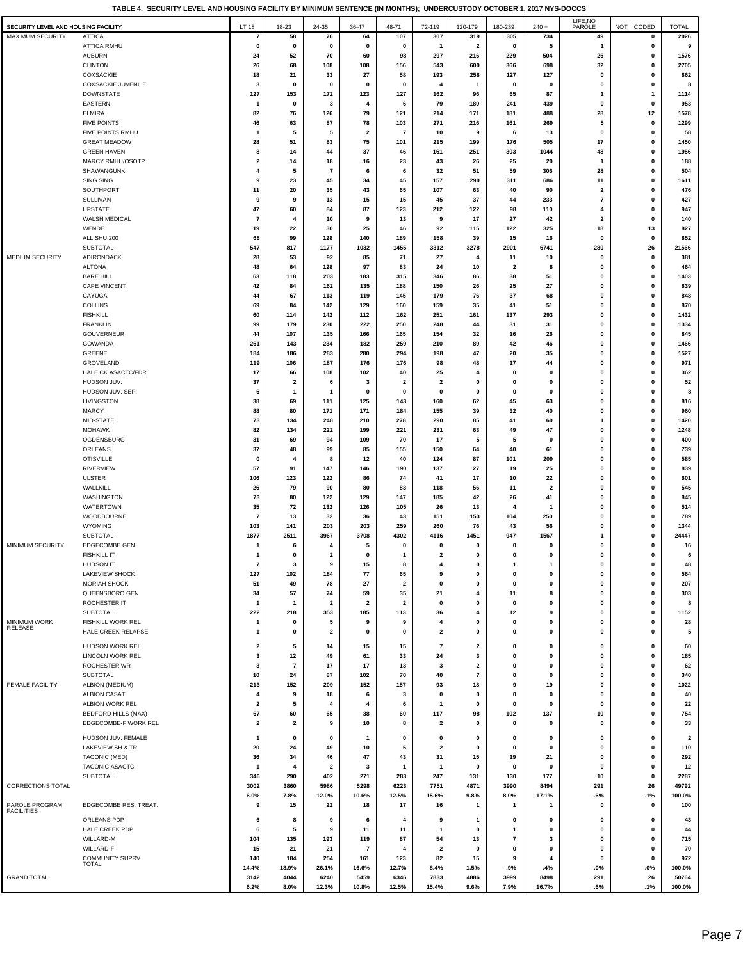**TABLE 4. SECURITY LEVEL AND HOUSING FACILITY BY MINIMUM SENTENCE (IN MONTHS); UNDERCUSTODY OCTOBER 1, 2017 NYS-DOCCS**

| SECURITY LEVEL AND HOUSING FACILITY |                                           | LT 18                        | 18-23                         | 24-35                         | 36-47                   | 48-71                   | 72-119           | 120-179                     | 180-239                 | $240 +$                       | LIFE, NO<br>PAROLE               | NOT CODED                   | <b>TOTAL</b>                   |
|-------------------------------------|-------------------------------------------|------------------------------|-------------------------------|-------------------------------|-------------------------|-------------------------|------------------|-----------------------------|-------------------------|-------------------------------|----------------------------------|-----------------------------|--------------------------------|
| MAXIMUM SECURITY                    | <b>ATTICA</b>                             | $\overline{7}$               | 58                            | 76                            | 64                      | 107                     | 307              | 319                         | 305                     | 734                           | 49                               | 0                           | 2026                           |
|                                     | ATTICA RMHU                               | $\mathbf 0$                  | $\mathbf 0$                   | $\mathbf 0$                   | 0                       | $\mathbf 0$             | 1                | $\overline{\mathbf{2}}$     | 0                       | 5                             | -1                               | $\mathbf 0$                 | 9                              |
|                                     | <b>AUBURN</b>                             | 24                           | 52                            | 70                            | 60                      | 98                      | 297              | 216                         | 229                     | 504                           | 26                               | 0                           | 1576                           |
|                                     | <b>CLINTON</b>                            | 26                           | 68                            | 108                           | 108                     | 156                     | 543              | 600                         | 366                     | 698                           | 32                               | $\mathbf{0}$                | 2705                           |
|                                     | COXSACKIE                                 | 18                           | 21                            | 33                            | 27                      | 58                      | 193              | 258                         | 127                     | 127                           | $\mathbf 0$                      | $\mathbf 0$                 | 862                            |
|                                     | COXSACKIE JUVENILE                        | -3                           | $\mathbf 0$                   | 0                             | 0                       | 0                       | 4                | -1                          | 0                       | 0                             | 0                                | 0                           | 8                              |
|                                     | <b>DOWNSTATE</b>                          | 127                          | 153                           | 172                           | 123                     | 127                     | 162              | 96                          | 65                      | 87                            | 1                                | $\mathbf{1}$                | 1114                           |
|                                     | <b>EASTERN</b><br><b>ELMIRA</b>           | $\mathbf{1}$<br>82           | 0<br>76                       | 3<br>126                      | 4<br>79                 | 6<br>121                | 79<br>214        | 180<br>171                  | 241<br>181              | 439<br>488                    | 0<br>28                          | $\mathbf 0$<br>12           | 953<br>1578                    |
|                                     | <b>FIVE POINTS</b>                        | 46                           | 63                            | 87                            | 78                      | 103                     | 271              | 216                         | 161                     | 269                           | 5                                | 0                           | 1299                           |
|                                     | FIVE POINTS RMHU                          | $\mathbf 1$                  | 5                             | 5                             | $\overline{\mathbf{2}}$ | $\overline{7}$          | 10               | 9                           | 6                       | 13                            | 0                                | $\mathbf 0$                 | 58                             |
|                                     | <b>GREAT MEADOW</b>                       | 28                           | 51                            | 83                            | 75                      | 101                     | 215              | 199                         | 176                     | 505                           | 17                               | 0                           | 1450                           |
|                                     | <b>GREEN HAVEN</b>                        | 8                            | 14                            | 44                            | 37                      | 46                      | 161              | 251                         | 303                     | 1044                          | 48                               | 0                           | 1956                           |
|                                     | MARCY RMHU/OSOTP                          | 2                            | 14                            | 18                            | 16                      | 23                      | 43               | 26                          | 25                      | 20                            | 1                                | 0                           | 188                            |
|                                     | SHAWANGUNK                                | 4                            | 5                             | 7                             | 6                       | 6                       | 32               | 51                          | 59                      | 306                           | 28                               | 0                           | 504                            |
|                                     | SING SING                                 | 9                            | 23                            | 45                            | 34                      | 45                      | 157              | 290                         | 311                     | 686                           | 11                               | 0                           | 1611                           |
|                                     | SOUTHPORT                                 | 11<br>9                      | 20<br>9                       | 35                            | 43                      | 65                      | 107              | 63                          | 40                      | 90                            | $\overline{2}$<br>$\overline{7}$ | 0<br>0                      | 476                            |
|                                     | SULLIVAN<br><b>UPSTATE</b>                | 47                           | 60                            | 13<br>84                      | 15<br>87                | 15<br>123               | 45<br>212        | 37<br>122                   | 44<br>98                | 233<br>110                    | 4                                | $\mathbf 0$                 | 427<br>947                     |
|                                     | WALSH MEDICAL                             | -7                           | 4                             | 10                            | 9                       | 13                      | 9                | 17                          | 27                      | 42                            | $\mathbf{2}$                     | 0                           | 140                            |
|                                     | WENDE                                     | 19                           | 22                            | 30                            | 25                      | 46                      | 92               | 115                         | 122                     | 325                           | 18                               | 13                          | 827                            |
|                                     | ALL SHU 200                               | 68                           | 99                            | 128                           | 140                     | 189                     | 158              | 39                          | 15                      | 16                            | 0                                | $\mathbf 0$                 | 852                            |
|                                     | <b>SUBTOTAL</b>                           | 547                          | 817                           | 1177                          | 1032                    | 1455                    | 3312             | 3278                        | 2901                    | 6741                          | 280                              | 26                          | 21566                          |
| MEDIUM SECURITY                     | ADIRONDACK                                | 28                           | 53                            | 92                            | 85                      | 71                      | 27               | 4                           | 11                      | 10                            | 0                                | 0                           | 381                            |
|                                     | <b>ALTONA</b>                             | 48                           | 64                            | 128                           | 97                      | 83                      | 24               | 10                          | $\overline{\mathbf{2}}$ | 8                             | 0                                | $\mathbf 0$                 | 464                            |
|                                     | <b>BARE HILL</b>                          | 63                           | 118                           | 203                           | 183                     | 315                     | 346              | 86                          | 38                      | 51                            | 0                                | $\mathbf{0}$                | 1403                           |
|                                     | <b>CAPE VINCENT</b>                       | 42<br>44                     | 84                            | 162                           | 135                     | 188                     | 150              | 26                          | 25                      | 27                            | 0                                | $\mathbf 0$                 | 839                            |
|                                     | CAYUGA<br><b>COLLINS</b>                  | 69                           | 67<br>84                      | 113<br>142                    | 119<br>129              | 145<br>160              | 179<br>159       | 76<br>35                    | 37<br>41                | 68<br>51                      | 0<br>0                           | 0<br>0                      | 848<br>870                     |
|                                     | <b>FISHKILL</b>                           | 60                           | 114                           | 142                           | 112                     | 162                     | 251              | 161                         | 137                     | 293                           | 0                                | $\mathbf 0$                 | 1432                           |
|                                     | <b>FRANKLIN</b>                           | 99                           | 179                           | 230                           | 222                     | 250                     | 248              | 44                          | 31                      | 31                            | 0                                | 0                           | 1334                           |
|                                     | GOUVERNEUR                                | 44                           | 107                           | 135                           | 166                     | 165                     | 154              | 32                          | 16                      | 26                            | 0                                | 0                           | 845                            |
|                                     | GOWANDA                                   | 261                          | 143                           | 234                           | 182                     | 259                     | 210              | 89                          | 42                      | 46                            | $\mathbf 0$                      | $\mathbf 0$                 | 1466                           |
|                                     | <b>GREENE</b>                             | 184                          | 186                           | 283                           | 280                     | 294                     | 198              | 47                          | 20                      | 35                            | 0                                | 0                           | 1527                           |
|                                     | GROVELAND                                 | 119                          | 106                           | 187                           | 176                     | 176                     | 98               | 48                          | 17                      | 44                            | 0                                | 0                           | 971                            |
|                                     | HALE CK ASACTC/FDR                        | 17                           | 66                            | 108                           | 102                     | 40                      | 25               | 4                           | $\mathbf{0}$            | $\mathbf{0}$                  | 0                                | $\mathbf 0$                 | 362                            |
|                                     | HUDSON JUV.<br>HUDSON JUV. SEP.           | 37<br>6                      | $\overline{\mathbf{2}}$<br>-1 | 6<br>1                        | 3<br>0                  | 2<br>$\mathbf{0}$       | 2<br>0           | $\mathbf{0}$<br>$\mathbf 0$ | 0<br>0                  | 0<br>0                        | 0<br>0                           | $\mathbf 0$<br>$\mathbf 0$  | 52<br>8                        |
|                                     | LIVINGSTON                                | 38                           | 69                            | 111                           | 125                     | 143                     | 160              | 62                          | 45                      | 63                            | 0                                | 0                           | 816                            |
|                                     | <b>MARCY</b>                              | 88                           | 80                            | 171                           | 171                     | 184                     | 155              | 39                          | 32                      | 40                            | 0                                | 0                           | 960                            |
|                                     | MID-STATE                                 | 73                           | 134                           | 248                           | 210                     | 278                     | 290              | 85                          | 41                      | 60                            | 1                                | $\mathbf 0$                 | 1420                           |
|                                     | <b>MOHAWK</b>                             | 82                           | 134                           | 222                           | 199                     | 221                     | 231              | 63                          | 49                      | 47                            | 0                                | 0                           | 1248                           |
|                                     | OGDENSBURG                                | 31                           | 69                            | 94                            | 109                     | 70                      | 17               | 5                           | 5                       | $\mathbf 0$                   | 0                                | 0                           | 400                            |
|                                     | ORLEANS                                   | 37                           | 48                            | 99                            | 85                      | 155                     | 150              | 64                          | 40                      | 61                            | 0                                | $\mathbf 0$                 | 739                            |
|                                     | <b>OTISVILLE</b>                          | $\mathbf{0}$                 | 4                             | 8                             | 12                      | 40                      | 124              | 87                          | 101                     | 209                           | 0                                | $\mathbf{0}$                | 585                            |
|                                     | <b>RIVERVIEW</b>                          | 57                           | 91                            | 147                           | 146                     | 190                     | 137              | 27                          | 19                      | 25                            | 0                                | 0                           | 839                            |
|                                     | <b>ULSTER</b><br>WALLKILL                 | 106<br>26                    | 123<br>79                     | 122<br>90                     | 86<br>80                | 74<br>83                | 41<br>118        | 17<br>56                    | 10<br>11                | 22<br>$\overline{\mathbf{2}}$ | 0<br>0                           | $\mathbf 0$<br>$\mathbf{0}$ | 601<br>545                     |
|                                     | WASHINGTON                                | 73                           | 80                            | 122                           | 129                     | 147                     | 185              | 42                          | 26                      | 41                            | 0                                | 0                           | 845                            |
|                                     | <b>WATERTOWN</b>                          | 35                           | 72                            | 132                           | 126                     | 105                     | 26               | 13                          | 4                       | -1                            | 0                                | 0                           | 514                            |
|                                     | WOODBOURNE                                | $\overline{7}$               | 13                            | 32                            | 36                      | 43                      | 151              | 153                         | 104                     | 250                           | 0                                | $\mathbf{0}$                | 789                            |
|                                     | <b>WYOMING</b>                            | 103                          | 141                           | 203                           | 203                     | 259                     | 260              | 76                          | 43                      | 56                            | 0                                | $\mathbf 0$                 | 1344                           |
|                                     | SUBTOTAL                                  | 1877                         | 2511                          | 3967                          | 3708                    | 4302                    | 4116             | 1451                        | 947                     | 1567                          | 1                                | 0                           | 24447                          |
| MINIMUM SECURITY                    | EDGECOMBE GEN                             | $\mathbf{1}$                 | 6                             | 4                             | 5                       | $\mathbf 0$             | 0                | 0                           | 0                       | 0                             | 0                                | $\mathbf{0}$                | 16                             |
|                                     | <b>FISHKILL IT</b>                        | $\mathbf{1}$                 | 0                             | 2                             | $\mathbf 0$             | $\mathbf{1}$            | $\mathbf{2}$     | $\mathbf 0$                 | 0                       | $\bf{0}$                      | 0                                | $\bf{0}$                    | 6                              |
|                                     | <b>HUDSON IT</b><br><b>LAKEVIEW SHOCK</b> | 7<br>127                     | 3<br>102                      | 9<br>184                      | 15<br>77                | 8<br>65                 | 4<br>9           | 0<br>$\pmb{0}$              | -1<br>0                 | 1<br>0                        | 0<br>0                           | 0<br>0                      | 48<br>564                      |
|                                     | <b>MORIAH SHOCK</b>                       | 51                           | 49                            | 78                            | 27                      | 2                       | 0                | 0                           | 0                       | 0                             | 0                                | 0                           | 207                            |
|                                     | QUEENSBORO GEN                            | -34                          | 57                            | 74                            | 59                      | 35                      | 21               | 4                           | 11                      | 8                             | 0                                | 0                           | 303                            |
|                                     | ROCHESTER IT                              | $\mathbf{1}$                 | $\mathbf{1}$                  | $\overline{\mathbf{2}}$       | $\overline{\mathbf{2}}$ | $\overline{\mathbf{2}}$ | 0                | 0                           | 0                       | 0                             | 0                                | 0                           | 8                              |
|                                     | SUBTOTAL                                  | 222                          | 218                           | 353                           | 185                     | 113                     | 36               | 4                           | 12                      | 9                             | 0                                | $\mathbf{0}$                | 1152                           |
| <b>MINIMUM WORK</b><br>RELEASE      | FISHKILL WORK REL                         | -1                           | 0                             | 5                             | 9                       | 9                       | 4                | $\mathbf 0$                 | 0                       | 0                             | 0                                | $\mathbf{0}$                | 28                             |
|                                     | HALE CREEK RELAPSE                        | $\mathbf{1}$                 | 0                             | 2                             | 0                       | 0                       | $\mathbf{2}$     | $\pmb{0}$                   | 0                       | 0                             | 0                                | 0                           | 5                              |
|                                     | HUDSON WORK REL                           | 2                            | 5                             | 14                            | 15                      | 15                      | $\overline{7}$   | $\overline{\mathbf{2}}$     | 0                       | 0                             | 0                                | 0                           | 60                             |
|                                     | LINCOLN WORK REL                          | 3                            | 12                            | 49                            | 61                      | 33                      | 24               | 3                           | 0                       | 0                             | 0                                | $\mathbf{0}$                | 185                            |
|                                     | ROCHESTER WR                              | 3                            | $\overline{7}$                | 17                            | 17                      | 13                      | 3                | 2                           | 0                       | 0                             | 0                                | $\mathbf{0}$                | 62                             |
|                                     | SUBTOTAL                                  | 10                           | 24                            | 87                            | 102                     | 70                      | 40               | $\overline{7}$              | $\pmb{0}$               | 0                             | 0                                | 0                           | 340                            |
| FEMALE FACILITY                     | ALBION (MEDIUM)                           | 213                          | 152                           | 209                           | 152                     | 157                     | 93               | 18                          | 9                       | 19                            | 0                                | 0                           | 1022                           |
|                                     | <b>ALBION CASAT</b><br>ALBION WORK REL    | 4<br>$\overline{\mathbf{2}}$ | 9<br>5                        | 18<br>$\overline{\mathbf{4}}$ | 6<br>4                  | 3<br>6                  | $\mathbf 0$<br>1 | 0<br>0                      | 0<br>0                  | 0<br>0                        | 0<br>0                           | 0<br>$\mathbf 0$            | 40<br>22                       |
|                                     | <b>BEDFORD HILLS (MAX)</b>                | 67                           | 60                            | 65                            | 38                      | 60                      | 117              | 98                          | 102                     | 137                           | 10                               | 0                           | 754                            |
|                                     | EDGECOMBE-F WORK REL                      | 2                            | 2                             | 9                             | 10                      | 8                       | 2                | 0                           | 0                       | 0                             | 0                                | 0                           | 33                             |
|                                     |                                           |                              |                               |                               |                         |                         |                  |                             |                         |                               |                                  |                             |                                |
|                                     | HUDSON JUV. FEMALE<br>LAKEVIEW SH & TR    | $\mathbf 1$<br>20            | 0<br>24                       | $\mathbf 0$<br>49             | -1<br>10                | $\mathbf 0$<br>5        | 0<br>2           | 0<br>0                      | 0<br>0                  | 0<br>0                        | 0<br>0                           | 0<br>$\mathbf 0$            | $\overline{\mathbf{2}}$<br>110 |
|                                     | TACONIC (MED)                             | 36                           | 34                            | 46                            | 47                      | 43                      | 31               | 15                          | 19                      | 21                            | 0                                | 0                           | 292                            |
|                                     | <b>TACONIC ASACTC</b>                     | $\mathbf 1$                  | 4                             | 2                             | 3                       | $\mathbf{1}$            | 1                | 0                           | 0                       | 0                             | 0                                | 0                           | 12                             |
|                                     | <b>SUBTOTAL</b>                           | 346                          | 290                           | 402                           | 271                     | 283                     | 247              | 131                         | 130                     | 177                           | 10                               | $\mathbf 0$                 | 2287                           |
| CORRECTIONS TOTAL                   |                                           | 3002                         | 3860                          | 5986                          | 5298                    | 6223                    | 7751             | 4871                        | 3990                    | 8494                          | 291                              | 26                          | 49792                          |
|                                     |                                           | 6.0%                         | 7.8%                          | 12.0%                         | 10.6%                   | 12.5%                   | 15.6%            | 9.8%                        | 8.0%                    | 17.1%                         | .6%                              | .1%                         | 100.0%                         |
| PAROLE PROGRAM<br><b>FACILITIES</b> | EDGECOMBE RES. TREAT.                     | 9                            | 15                            | 22                            | 18                      | 17                      | 16               | $\mathbf{1}$                | $\mathbf{1}$            | $\mathbf{1}$                  | 0                                | 0                           | 100                            |
|                                     | ORLEANS PDP                               | 6                            | 8                             | 9                             | 6                       | 4                       | 9                | $\mathbf{1}$                | 0                       | 0                             | 0                                | $\mathbf 0$                 | 43                             |
|                                     | HALE CREEK PDP                            | 6                            | 5                             | 9                             | 11                      | 11                      | 1                | 0                           | $\mathbf{1}$            | 0                             | 0                                | 0                           | 44                             |
|                                     | WILLARD-M                                 | 104                          | 135                           | 193                           | 119                     | 87                      | 54               | 13                          | $\overline{\mathbf{r}}$ | 3                             | 0                                | 0                           | 715                            |
|                                     | WILLARD-F                                 | 15                           | 21                            | 21                            | $\overline{7}$          | 4                       | 2                | 0                           | 0                       | 0                             | 0                                | 0                           | 70                             |
|                                     | <b>COMMUNITY SUPRV</b><br>TOTAL           | 140                          | 184                           | 254                           | 161                     | 123                     | 82               | 15                          | 9                       | 4                             | 0                                | 0                           | 972                            |
|                                     |                                           | 14.4%                        | 18.9%                         | 26.1%                         | 16.6%                   | 12.7%                   | 8.4%             | 1.5%                        | .9%                     | .4%                           | $.0\%$                           | .0%                         | 100.0%                         |
| <b>GRAND TOTAL</b>                  |                                           | 3142                         | 4044                          | 6240                          | 5459                    | 6346                    | 7833             | 4886                        | 3999                    | 8498                          | 291                              | 26                          | 50764                          |
|                                     |                                           | 6.2%                         | 8.0%                          | 12.3%                         | 10.8%                   | 12.5%                   | 15.4%            | 9.6%                        | 7.9%                    | 16.7%                         | .6%                              | $.1\%$                      | 100.0%                         |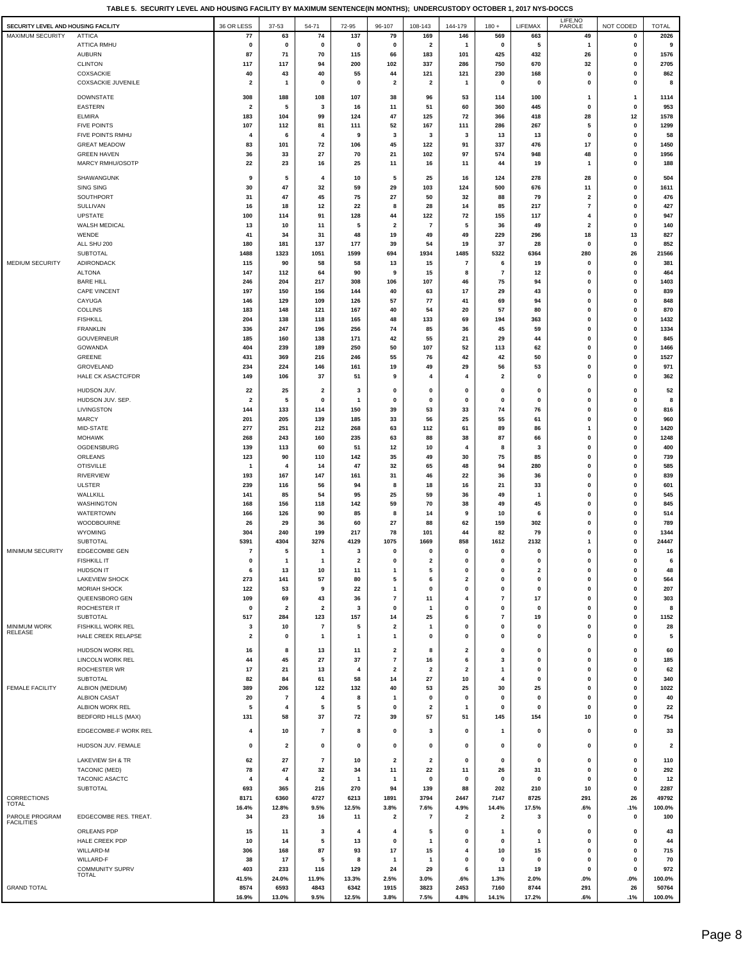**TABLE 5. SECURITY LEVEL AND HOUSING FACILITY BY MAXIMUM SENTENCE(IN MONTHS); UNDERCUSTODY OCTOBER 1, 2017 NYS-DOCCS**

|                                       |                                         |                         |                         |                          |                         |                               |                               |                                 |                                  |                         | LIFE, NO                   |                |                         |
|---------------------------------------|-----------------------------------------|-------------------------|-------------------------|--------------------------|-------------------------|-------------------------------|-------------------------------|---------------------------------|----------------------------------|-------------------------|----------------------------|----------------|-------------------------|
| SECURITY LEVEL AND HOUSING FACILITY   |                                         | 36 OR LESS              | 37-53                   | 54-71                    | 72-95                   | 96-107                        | 108-143                       | 144-179                         | $180 +$                          | LIFEMAX                 | PAROLE                     | NOT CODED      | <b>TOTAL</b>            |
| <b>MAXIMUM SECURITY</b>               | <b>ATTICA</b>                           | 77                      | 63                      | 74                       | 137                     | 79                            | 169                           | 146                             | 569                              | 663                     | 49                         | 0              | 2026                    |
|                                       | ATTICA RMHU                             | $\mathbf 0$             | $\mathbf 0$             | 0                        | $\mathbf 0$             | 0<br>66                       | $\overline{\mathbf{2}}$       | -1<br>101                       | 0                                | 5                       | -1                         | 0              | 9                       |
|                                       | <b>AUBURN</b><br><b>CLINTON</b>         | 87                      | 71                      | 70<br>94                 | 115<br>200              | 102                           | 183<br>337                    | 286                             | 425<br>750                       | 432<br>670              | 26                         | 0              | 1576<br>2705            |
|                                       | COXSACKIE                               | 117<br>40               | 117<br>43               | 40                       | 55                      | 44                            | 121                           | 121                             | 230                              | 168                     | 32<br>0                    | 0<br>0         | 862                     |
|                                       | <b>COXSACKIE JUVENILE</b>               | 2                       | 1                       | 0                        | $\mathbf 0$             | $\overline{2}$                | $\overline{2}$                | -1                              | $\mathbf 0$                      | $\mathbf 0$             | $\mathbf 0$                | 0              | 8                       |
|                                       |                                         |                         |                         |                          |                         |                               |                               |                                 |                                  |                         |                            |                |                         |
|                                       | <b>DOWNSTATE</b>                        | 308                     | 188                     | 108                      | 107                     | 38                            | 96                            | 53                              | 114                              | 100                     | $\mathbf{1}$               | $\overline{1}$ | 1114                    |
|                                       | EASTERN                                 | $\overline{\mathbf{2}}$ | 5                       | 3                        | 16                      | 11                            | 51                            | 60                              | 360                              | 445                     | 0                          | 0              | 953                     |
|                                       | <b>ELMIRA</b><br><b>FIVE POINTS</b>     | 183<br>107              | 104<br>112              | 99<br>81                 | 124<br>111              | 47<br>52                      | 125<br>167                    | 72<br>111                       | 366<br>286                       | 418<br>267              | 28<br>5                    | 12<br>0        | 1578<br>1299            |
|                                       | FIVE POINTS RMHU                        | 4                       | 6                       | 4                        | 9                       | 3                             | 3                             | 3                               | 13                               | 13                      | 0                          | 0              | 58                      |
|                                       | <b>GREAT MEADOW</b>                     | 83                      | 101                     | 72                       | 106                     | 45                            | 122                           | 91                              | 337                              | 476                     | 17                         | 0              | 1450                    |
|                                       | <b>GREEN HAVEN</b>                      | 36                      | 33                      | 27                       | 70                      | 21                            | 102                           | 97                              | 574                              | 948                     | 48                         | 0              | 1956                    |
|                                       | MARCY RMHU/OSOTF                        | 22                      | 23                      | 16                       | 25                      | 11                            | 16                            | 11                              | 44                               | 19                      | $\mathbf{1}$               | 0              | 188                     |
|                                       |                                         |                         |                         |                          |                         |                               |                               |                                 |                                  |                         |                            |                |                         |
|                                       | SHAWANGUNK<br>SING SING                 | 9<br>30                 | 5<br>47                 | 4<br>32                  | 10<br>59                | 5<br>29                       | 25<br>103                     | 16<br>124                       | 124<br>500                       | 278<br>676              | 28<br>11                   | 0<br>0         | 504<br>1611             |
|                                       | SOUTHPORT                               | 31                      | 47                      | 45                       | 75                      | 27                            | 50                            | 32                              | 88                               | 79                      | $\overline{\mathbf{2}}$    | 0              | 476                     |
|                                       | SULLIVAN                                | 16                      | 18                      | 12                       | 22                      | 8                             | 28                            | 14                              | 85                               | 217                     | $\overline{\phantom{a}}$   | 0              | 427                     |
|                                       | <b>UPSTATE</b>                          | 100                     | 114                     | 91                       | 128                     | 44                            | 122                           | 72                              | 155                              | 117                     | $\overline{4}$             | 0              | 947                     |
|                                       | WALSH MEDICAL                           | 13                      | 10                      | 11                       | 5                       | $\overline{\mathbf{2}}$       | $\overline{7}$                | 5                               | 36                               | 49                      | $\overline{\mathbf{2}}$    | 0              | 140                     |
|                                       | WENDE                                   | 41                      | 34                      | 31                       | 48                      | 19                            | 49                            | 49                              | 229                              | 296                     | 18                         | 13             | 827                     |
|                                       | ALL SHU 200                             | 180                     | 181                     | 137                      | 177                     | 39                            | 54                            | 19                              | 37                               | 28                      | 0                          | 0              | 852                     |
|                                       | SUBTOTAL                                | 1488                    | 1323                    | 1051                     | 1599                    | 694                           | 1934                          | 1485                            | 5322                             | 6364                    | 280                        | 26             | 21566                   |
| MEDIUM SECURITY                       | ADIRONDACK                              | 115                     | 90                      | 58                       | 58                      | 13                            | 15                            | $\overline{7}$                  | 6                                | 19                      | 0                          | 0              | 381                     |
|                                       | <b>ALTONA</b><br><b>BARE HILL</b>       | 147<br>246              | 112<br>204              | 64<br>217                | 90<br>308               | 9<br>106                      | 15                            | 8<br>46                         | $\overline{7}$<br>75             | 12<br>94                | 0<br>0                     | 0<br>0         | 464<br>1403             |
|                                       | <b>CAPE VINCENT</b>                     | 197                     | 150                     | 156                      | 144                     | 40                            | 107<br>63                     | 17                              | 29                               | 43                      | 0                          | 0              | 839                     |
|                                       | CAYUGA                                  | 146                     | 129                     | 109                      | 126                     | 57                            | 77                            | 41                              | 69                               | 94                      | 0                          | 0              | 848                     |
|                                       | <b>COLLINS</b>                          | 183                     | 148                     | 121                      | 167                     | 40                            | 54                            | 20                              | 57                               | 80                      | 0                          | 0              | 870                     |
|                                       | <b>FISHKILL</b>                         | 204                     | 138                     | 118                      | 165                     | 48                            | 133                           | 69                              | 194                              | 363                     | 0                          | 0              | 1432                    |
|                                       | FRANKLIN                                | 336                     | 247                     | 196                      | 256                     | 74                            | 85                            | 36                              | 45                               | 59                      | $\mathbf 0$                | 0              | 1334                    |
|                                       | GOUVERNEUR                              | 185                     | 160                     | 138                      | 171                     | 42                            | 55                            | 21                              | 29                               | 44                      | $\mathbf 0$                | 0              | 845                     |
|                                       | GOWANDA                                 | 404                     | 239                     | 189                      | 250                     | 50                            | 107                           | 52                              | 113                              | 62                      | 0                          | 0              | 1466                    |
|                                       | GREENE                                  | 431                     | 369                     | 216                      | 246                     | 55                            | 76                            | 42                              | 42                               | 50                      | 0                          | 0              | 1527                    |
|                                       | GROVELAND                               | 234                     | 224                     | 146                      | 161                     | 19<br>9                       | 49<br>4                       | 29<br>$\overline{4}$            | 56                               | 53                      | 0                          | 0              | 971                     |
|                                       | HALE CK ASACTC/FDR                      | 149                     | 106                     | 37                       | 51                      |                               |                               |                                 | $\overline{\mathbf{2}}$          | 0                       | 0                          | 0              | 362                     |
|                                       | HUDSON JUV                              | 22                      | 25                      | $\overline{\mathbf{2}}$  | 3                       | 0                             | $\mathbf 0$                   | $\mathbf 0$                     | 0                                | 0                       | $\mathbf 0$                | 0              | 52                      |
|                                       | HUDSON JUV. SEP.                        | $\overline{\mathbf{2}}$ | 5                       | 0                        | 1                       | $\mathbf{0}$                  | 0                             | 0                               | 0                                | $\pmb{0}$               | $\pmb{0}$                  | 0              | 8                       |
|                                       | LIVINGSTON                              | 144                     | 133                     | 114                      | 150                     | 39                            | 53                            | 33                              | 74                               | 76                      | 0                          | 0              | 816                     |
|                                       | <b>MARCY</b>                            | 201                     | 205                     | 139                      | 185                     | 33                            | 56                            | 25                              | 55                               | 61                      | 0                          | 0              | 960                     |
|                                       | MID-STATE<br><b>MOHAWK</b>              | 277<br>268              | 251<br>243              | 212<br>160               | 268<br>235              | 63<br>63                      | 112<br>88                     | 61<br>38                        | 89<br>87                         | 86<br>66                | $\mathbf{1}$<br>0          | 0<br>0         | 1420<br>1248            |
|                                       | OGDENSBURG                              | 139                     | 113                     | 60                       | 51                      | 12                            | 10                            | 4                               | 8                                | -3                      | $\mathbf 0$                | 0              | 400                     |
|                                       | ORLEANS                                 | 123                     | 90                      | 110                      | 142                     | 35                            | 49                            | 30                              | 75                               | 85                      | 0                          | 0              | 739                     |
|                                       | <b>OTISVILLE</b>                        | -1                      | 4                       | 14                       | 47                      | 32                            | 65                            | 48                              | 94                               | 280                     | 0                          | 0              | 585                     |
|                                       | <b>RIVERVIEW</b>                        | 193                     | 167                     | 147                      | 161                     | 31                            | 46                            | 22                              | 36                               | 36                      | 0                          | 0              | 839                     |
|                                       | <b>ULSTER</b>                           | 239                     | 116                     | 56                       | 94                      | 8                             | 18                            | 16                              | 21                               | 33                      | $\mathbf 0$                | 0              | 601                     |
|                                       | WALLKILL                                | 141                     | 85                      | 54                       | 95                      | 25                            | 59                            | 36                              | 49                               | -1                      | $\mathbf 0$                | 0              | 545                     |
|                                       | <b>WASHINGTON</b>                       | 168                     | 156                     | 118                      | 142                     | 59                            | 70                            | 38                              | 49                               | 45                      | $\mathbf 0$                | 0              | 845                     |
|                                       | WATERTOWN                               | 166                     | 126                     | 90                       | 85                      | 8                             | 14                            | 9                               | 10                               | 6                       | 0                          | 0              | 514                     |
|                                       | WOODBOURNE<br>WYOMING                   | 26<br>304               | 29<br>240               | 36<br>199                | 60<br>217               | 27<br>78                      | 88<br>101                     | 62<br>44                        | 159<br>82                        | 302<br>79               | $\mathbf 0$<br>$\mathbf 0$ | 0<br>0         | 789<br>1344             |
|                                       | <b>SUBTOTAL</b>                         | 5391                    | 4304                    | 3276                     | 4129                    | 1075                          | 1669                          | 858                             | 1612                             | 2132                    | $\mathbf{1}$               | 0              | 24447                   |
| MINIMUM SECURITY                      | <b>EDGECOMBE GEN</b>                    | $\overline{7}$          | 5                       | 1                        | 3                       | 0                             | $\Omega$                      | $\mathbf 0$                     | $\mathbf 0$                      | $\mathbf 0$             | $\mathbf 0$                | 0              | 16                      |
|                                       | <b>FISHKILL IT</b>                      | $\mathbf 0$             | 1                       | -1                       | $\overline{\mathbf{2}}$ | 0                             | $\overline{\mathbf{2}}$       | $\mathbf 0$                     | $\mathbf 0$                      | 0                       | 0                          | 0              | 6                       |
|                                       | <b>HUDSON IT</b>                        | 6                       | 13                      | 10                       | 11                      | 1                             | 5                             | $\mathbf 0$                     | 0                                | $\overline{\mathbf{2}}$ | 0                          | 0              | 48                      |
|                                       | <b>LAKEVIEW SHOCK</b>                   | 273                     | 141                     | 57                       | 80                      | 5                             | 6                             | $\overline{\mathbf{2}}$         | 0                                | 0                       | $\mathbf 0$                | 0              | 564                     |
|                                       | <b>MORIAH SHOCK</b>                     | 122                     | 53                      | 9                        | 22                      | 1                             | $\mathbf 0$                   | $\mathbf 0$                     | 0                                | 0                       | $\mathbf 0$                | 0              | 207                     |
|                                       | QUEENSBORO GEN                          | 109                     | 69                      | 43                       | 36                      | $\overline{7}$                | 11                            |                                 | $\overline{7}$                   | 17                      | $\mathbf 0$                | 0              | 303                     |
|                                       | ROCHESTER IT                            | $\mathbf 0$             | $\overline{\mathbf{2}}$ | $\overline{\mathbf{2}}$  | 3                       | 0                             | $\mathbf{1}$                  | $\mathbf 0$                     | 0                                | 0                       | 0                          | 0              | 8                       |
|                                       | SUBTOTAL                                | 517                     | 284                     | 123<br>$\overline{7}$    | 157                     | 14                            | 25                            | 6<br>$\mathbf 0$                | $\overline{7}$                   | 19                      | 0                          | 0              | 1152                    |
| <b>MINIMUM WORK</b><br><b>RELEASE</b> | FISHKILL WORK REL<br>HALE CREEK RELAPSE | 3<br>2                  | 10<br>0                 | 1                        | 5<br>$\mathbf{1}$       | 2<br>1                        | -1<br>0                       | $\mathbf 0$                     | 0<br>0                           | 0<br>0                  | 0<br>0                     | 0<br>0         | 28<br>5                 |
|                                       |                                         |                         |                         |                          |                         |                               |                               |                                 |                                  |                         |                            |                |                         |
|                                       | HUDSON WORK REL                         | 16                      | 8                       | 13                       | 11                      | 2                             | 8                             | $\overline{\mathbf{2}}$         | 0                                | 0                       | 0                          | 0              | 60                      |
|                                       | LINCOLN WORK REL                        | 44                      | 45                      | 27                       | 37                      | $\overline{7}$                | 16                            | 6                               | 3                                | $\mathbf 0$             | 0                          | 0              | 185                     |
|                                       | ROCHESTER WR<br>SUBTOTAL                | 17<br>82                | 21<br>84                | 13<br>61                 | 4<br>58                 | $\overline{\mathbf{2}}$<br>14 | $\overline{\mathbf{2}}$<br>27 | $\overline{\mathbf{2}}$<br>10   | $\mathbf{1}$<br>$\boldsymbol{4}$ | 0<br>0                  | 0<br>0                     | 0<br>0         | 62<br>340               |
| <b>FEMALE FACILITY</b>                | ALBION (MEDIUM)                         | 389                     | 206                     | 122                      | 132                     | 40                            | 53                            | 25                              | 30                               | 25                      | 0                          | 0              | 1022                    |
|                                       | <b>ALBION CASAT</b>                     | 20                      | $\overline{7}$          | 4                        | 8                       | $\mathbf{1}$                  | $\mathbf 0$                   | 0                               | 0                                | 0                       | 0                          | 0              | 40                      |
|                                       | ALBION WORK REL                         | 5                       | 4                       | 5                        | 5                       | 0                             | $\overline{\mathbf{2}}$       | $\mathbf{1}$                    | 0                                | $\mathbf{0}$            | 0                          | 0              | 22                      |
|                                       | <b>BEDFORD HILLS (MAX)</b>              | 131                     | 58                      | 37                       | 72                      | 39                            | 57                            | 51                              | 145                              | 154                     | 10                         | 0              | 754                     |
|                                       | EDGECOMBE-F WORK REL                    | 4                       | 10                      | $\overline{\mathbf{r}}$  | 8                       | 0                             | 3                             | 0                               | -1                               | 0                       | 0                          | 0              | 33                      |
|                                       |                                         |                         |                         |                          |                         |                               |                               |                                 |                                  |                         |                            |                |                         |
|                                       | HUDSON JUV. FEMALE                      | 0                       | $\overline{\mathbf{2}}$ | 0                        | 0                       | 0                             | 0                             | $\mathbf 0$                     | 0                                | 0                       | 0                          | 0              | $\overline{\mathbf{2}}$ |
|                                       | LAKEVIEW SH & TR                        | 62                      | 27                      | $\overline{\phantom{a}}$ | 10                      | $\overline{\mathbf{2}}$       | $\overline{2}$                | 0                               | 0                                | 0                       | 0                          | 0              | 110                     |
|                                       | <b>TACONIC (MED)</b>                    | 78                      | 47                      | 32                       | 34                      | 11                            | 22                            | 11                              | 26                               | 31                      | 0                          | 0              | 292                     |
|                                       | TACONIC ASACTC                          | 4                       | 4                       | $\overline{2}$           | 1                       | 1                             | $\mathbf 0$                   | 0                               | 0                                | 0                       | $\mathbf 0$                | 0              | 12                      |
|                                       | SUBTOTAL                                | 693                     | 365                     | 216                      | 270                     | 94                            | 139                           | 88                              | 202                              | 210                     | 10                         | 0              | 2287                    |
| <b>CORRECTIONS</b><br><b>TOTAL</b>    |                                         | 8171                    | 6360                    | 4727<br>9.5%             | 6213<br>12.5%           | 1891<br>3.8%                  | 3794                          | 2447                            | 7147                             | 8725<br>17.5%           | 291                        | 26             | 49792<br>100.0%         |
| PAROLE PROGRAM                        | EDGECOMBE RES. TREAT.                   | 16.4%<br>34             | 12.8%<br>23             | 16                       | 11                      | 2                             | 7.6%<br>7                     | 4.9%<br>$\overline{\mathbf{2}}$ | 14.4%<br>$\overline{\mathbf{2}}$ | 3                       | .6%<br>0                   | .1%<br>0       | 100                     |
| <b>FACILITIES</b>                     |                                         |                         |                         |                          |                         |                               |                               |                                 |                                  |                         |                            |                |                         |
|                                       | ORLEANS PDP                             | 15                      | 11                      | 3                        | 4                       | 4                             | 5                             | 0                               | -1                               | 0                       | 0                          | 0              | 43                      |
|                                       | HALE CREEK PDP                          | 10                      | 14                      | 5                        | 13                      | 0                             | -1                            | $\mathbf 0$                     | 0                                | -1                      | 0                          | 0              | 44                      |
|                                       | WILLARD-M<br>WILLARD-F                  | 306<br>38               | 168<br>17               | 87<br>5                  | 93<br>8                 | 17                            | 15                            | 4<br>$\mathbf 0$                | 10<br>0                          | 15<br>0                 | 0<br>0                     | 0<br>0         | 715<br>70               |
|                                       | COMMUNITY SUPRV                         | 403                     | 233                     | 116                      | 129                     | 1<br>24                       | -1<br>29                      | 6                               | 13                               | 19                      | 0                          | 0              | 972                     |
|                                       | TOTAL                                   | 41.5%                   | 24.0%                   | 11.9%                    | 13.3%                   | 2.5%                          | 3.0%                          | .6%                             | 1.3%                             | 2.0%                    | .0%                        | .0%            | 100.0%                  |
| <b>GRAND TOTAL</b>                    |                                         | 8574                    | 6593                    | 4843                     | 6342                    | 1915                          | 3823                          | 2453                            | 7160                             | 8744                    | 291                        | 26             | 50764                   |
|                                       |                                         | 16.9%                   | 13.0%                   | 9.5%                     | 12.5%                   | 3.8%                          | 7.5%                          | 4.8%                            | 14.1%                            | 17.2%                   | .6%                        | .1%            | 100.0%                  |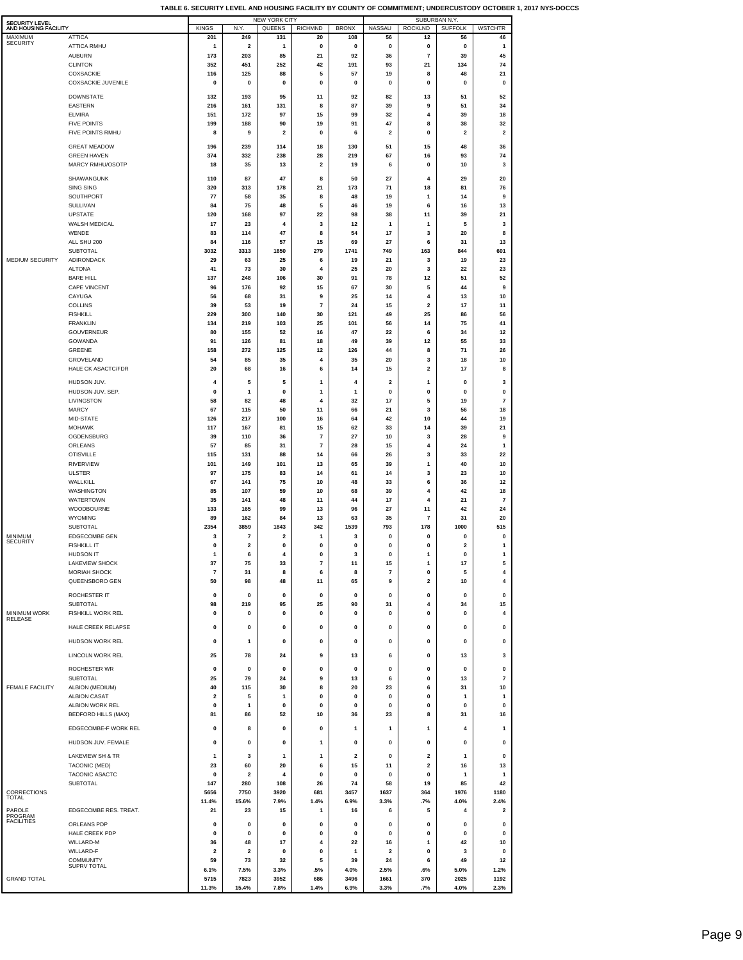| SECURITY LEVEL          |                                        |                         |                         | <b>NEW YORK CITY</b>    |                         |              |                         |                              | SUBURBAN N.Y.  |                    |  |
|-------------------------|----------------------------------------|-------------------------|-------------------------|-------------------------|-------------------------|--------------|-------------------------|------------------------------|----------------|--------------------|--|
| AND HOUSING FACILITY    |                                        | <b>KINGS</b>            | N.Y.                    | QUEENS                  | <b>RICHMND</b>          | <b>BRONX</b> | NASSAU                  | <b>ROCKLND</b>               | <b>SUFFOLK</b> | <b>WSTCHTR</b>     |  |
| MAXIMUM<br>SECURITY     | <b>ATTICA</b>                          | 201                     | 249                     | 131                     | 20                      | 108          | 56                      | 12                           | 56             | 46                 |  |
|                         | ATTICA RMHU                            | 1<br>173                | 2                       | -1                      | 0                       | 0            | 0                       | 0<br>$\overline{\mathbf{r}}$ | 0              | $\mathbf{1}$<br>45 |  |
|                         | <b>AUBURN</b><br><b>CLINTON</b>        | 352                     | 203<br>451              | 85<br>252               | 21<br>42                | 92<br>191    | 36<br>93                | 21                           | 39<br>134      | 74                 |  |
|                         | COXSACKIE                              | 116                     | 125                     | 88                      | 5                       | 57           | 19                      | 8                            | 48             | 21                 |  |
|                         | <b>COXSACKIE JUVENILE</b>              | 0                       | 0                       | $\mathbf 0$             | 0                       | 0            | 0                       | 0                            | $\pmb{0}$      | 0                  |  |
|                         |                                        |                         |                         |                         |                         |              |                         |                              |                |                    |  |
|                         | <b>DOWNSTATE</b>                       | 132                     | 193                     | 95                      | 11                      | 92           | 82                      | 13                           | 51             | 52                 |  |
|                         | <b>EASTERN</b>                         | 216                     | 161                     | 131                     | 8                       | 87           | 39                      | 9                            | 51             | 34                 |  |
|                         | <b>ELMIRA</b>                          | 151                     | 172                     | 97                      | 15                      | 99           | 32                      | 4                            | 39             | 18                 |  |
|                         | <b>FIVE POINTS</b>                     | 199                     | 188                     | 90                      | 19                      | 91           | 47                      | 8                            | 38             | 32                 |  |
|                         | FIVE POINTS RMHU                       | 8                       | 9                       | $\overline{\mathbf{2}}$ | 0                       | 6            | 2                       | 0                            | 2              | 2                  |  |
|                         | <b>GREAT MEADOW</b>                    | 196                     | 239                     | 114                     | 18                      | 130          | 51                      | 15                           | 48             | 36                 |  |
|                         | <b>GREEN HAVEN</b>                     | 374                     | 332                     | 238                     | 28                      | 219          | 67                      | 16                           | 93             | 74                 |  |
|                         | MARCY RMHU/OSOTP                       | 18                      | 35                      | 13                      | 2                       | 19           | 6                       | $\mathbf 0$                  | 10             | 3                  |  |
|                         |                                        |                         |                         |                         |                         |              |                         |                              |                |                    |  |
|                         | SHAWANGUNK                             | 110                     | 87                      | 47                      | 8                       | 50           | 27                      | 4                            | 29             | 20                 |  |
|                         | <b>SING SING</b><br>SOUTHPORT          | 320<br>77               | 313<br>58               | 178<br>35               | 21<br>8                 | 173<br>48    | 71<br>19                | 18<br>1                      | 81<br>14       | 76<br>9            |  |
|                         | SULLIVAN                               | 84                      | 75                      | 48                      | 5                       | 46           | 19                      | 6                            | 16             | 13                 |  |
|                         | <b>UPSTATE</b>                         | 120                     | 168                     | 97                      | 22                      | 98           | 38                      | 11                           | 39             | 21                 |  |
|                         | WALSH MEDICAL                          | 17                      | 23                      | 4                       | 3                       | 12           | 1                       | 1                            | 5              | 3                  |  |
|                         | WENDE                                  | 83                      | 114                     | 47                      | 8                       | 54           | 17                      | 3                            | 20             | 8                  |  |
|                         | ALL SHU 200                            | 84                      | 116                     | 57                      | 15                      | 69           | 27                      | 6                            | 31             | 13                 |  |
|                         | SUBTOTAL                               | 3032                    | 3313                    | 1850                    | 279                     | 1741         | 749                     | 163                          | 844            | 601                |  |
| MEDIUM SECURITY         | ADIRONDACK                             | 29                      | 63                      | 25                      | 6                       | 19           | 21                      | 3                            | 19             | 23                 |  |
|                         | <b>ALTONA</b>                          | 41                      | 73                      | 30                      | 4                       | 25           | 20                      | 3                            | 22             | 23                 |  |
|                         | <b>BARE HILL</b>                       | 137                     | 248                     | 106                     | 30                      | 91           | 78                      | 12                           | 51             | 52                 |  |
|                         | <b>CAPE VINCENT</b>                    | 96                      | 176                     | 92                      | 15                      | 67           | 30                      | 5                            | 44             | 9                  |  |
|                         | CAYUGA                                 | 56                      | 68                      | 31                      | 9                       | 25           | 14                      | 4                            | 13             | 10                 |  |
|                         | COLLINS                                | 39                      | 53                      | 19                      | 7                       | 24           | 15                      | 2                            | 17             | 11                 |  |
|                         | <b>FISHKILL</b>                        | 229                     | 300                     | 140                     | 30                      | 121          | 49                      | 25                           | 86             | 56                 |  |
|                         | <b>FRANKLIN</b>                        | 134                     | 219                     | 103                     | 25                      | 101          | 56                      | 14                           | 75             | 41                 |  |
|                         | GOUVERNEUR                             | 80                      | 155                     | 52                      | 16                      | 47           | 22                      | 6                            | 34             | 12                 |  |
|                         | GOWANDA                                | 91                      | 126                     | 81                      | 18                      | 49           | 39                      | 12                           | 55             | 33                 |  |
|                         | GREENE                                 | 158                     | 272                     | 125                     | 12                      | 126          | 44                      | 8                            | 71             | 26                 |  |
|                         | GROVELAND                              | 54                      | 85                      | 35                      | 4                       | 35           | 20                      | 3                            | 18             | 10                 |  |
|                         | HALE CK ASACTC/FDR                     | 20                      | 68                      | 16                      | 6                       | 14           | 15                      | 2                            | 17             | 8                  |  |
|                         | HUDSON JUV.                            | 4                       | 5                       | 5                       | 1                       | 4            | 2                       | 1                            | 0              | 3                  |  |
|                         | HUDSON JUV. SEP.                       | 0                       | 1                       | 0                       | 1                       | 1            | 0                       | 0                            | 0              | 0                  |  |
|                         | LIVINGSTON                             | 58                      | 82                      | 48                      | 4                       | 32           | 17                      | 5                            | 19             | 7                  |  |
|                         | <b>MARCY</b>                           | 67                      | 115                     | 50                      | 11                      | 66           | 21                      | 3                            | 56             | 18                 |  |
|                         | MID-STATE                              | 126                     | 217                     | 100                     | 16                      | 64           | 42                      | 10                           | 44             | 19                 |  |
|                         | <b>MOHAWK</b>                          | 117                     | 167                     | 81                      | 15<br>7                 | 62           | 33                      | 14                           | 39             | 21                 |  |
|                         | OGDENSBURG<br>ORLEANS                  | 39<br>57                | 110<br>85               | 36<br>31                | 7                       | 27<br>28     | 10<br>15                | 3<br>4                       | 28<br>24       | 9<br>1             |  |
|                         | <b>OTISVILLE</b>                       | 115                     | 131                     | 88                      | 14                      | 66           | 26                      | 3                            | 33             | 22                 |  |
|                         | <b>RIVERVIEW</b>                       | 101                     | 149                     | 101                     | 13                      | 65           | 39                      | 1                            | 40             | 10                 |  |
|                         | <b>ULSTER</b>                          | 97                      | 175                     | 83                      | 14                      | 61           | 14                      | 3                            | 23             | 10                 |  |
|                         | WALLKILL                               | 67                      | 141                     | 75                      | 10                      | 48           | 33                      | 6                            | 36             | 12                 |  |
|                         | WASHINGTON                             | 85                      | 107                     | 59                      | 10                      | 68           | 39                      | 4                            | 42             | 18                 |  |
|                         | WATERTOWN                              | 35                      | 141                     | 48                      | 11                      | 44           | 17                      | 4                            | 21             | 7                  |  |
|                         | WOODBOURNE                             | 133                     | 165                     | 99                      | 13                      | 96           | 27                      | 11                           | 42             | 24                 |  |
|                         | WYOMING                                | 89                      | 162                     | 84                      | 13                      | 63           | 35                      | 7                            | 31             | 20                 |  |
|                         | <b>SUBTOTAL</b>                        | 2354                    | 3859                    | 1843                    | 342                     | 1539         | 793                     | 178                          | 1000           | 515                |  |
| MINIMUM                 | <b>EDGECOMBE GEN</b>                   | 3                       | 7                       | 2                       | 1                       | 3            | 0                       | 0                            | 0              | 0                  |  |
| SECURITY                | <b>FISHKILL IT</b>                     | 0                       | 2                       | 0                       | 0                       | 0            | 0                       | $\mathbf 0$                  | 2              | 1                  |  |
|                         | HUDSON IT                              |                         |                         |                         |                         |              |                         |                              |                |                    |  |
|                         | <b>LAKEVIEW SHOCK</b>                  | 37                      | 75                      | 33                      | $\overline{\mathbf{7}}$ | 11           | 15                      | 1                            | 17             | 5                  |  |
|                         | <b>MORIAH SHOCK</b>                    | 7                       | 31                      | 8                       | 6                       | 8            | $\scriptstyle\rm 7$     | 0                            | 5              | 4                  |  |
|                         | QUEENSBORO GEN                         | 50                      | 98                      | 48                      | 11                      | 65           | 9                       | $\mathbf{2}$                 | 10             | 4                  |  |
|                         | ROCHESTER IT                           | 0                       | 0                       | $\pmb{0}$               | $\pmb{0}$               | 0            | 0                       | 0                            | $\pmb{0}$      | 0                  |  |
|                         | <b>SUBTOTAL</b>                        | 98                      | 219                     | 95                      | 25                      | 90           | 31                      | 4                            | 34             | 15                 |  |
| MINIMUM WORK<br>RELEASE | FISHKILL WORK REL                      | 0                       | 0                       | $\pmb{0}$               | 0                       | 0            | 0                       | 0                            | $\pmb{0}$      | 4                  |  |
|                         | HALE CREEK RELAPSE                     | 0                       | 0                       | $\pmb{0}$               | 0                       | 0            | 0                       | 0                            | 0              | 0                  |  |
|                         |                                        |                         |                         |                         |                         |              |                         |                              |                |                    |  |
|                         | <b>HUDSON WORK REL</b>                 | 0                       | 1                       | 0                       | 0                       | 0            | 0                       | 0                            | 0              | 0                  |  |
|                         | LINCOLN WORK REL                       | 25                      | 78                      | 24                      | 9                       | 13           | 6                       | 0                            | 13             | 3                  |  |
|                         | <b>ROCHESTER WR</b>                    | 0                       | 0                       | $\pmb{0}$               | 0                       | $\pmb{0}$    | 0                       | 0                            | 0              | 0                  |  |
|                         | <b>SUBTOTAL</b>                        | 25                      | 79                      | 24                      | 9                       | 13           | 6                       | 0                            | 13             | 7                  |  |
| <b>FEMALE FACILITY</b>  | ALBION (MEDIUM)                        | 40                      | 115                     | 30                      | 8                       | 20           | 23                      | 6                            | 31             | 10                 |  |
|                         | <b>ALBION CASAT</b>                    | 2                       | 5                       | 1                       | 0                       | 0            | 0                       | 0                            | 1              | $\mathbf{1}$       |  |
|                         | ALBION WORK REL                        | 0                       | 1                       | 0                       | 0                       | 0            | 0                       | 0                            | 0              | 0                  |  |
|                         | <b>BEDFORD HILLS (MAX)</b>             | 81                      | 86                      | 52                      | 10                      | 36           | 23                      | 8                            | 31             | 16                 |  |
|                         | EDGECOMBE-F WORK REL                   | 0                       | 8                       | 0                       | 0                       | 1            | $\mathbf{1}$            | 1                            | 4              | 1                  |  |
|                         |                                        |                         |                         |                         |                         |              |                         |                              |                |                    |  |
|                         | HUDSON JUV. FEMALE                     | 0                       | 0                       | $\pmb{0}$               | 1                       | 0            | 0                       | 0                            | $\pmb{0}$      | 0                  |  |
|                         | LAKEVIEW SH & TR                       | 1                       | 3                       | $\mathbf{1}$            | 1                       | 2            | 0                       | 2                            | 1              | 0                  |  |
|                         | TACONIC (MED)                          | 23                      | 60                      | 20                      | 6                       | 15           | 11                      | $\mathbf{2}$                 | 16             | 13                 |  |
|                         | TACONIC ASACTC                         | 0                       | 2                       | 4                       | 0                       | 0            | 0                       | 0                            | $\mathbf{1}$   | 1                  |  |
|                         | <b>SUBTOTAL</b>                        | 147                     | 280                     | 108                     | 26                      | 74           | 58                      | 19                           | 85             | 42                 |  |
| CORRECTIONS             |                                        | 5656                    | 7750                    | 3920                    | 681                     | 3457         | 1637                    | 364                          | 1976           | 1180               |  |
| TOTAL                   |                                        | 11.4%                   | 15.6%                   | 7.9%                    | 1.4%                    | 6.9%         | 3.3%                    | .7%                          | 4.0%           | 2.4%               |  |
| PAROLE<br>PROGRAM       | EDGECOMBE RES. TREAT.                  | 21                      | 23                      | 15                      | 1                       | 16           | 6                       | 5                            | 4              | 2                  |  |
| <b>FACILITIES</b>       | ORLEANS PDP                            | 0                       | 0                       | $\mathbf 0$             | 0                       | 0            | 0                       | 0                            | $\pmb{0}$      | 0                  |  |
|                         | HALE CREEK PDP                         | 0                       | 0                       | $\mathbf 0$             | 0                       | 0            | 0                       | 0                            | $\pmb{0}$      | 0                  |  |
|                         | WILLARD-M                              | 36                      | 48                      | 17                      | 4                       | 22           | 16                      | 1                            | 42             | 10                 |  |
|                         | WILLARD-F                              | $\overline{\mathbf{2}}$ | $\overline{\mathbf{2}}$ | $\mathbf 0$             | 0                       | 1            | $\overline{\mathbf{2}}$ | 0                            | 3              | 0                  |  |
|                         | <b>COMMUNITY</b><br><b>SUPRV TOTAL</b> | 59                      | 73                      | 32                      | 5                       | 39           | 24                      | 6                            | 49             | 12                 |  |
|                         |                                        | 6.1%                    | 7.5%                    | 3.3%                    | .5%                     | 4.0%         | 2.5%                    | .6%                          | 5.0%           | 1.2%               |  |
| <b>GRAND TOTAL</b>      |                                        | 5715                    | 7823                    | 3952                    | 686                     | 3496         | 1661                    | 370                          | 2025           | 1192               |  |
|                         |                                        | 11.3%                   | 15.4%                   | 7.8%                    | 1.4%                    | 6.9%         | 3.3%                    | .7%                          | 4.0%           | 2.3%               |  |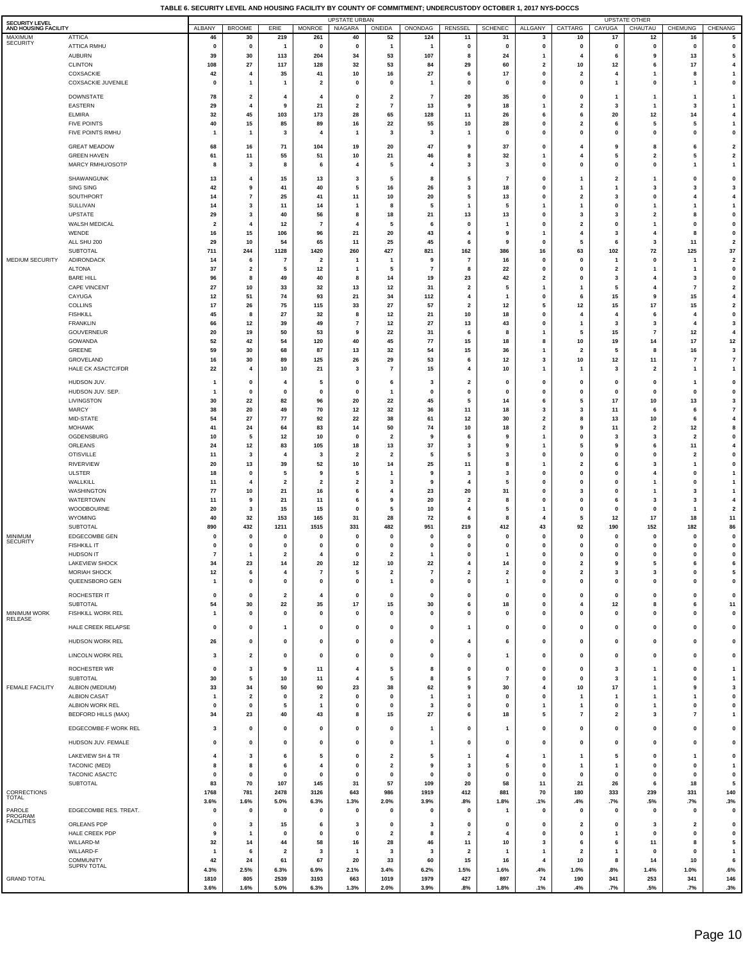| SECURITY LEVEL                  |                                            |                            |                                     |                               |                               | <b>UPSTATE URBAN</b>          |                                         |                            |                                        |                                  |                                         |                              |                         | <b>UPSTATE OTHER</b>           |                               |                                                    |
|---------------------------------|--------------------------------------------|----------------------------|-------------------------------------|-------------------------------|-------------------------------|-------------------------------|-----------------------------------------|----------------------------|----------------------------------------|----------------------------------|-----------------------------------------|------------------------------|-------------------------|--------------------------------|-------------------------------|----------------------------------------------------|
| AND HOUSING FACILITY<br>MAXIMUM | <b>ATTICA</b>                              | ALBANY<br>46               | <b>BROOME</b><br>30                 | ERIE<br>219                   | <b>MONROE</b><br>261          | NIAGARA<br>40                 | ONEIDA<br>52                            | ONONDAG<br>124             | RENSSEL<br>11                          | <b>SCHENEC</b><br>31             | ALLGANY<br>3                            | CATTARG<br>10                | CAYUGA<br>17            | CHAUTAU<br>12                  | CHEMUNG<br>16                 | CHENANG<br>5                                       |
| <b>SECURITY</b>                 | <b>ATTICA RMHU</b>                         | $\mathbf 0$                | $\mathbf 0$                         | $\mathbf{1}$                  | 0                             | $\mathbf{0}$                  | $\mathbf{1}$                            | 1                          | 0                                      | $\mathbf 0$                      | $\pmb{0}$                               | $\mathbf 0$                  | 0                       | $\mathbf{0}$                   | $\mathbf{0}$                  | $\pmb{0}$                                          |
|                                 | <b>AUBURN</b><br><b>CLINTON</b>            | 39<br>108                  | 30<br>27                            | 113<br>117                    | 204<br>128                    | 34<br>32                      | 53<br>53                                | 107<br>84                  | 8<br>29                                | 24<br>60                         | $\mathbf{1}$<br>$\overline{\mathbf{2}}$ | 4<br>10                      | 6<br>12                 | 9<br>6                         | 13<br>17                      | $\sqrt{5}$<br>$\overline{\mathbf{4}}$              |
|                                 | COXSACKIE                                  | 42                         | 4                                   | 35                            | 41                            | 10                            | 16                                      | 27                         | 6                                      | 17                               | $\mathbf 0$                             | $\overline{2}$               | 4                       |                                | 8                             | $\mathbf{1}$                                       |
|                                 | <b>COXSACKIE JUVENILE</b>                  | $\mathbf 0$                | $\mathbf{1}$                        | $\mathbf{1}$                  | $\overline{2}$                | 0                             | 0                                       | 1                          | $\mathbf 0$                            | $\mathbf{0}$                     | 0                                       | $\mathbf 0$                  | 1                       | $\Omega$                       | 1                             | $\pmb{0}$                                          |
|                                 | DOWNSTATE                                  | 78                         | $\overline{\mathbf{2}}$             | 4                             | 4                             | $\mathbf{0}$                  | $\overline{\mathbf{2}}$                 | 7                          | 20                                     | 35                               | $\mathbf 0$                             | $\mathbf 0$                  | 1                       | $\mathbf{1}$                   | 1                             | $\mathbf{1}$                                       |
|                                 | EASTERN<br><b>ELMIRA</b>                   | 29<br>32                   | -4<br>45                            | -9<br>103                     | 21<br>173                     | $\overline{2}$<br>28          | $\overline{7}$<br>65                    | 13<br>128                  | 9<br>11                                | 18<br>26                         | $\mathbf{1}$<br>6                       | $\overline{2}$<br>6          | 3<br>20                 | $\mathbf{1}$<br>12             | 3<br>14                       | $\overline{1}$<br>$\overline{\mathbf{4}}$          |
|                                 | <b>FIVE POINTS</b>                         | 40                         | 15                                  | 85                            | 89                            | 16                            | 22                                      | 55                         | 10                                     | 28                               | 0                                       | $\overline{2}$               | 6                       | -5                             | 5                             | $\overline{1}$                                     |
|                                 | FIVE POINTS RMHU                           | -1                         | $\mathbf{1}$                        | 3                             | 4                             | -1                            | 3                                       | 3                          | -1                                     | $\mathbf{0}$                     | $\mathbf 0$                             | $\mathbf 0$                  | 0                       | $\Omega$                       | $\mathbf 0$                   | $\pmb{\mathsf{o}}$                                 |
|                                 | <b>GREAT MEADOW</b>                        | 68                         | 16                                  | 71                            | 104                           | 19                            | 20                                      | 47                         | 9                                      | 37                               | $\mathbf{0}$                            | 4                            | g                       |                                | 6                             | $\overline{\mathbf{2}}$                            |
|                                 | <b>GREEN HAVEN</b><br>MARCY RMHU/OSOTP     | 61<br>8                    | 11<br>3                             | 55<br>8                       | 51<br>6                       | 10<br>4                       | 21<br>5                                 | 46<br>4                    | ε<br>3                                 | 32<br>3                          | 1<br>$\pmb{0}$                          | 0                            | 5<br>0                  | $\overline{2}$<br>$\pmb{0}$    | 5<br>1                        | $\overline{\mathbf{2}}$<br>$\mathbf{1}$            |
|                                 | SHAWANGUNK                                 | 13                         | $\overline{4}$                      | 15                            | 13                            | 3                             | 5                                       | 8                          | 5                                      | $\overline{7}$                   | 0                                       | 1                            | $\overline{\mathbf{2}}$ | $\mathbf{1}$                   | 0                             | $\pmb{0}$                                          |
|                                 | SING SING                                  | 42                         | 9                                   | 41                            | 40                            | 5                             | 16                                      | 26                         | 3                                      | 18                               | 0                                       | 1                            | 1                       | 3                              | 3                             | $\mathbf{3}$                                       |
|                                 | SOUTHPORT                                  | 14                         | $\overline{7}$                      | 25                            | 41                            | 11                            | 10                                      | 20                         | 5                                      | 13<br>5                          | 0                                       | $\overline{\mathbf{2}}$      | 3                       | $\mathbf{0}$                   | $\overline{4}$                | $\overline{\mathbf{4}}$                            |
|                                 | SULLIVAN<br>UPSTATE                        | -14<br>29                  | 3<br>3                              | 11<br>40                      | 14<br>56                      | -1<br>8                       | -8<br>18                                | 5<br>21                    | 1<br>13                                | 13                               | $\mathbf{1}$<br>0                       | -1<br>3                      | 0<br>3                  | $\mathbf{1}$<br>$\overline{2}$ | 1<br>8                        | $\overline{1}$<br>$\pmb{\mathsf{o}}$               |
|                                 | WALSH MEDICAL                              | -2                         | $\overline{4}$                      | 12                            | $\overline{7}$                | 4                             | 5                                       | 6                          | $\Omega$                               | -1                               | $\mathbf 0$                             | $\overline{\mathbf{2}}$      | 0                       | $\mathbf{1}$                   | $\mathbf 0$                   | $\pmb{\mathsf{o}}$                                 |
|                                 | WENDE<br>ALL SHU 200                       | 16<br>29                   | 15<br>10                            | 106<br>54                     | 96<br>65                      | 21<br>11                      | 20<br>25                                | 43<br>45                   | 4<br>-6                                | -9<br>9                          | $\mathbf{1}$<br>$\mathbf 0$             | 4<br>5                       | 3<br>6                  | $\overline{\mathbf{4}}$<br>3   | 8<br>11                       | $\pmb{\mathsf{o}}$<br>$\overline{2}$               |
|                                 | <b>SUBTOTAL</b>                            | 711                        | 244                                 | 1128                          | 1420                          | 260                           | 427                                     | 821                        | 162                                    | 386                              | 16                                      | 63                           | 102                     | ${\bf 72}$                     | 125                           | $37\,$                                             |
| MEDIUM SECURITY                 | ADIRONDACK                                 | -14                        | - 6                                 | -7                            | $\overline{2}$                | -1                            | -1                                      | 9                          | $\overline{7}$                         | 16                               | $\mathbf 0$                             | $\mathbf 0$                  | 1                       | $\mathbf{0}$                   | 1                             | $\overline{\mathbf{2}}$                            |
|                                 | <b>ALTONA</b><br><b>BARE HILL</b>          | 37<br>96                   | $\overline{\mathbf{2}}$<br>8        | 5<br>49                       | 12<br>40                      | $\mathbf{1}$<br>8             | 5<br>14                                 | $\overline{7}$<br>19       | 8<br>23                                | 22<br>42                         | 0<br>$\overline{2}$                     | $\mathbf 0$<br>0             | $\overline{2}$<br>3     | 4                              | -3                            | $\pmb{\mathsf{o}}$<br>$\pmb{\mathsf{o}}$           |
|                                 | <b>CAPE VINCENT</b>                        | 27                         | 10                                  | 33                            | 32                            | 13                            | 12                                      | 31                         | $\overline{2}$                         | 5                                | $\mathbf{1}$                            | -1                           | 5                       | $\overline{4}$                 | $\overline{7}$                | $\overline{\mathbf{2}}$                            |
|                                 | CAYUGA<br><b>COLLINS</b>                   | 12<br>17                   | 51<br>26                            | 74<br>75                      | 93<br>115                     | 21<br>33                      | 34<br>27                                | 112<br>57                  | $\overline{4}$<br>$\overline{2}$       | -1<br>12                         | $\pmb{0}$<br>5                          | 6<br>12                      | 15<br>15                | 9<br>17                        | 15<br>15                      | $\overline{\mathbf{4}}$<br>$\overline{\mathbf{2}}$ |
|                                 | <b>FISHKILL</b>                            | 45                         | 8                                   | 27                            | 32                            | 8                             | 12                                      | 21                         | 10                                     | 18                               | $\pmb{0}$                               | 4                            | $\overline{4}$          | 6                              | 4                             | $\pmb{\mathsf{o}}$                                 |
|                                 | <b>FRANKLIN</b>                            | 66                         | 12                                  | 39                            | 49                            | $\overline{7}$                | 12                                      | 27                         | 13                                     | 43                               | $\pmb{0}$                               | -1                           | 3                       | 3                              |                               | $\mathbf{3}$                                       |
|                                 | <b>GOUVERNEUR</b><br><b>GOWANDA</b>        | 20<br>52                   | 19<br>42                            | 50<br>54                      | 53<br>120                     | 9<br>40                       | 22<br>45                                | 31<br>77                   | 6<br>15                                | 8<br>18                          | $\mathbf{1}$<br>8                       | 5<br>10                      | 15<br>19                | $\overline{7}$<br>14           | 12<br>17                      | $\overline{\mathbf{4}}$<br>12                      |
|                                 | <b>GREENE</b>                              | 59                         | 30                                  | 68                            | 87                            | 13                            | 32                                      | 54                         | 15                                     | 36                               | -1                                      | 2                            | 5                       | 8                              | 16                            | 3                                                  |
|                                 | GROVELAND<br>HALE CK ASACTC/FDR            | 16<br>22                   | 30<br>$\overline{4}$                | 89<br>10                      | 125<br>21                     | 26<br>$\mathbf{3}$            | 29<br>$\overline{7}$                    | 53<br>15                   | 6<br>4                                 | 12<br>10                         | $\mathbf{3}$<br>$\mathbf{1}$            | 10<br>-1                     | 12<br>3                 | 11<br>$\overline{\mathbf{2}}$  | $\overline{7}$<br>1           | $\overline{7}$<br>$\mathbf{1}$                     |
|                                 |                                            |                            |                                     |                               |                               |                               |                                         |                            |                                        |                                  |                                         |                              |                         |                                |                               |                                                    |
|                                 | HUDSON JUV.<br>HUDSON JUV. SEP.            | 1<br>1                     | $\mathbf 0$<br>$\mathbf 0$          | 4<br>$\mathbf 0$              | 5<br>$\mathbf{0}$             | 0<br>$\mathbf{0}$             | 6<br>$\mathbf{1}$                       | 3<br>0                     | $\overline{\mathbf{2}}$<br>$\mathbf 0$ | $\mathbf 0$<br>$\mathbf{0}$      | 0<br>0                                  | $\mathbf 0$<br>0             | 0<br>0                  | $\mathbf 0$<br>$\Omega$        | 1<br>$\mathbf 0$              | $\pmb{0}$<br>$\pmb{\mathsf{o}}$                    |
|                                 | LIVINGSTON                                 | 30                         | 22                                  | 82                            | 96                            | 20                            | 22                                      | 45                         | 5                                      | 14                               | 6                                       | 5                            | 17                      | 10                             | 13                            | $\mathbf{3}$                                       |
|                                 | <b>MARCY</b><br>MID-STATE                  | 38<br>54                   | 20<br>27                            | 49<br>77                      | 70<br>92                      | 12<br>22                      | 32<br>38                                | 36<br>61                   | 11<br>12                               | 18<br>30                         | 3<br>$\overline{\mathbf{2}}$            | 3<br>8                       | 11<br>13                | 6<br>10                        | 6<br>6                        | $\overline{7}$<br>$\overline{\mathbf{4}}$          |
|                                 | <b>MOHAWK</b>                              | 41                         | 24                                  | 64                            | 83                            | 14                            | 50                                      | 74                         | 10                                     | 18                               | $\overline{\mathbf{2}}$                 | 9                            | 11                      | $\overline{\mathbf{2}}$        | 12                            | 8                                                  |
|                                 | OGDENSBURG                                 | 10                         | 5                                   | 12                            | 10                            | $\mathbf 0$                   | $\overline{2}$                          | 9                          | -6                                     | -9<br>9                          | $\mathbf{1}$                            | 0                            | 3                       | -3<br>6                        | $\overline{\mathbf{2}}$       | $\pmb{\mathsf{o}}$<br>$\overline{4}$               |
|                                 | ORLEANS<br><b>OTISVILLE</b>                | 24<br>11                   | 12<br>3                             | 83<br>$\overline{\bf{4}}$     | 105<br>3                      | 18<br>$\overline{\mathbf{2}}$ | 13<br>$\overline{\mathbf{2}}$           | 37<br>5                    | 3<br>5                                 | 3                                | $\mathbf{1}$<br>0                       | 5<br>0                       | 9<br>0                  | $\mathbf{0}$                   | 11<br>$\overline{\mathbf{2}}$ | $\pmb{\mathsf{o}}$                                 |
|                                 | <b>RIVERVIEW</b>                           | 20                         | 13                                  | 39                            | 52                            | 10                            | 14                                      | 25                         | 11                                     | 8                                | $\mathbf{1}$                            | $\overline{\mathbf{2}}$      | 6                       | 3                              | -1                            | $\pmb{\mathsf{o}}$                                 |
|                                 | <b>ULSTER</b><br>WALLKILL                  | 18<br>-11                  | $\Omega$<br>$\overline{\mathbf{4}}$ | 5<br>$\overline{\mathbf{2}}$  | 9<br>$\overline{2}$           | 5<br>$\overline{\mathbf{2}}$  | 1<br>-3                                 | 9<br>9                     | 3<br>4                                 | 3<br>-5                          | 0<br>$\mathbf 0$                        | 0<br>$\mathbf 0$             | 0<br>0                  | 4<br>$\mathbf{1}$              | $\mathbf 0$<br>$\Omega$       | $\overline{1}$<br>$\overline{1}$                   |
|                                 | WASHINGTON                                 | 77                         | 10                                  | 21                            | 16                            | 6                             | 4                                       | 23                         | 20                                     | 31                               | 0                                       | 3                            | 0                       | $\mathbf{1}$                   | 3                             | $\overline{1}$                                     |
|                                 | WATERTOWN                                  | 11                         | 9                                   | 21                            | 11                            | 6                             | 9                                       | 20                         | $\overline{2}$                         | -8                               | $\mathbf 0$                             | $\mathbf 0$                  | 6                       | -3                             | 3                             | $\overline{\mathbf{4}}$                            |
|                                 | WOODBOURNE<br>WYOMING                      | 20<br>40                   | $\mathbf{3}$<br>32                  | 15<br>153                     | 15<br>165                     | $\mathbf{0}$<br>31            | 5<br>28                                 | 10<br>72                   | 4<br>6                                 | -5<br>-8                         | $\mathbf{1}$<br>$\overline{\bf{4}}$     | $\mathbf 0$<br>5             | 0<br>12                 | $\mathbf{0}$<br>17             | 18                            | $\overline{\mathbf{2}}$<br>11                      |
|                                 | <b>SUBTOTAL</b>                            | 890                        | 432                                 | 1211                          | 1515                          | 331                           | 482                                     | 951                        | 219                                    | 412                              | 43                                      | 92                           | 190                     | 152                            | 182                           | 86                                                 |
| MINIMUM<br><b>SECURITY</b>      | <b>EDGECOMBE GEN</b><br><b>FISHKILL IT</b> | $\mathbf 0$<br>$\mathbf 0$ | $\pmb{0}$<br>$\mathbf 0$            | 0<br>$\pmb{0}$                | $\mathbf{0}$<br>$\mathbf{0}$  | $\mathbf{0}$<br>$\mathbf{0}$  | $\mathbf{0}$<br>$\mathbf{0}$            | 0<br>$\bf{0}$              | $\mathbf 0$<br>$\mathbf 0$             | $\mathbf{0}$<br>$\mathbf{0}$     | $\pmb{0}$<br>$\pmb{0}$                  | $\mathbf{0}$<br>$\mathbf 0$  | 0<br>0                  | $\mathbf 0$<br>$\mathbf{0}$    | $\mathbf{0}$<br>$\mathbf 0$   | $\pmb{\mathsf{o}}$<br>$\pmb{\mathsf{o}}$           |
|                                 | HUDSON IT                                  | $\overline{7}$             |                                     | $\overline{\mathbf{2}}$       | $\overline{4}$                | $\bf{0}$                      | $\overline{2}$                          | 1                          | $\mathbf{0}$                           |                                  | $\mathbf{0}$                            | $\mathbf 0$                  | $\mathbf 0$             | $\mathbf{0}$                   | $\mathbf{0}$                  | $\mathbf{0}$                                       |
|                                 | LAKEVIEW SHOCK                             | 34                         | 23                                  | 14                            | 20                            | 12                            | 10                                      | 22                         | $\overline{4}$                         | 14                               | $\pmb{0}$                               | $\overline{\mathbf{2}}$      | 9<br>3                  | 5                              | 6<br>$\mathbf{0}$             | 6<br>5                                             |
|                                 | MORIAH SHOCK<br>QUEENSBORO GEN             | 12<br>$\mathbf{1}$         | 6<br>$\pmb{0}$                      | $\overline{4}$<br>$\pmb{0}$   | $\overline{7}$<br>$\pmb{0}$   | 5<br>$\mathbf{0}$             | $\overline{\mathbf{2}}$<br>$\mathbf{1}$ | $\overline{7}$<br>$\bf{0}$ | $\overline{\mathbf{2}}$<br>$\mathbf 0$ | $\overline{2}$<br>$\overline{1}$ | $\pmb{0}$<br>$\pmb{0}$                  | $\mathbf{2}$<br>$\mathbf{0}$ | $\mathbf{0}$            | 3<br>$\pmb{0}$                 | $\mathbf{0}$                  | $\pmb{\mathsf{o}}$                                 |
|                                 | ROCHESTER IT                               | 0                          | $\mathbf 0$                         | $\overline{\mathbf{2}}$       | $\overline{4}$                | 0                             | 0                                       | 0                          | $\mathbf 0$                            | $\mathbf 0$                      | 0                                       | $\mathbf 0$                  | 0                       | $\mathbf 0$                    | $\mathbf 0$                   | $\pmb{0}$                                          |
|                                 | <b>SUBTOTAL</b>                            | 54                         | 30                                  | 22                            | 35                            | 17                            | 15                                      | 30                         | 6                                      | 18                               | 0                                       | 4                            | 12                      | 8                              | 6                             | 11                                                 |
| MINIMUM WORK<br><b>RELEASE</b>  | FISHKILL WORK REL                          | 1                          | $\mathbf 0$                         | 0                             | $\mathbf{0}$                  | 0                             | 0                                       | 0                          | $\mathbf 0$                            | $\mathbf 0$                      | 0                                       | 0                            | 0                       | $\mathbf 0$                    | $\mathbf 0$                   | $\pmb{0}$                                          |
|                                 | HALE CREEK RELAPSE                         | 0                          | 0                                   | $\mathbf{1}$                  | $\mathbf{0}$                  | 0                             | 0                                       | 0                          | -1                                     | $\mathbf{0}$                     | 0                                       | 0                            | $\mathbf 0$             | $\pmb{0}$                      | $\mathbf 0$                   | $\pmb{\mathsf{o}}$                                 |
|                                 | HUDSON WORK REL                            | 26                         | $\pmb{0}$                           | $\pmb{0}$                     | $\pmb{0}$                     | $\mathbf{0}$                  | $\mathbf{0}$                            | $\mathbf{0}$               | 4                                      | 6                                | $\pmb{0}$                               | $\mathbf{0}$                 | $\mathbf 0$             | $\pmb{0}$                      | 0                             | $\pmb{\mathsf{o}}$                                 |
|                                 | LINCOLN WORK REL                           | 3                          | $\overline{\mathbf{2}}$             | 0                             | 0                             | 0                             | 0                                       | 0                          | 0                                      | $\mathbf{1}$                     | 0                                       | 0                            | 0                       | 0                              | 0                             | $\pmb{\mathsf{o}}$                                 |
|                                 | ROCHESTER WR                               | $\mathbf 0$                | 3                                   | 9                             | 11                            | $\overline{4}$                | 5                                       | 8                          | $\mathbf 0$                            | $\pmb{0}$                        | 0                                       | $\mathbf 0$                  | 3                       | -1                             | $\mathbf 0$                   | $\overline{\mathbf{1}}$                            |
| FEMALE FACILITY                 | SUBTOTAL                                   | 30                         | 5<br>34                             | 10<br>50                      | 11<br>90                      | 4<br>23                       | 5<br>38                                 | 8<br>62                    | 5<br>9                                 | $\overline{7}$<br>30             | $\pmb{0}$<br>$\overline{\mathbf{4}}$    | $\mathbf 0$                  | 3<br>17                 | $\mathbf{1}$<br>$\mathbf{1}$   | $\mathbf{0}$<br>9             | $\mathbf{1}$<br>$\mathbf{3}$                       |
|                                 | ALBION (MEDIUM)<br><b>ALBION CASAT</b>     | 33<br>-1                   | $\overline{\mathbf{2}}$             | $\mathbf 0$                   | $\overline{\mathbf{2}}$       | $\mathbf{0}$                  | $\mathbf 0$                             | 1                          | -1                                     | $\mathbf 0$                      | $\mathbf 0$                             | 10<br>$\overline{1}$         | 1                       | $\mathbf{1}$                   | $\mathbf{1}$                  | $\pmb{\mathsf{o}}$                                 |
|                                 | ALBION WORK REL                            | $\mathbf{0}$               | $\pmb{0}$                           | 5                             | $\mathbf{1}$                  | $\mathbf{0}$                  | $\mathbf{0}$                            | 3                          | $\mathbf 0$                            | $\pmb{0}$                        | $\mathbf{1}$                            | -1                           | 0                       | $\overline{1}$                 | $\mathbf{0}$                  | $\pmb{\mathsf{o}}$                                 |
|                                 | <b>BEDFORD HILLS (MAX)</b>                 | 34                         | 23                                  | 40                            | 43                            | 8                             | 15                                      | 27                         | 6                                      | 18                               | 5                                       | $\overline{7}$               | $\overline{\mathbf{2}}$ | 3                              | $\overline{7}$                | $\mathbf{1}$                                       |
|                                 | EDGECOMBE-F WORK REL                       | 3                          | $\mathbf 0$                         | 0                             | $\pmb{0}$                     | 0                             | $\mathbf 0$                             | 1                          | $\mathbf 0$                            | $\mathbf{1}$                     | $\pmb{0}$                               | 0                            | 0                       | $\pmb{0}$                      | 0                             | $\pmb{0}$                                          |
|                                 | HUDSON JUV. FEMALE                         | 0                          | $\mathbf 0$                         | 0                             | 0                             | 0                             | 0                                       | 1                          | 0                                      | 0                                | 0                                       | 0                            | 0                       | 0                              | $\mathbf 0$                   | $\pmb{0}$                                          |
|                                 | LAKEVIEW SH & TR                           | 4                          | 3                                   | 6                             | 5                             | $\mathbf{0}$                  | $\overline{\mathbf{2}}$                 | 5                          | $\mathbf{1}$                           | $\overline{4}$                   | $\mathbf{1}$                            | -1                           | 5                       | $\pmb{0}$                      | -1                            | $\pmb{\mathsf{o}}$                                 |
|                                 | TACONIC (MED)<br>TACONIC ASACTC            | 8<br>$\mathbf{0}$          | 8<br>$\mathbf 0$                    | 6<br>$\mathbf{0}$             | $\overline{4}$<br>$\mathbf 0$ | $\mathbf{0}$<br>$\mathbf{0}$  | $\overline{2}$<br>$\mathbf 0$           | 9<br>$\mathbf{0}$          | 3<br>$\mathbf 0$                       | 5<br>$\mathbf 0$                 | $\pmb{0}$<br>$\pmb{0}$                  | -1<br>$\mathbf 0$            | 1<br>$\mathbf 0$        | $\pmb{0}$<br>$\pmb{0}$         | $\mathbf 0$<br>$\mathbf{0}$   | $\overline{1}$<br>$\pmb{\mathsf{o}}$               |
|                                 | SUBTOTAL                                   | 83                         | 70                                  | 107                           | 145                           | 31                            | 57                                      | 109                        | 20                                     | 58                               | 11                                      | 21                           | 26                      | 6                              | 18                            | 5                                                  |
| CORRECTIONS<br>TOTAL            |                                            | 1768<br>3.6%               | 781<br>1.6%                         | 2478                          | 3126<br>6.3%                  | 643                           | 986                                     | 1919<br>3.9%               | 412<br>.8%                             | 881<br>1.8%                      | 70                                      | 180                          | 333                     | 239<br>.5%                     | 331                           | 140<br>.3%                                         |
| PAROLE                          | EDGECOMBE RES. TREAT.                      | $\pmb{0}$                  | $\pmb{0}$                           | 5.0%<br>$\pmb{0}$             | $\pmb{0}$                     | 1.3%<br>$\mathbf{0}$          | 2.0%<br>$\pmb{0}$                       | $\mathbf 0$                | $\mathbf 0$                            | $\overline{1}$                   | .1%<br>$\pmb{0}$                        | .4%<br>$\mathbf 0$           | .7%<br>0                | $\pmb{0}$                      | .7%<br>$\mathbf 0$            | $\pmb{0}$                                          |
| PROGRAM<br><b>FACILITIES</b>    | ORLEANS PDP                                | 0                          | 3                                   | 15                            | 6                             | 3                             | $\mathbf 0$                             | 3                          | 0                                      | 0                                | 0                                       | $\overline{\mathbf{2}}$      | 0                       | 3                              | $\overline{\mathbf{2}}$       | 0                                                  |
|                                 | HALE CREEK PDP                             | 9                          | $\mathbf{1}$                        | $\mathbf 0$                   | $\mathbf{0}$                  | 0                             | $\overline{\mathbf{2}}$                 | 8                          | $\overline{\mathbf{2}}$                | $\overline{4}$                   | 0                                       | 0                            | 1                       | $\mathbf 0$                    | $\mathbf 0$                   | $\pmb{0}$                                          |
|                                 | WILLARD-M<br>WILLARD-F                     | 32<br>$\mathbf{1}$         | 14<br>6                             | 44<br>$\overline{\mathbf{2}}$ | 58<br>3                       | 16<br>$\mathbf{1}$            | 28<br>3                                 | 46<br>3                    | 11<br>$\overline{\mathbf{2}}$          | 10<br>$\mathbf{1}$               | 3<br>$\mathbf{1}$                       | 6<br>$\overline{2}$          | 6<br>1                  | 11<br>$\mathbf 0$              | 8<br>$\mathbf 0$              | $\sqrt{5}$<br>$\mathbf{1}$                         |
|                                 | COMMUNITY                                  | 42                         | 24                                  | 61                            | 67                            | 20                            | 33                                      | 60                         | 15                                     | 16                               | 4                                       | 10                           | 8                       | 14                             | 10                            | 6                                                  |
|                                 | SUPRV TOTAL                                | 4.3%                       | 2.5%                                | 6.3%                          | 6.9%                          | 2.1%                          | 3.4%                                    | 6.2%                       | 1.5%                                   | 1.6%                             | .4%                                     | 1.0%                         | .8%                     | 1.4%                           | 1.0%                          | .6%                                                |
| <b>GRAND TOTAL</b>              |                                            | 1810<br>3.6%               | 805<br>1.6%                         | 2539<br>5.0%                  | 3193<br>6.3%                  | 663<br>1.3%                   | 1019<br>2.0%                            | 1979<br>3.9%               | 427<br>.8%                             | 897<br>1.8%                      | 74<br>.1%                               | 190<br>.4%                   | 341<br>.7%              | 253<br>.5%                     | 341<br>.7%                    | 146<br>.3%                                         |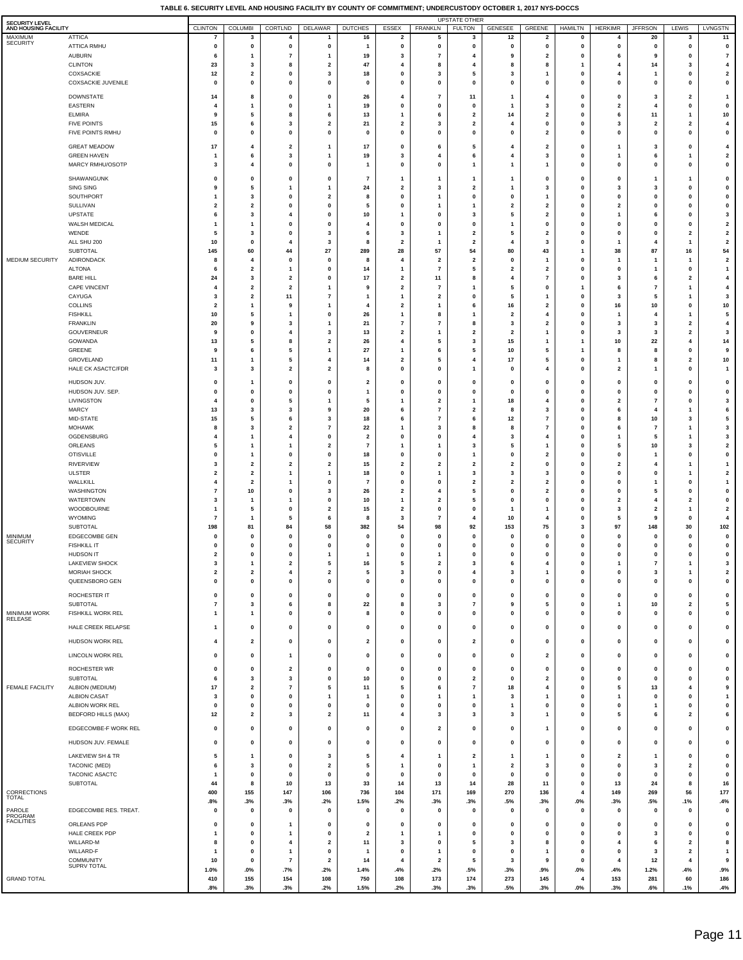| SECURITY LEVEL<br>AND HOUSING FACILITY |                                        | <b>CLINTON</b>                   | COLUMBI                                            | CORTLND                       | <b>DELAWAR</b>                 | <b>DUTCHES</b>                      | ESSEX                                   | <b>FRANKLN</b>                                      | <b>UPSTATE OTHER</b><br><b>FULTON</b>   | GENESEE                       | GREENE                                  | <b>HAMILTN</b>               | <b>HERKIMR</b>                         | <b>JFFRSON</b>                          | LEWIS                                   | LVNGSTN                                   |
|----------------------------------------|----------------------------------------|----------------------------------|----------------------------------------------------|-------------------------------|--------------------------------|-------------------------------------|-----------------------------------------|-----------------------------------------------------|-----------------------------------------|-------------------------------|-----------------------------------------|------------------------------|----------------------------------------|-----------------------------------------|-----------------------------------------|-------------------------------------------|
| MAXIMUM<br><b>SECURITY</b>             | <b>ATTICA</b>                          |                                  | 3                                                  | $\overline{4}$                | 1                              | 16                                  | $\overline{\mathbf{2}}$                 | 5                                                   | 3                                       | 12                            | $\overline{\mathbf{2}}$                 | 0                            | 4                                      | 20                                      | 3                                       | 11                                        |
|                                        | <b>ATTICA RMHU</b><br><b>AUBURN</b>    | 0<br>6                           | 0                                                  | 0                             | 0                              | $\mathbf{1}$<br>19                  | 0<br>3                                  | 0<br>$\overline{7}$                                 | $\mathbf 0$<br>$\overline{\bf{4}}$      | 0<br>9                        | 0<br>$\overline{\mathbf{2}}$            | $\mathbf 0$<br>0             | 0<br>6                                 | 0<br>9                                  | 0<br>$\mathbf 0$                        | $\pmb{0}$<br>$\overline{7}$               |
|                                        | <b>CLINTON</b>                         | 23                               | 3                                                  | 8                             | $\overline{\mathbf{2}}$        | 47                                  | $\overline{4}$                          | 8                                                   | $\overline{4}$                          | 8                             | 8                                       |                              | $\overline{4}$                         | 14                                      | 3                                       | 4                                         |
|                                        | COXSACKIE<br><b>COXSACKIE JUVENILE</b> | 12<br>$\mathbf 0$                | $\overline{\mathbf{2}}$<br>$\mathbf 0$             | $\mathbf 0$<br>$\Omega$       | 3<br>$\Omega$                  | 18<br>$\mathbf{0}$                  | 0<br>$\mathbf{0}$                       | 3<br>$\mathbf 0$                                    | 5<br>$\mathbf{0}$                       | 3<br>$\pmb{0}$                | -1<br>$\mathbf 0$                       | $\mathbf 0$<br>$\mathbf{0}$  | 4<br>$\mathbf 0$                       | $\mathbf{1}$<br>$\mathbf{0}$            | 0<br>$\Omega$                           | $\overline{\mathbf{2}}$<br>$\pmb{0}$      |
|                                        | <b>DOWNSTATE</b>                       | 14                               | 8                                                  | $\mathbf{0}$                  | $\mathbf 0$                    | 26                                  | $\overline{4}$                          | $\overline{7}$                                      | 11                                      | $\overline{1}$                | $\overline{4}$                          | $\mathbf 0$                  | $\mathbf 0$                            | 3                                       | $\overline{\mathbf{2}}$                 | $\mathbf{1}$                              |
|                                        | EASTERN                                | 4                                | -1                                                 | $\mathbf 0$                   |                                | 19                                  | $\mathbf{0}$                            | $\pmb{0}$                                           | $\mathbf{0}$                            | $\overline{1}$                | 3                                       | 0                            | $\overline{\mathbf{2}}$                | 4                                       | $\mathbf 0$                             | $\mathbf 0$                               |
|                                        | <b>ELMIRA</b>                          | 9                                | 5                                                  | 8                             | 6                              | 13                                  | 1                                       | 6                                                   | $\overline{\mathbf{2}}$                 | 14                            | $\overline{\mathbf{2}}$                 | 0                            | 6                                      | 11                                      | -1                                      | 10                                        |
|                                        | <b>FIVE POINTS</b><br>FIVE POINTS RMHU | 15<br>$\mathbf 0$                | 6<br>$\pmb{0}$                                     | 3<br>$\mathbf{0}$             | $\overline{2}$<br>$\mathbf 0$  | 21<br>$\mathbf 0$                   | $\overline{\mathbf{2}}$<br>$\mathbf{0}$ | 3<br>$\pmb{0}$                                      | $\overline{2}$<br>$\pmb{0}$             | $\overline{4}$<br>$\pmb{0}$   | $\pmb{0}$<br>$\overline{\mathbf{2}}$    | $\mathbf 0$<br>$\mathbf 0$   | 3<br>$\mathbf 0$                       | $\overline{\mathbf{2}}$<br>$\mathbf{0}$ | $\overline{2}$<br>$\mathbf 0$           | $\overline{4}$<br>$\pmb{\mathsf{o}}$      |
|                                        | <b>GREAT MEADOW</b>                    | 17                               | 4                                                  | $\overline{\mathbf{2}}$       | 1                              | 17                                  | 0                                       | 6                                                   | 5                                       | 4                             | $\overline{\mathbf{2}}$                 | $\mathbf 0$                  | $\mathbf{1}$                           | 3                                       | 0                                       | 4                                         |
|                                        | <b>GREEN HAVEN</b>                     | 1                                | 6                                                  | 3                             | 1                              | 19                                  | 3                                       | 4                                                   | 6                                       | $\overline{4}$                | $\overline{\mathbf{3}}$                 | $\mathbf 0$                  | $\mathbf{1}$                           | 6                                       | -1                                      | $\overline{\mathbf{2}}$                   |
|                                        | MARCY RMHU/OSOTP                       | 3                                | 4                                                  | $\mathbf{0}$                  | $\mathbf{0}$                   | 1                                   | 0                                       | 0                                                   | $\mathbf{1}$                            | 1                             | -1                                      | $\mathbf 0$                  | 0                                      | 0                                       | 0                                       | $\pmb{0}$                                 |
|                                        | SHAWANGUNK                             | $\mathbf 0$                      | $\mathbf 0$                                        | $\mathbf{0}$                  | $\mathbf 0$                    | $\overline{7}$                      | -1                                      | $\mathbf{1}$                                        | -1                                      | $\mathbf{1}$                  | $\mathbf 0$                             | $\mathbf{0}$                 | 0                                      | 1                                       | -1                                      | $\mathbf{0}$                              |
|                                        | SING SING<br>SOUTHPORT                 | 9<br>-1                          | 5<br>3                                             | 1<br>$\mathbf{0}$             | -1<br>$\overline{2}$           | 24<br>8                             | $\overline{\mathbf{2}}$<br>$\mathbf{0}$ | 3<br>$\mathbf{1}$                                   | -2<br>$\mathbf 0$                       | -1<br>$\pmb{0}$               | - 3<br>-1                               | $\mathbf{0}$<br>$\mathbf{0}$ | 3<br>$\pmb{0}$                         | 3<br>$\mathbf{0}$                       | $\Omega$<br>$\mathbf 0$                 | $\pmb{\mathsf{o}}$<br>$\pmb{0}$           |
|                                        | SULLIVAN                               | $\overline{\mathbf{2}}$          | $\overline{2}$                                     | $\mathbf{0}$                  | $\mathbf 0$                    | 5                                   | $\mathbf{0}$                            | -1                                                  | -1                                      | $\overline{\mathbf{2}}$       | $\overline{\mathbf{2}}$                 | $\mathbf 0$                  | $\overline{\mathbf{2}}$                | $\mathbf{0}$                            | $\mathbf{0}$                            | $\pmb{\mathsf{o}}$                        |
|                                        | <b>UPSTATE</b>                         | 6                                | 3                                                  |                               | 0                              | 10                                  | 1                                       | $\pmb{0}$                                           | 3                                       | 5                             | $\overline{\mathbf{2}}$                 | 0                            | $\overline{1}$                         | 6                                       | $\mathbf 0$                             | $\overline{\mathbf{3}}$                   |
|                                        | WALSH MEDICAL<br>WENDE                 | -1<br>5                          | 3                                                  | 0<br>$\mathbf{0}$             | 0<br>3                         | 4<br>6                              | $\mathbf{0}$<br>$\overline{\mathbf{3}}$ | $\mathbf 0$<br>$\overline{1}$                       | $\mathbf{0}$<br>$\overline{\mathbf{2}}$ | $\overline{1}$<br>5           | $\pmb{0}$<br>$\overline{\mathbf{2}}$    | 0<br>0                       | $\mathbf 0$<br>$\mathbf 0$             | $\mathbf{0}$<br>$\mathbf{0}$            | $\mathbf{0}$<br>$\overline{\mathbf{2}}$ | $\overline{\mathbf{2}}$<br>$\mathbf 2$    |
|                                        | ALL SHU 200                            | 10                               | $\pmb{0}$                                          | 4                             | 3                              | 8                                   | $\overline{\mathbf{2}}$                 | -1                                                  | $\overline{\mathbf{2}}$                 | $\overline{4}$                | 3                                       | $\mathbf 0$                  | $\mathbf{1}$                           | 4                                       | -1                                      | $\overline{2}$                            |
| <b>MEDIUM SECURITY</b>                 | SUBTOTAL<br>ADIRONDACK                 | 145<br>8                         | 60<br>4                                            | 44<br>$\mathbf{0}$            | 27<br>$\mathbf{0}$             | 289<br>8                            | 28<br>$\overline{4}$                    | 57<br>$\overline{\mathbf{2}}$                       | 54<br>$\overline{\mathbf{2}}$           | 80<br>$\pmb{0}$               | 43<br>-1                                | 0                            | 38<br>$\mathbf{1}$                     | 87<br>1                                 | 16<br>-1                                | 54<br>$\overline{2}$                      |
|                                        | <b>ALTONA</b>                          | 6                                | $\overline{\mathbf{2}}$                            | 1                             | $\mathbf{0}$                   | 14                                  | $\mathbf{1}$                            | $\overline{7}$                                      | 5                                       | $\overline{\mathbf{2}}$       | $\overline{\mathbf{2}}$                 | $\mathbf 0$                  | $\mathbf 0$                            | $\mathbf{1}$                            | $\mathbf 0$                             | $\overline{1}$                            |
|                                        | <b>BARE HILL</b>                       | 24                               | 3                                                  | $\overline{\mathbf{2}}$       | 0                              | 17                                  | $\overline{\mathbf{2}}$                 | 11                                                  | 8                                       | 4                             | $\overline{7}$                          | $\mathbf 0$                  | 3                                      | 6                                       | $\overline{\mathbf{2}}$                 | 4                                         |
|                                        | CAPE VINCENT<br>CAYUGA                 | 3                                | $\overline{\mathbf{2}}$<br>$\overline{\mathbf{2}}$ | $\overline{\mathbf{2}}$<br>11 | $\overline{7}$                 | 9                                   | $\overline{\mathbf{2}}$<br>1            | $\overline{7}$<br>$\overline{\mathbf{2}}$           | $\mathbf 0$                             | 5<br>5                        | $\mathbf{0}$                            | 0                            | 6<br>3                                 | $\overline{7}$<br>5                     | -1<br>-1                                | 4<br>3                                    |
|                                        | <b>COLLINS</b>                         | $\overline{\mathbf{2}}$          |                                                    | 9                             |                                |                                     | $\overline{2}$                          | $\mathbf{1}$                                        | 6                                       | 16                            | $\overline{\mathbf{2}}$                 | 0                            | 16                                     | 10                                      | 0                                       | 10                                        |
|                                        | <b>FISHKILL</b><br><b>FRANKLIN</b>     | 10<br>20                         | 5<br>9                                             | 1<br>3                        | $\mathbf 0$                    | 26<br>21                            | $\mathbf{1}$<br>$\overline{7}$          | 8<br>$\overline{7}$                                 | 8                                       | $\overline{\mathbf{2}}$<br>3  | 4<br>$\overline{\mathbf{2}}$            | 0<br>O                       | $\mathbf{1}$<br>3                      | $\overline{4}$<br>3                     | $\mathbf{1}$<br>$\overline{2}$          | 5<br>4                                    |
|                                        | <b>GOUVERNEUR</b>                      | 9                                | 0                                                  | 4                             | 3                              | 13                                  | $\overline{\mathbf{2}}$                 | $\mathbf{1}$                                        | $\overline{\mathbf{2}}$                 | $\overline{\mathbf{2}}$       | -1                                      | 0                            | 3                                      | 3                                       | $\overline{2}$                          | 3                                         |
|                                        | GOWANDA                                | 13                               | 5                                                  | 8                             | $\overline{\mathbf{2}}$        | 26                                  | 4                                       | 5                                                   | $\overline{\mathbf{3}}$                 | 15                            | -1                                      |                              | 10                                     | 22                                      |                                         | 14                                        |
|                                        | GREENE<br>GROVELAND                    | 9<br>11                          | 6                                                  | 5<br>5                        | $\mathbf{1}$<br>4              | 27<br>14                            | $\mathbf{1}$<br>$\overline{\mathbf{2}}$ | 6<br>5                                              | 5<br>$\overline{4}$                     | 10<br>17                      | 5<br>5                                  | 1<br>0                       | 8<br>$\mathbf{1}$                      | 8<br>8                                  | 0<br>$\overline{2}$                     | 9<br>10                                   |
|                                        | HALE CK ASACTC/FDR                     | 3                                | 3                                                  | $\overline{\mathbf{2}}$       | 2                              | 8                                   | 0                                       | 0                                                   | $\mathbf{1}$                            | 0                             | $\overline{4}$                          | $\mathbf 0$                  | $\overline{\mathbf{2}}$                | 1                                       | 0                                       | $\mathbf{1}$                              |
|                                        | HUDSON JUV.                            | $\mathbf 0$                      | -1                                                 | $\mathbf{0}$                  | $\Omega$                       | 2                                   | $\mathbf{0}$                            | $\mathbf 0$                                         | 0                                       | 0                             | $\mathbf 0$                             | $\Omega$                     | 0                                      | $\mathbf{0}$                            | $\mathbf 0$                             | $\mathbf 0$                               |
|                                        | HUDSON JUV. SEP.                       | $\mathbf 0$                      | 0                                                  | $\Omega$                      | $\Omega$                       | -1                                  | $\mathbf{0}$                            | 0                                                   | $\mathbf 0$                             | $\pmb{0}$                     | $\mathbf 0$                             | $\mathbf{0}$                 | $\pmb{0}$                              | $\mathbf{0}$                            | $\Omega$                                | $\pmb{0}$                                 |
|                                        | LIVINGSTON<br><b>MARCY</b>             | 4<br>13                          | $\mathbf 0$<br>3                                   | 5<br>3                        | -1<br>9                        | 5<br>20                             | 1<br>6                                  | $\overline{\mathbf{2}}$<br>$\overline{\phantom{a}}$ | $\mathbf{1}$<br>$\overline{\mathbf{2}}$ | 18<br>8                       | $\overline{4}$<br>-3                    | $\mathbf{0}$<br>$\mathbf{0}$ | $\mathbf{2}$<br>6                      | $\overline{7}$<br>4                     | $\mathbf 0$<br>-1                       | $\overline{\mathbf{3}}$<br>6              |
|                                        | MID-STATE                              | 15                               | 5                                                  | 6                             | 3                              | 18                                  | 6                                       | $\bf 7$                                             | 6                                       | $12$                          | $\overline{7}$                          | 0                            | 8                                      | 10                                      | 3                                       | 5                                         |
|                                        | <b>MOHAWK</b><br>OGDENSBURG            | 8<br>4                           | 3<br>-1                                            | $\overline{\mathbf{2}}$<br>4  | $\overline{7}$<br>$\mathbf 0$  | 22<br>$\overline{\mathbf{2}}$       | 1<br>$\mathbf{0}$                       | 3<br>$\pmb{0}$                                      | 8<br>$\overline{4}$                     | 8<br>3                        | 7<br>$\overline{4}$                     | 0<br>0                       | 6<br>$\mathbf{1}$                      | $\overline{7}$<br>5                     | -1<br>$\mathbf{1}$                      | $\overline{\mathbf{3}}$<br>$\mathbf{3}$   |
|                                        | ORLEANS                                | 5                                | -1                                                 | 1                             | $\overline{2}$                 | $\overline{7}$                      | 1                                       | -1                                                  | 3                                       | 5                             | -1                                      | $\mathbf 0$                  | 5                                      | 10                                      | 3                                       | $\mathbf 2$                               |
|                                        | <b>OTISVILLE</b>                       | $\pmb{0}$                        | -1                                                 | $\mathbf{0}$                  | $\mathbf{0}$                   | 18                                  | $\mathbf{0}$                            | $\pmb{0}$                                           | $\mathbf{1}$                            | $\pmb{0}$                     | $\overline{\mathbf{2}}$                 | 0                            | $\mathbf 0$                            | 1                                       | $\mathbf{0}$                            | $\pmb{\mathsf{o}}$                        |
|                                        | RIVERVIEW<br><b>ULSTER</b>             | 3<br>$\overline{2}$              | $\overline{2}$<br>$\overline{\mathbf{2}}$          | $\overline{\mathbf{2}}$<br>1  | $\overline{2}$<br>$\mathbf{1}$ | 15<br>18                            | $\overline{\mathbf{2}}$<br>$\mathbf{0}$ | $\overline{\mathbf{2}}$<br>$\overline{1}$           | $\overline{\mathbf{2}}$<br>3            | $\overline{2}$<br>3           | $\pmb{0}$<br>3                          | 0<br>0                       | $\overline{\mathbf{2}}$<br>$\pmb{0}$   | 4<br>$\mathbf{0}$                       | -1<br>$\mathbf{1}$                      | $\overline{1}$<br>$\overline{\mathbf{2}}$ |
|                                        | WALLKILL                               | 4                                | $\overline{\mathbf{2}}$                            | 1                             | $\mathbf 0$                    | $\overline{7}$                      | $\pmb{0}$                               | $\mathbf 0$                                         | $\overline{\mathbf{2}}$                 | $\overline{2}$                | $\overline{\mathbf{2}}$                 | $\mathbf 0$                  | $\mathbf 0$                            | $\mathbf{1}$                            | $\mathbf 0$                             | $\overline{1}$                            |
|                                        | WASHINGTON<br>WATERTOWN                | $\overline{7}$<br>-3             | 10<br>-1                                           | $\mathbf{0}$<br>1             | 3<br>0                         | 26<br>10                            | $\overline{\mathbf{2}}$<br>1            | $\overline{4}$<br>$\overline{\mathbf{2}}$           | 5<br>5                                  | $\pmb{0}$<br>$\pmb{0}$        | $\overline{\mathbf{2}}$<br>$\mathbf{0}$ | 0<br>0                       | $\mathbf 0$<br>$\overline{\mathbf{2}}$ | 5<br>4                                  | $\mathbf{0}$<br>2                       | $\pmb{\mathsf{o}}$<br>$\pmb{0}$           |
|                                        | WOODBOURNE                             | $\mathbf{1}$                     | 5                                                  | $\mathbf{0}$                  | $\overline{2}$                 | 15                                  | $\overline{\mathbf{2}}$                 | $\pmb{0}$                                           | $\mathbf{0}$                            | 1                             | -1                                      | $\mathbf 0$                  | 3                                      | $\overline{\mathbf{2}}$                 | $\mathbf{1}$                            | $\mathbf 2$                               |
|                                        | WYOMING<br>SUBTOTAL                    | $\overline{7}$                   | -1                                                 | 5                             | 6                              | 8                                   | 3                                       | $\overline{7}$                                      | $\overline{4}$                          | 10                            | $\overline{4}$                          | $\mathbf 0$<br>3             | 5                                      | 9                                       | $\mathbf 0$                             | $\overline{4}$                            |
| MINIMUM                                | EDGECOMBE GEN                          | 198<br>0                         | 81<br>0                                            | 84<br>0                       | 58<br>O                        | 382<br>0                            | 54<br>0                                 | 98<br>$\mathbf{0}$                                  | 92<br>$\mathbf 0$                       | 153<br>$\mathbf 0$            | 75<br>$\mathbf 0$                       | 0                            | 97<br>0                                | 148<br>0                                | 30<br>$\mathbf 0$                       | 102<br>$\pmb{0}$                          |
| <b>SECURITY</b>                        | <b>FISHKILL IT</b>                     | 0                                | $\mathbf 0$                                        | 0                             | $\mathbf 0$                    | $\mathbf 0$                         | $\mathbf 0$                             | $\pmb{0}$                                           | $\mathbf{0}$                            | $\pmb{0}$                     | $\mathbf{0}$                            | 0                            | $\pmb{0}$                              | $\mathbf 0$                             | $\mathbf 0$                             | $\pmb{0}$                                 |
|                                        | HUDSON IT<br><b>LAKEVIEW SHOCK</b>     | $\mathbf{2}$<br>3                | $\mathbf{0}$                                       | $\mathbf 0$<br>$\overline{2}$ | 1<br>5                         | -1<br>16                            | $\mathbf 0$<br>5                        | $\mathbf{1}$<br>$\overline{2}$                      | $\pmb{0}$                               | $\pmb{0}$<br>6                | $\pmb{0}$<br>4                          | 0                            | $\pmb{0}$                              | 0<br>7                                  | $\mathbf{0}$                            | $\pmb{0}$<br>3                            |
|                                        | <b>MORIAH SHOCK</b>                    | $\overline{\mathbf{2}}$          | $\overline{\mathbf{2}}$                            | 4                             | 2                              | 5                                   | 3                                       | $\pmb{0}$                                           | $\overline{\mathbf{4}}$                 | 3                             | $\mathbf{1}$                            | 0                            | $\pmb{0}$                              | 3                                       | $\mathbf{1}$                            | $\overline{\mathbf{2}}$                   |
|                                        | QUEENSBORO GEN                         | $\pmb{0}$                        | $\pmb{0}$                                          | $\mathbf 0$                   | 0                              | $\mathbf 0$                         | $\mathbf 0$                             | $\pmb{0}$                                           | $\pmb{0}$                               | $\pmb{0}$                     | $\pmb{0}$                               | 0                            | $\pmb{0}$                              | $\pmb{0}$                               | $\pmb{0}$                               | $\pmb{0}$                                 |
|                                        | ROCHESTER IT                           | $\mathbf 0$                      | $\mathbf 0$                                        | $\mathbf{0}$                  | $\mathbf{o}$                   | 0                                   | $\mathbf{0}$                            | 0                                                   | 0                                       | 0                             | $\mathbf 0$                             | 0                            | 0                                      | $\mathbf{0}$                            | $\mathbf 0$                             | $\pmb{0}$                                 |
| <b>MINIMUM WORK</b>                    | SUBTOTAL<br>FISHKILL WORK REL          | $\boldsymbol{7}$<br>$\mathbf{1}$ | 3<br>$\mathbf{1}$                                  | 6<br>$\Omega$                 | 8<br>$\Omega$                  | 22<br>8                             | 8<br>$\mathbf{0}$                       | 3<br>0                                              | $\overline{7}$<br>$\pmb{0}$             | $\boldsymbol{9}$<br>$\pmb{0}$ | 5<br>$\pmb{0}$                          | $\mathbf 0$<br>$\mathbf{0}$  | 1<br>0                                 | 10<br>$\mathbf{0}$                      | $\overline{\mathbf{2}}$<br>$\pmb{0}$    | ${\bf 5}$<br>$\pmb{\mathsf{o}}$           |
| RELEASE                                | HALE CREEK RELAPSE                     | $\mathbf{1}$                     | $\pmb{0}$                                          | $\pmb{0}$                     | $\pmb{0}$                      | $\mathbf 0$                         | $\pmb{0}$                               | $\pmb{0}$                                           | $\pmb{0}$                               | $\pmb{0}$                     | $\pmb{0}$                               | $\mathbf 0$                  | $\pmb{0}$                              | $\pmb{0}$                               | $\pmb{0}$                               | $\pmb{0}$                                 |
|                                        | HUDSON WORK REL                        | 4                                | $\overline{\mathbf{2}}$                            | $\pmb{0}$                     | $\mathbf 0$                    | $\overline{\mathbf{2}}$             | $\mathbf 0$                             | $\pmb{0}$                                           | $\overline{\mathbf{2}}$                 | $\pmb{0}$                     | $\pmb{0}$                               | $\mathbf 0$                  | $\pmb{0}$                              | $\mathbf 0$                             | $\pmb{0}$                               | $\pmb{0}$                                 |
|                                        |                                        |                                  |                                                    |                               |                                |                                     |                                         |                                                     |                                         |                               |                                         |                              |                                        |                                         |                                         |                                           |
|                                        | LINCOLN WORK REL                       | $\mathbf 0$                      | $\mathbf 0$                                        | $\mathbf{1}$                  | $\mathbf 0$                    | 0                                   | $\mathbf{0}$                            | 0                                                   | 0                                       | $\pmb{0}$                     | $\overline{\mathbf{2}}$                 | 0                            | $\pmb{0}$                              | 0                                       | 0                                       | $\pmb{0}$                                 |
|                                        | ROCHESTER WR<br>SUBTOTAL               | $\pmb{0}$<br>6                   | $\pmb{0}$<br>3                                     | $\overline{2}$<br>3           | $\mathbf 0$<br>$\mathbf 0$     | $\mathbf 0$<br>10                   | $\pmb{0}$<br>$\pmb{0}$                  | $\pmb{0}$<br>$\pmb{0}$                              | $\pmb{0}$<br>$\overline{2}$             | $\pmb{0}$<br>$\pmb{0}$        | $\pmb{0}$<br>$\overline{\mathbf{2}}$    | $\mathbf 0$<br>$\mathbf 0$   | $\pmb{0}$<br>$\pmb{0}$                 | $\pmb{0}$<br>$\pmb{0}$                  | $\pmb{0}$<br>$\pmb{0}$                  | $\pmb{0}$<br>$\pmb{\mathsf{o}}$           |
| <b>FEMALE FACILITY</b>                 | ALBION (MEDIUM)                        | 17                               | $\overline{\mathbf{2}}$                            | $\overline{7}$                | 5                              | 11                                  | 5                                       | 6                                                   | $\overline{7}$                          | 18                            | 4                                       | $\mathbf 0$                  | 5                                      | 13                                      | 4                                       | $\boldsymbol{9}$                          |
|                                        | <b>ALBION CASAT</b><br>ALBION WORK REL | -3<br>0                          | $\mathbf{0}$<br>$\mathbf 0$                        | $\mathbf{0}$<br>$\mathbf 0$   | 1<br>$\mathbf 0$               | -1<br>$\mathbf 0$                   | $\pmb{0}$<br>0                          | $\mathbf{1}$<br>$\pmb{0}$                           | -1<br>$\pmb{0}$                         | 3<br>$\mathbf{1}$             | -1<br>$\pmb{0}$                         | $\mathbf 0$<br>0             | $\mathbf{1}$<br>$\pmb{0}$              | $\mathbf{0}$<br>$\mathbf{1}$            | $\mathbf 0$<br>$\pmb{0}$                | $\mathbf{1}$<br>$\pmb{0}$                 |
|                                        | <b>BEDFORD HILLS (MAX)</b>             | 12                               | $\overline{\mathbf{2}}$                            | 3                             | 2                              | 11                                  | $\overline{4}$                          | 3                                                   | 3                                       | 3                             | $\mathbf{1}$                            | $\mathbf 0$                  | 5                                      | 6                                       | $\overline{\mathbf{2}}$                 | 6                                         |
|                                        | EDGECOMBE-F WORK REL                   | 0                                | 0                                                  | 0                             | 0                              | 0                                   | 0                                       | $\overline{\mathbf{2}}$                             | 0                                       | 0                             | $\mathbf{1}$                            | 0                            | 0                                      | 0                                       | 0                                       | $\pmb{0}$                                 |
|                                        | HUDSON JUV. FEMALE                     | $\mathbf 0$                      | 0                                                  | $\mathbf{0}$                  | $\mathbf 0$                    | 0                                   | $\mathbf{0}$                            | 0                                                   | 0                                       | $\pmb{0}$                     | 0                                       | 0                            | 0                                      | 0                                       | 0                                       | $\pmb{0}$                                 |
|                                        | LAKEVIEW SH & TR                       | 5                                | $\mathbf{1}$                                       | 0                             | 3                              | 5                                   | $\overline{\mathbf{4}}$                 | $\mathbf{1}$                                        | $\overline{\mathbf{2}}$                 | $\mathbf{1}$                  | -1                                      | $\mathbf 0$                  | $\mathbf{2}$                           | $\mathbf{1}$                            | $\pmb{0}$                               | $\pmb{0}$                                 |
|                                        | <b>TACONIC (MED)</b>                   | 6                                | 3                                                  | $\mathbf{0}$                  | $\mathbf{2}$                   | 5                                   | $\mathbf{1}$                            | 0                                                   | $\mathbf{1}$                            | $\overline{\mathbf{2}}$       | 3                                       | $\mathbf 0$                  | $\pmb{0}$                              | 3                                       | $\overline{\mathbf{2}}$                 | $\pmb{0}$                                 |
|                                        | TACONIC ASACTC                         | $\mathbf{1}$                     | $\mathbf 0$                                        | $\mathbf 0$                   | $\mathbf{0}$                   | $\mathbf 0$                         | $\mathbf 0$                             | $\pmb{0}$                                           | $\mathbf{0}$                            | $\pmb{0}$                     | $\pmb{0}$                               | 0                            | $\pmb{0}$                              | $\mathbf{0}$                            | $\mathbf{0}$                            | $\mathbf 0$                               |
| CORRECTIONS                            | SUBTOTAL                               | 44<br>400                        | 8<br>155                                           | 10<br>147                     | 13<br>106                      | 33<br>736                           | 14<br>104                               | 13<br>171                                           | 14<br>169                               | 28<br>270                     | 11<br>136                               | $\mathbf 0$<br>4             | 13<br>149                              | 24<br>269                               | 8<br>56                                 | 16<br>177                                 |
| TOTAL                                  |                                        | .8%                              | .3%                                                | .3%                           | .2%                            | 1.5%                                | .2%                                     | .3%                                                 | .3%                                     | .5%                           | .3%                                     | $.0\%$                       | .3%                                    | .5%                                     | .1%                                     | .4%                                       |
| PAROLE<br>PROGRAM                      | EDGECOMBE RES. TREAT.                  | 0                                | 0                                                  | 0                             | 0                              | 0                                   | 0                                       | 0                                                   | $\mathbf 0$                             | $\mathbf 0$                   | $\mathbf{0}$                            | $\mathbf 0$                  | 0                                      | 0                                       | $\pmb{0}$                               | $\pmb{0}$                                 |
| <b>FACILITIES</b>                      | ORLEANS PDP                            | $\mathbf 0$<br>-1                | $\mathbf 0$<br>$\mathbf 0$                         | $\mathbf{1}$<br>1             | $\Omega$<br>$\Omega$           | $\Omega$<br>$\overline{\mathbf{2}}$ | $\mathbf{0}$                            | $\mathbf 0$                                         | $\mathbf 0$<br>$\mathbf 0$              | 0                             | $\mathbf 0$<br>$\mathbf 0$              | $\Omega$<br>$\Omega$         | 0<br>$\pmb{0}$                         | $\mathbf{0}$<br>3                       | $\mathbf 0$<br>$\mathbf 0$              | $\mathbf 0$<br>$\mathbf 0$                |
|                                        | HALE CREEK PDP<br>WILLARD-M            | -8                               | $\mathbf 0$                                        | 4                             | $\overline{2}$                 | 11                                  | -1<br>3                                 | $\mathbf{1}$<br>0                                   | 5                                       | $\pmb{0}$<br>3                | 8                                       | $\Omega$                     | 4                                      | 6                                       | $\overline{2}$                          | 8                                         |
|                                        | WILLARD-F                              | $\mathbf{1}$                     | $\mathbf 0$                                        | -1                            | $\mathbf 0$                    | $\mathbf{1}$                        | $\mathbf{0}$                            | $\overline{1}$                                      | $\pmb{0}$                               | $\pmb{0}$                     | $\mathbf{1}$                            | $\mathbf{0}$                 | $\pmb{0}$                              | 3                                       | $\overline{\mathbf{2}}$                 | $\overline{1}$                            |
|                                        | COMMUNITY<br>SUPRV TOTAL               | 10<br>1.0%                       | $\mathbf 0$<br>.0%                                 | $\overline{7}$<br>.7%         | $\overline{\mathbf{2}}$<br>.2% | 14<br>1.4%                          | $\overline{4}$<br>.4%                   | $\overline{\mathbf{2}}$<br>.2%                      | 5<br>.5%                                | 3<br>.3%                      | 9<br>.9%                                | $\mathbf{0}$<br>$.0\%$       | 4<br>.4%                               | $12$<br>1.2%                            | $\overline{\bf{4}}$<br>.4%              | $\overline{9}$<br>.9%                     |
| <b>GRAND TOTAL</b>                     |                                        | 410                              | 155                                                | 154                           | 108                            | 750                                 | 108                                     | 173                                                 | 174                                     | 273                           | 145                                     | 4                            | 153                                    | 281                                     | 60                                      | 186                                       |
|                                        |                                        | .8%                              | .3%                                                | .3%                           | .2%                            | 1.5%                                | .2%                                     | .3%                                                 | .3%                                     | .5%                           | .3%                                     | $.0\%$                       | .3%                                    | .6%                                     | .1%                                     | .4%                                       |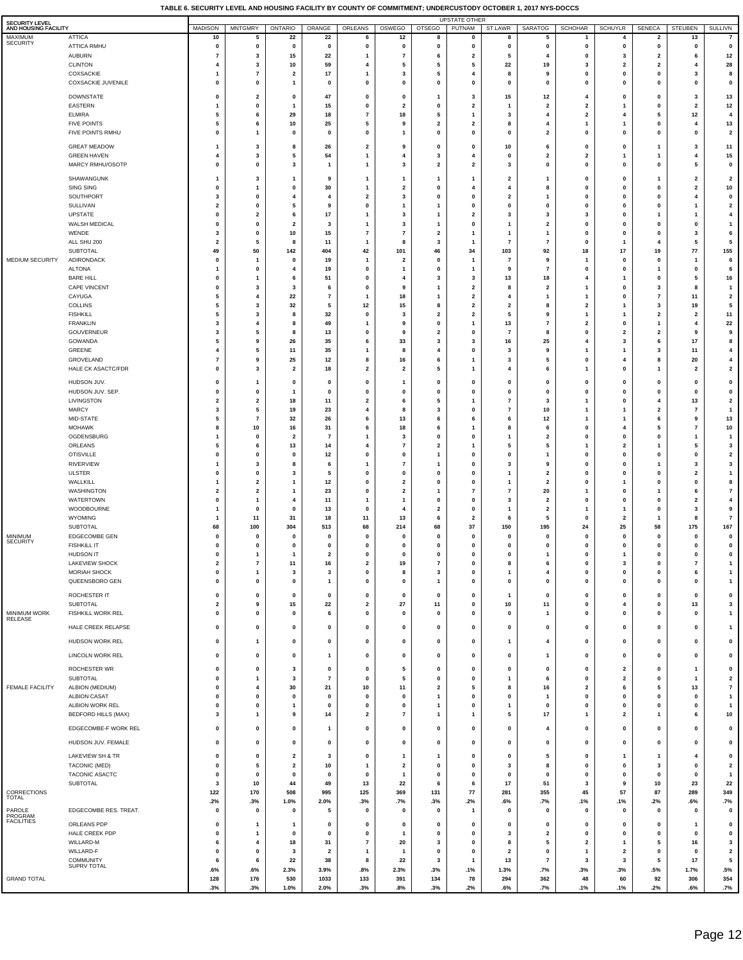| SECURITY LEVEL<br>AND HOUSING FACILITY |                                               | <b>MADISON</b>                         | <b>MNTGMRY</b>                         | ONTARIO                       | ORANGE                  | ORLEANS                              | OSWEGO                         | OTSEGO                                 | <b>UPSTATE OTHER</b><br>PUTNAM          | ST.LAWR                                   | <b>SARATOG</b>               | <b>SCHOHAR</b>                         | SCHUYLR                       | <b>SENECA</b>                | <b>STEUBEN</b>                                     | <b>SULLIVN</b>                                     |
|----------------------------------------|-----------------------------------------------|----------------------------------------|----------------------------------------|-------------------------------|-------------------------|--------------------------------------|--------------------------------|----------------------------------------|-----------------------------------------|-------------------------------------------|------------------------------|----------------------------------------|-------------------------------|------------------------------|----------------------------------------------------|----------------------------------------------------|
| MAXIMUM<br><b>SECURITY</b>             | <b>ATTICA</b><br>ATTICA RMHU                  | 10<br>0                                | 5<br>0                                 | 22<br>0                       | 22<br>0                 | 6<br>$\pmb{0}$                       | 12<br>$\mathbf 0$              | 8<br>0                                 | 0<br>0                                  | 8<br>0                                    | 5<br>0                       | $\mathbf{1}$<br>0                      | 4<br>0                        | $\overline{\mathbf{2}}$<br>0 | 13<br>0                                            | $\overline{7}$<br>$\pmb{0}$                        |
|                                        | <b>AUBURN</b>                                 | $\overline{7}$                         | 3                                      | 15                            | 22                      | 1                                    | $\overline{7}$                 | 6                                      | $\overline{\mathbf{2}}$                 | 5                                         | 4                            | 0                                      | 3                             | $\overline{\mathbf{2}}$      | 6                                                  | $12$                                               |
|                                        | <b>CLINTON</b><br>COXSACKIE                   | $\overline{\mathbf{4}}$<br>-1          | 3<br>7                                 | 10<br>$\overline{\mathbf{2}}$ | 59<br>17                | 4<br>1                               | 5<br>3                         | 5<br>5                                 | 5<br>4                                  | 22<br>8                                   | 19<br>9                      | 3<br>0                                 | 2<br>0                        | $\overline{\mathbf{2}}$<br>0 | 4<br>3                                             | 28<br>8                                            |
|                                        | <b>COXSACKIE JUVENILE</b>                     | $\mathbf 0$                            | 0                                      | 1                             | $\mathbf 0$             | $\mathbf 0$                          | 0                              | $\mathbf{0}$                           | $\mathbf{0}$                            | $\mathbf 0$                               | 0                            | 0                                      | 0                             | $\mathbf 0$                  | $\mathbf 0$                                        | $\pmb{\mathsf{o}}$                                 |
|                                        | <b>DOWNSTATE</b>                              | $\mathbf 0$                            | $\overline{2}$                         | $\mathbf{0}$                  | 47                      | $\mathbf 0$                          | $\mathbf 0$                    | -1                                     | 3                                       | 15                                        | 12                           | 4                                      | $\mathbf 0$                   | $\mathbf 0$                  | 3                                                  | 13                                                 |
|                                        | EASTERN<br><b>ELMIRA</b>                      | -1<br>5                                | $\mathbf 0$<br>6                       | -1<br>29                      | 15<br>18                | $\mathbf 0$<br>$\overline{7}$        | $\overline{2}$<br>18           | $\mathbf 0$<br>5                       | $\overline{\mathbf{2}}$<br>$\mathbf{1}$ | -1<br>3                                   | 2<br>4                       | $\overline{2}$<br>$\overline{2}$       | 4                             | $\mathbf 0$<br>5             | $\overline{\mathbf{2}}$<br>12                      | 12<br>$\overline{4}$                               |
|                                        | <b>FIVE POINTS</b>                            | 5                                      | 6                                      | 10                            | 25                      | 5                                    | 9                              | $\overline{\mathbf{2}}$                | $\overline{2}$                          | 8                                         | 4                            | 1                                      | 1                             | $\pmb{0}$                    | $\overline{4}$                                     | 13                                                 |
|                                        | FIVE POINTS RMHU                              | $\pmb{0}$                              | 1                                      | $\mathbf{0}$                  | $\pmb{0}$               | 0                                    | -1                             | $\mathbf 0$                            | $\pmb{0}$                               | $\mathbf 0$                               | $\overline{\mathbf{2}}$      | $\mathbf{0}$                           | $\mathbf 0$                   | $\mathbf 0$                  | $\pmb{0}$                                          | $\overline{\mathbf{2}}$                            |
|                                        | <b>GREAT MEADOW</b><br><b>GREEN HAVEN</b>     | -1<br>4                                | 3<br>3                                 | 8<br>5                        | 26<br>54                | $\overline{\mathbf{2}}$<br>1         | 9<br>4                         | 0<br>3                                 | 0<br>4                                  | 10<br>0                                   | 6<br>2                       | 0<br>2                                 | $\mathbf 0$                   | 1<br>-1                      | 3<br>4                                             | 11<br>15                                           |
|                                        | MARCY RMHU/OSOTP                              | $\mathbf 0$                            | 0                                      | 3                             | $\mathbf{1}$            | 1                                    | 3                              | $\overline{\mathbf{2}}$                | $\overline{\mathbf{2}}$                 | 3                                         | 0                            | 0                                      | $\mathbf 0$                   | 0                            | 5                                                  | $\pmb{0}$                                          |
|                                        | SHAWANGUNK<br>SING SING                       | -1<br>$\mathbf 0$                      | 3<br>1                                 | -1<br>0                       | 9<br>30                 | 1<br>1                               | 1<br>$\overline{\mathbf{2}}$   | 1<br>$\mathbf 0$                       | -1<br>4                                 | $\overline{\mathbf{2}}$<br>$\overline{4}$ | 1<br>8                       | $\mathbf 0$<br>$\mathbf{0}$            | $\Omega$<br>$\Omega$          | -1<br>0                      | $\overline{\mathbf{2}}$<br>$\overline{\mathbf{2}}$ | $\overline{\mathbf{2}}$<br>$10\,$                  |
|                                        | SOUTHPORT                                     | 3                                      | 0                                      | 4                             | $\overline{\bf{4}}$     | $\mathbf{2}$                         | 3                              | $\Omega$                               | $\mathbf{0}$                            | $\overline{\mathbf{2}}$                   | 1                            | 0                                      | $\Omega$                      | $\mathbf 0$                  | -4                                                 | $\mathbf 0$                                        |
|                                        | SULLIVAN<br>UPSTATE                           | $\overline{\mathbf{2}}$<br>$\mathbf 0$ | $\mathbf 0$<br>$\overline{2}$          | 5<br>6                        | 9<br>17                 | 0<br>1                               | -1<br>3                        | 1<br>1                                 | $\mathbf{0}$<br>$\overline{2}$          | $\mathbf 0$<br>3                          | $\bf{0}$<br>3                | 0<br>3                                 | 0<br>0                        | $\mathbf 0$<br>-1            | -1<br>-1                                           | $\mathbf 2$<br>$\overline{\mathbf{4}}$             |
|                                        | WALSH MEDICAL                                 | $\mathbf{0}$                           | $\mathbf 0$                            | $\overline{2}$                | 3                       | $\mathbf{1}$                         | $\mathbf{3}$                   | $\mathbf{1}$                           | $\pmb{0}$                               | $\mathbf{1}$                              | $\overline{\mathbf{2}}$      | 0                                      | $\mathbf 0$                   | $\mathbf 0$                  | $\pmb{0}$                                          | $\overline{1}$                                     |
|                                        | WENDE<br>ALL SHU 200                          | 3<br>$\overline{2}$                    | $\mathbf 0$<br>5                       | 10<br>8                       | 15<br>11                | $\overline{7}$<br>$\mathbf{1}$       | $\overline{7}$<br>8            | $\overline{2}$<br>3                    | $\mathbf{1}$<br>-1                      | -1<br>$\overline{7}$                      | 1<br>$\overline{7}$          | 0<br>$\mathbf{0}$                      | $\mathbf 0$<br>1              | $\pmb{0}$<br>4               | 3<br>5                                             | 6<br>5                                             |
| MEDIUM SECURITY                        | <b>SUBTOTAL</b><br>ADIRONDACK                 | 49<br>$\mathbf 0$                      | 50                                     | 142<br>$\mathbf{0}$           | 404<br>19               | 42<br>$\overline{1}$                 | 101<br>$\overline{\mathbf{2}}$ | 46<br>$\mathbf 0$                      | 34<br>$\overline{1}$                    | 103<br>$\overline{7}$                     | 92<br>9                      | 18                                     | 17<br>$\mathbf 0$             | 19<br>$\mathbf 0$            | 77<br>$\overline{1}$                               | 155<br>6                                           |
|                                        | <b>ALTONA</b>                                 | -1                                     | -1<br>$\mathbf 0$                      | 4                             | 19                      | $\mathbf 0$                          | $\mathbf{1}$                   | $\mathbf 0$                            | $\overline{1}$                          | 9                                         | $\overline{7}$               | -1<br>$\mathbf{0}$                     | $\mathbf 0$                   | 1                            | $\mathbf 0$                                        | 6                                                  |
|                                        | <b>BARE HILL</b><br><b>CAPE VINCENT</b>       | $\mathbf 0$<br>$\mathbf 0$             | 1<br>3                                 | 6<br>3                        | 51<br>6                 | $\mathbf 0$<br>0                     | 4<br>9                         | 3<br>1                                 | 3<br>$\overline{\mathbf{2}}$            | 13<br>8                                   | 18<br>2                      | 4                                      | 0                             | $\mathbf 0$<br>3             | 5<br>8                                             | 16<br>$\mathbf{1}$                                 |
|                                        | CAYUGA                                        | 5                                      | 4                                      | 22                            | $\overline{7}$          | 1                                    | 18                             | 1                                      | $\mathbf{2}$                            | 4                                         | 1                            | 1                                      | 0                             | $\scriptstyle\rm{7}$         | 11                                                 | $\overline{\mathbf{2}}$                            |
|                                        | <b>COLLINS</b><br><b>FISHKILL</b>             | 5<br>5                                 | 3<br>3                                 | 32<br>8                       | 5<br>32                 | 12<br>0                              | 15<br>$\overline{\mathbf{3}}$  | 8<br>$\overline{\mathbf{2}}$           | $\overline{\mathbf{2}}$<br>$\mathbf{2}$ | $\overline{\mathbf{2}}$<br>5              | 8<br>9                       | $\overline{2}$<br>1                    | 1                             | 3<br>$\overline{\mathbf{2}}$ | 19<br>$\overline{\mathbf{2}}$                      | 5<br>11                                            |
|                                        | <b>FRANKLIN</b>                               | 3                                      | 4                                      | 8                             | 49                      | 1                                    | 9                              | $\mathbf 0$                            | $\mathbf{1}$                            | 13                                        | 7                            | 2                                      | 0                             | $\mathbf{1}$                 | 4                                                  | 22                                                 |
|                                        | GOUVERNEUR<br>GOWANDA                         | 3<br>5                                 | 5<br>9                                 | 8<br>26                       | 13<br>35                | 0<br>6                               | 9<br>33                        | $\overline{2}$<br>3                    | 0<br>3                                  | $\overline{7}$<br>16                      | 8<br>25                      | 0<br>4                                 | $\overline{2}$<br>3           | $\overline{\mathbf{2}}$<br>6 | 9<br>17                                            | 9<br>8                                             |
|                                        | GREENE                                        | $\overline{4}$<br>$\overline{7}$       | 5                                      | 11                            | 35                      | 1<br>8                               | 8                              | 4<br>6                                 | 0<br>$\mathbf{1}$                       | 3<br>3                                    | 9                            | 0                                      |                               | 3                            | 11                                                 | $\overline{\mathbf{4}}$                            |
|                                        | GROVELAND<br>HALE CK ASACTC/FDR               | $\mathbf 0$                            | 9<br>3                                 | 25<br>$\overline{\mathbf{2}}$ | 12<br>18                | 2                                    | 16<br>$\overline{\mathbf{2}}$  | 5                                      | $\mathbf{1}$                            | 4                                         | 5<br>6                       | 1                                      | 0                             | 8<br>$\mathbf{1}$            | 20<br>$\overline{\mathbf{2}}$                      | $\overline{\mathbf{4}}$<br>$\overline{\mathbf{2}}$ |
|                                        | HUDSON JUV.                                   | $\mathbf 0$                            | 1                                      | $\mathbf 0$                   | $\mathbf 0$             | 0                                    | 1                              | 0                                      | 0                                       | $\mathbf 0$                               | 0                            | $\mathbf 0$                            | $\Omega$                      | 0                            | $\mathbf 0$                                        | $\mathbf 0$                                        |
|                                        | HUDSON JUV. SEP.<br>LIVINGSTON                | $\mathbf 0$<br>$\overline{2}$          | $\mathbf 0$<br>$\overline{\mathbf{2}}$ | -1<br>18                      | $\mathbf 0$<br>11       | $\mathbf 0$<br>$\mathbf{2}$          | 0<br>6                         | $\mathbf{0}$<br>5                      | $\mathbf{0}$<br>-1                      | $\mathbf 0$<br>$\overline{7}$             | 0<br>3                       | $\mathbf{0}$<br>1                      | $\Omega$<br>$\Omega$          | 0<br>4                       | $\mathbf 0$<br>13                                  | $\mathbf 0$<br>$\overline{\mathbf{2}}$             |
|                                        | <b>MARCY</b>                                  | 3                                      | 5                                      | 19                            | 23                      | 4                                    | 8                              | 3                                      | $\mathbf{0}$                            | $\overline{7}$                            | 10                           | 1                                      |                               | $\overline{2}$               | $\overline{7}$                                     | $\overline{1}$                                     |
|                                        | MID-STATE<br><b>MOHAWK</b>                    | 5<br>8                                 | $\overline{7}$<br>10                   | 32<br>16                      | 26<br>31                | 6<br>6                               | 13<br>18                       | 6<br>6                                 | 6<br>1                                  | 6<br>8                                    | 12<br>6                      | 1<br>$\mathbf{0}$                      | 1<br>4                        | 6<br>5                       | 9<br>$\overline{7}$                                | 13<br>10                                           |
|                                        | OGDENSBURG                                    | -1<br>5                                | $\mathbf 0$                            | $\overline{2}$                | $\overline{7}$          | 1<br>4                               | 3                              | $\mathbf{0}$<br>$\overline{2}$         | $\pmb{0}$                               | $\mathbf{1}$<br>5                         | $\overline{2}$<br>5          | 0                                      | $\mathbf 0$                   | $\pmb{0}$                    | $\mathbf{1}$                                       | $\overline{1}$<br>3                                |
|                                        | ORLEANS<br><b>OTISVILLE</b>                   | $\pmb{0}$                              | 6<br>$\mathbf 0$                       | 13<br>$\mathbf 0$             | 14<br>12                | $\bf{0}$                             | $\overline{7}$<br>$\mathbf{0}$ | -1                                     | -1<br>$\mathbf{0}$                      | $\mathbf 0$                               | 1                            | 1<br>0                                 | $\overline{2}$<br>0           | -1<br>$\mathbf 0$            | 5<br>$\mathbf 0$                                   | $\overline{\mathbf{2}}$                            |
|                                        | RIVERVIEW<br><b>ULSTER</b>                    | -1<br>$\pmb{0}$                        | 3<br>$\mathbf 0$                       | 8<br>3                        | 6<br>5                  | 1<br>$\mathbf 0$                     | $\overline{7}$<br>$\mathbf{0}$ | $\mathbf{1}$<br>$\mathbf 0$            | $\mathbf{0}$<br>$\pmb{0}$               | 3<br>$\mathbf{1}$                         | 9<br>$\overline{\mathbf{2}}$ | 0<br>0                                 | 0<br>$\mathbf 0$              | 1<br>$\mathbf 0$             | 3<br>$\overline{\mathbf{2}}$                       | 3<br>$\overline{1}$                                |
|                                        | WALLKILL                                      | -1                                     | $\overline{\mathbf{2}}$                | -1                            | 12                      | 0                                    | $\overline{2}$                 | $\mathbf 0$                            | $\mathbf{0}$                            | $\mathbf{1}$                              | $\overline{2}$               | 0                                      |                               | $\mathbf 0$                  | $\pmb{0}$                                          | 8                                                  |
|                                        | WASHINGTON<br><b>WATERTOWN</b>                | $\overline{\mathbf{2}}$<br>$\pmb{0}$   | $\overline{\mathbf{2}}$<br>-1          | -1<br>$\overline{4}$          | 23<br>11                | 0<br>$\mathbf{1}$                    | $\overline{2}$<br>-1           | 1<br>$\mathbf 0$                       | $\overline{7}$<br>$\pmb{0}$             | 7<br>3                                    | 20<br>$\overline{2}$         | $\mathbf{0}$                           | 0<br>$\mathbf 0$              | -1<br>$\mathbf 0$            | 6<br>$\overline{\mathbf{2}}$                       | $\overline{7}$<br>$\overline{4}$                   |
|                                        | WOODBOURNE                                    | -1                                     | $\mathbf 0$                            | $\mathbf{0}$                  | 13                      | $\mathbf 0$                          | $\overline{4}$                 | $\overline{2}$                         | $\pmb{0}$                               | $\mathbf{1}$                              | $\overline{\mathbf{2}}$      | 1                                      | 1                             | $\pmb{0}$                    | 3                                                  | $\boldsymbol{9}$                                   |
|                                        | WYOMING<br><b>SUBTOTAL</b>                    | -1<br>68                               | 11<br>100                              | 31<br>304                     | 18<br>513               | 11<br>68                             | 13<br>214                      | 6<br>68                                | $\overline{2}$<br>37                    | 6<br>150                                  | 5<br>195                     | $\mathbf{0}$<br>24                     | $\overline{\mathbf{2}}$<br>25 | -1<br>58                     | 8<br>175                                           | $\overline{7}$<br>167                              |
| MINIMUM<br><b>SECURITY</b>             | <b>EDGECOMBE GEN</b>                          | $\mathbf 0$                            | 0                                      | $\mathbf 0$                   | $\mathbf{0}$            | 0                                    | 0                              | $\mathbf 0$                            | 0                                       | 0                                         | 0                            | 0                                      | 0                             | 0                            | $\mathbf 0$                                        | $\pmb{0}$                                          |
|                                        | <b>FISHKILL IT</b><br><b>HUDSON IT</b>        | $\mathbf 0$<br>$\pmb{0}$               | 0<br>1                                 | 0<br>$\mathbf{1}$             | 0<br>$\overline{2}$     | 0<br>0                               | 0<br>$\mathbf{0}$              | $\mathbf 0$<br>$\mathbf 0$             | 0<br>$\mathbf{0}$                       | $\pmb{0}$<br>$\mathbf 0$                  | 0<br>1                       | 0<br>0                                 | $\mathbf 0$<br>$\mathbf{1}$   | 0<br>$\mathbf{0}$            | $\mathbf 0$<br>$\pmb{0}$                           | $\pmb{0}$<br>$\pmb{0}$                             |
|                                        | <b>LAKEVIEW SHOCK</b><br>MORIAH SHOCK         | $\overline{\mathbf{2}}$<br>$\pmb{0}$   | 7<br>1                                 | 11<br>3                       | 16<br>3                 | 2<br>0                               | 19<br>8                        | 7<br>3                                 | 0<br>$\pmb{0}$                          | 8<br>$\overline{1}$                       | 6<br>4                       | 0<br>0                                 | 3<br>$\mathbf 0$              | 0<br>$\pmb{0}$               | 7<br>6                                             | $\mathbf{1}$<br>$\mathbf{1}$                       |
|                                        | QUEENSBORO GEN                                | $\mathbf 0$                            | 0                                      | 0                             | $\mathbf{1}$            | 0                                    | $\mathbf 0$                    | $\mathbf{1}$                           | $\pmb{0}$                               | $\pmb{0}$                                 | 0                            | 0                                      | $\mathbf 0$                   | $\pmb{0}$                    | 0                                                  | $\mathbf{1}$                                       |
|                                        | ROCHESTER IT                                  | 0                                      | 0                                      | 0                             | $\mathbf 0$             | $\pmb{0}$                            | $\mathbf 0$                    | $\mathbf{0}$                           | 0                                       | $\mathbf{1}$                              | $\pmb{0}$                    | $\mathbf{0}$                           | $\mathbf 0$                   | 0                            | $\mathbf 0$                                        | $\pmb{0}$                                          |
| MINIMUM WORK                           | SUBTOTAL<br>FISHKILL WORK REL                 | $\overline{\mathbf{2}}$<br>$\pmb{0}$   | 9<br>0                                 | 15<br>0                       | 22<br>6                 | $\overline{\mathbf{2}}$<br>$\pmb{0}$ | $\bf 27$<br>$\mathbf 0$        | 11<br>$\mathbf{0}$                     | $\mathbf 0$<br>$\mathbf{0}$             | 10<br>$\mathbf 0$                         | 11<br>1                      | $\mathbf{0}$<br>$\mathbf{0}$           | 4<br>$\Omega$                 | $\mathbf{0}$<br>$\mathbf 0$  | 13<br>0                                            | $\overline{\mathbf{3}}$<br>$\mathbf{1}$            |
| RELEASE                                | HALE CREEK RELAPSE                            | $\pmb{0}$                              | $\mathbf 0$                            | $\mathbf 0$                   | $\pmb{0}$               | $\mathbf 0$                          | $\mathbf 0$                    | $\pmb{0}$                              | $\mathbf 0$                             | $\pmb{0}$                                 | $\pmb{0}$                    | $\mathbf{0}$                           | $\pmb{0}$                     | $\pmb{0}$                    | $\pmb{0}$                                          | $\mathbf{1}$                                       |
|                                        | HUDSON WORK REL                               | $\mathbf 0$                            | 1                                      | 0                             | 0                       | 0                                    | $\mathbf 0$                    | $\mathbf 0$                            | 0                                       | $\mathbf{1}$                              | 4                            | 0                                      | 0                             | 0                            | $\pmb{0}$                                          | $\pmb{0}$                                          |
|                                        | LINCOLN WORK REL                              | $\mathbf 0$                            | $\mathbf 0$                            | 0                             | $\mathbf{1}$            | 0                                    | $\mathbf 0$                    | $\mathbf{0}$                           | $\mathbf 0$                             | $\mathbf 0$                               | 1                            | $\mathbf{0}$                           | $\mathbf{0}$                  | 0                            | 0                                                  | $\pmb{0}$                                          |
|                                        | ROCHESTER WR                                  | $\pmb{0}$                              | $\mathbf 0$                            | 3                             | $\pmb{0}$               | $\pmb{0}$                            | 5                              | $\mathbf{0}$                           | $\pmb{0}$                               | $\mathbf 0$                               | $\mathbf{0}$                 | $\mathbf{0}$                           | $\overline{\mathbf{2}}$       | $\pmb{0}$                    | $\mathbf{1}$                                       | $\pmb{0}$                                          |
| FEMALE FACILITY                        | SUBTOTAL<br>ALBION (MEDIUM)                   | $\pmb{0}$<br>$\pmb{0}$                 | 1<br>$\overline{4}$                    | 3<br>30                       | $\overline{7}$<br>21    | $\mathbf 0$<br>10                    | 5<br>11                        | $\mathbf 0$<br>$\overline{\mathbf{2}}$ | $\pmb{0}$<br>5                          | $\mathbf{1}$<br>8                         | 6<br>16                      | $\mathbf{0}$<br>$\overline{2}$         | $\overline{\mathbf{2}}$<br>6  | $\pmb{0}$<br>5               | $\overline{1}$<br>13                               | $\overline{\mathbf{2}}$<br>$\overline{7}$          |
|                                        | <b>ALBION CASAT</b>                           | $\pmb{0}$                              | $\mathbf 0$                            | $\mathbf{0}$                  | $\pmb{0}$               | $\pmb{0}$                            | $\mathbf 0$                    | $\mathbf{1}$                           | $\pmb{0}$                               | $\pmb{0}$                                 | $\mathbf{1}$                 | $\mathbf{0}$                           | $\mathbf 0$                   | $\pmb{0}$                    | $\pmb{0}$                                          | $\overline{1}$                                     |
|                                        | ALBION WORK REL<br><b>BEDFORD HILLS (MAX)</b> | $\mathbf 0$<br>$\mathbf{3}$            | 0<br>1                                 | 1<br>9                        | $\pmb{0}$<br>14         | $\mathbf 0$<br>2                     | $\mathbf 0$<br>$\overline{7}$  | $\mathbf{1}$<br>$\overline{1}$         | $\pmb{0}$<br>$\mathbf{1}$               | $\mathbf{1}$<br>5                         | 0<br>17                      | 0<br>1                                 | 0<br>$\overline{\mathbf{2}}$  | $\pmb{0}$<br>$\mathbf{1}$    | 0<br>6                                             | $\overline{1}$<br>10                               |
|                                        | EDGECOMBE-F WORK REL                          | 0                                      | 0                                      | 0                             | $\mathbf{1}$            | 0                                    | $\mathbf 0$                    | 0                                      | 0                                       | 0                                         | 4                            | 0                                      | $\mathbf 0$                   | 0                            | 0                                                  | 0                                                  |
|                                        | HUDSON JUV. FEMALE                            | $\mathbf 0$                            | $\mathbf 0$                            | 0                             | $\mathbf 0$             | 0                                    | $\mathbf 0$                    | $\mathbf 0$                            | $\mathbf{0}$                            | $\mathbf 0$                               | 0                            | $\mathbf{0}$                           | $\Omega$                      | 0                            | 0                                                  | $\pmb{0}$                                          |
|                                        | LAKEVIEW SH & TR                              | $\mathbf{0}$                           | $\pmb{0}$                              | $\overline{\mathbf{2}}$       | 3                       | 0                                    | $\overline{1}$                 | $\mathbf{1}$                           | $\pmb{0}$                               | $\pmb{0}$                                 | 5                            | 0                                      | $\mathbf{1}$                  | 1                            | 4                                                  | $\pmb{0}$                                          |
|                                        | TACONIC (MED)                                 | $\mathbf 0$                            | 5                                      | $\overline{\mathbf{2}}$       | 10                      | $\mathbf{1}$                         | $\overline{\mathbf{2}}$        | $\mathbf 0$<br>$\mathbf 0$             | 0                                       | 3<br>$\mathbf 0$                          | 8                            | 0<br>0                                 | 0                             | 3                            | $\mathbf 0$                                        | $\overline{\mathbf{2}}$                            |
|                                        | TACONIC ASACTC<br>SUBTOTAL                    | $\mathbf 0$<br>3                       | $\mathbf 0$<br>10                      | $\mathbf 0$<br>44             | 0<br>49                 | $\pmb{0}$<br>13                      | $\mathbf{1}$<br>22             | 6                                      | 0<br>6                                  | 17                                        | $\mathbf 0$<br>51            | 3                                      | 0<br>9                        | $\pmb{0}$<br>10              | $\mathbf 0$<br>23                                  | $\overline{1}$<br>22                               |
| CORRECTIONS<br>TOTAL                   |                                               | 122<br>.2%                             | 170<br>.3%                             | 508<br>1.0%                   | 995<br>2.0%             | 125<br>.3%                           | 369<br>.7%                     | 131<br>.3%                             | 77<br>.2%                               | 281<br>.6%                                | 355<br>.7%                   | 45<br>.1%                              | 57<br>.1%                     | 87<br>.2%                    | 289<br>.6%                                         | 349<br>.7%                                         |
| PAROLE<br>PROGRAM                      | EDGECOMBE RES. TREAT.                         | $\mathbf 0$                            | 0                                      | 0                             | 5                       | 0                                    | 0                              | 0                                      | $\overline{1}$                          | 0                                         | $\mathbf 0$                  | $\mathbf 0$                            | 0                             | $\pmb{0}$                    | $\mathbf 0$                                        | $\pmb{0}$                                          |
| <b>FACILITIES</b>                      | ORLEANS PDP                                   | $\mathbf 0$                            | -1                                     | -1                            | $\mathbf 0$             | 0                                    | $\mathbf 0$                    | $\mathbf{0}$                           | 0                                       | $\mathbf 0$                               | 0                            | $\mathbf{0}$                           | $\Omega$                      | 0                            | $\mathbf{1}$                                       | $\pmb{0}$                                          |
|                                        | HALE CREEK PDP<br>WILLARD-M                   | $\mathbf 0$<br>6                       | -1<br>$\overline{4}$                   | 0<br>18                       | $\mathbf 0$<br>31       | $\pmb{0}$<br>$\scriptstyle\rm{7}$    | $\mathbf{1}$<br>20             | $\mathbf{0}$<br>3                      | $\mathbf 0$<br>$\mathbf 0$              | 3<br>8                                    | 2<br>5                       | $\mathbf 0$<br>$\overline{\mathbf{2}}$ | $\Omega$<br>-1                | $\mathbf{0}$<br>5            | $\mathbf 0$<br>16                                  | $\pmb{\mathsf{o}}$<br>$\overline{\mathbf{3}}$      |
|                                        | WILLARD-F                                     | $\mathbf 0$                            | $\mathbf 0$                            | 3                             | $\overline{\mathbf{2}}$ | $\overline{1}$                       | $\mathbf{1}$                   | $\mathbf{0}$                           | $\mathbf 0$                             | $\overline{\mathbf{2}}$                   | $\mathbf 0$                  | $\mathbf{1}$                           | $\overline{\mathbf{2}}$       | $\pmb{0}$                    | $\mathbf 0$                                        | $\overline{\mathbf{2}}$                            |
|                                        | <b>COMMUNITY</b><br>SUPRV TOTAL               | 6<br>.6%                               | 6<br>.6%                               | 22<br>2.3%                    | 38<br>3.9%              | 8<br>.8%                             | 22<br>2.3%                     | 3<br>.3%                               | $\mathbf{1}$<br>.1%                     | 13<br>1.3%                                | $\overline{7}$<br>.7%        | 3<br>.3%                               | 3<br>.3%                      | 5<br>.5%                     | 17<br>1.7%                                         | 5<br>.5%                                           |
| <b>GRAND TOTAL</b>                     |                                               | 128<br>.3%                             | 176<br>.3%                             | 530<br>1.0%                   | 1033<br>2.0%            | 133<br>.3%                           | 391<br>.8%                     | 134<br>.3%                             | 78<br>.2%                               | 294<br>.6%                                | 362<br>.7%                   | 48<br>.1%                              | 60<br>.1%                     | 92<br>.2%                    | 306<br>.6%                                         | 354<br>.7%                                         |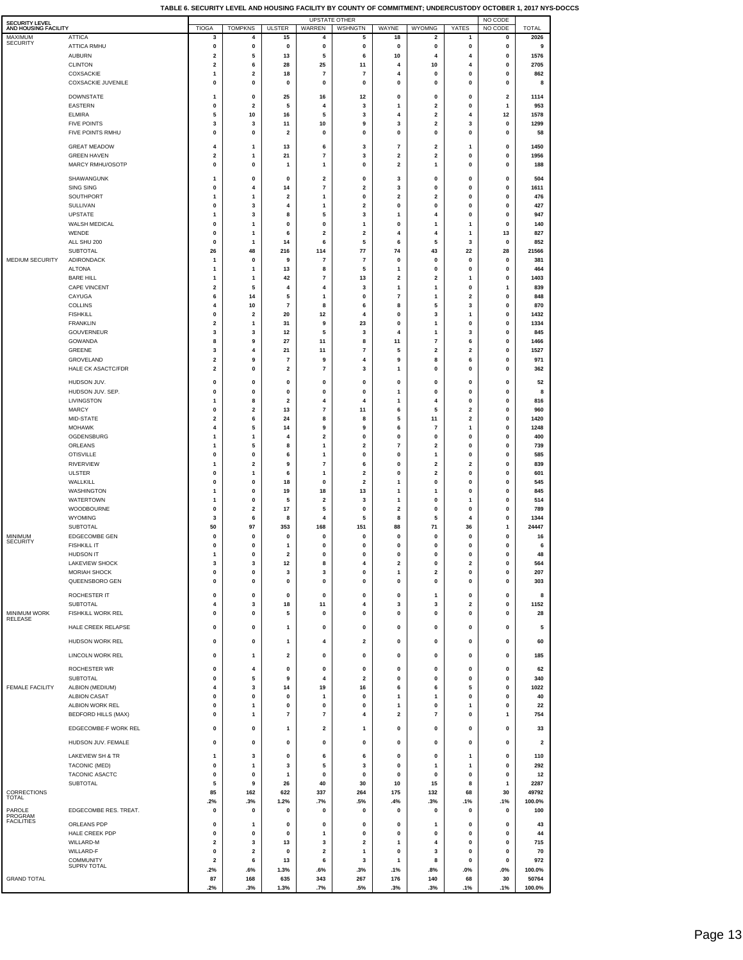| TABLE 6. SECURITY LEVEL AND HOUSING FACILITY BY COUNTY OF COMMITMENT: UNDERCUSTODY OCTOBER 1, 2017 NYS-DOCCS |  |
|--------------------------------------------------------------------------------------------------------------|--|
|--------------------------------------------------------------------------------------------------------------|--|

| SECURITY LEVEL<br>AND HOUSING FACILITY |                                        | <b>TIOGA</b>     | <b>TOMPKNS</b>                | <b>ULSTER</b>                | WARREN                       | <b>UPSTATE OTHER</b><br>WSHNGTN | WAYNE                                   | WYOMNG                                  | YATES                | NO CODE<br>NO CODE           | <b>TOTAL</b>            |
|----------------------------------------|----------------------------------------|------------------|-------------------------------|------------------------------|------------------------------|---------------------------------|-----------------------------------------|-----------------------------------------|----------------------|------------------------------|-------------------------|
| MAXIMUM                                | <b>ATTICA</b>                          | 3                | 4                             | 15                           | 4                            | 5                               | 18                                      | 2                                       | 1                    | 0                            | 2026                    |
| <b>SECURITY</b>                        | <b>ATTICA RMHU</b>                     | 0                | $\pmb{0}$                     | 0                            | $\pmb{0}$                    | 0                               | $\pmb{0}$                               | 0                                       | $\pmb{0}$            | 0                            | 9                       |
|                                        | <b>AUBURN</b><br><b>CLINTON</b>        | 2<br>2           | 5<br>6                        | 13<br>28                     | 5<br>25                      | 6<br>11                         | 10<br>4                                 | 4<br>10                                 | 4<br>4               | 0<br>0                       | 1576<br>2705            |
|                                        | COXSACKIE                              | 1                | 2                             | 18                           | $\overline{7}$               | 7                               | $\overline{4}$                          | 0                                       | 0                    | 0                            | 862                     |
|                                        | <b>COXSACKIE JUVENILE</b>              | $\pmb{0}$        | $\pmb{0}$                     | 0                            | 0                            | 0                               | 0                                       | 0                                       | 0                    | 0                            | 8                       |
|                                        | <b>DOWNSTATE</b>                       | 1                | $\mathbf 0$                   | 25                           | 16                           | 12                              | 0                                       | 0                                       | 0                    | $\overline{\mathbf{2}}$<br>1 | 1114                    |
|                                        | <b>EASTERN</b><br><b>ELMIRA</b>        | 0<br>5           | $\overline{\mathbf{2}}$<br>10 | 5<br>16                      | 4<br>5                       | 3<br>3                          | $\mathbf{1}$<br>$\overline{4}$          | $\mathbf{2}$<br>$\overline{\mathbf{2}}$ | 0<br>4               | 12                           | 953<br>1578             |
|                                        | <b>FIVE POINTS</b>                     | 3                | 3                             | 11                           | 10                           | 9                               | 3                                       | $\mathbf{2}$                            | 3                    | 0                            | 1299                    |
|                                        | FIVE POINTS RMHU                       | 0                | $\pmb{0}$                     | $\mathbf{2}$                 | 0                            | 0                               | 0                                       | $\pmb{0}$                               | 0                    | 0                            | 58                      |
|                                        | <b>GREAT MEADOW</b>                    | 4                | 1                             | 13                           | 6                            | 3                               | 7                                       | 2                                       | 1                    | 0                            | 1450                    |
|                                        | <b>GREEN HAVEN</b><br>MARCY RMHU/OSOTP | 2<br>0           | 1<br>0                        | 21<br>1                      | $\overline{\mathbf{7}}$<br>1 | 3<br>0                          | $\mathbf{2}$<br>$\mathbf 2$             | $\mathbf 2$<br>1                        | 0<br>0               | 0<br>$\mathbf 0$             | 1956<br>188             |
|                                        | <b>SHAWANGUNK</b>                      | 1                | $\pmb{0}$                     | 0                            | $\overline{\mathbf{2}}$      | 0                               | 3                                       | $\mathbf 0$                             | 0                    | 0                            | 504                     |
|                                        | SING SING                              | 0                | 4                             | 14                           | $\overline{7}$               | 2                               | 3                                       | 0                                       | 0                    | 0                            | 1611                    |
|                                        | SOUTHPORT                              | 1<br>0           | $\mathbf{1}$<br>3             | $\overline{\mathbf{2}}$<br>4 | $\mathbf{1}$<br>$\mathbf{1}$ | 0<br>2                          | $\mathbf 2$<br>0                        | $\overline{\mathbf{2}}$<br>$\pmb{0}$    | 0<br>0               | 0<br>0                       | 476<br>427              |
|                                        | SULLIVAN<br><b>UPSTATE</b>             | 1                | 3                             | 8                            | 5                            | 3                               | $\mathbf{1}$                            | 4                                       | 0                    | 0                            | 947                     |
|                                        | WALSH MEDICAL                          | 0                | $\mathbf{1}$                  | 0                            | $\mathbf 0$                  | 1                               | 0                                       | 1                                       | 1                    | $\pmb{0}$                    | 140                     |
|                                        | WENDE<br>ALL SHU 200                   | 0<br>0           | $\mathbf{1}$<br>$\mathbf{1}$  | 6<br>14                      | $\overline{\mathbf{2}}$<br>6 | 2<br>5                          | $\overline{4}$<br>6                     | 4<br>5                                  | 1<br>3               | 13<br>0                      | 827<br>852              |
|                                        | <b>SUBTOTAL</b>                        | 26               | 48                            | 216                          | 114                          | 77                              | 74                                      | 43                                      | 22                   | 28                           | 21566                   |
| <b>MEDIUM SECURITY</b>                 | <b>ADIRONDACK</b>                      | 1                | $\mathbf 0$                   | 9                            | $\overline{7}$               | $\overline{\mathbf{r}}$         | 0                                       | $\mathbf 0$                             | 0                    | $\pmb{0}$                    | 381                     |
|                                        | <b>ALTONA</b><br><b>BARE HILL</b>      | 1<br>1           | -1<br>$\mathbf{1}$            | 13<br>42                     | 8<br>$\overline{7}$          | 5<br>13                         | $\mathbf{1}$<br>$\overline{\mathbf{2}}$ | 0<br>$\mathbf{2}$                       | 0<br>1               | 0<br>0                       | 464<br>1403             |
|                                        | CAPE VINCENT                           | 2                | 5                             | 4                            | 4                            | 3                               | $\mathbf{1}$                            | 1                                       | 0                    | 1                            | 839                     |
|                                        | CAYUGA<br><b>COLLINS</b>               | 6<br>4           | 14<br>10                      | 5<br>7                       | $\mathbf{1}$<br>8            | 0<br>6                          | 7<br>8                                  | 1<br>5                                  | 2<br>3               | 0<br>0                       | 848<br>870              |
|                                        | <b>FISHKILL</b>                        | 0                | $\overline{\mathbf{2}}$       | 20                           | 12                           | 4                               | 0                                       | 3                                       | 1                    | 0                            | 1432                    |
|                                        | <b>FRANKLIN</b>                        | 2                | $\mathbf{1}$                  | 31                           | 9                            | 23                              | 0                                       | 1                                       | 0                    | 0                            | 1334                    |
|                                        | GOUVERNEUR<br><b>GOWANDA</b>           | 3<br>8           | 3<br>9                        | 12<br>27                     | 5<br>11                      | 3<br>8                          | 4<br>11                                 | $\mathbf{1}$<br>7                       | 3<br>6               | 0<br>0                       | 845<br>1466             |
|                                        | GREENE                                 | 3                | 4                             | 21                           | 11                           | 7                               | 5                                       | 2                                       | 2                    | 0                            | 1527                    |
|                                        | GROVELAND<br>HALE CK ASACTC/FDR        | 2                | 9                             | 7                            | 9<br>$\overline{7}$          | 4                               | 9<br>$\mathbf{1}$                       | 8<br>$\mathbf 0$                        | 6                    | 0<br>$\mathbf 0$             | 971                     |
|                                        |                                        | 2                | 0                             | 2                            |                              | 3                               |                                         |                                         | 0                    |                              | 362                     |
|                                        | HUDSON JUV.<br>HUDSON JUV. SEP.        | $\bf{0}$<br>0    | $\pmb{0}$<br>$\pmb{0}$        | 0<br>0                       | $\pmb{0}$<br>$\bf{0}$        | 0<br>0                          | 0<br>$\mathbf{1}$                       | $\mathbf 0$<br>$\mathbf 0$              | 0<br>0               | 0<br>0                       | 52<br>8                 |
|                                        | LIVINGSTON                             | 1                | 8                             | $\overline{\mathbf{2}}$      | $\overline{4}$               | 4                               | $\mathbf{1}$                            | $\overline{4}$                          | 0                    | 0                            | 816                     |
|                                        | <b>MARCY</b>                           | 0                | $\mathbf 2$                   | 13                           | $\overline{7}$               | 11                              | 6                                       | 5                                       | $\mathbf{2}$         | 0                            | 960                     |
|                                        | MID-STATE<br><b>MOHAWK</b>             | $\mathbf 2$<br>4 | 6<br>5                        | 24<br>14                     | 8<br>9                       | 8<br>9                          | 5<br>6                                  | 11<br>$\overline{7}$                    | $\mathbf 2$<br>1     | 0<br>0                       | 1420<br>1248            |
|                                        | OGDENSBURG                             | 1                | $\mathbf{1}$                  | 4                            | $\overline{\mathbf{2}}$      | 0                               | 0                                       | $\mathbf 0$                             | 0                    | 0                            | 400                     |
|                                        | <b>ORLEANS</b><br><b>OTISVILLE</b>     | 1<br>0           | 5<br>$\pmb{0}$                | 8<br>6                       | $\mathbf{1}$<br>$\mathbf{1}$ | 2<br>0                          | $\overline{7}$<br>0                     | $\mathbf{2}$<br>1                       | 0<br>0               | 0<br>0                       | 739<br>585              |
|                                        | <b>RIVERVIEW</b>                       | 1                | $\overline{\mathbf{2}}$       | 9                            | $\overline{7}$               | 6                               | 0                                       | $\overline{\mathbf{2}}$                 | 2                    | 0                            | 839                     |
|                                        | <b>ULSTER</b>                          | 0                | $\mathbf{1}$                  | 6                            | $\mathbf{1}$                 | 2                               | 0                                       | $\mathbf{2}$                            | 0                    | 0                            | 601                     |
|                                        | WALLKILL<br>WASHINGTON                 | 0<br>1           | $\pmb{0}$<br>0                | 18<br>19                     | 0<br>18                      | 2<br>13                         | $\mathbf{1}$<br>$\mathbf{1}$            | $\pmb{0}$<br>$\mathbf{1}$               | 0<br>0               | 0<br>0                       | 545<br>845              |
|                                        | <b>WATERTOWN</b>                       | 1                | 0                             | 5                            | $\overline{\mathbf{2}}$      | 3                               | $\mathbf{1}$                            | 0                                       | 1                    | 0                            | 514                     |
|                                        | WOODBOURNE<br><b>WYOMING</b>           | 0<br>3           | $\overline{\mathbf{2}}$<br>6  | 17<br>8                      | 5<br>$\overline{4}$          | 0<br>5                          | $\overline{\mathbf{2}}$<br>8            | 0<br>5                                  | 0<br>4               | 0<br>0                       | 789<br>1344             |
|                                        | <b>SUBTOTAL</b>                        | 50               | 97                            | 353                          | 168                          | 151                             | 88                                      | 71                                      | 36                   | 1                            | 24447                   |
| MINIMUM<br><b>SECURITY</b>             | <b>EDGECOMBE GEN</b>                   | 0                | 0                             | $\bf{0}$                     | 0                            | 0                               | 0                                       | 0                                       | 0                    | 0                            | 16                      |
|                                        | <b>FISHKILL IT</b><br><b>HUDSON IT</b> | 0                | 0<br>0                        | 1<br>$\overline{2}$          | 0<br>$\mathbf 0$             | 0<br>0                          | 0<br>$\mathbf 0$                        | 0<br>0                                  | 0<br>0               | 0<br>0                       | 6<br>48                 |
|                                        | LAKEVIEW SHOCK                         | 3                | 3                             | 12                           | 8                            | 4                               | $\mathbf{2}$                            | 0                                       | 2                    | 0                            | 564                     |
|                                        | <b>MORIAH SHOCK</b>                    | 0                | 0                             | 3                            | 3                            | 0                               | $\mathbf{1}$                            | $\mathbf 2$                             | 0                    | 0                            | 207                     |
|                                        | QUEENSBORO GEN                         | 0                | 0                             | 0                            | 0                            | 0                               | 0                                       | 0                                       | 0                    | 0                            | 303                     |
|                                        | ROCHESTER IT<br>SUBTOTAL               | $\bf{0}$<br>4    | $\mathbf 0$<br>3              | $\mathbf 0$<br>18            | $\pmb{0}$<br>11              | 0<br>4                          | $\pmb{0}$<br>3                          | 1<br>3                                  | 0<br>$\mathbf{2}$    | $\pmb{0}$<br>0               | 8<br>1152               |
| MINIMUM WORK<br>RELEASE                | FISHKILL WORK REL                      | $\bf{0}$         | $\pmb{0}$                     | 5                            | 0                            | 0                               | $\pmb{0}$                               | $\mathbf 0$                             | 0                    | 0                            | 28                      |
|                                        | HALE CREEK RELAPSE                     | 0                | $\pmb{0}$                     | $\mathbf{1}$                 | $\pmb{0}$                    | 0                               | $\pmb{0}$                               | $\pmb{0}$                               | 0                    | 0                            | 5                       |
|                                        | HUDSON WORK REL                        | 0                | 0                             | 1                            | 4                            | 2                               | 0                                       | 0                                       | 0                    | 0                            | 60                      |
|                                        | LINCOLN WORK REL                       | $\bf{0}$         | -1                            | 2                            | $\mathbf 0$                  | 0                               | $\mathbf 0$                             | $\mathbf{0}$                            | 0                    | 0                            | 185                     |
|                                        | <b>ROCHESTER WR</b>                    | 0                | 4                             | 0                            | 0                            | 0                               | $\pmb{0}$                               | $\pmb{0}$                               | 0                    | 0                            | 62                      |
|                                        | <b>SUBTOTAL</b>                        | 0                | 5                             | 9                            | 4                            | 2                               | 0                                       | $\pmb{0}$                               | 0                    | 0                            | 340                     |
| <b>FEMALE FACILITY</b>                 | ALBION (MEDIUM)                        | 4                | 3                             | 14                           | 19                           | 16                              | 6                                       | 6                                       | 5                    | 0                            | 1022                    |
|                                        | <b>ALBION CASAT</b><br>ALBION WORK REL | 0<br>0           | $\pmb{0}$<br>1                | 0<br>0                       | $\mathbf{1}$<br>0            | 0<br>0                          | $\mathbf{1}$<br>$\mathbf{1}$            | 1<br>0                                  | 0<br>1               | 0<br>0                       | 40<br>22                |
|                                        | <b>BEDFORD HILLS (MAX)</b>             | 0                | $\mathbf{1}$                  | 7                            | $\overline{7}$               | 4                               | $\mathbf 2$                             | $\overline{\mathbf{r}}$                 | 0                    | 1                            | 754                     |
|                                        | EDGECOMBE-F WORK REL                   | 0                | 0                             | 1                            | 2                            | 1                               | 0                                       | 0                                       | 0                    | 0                            | 33                      |
|                                        | HUDSON JUV. FEMALE                     | $\mathbf 0$      | $\mathbf 0$                   | $\mathbf 0$                  | 0                            | 0                               | $\mathbf 0$                             | $\mathbf{0}$                            | 0                    | 0                            | $\overline{\mathbf{2}}$ |
|                                        | LAKEVIEW SH & TR                       | 1                | 3                             | 0                            | 6                            | 6                               | 0                                       | 0                                       | 1                    | 0                            | 110                     |
|                                        | TACONIC (MED)                          | 0                | $\mathbf{1}$                  | 3                            | 5                            | 3                               | 0                                       | 1                                       | 1                    | 0                            | 292                     |
|                                        | TACONIC ASACTC                         | 0                | 0                             | 1                            | 0                            | 0                               | 0                                       | 0                                       | 0                    | 0                            | 12                      |
| CORRECTIONS                            | SUBTOTAL                               | 5<br>85          | 9<br>162                      | 26<br>622                    | 40<br>337                    | 30<br>264                       | 10<br>175                               | 15<br>132                               | 8<br>68              | $\overline{1}$<br>30         | 2287<br>49792           |
| <b>TOTAL</b>                           |                                        | .2%              | .3%                           | 1.2%                         | .7%                          | .5%                             | .4%                                     | .3%                                     | .1%                  | .1%                          | 100.0%                  |
| PAROLE<br>PROGRAM                      | EDGECOMBE RES. TREAT.                  | 0                | $\pmb{0}$                     | 0                            | 0                            | 0                               | 0                                       | 0                                       | 0                    | 0                            | 100                     |
| <b>FACILITIES</b>                      | ORLEANS PDP                            | $\mathbf 0$      | $\mathbf{1}$                  | $\mathbf 0$                  | 0                            | 0                               | 0                                       | 1                                       | $\mathbf 0$          | $\mathbf 0$                  | 43                      |
|                                        | HALE CREEK PDP<br>WILLARD-M            | $\bf{0}$<br>2    | $\mathbf 0$<br>3              | $\mathbf 0$<br>13            | $\mathbf{1}$<br>3            | 0<br>2                          | $\pmb{0}$<br>$\mathbf{1}$               | $\mathbf 0$<br>4                        | $\bf{0}$<br>$\bf{0}$ | $\mathbf 0$<br>$\mathbf 0$   | 44<br>715               |
|                                        | WILLARD-F                              | $\bf{0}$         | $\overline{\mathbf{2}}$       | $\mathbf 0$                  | $\overline{\mathbf{2}}$      | 1                               | $\mathbf 0$                             | 3                                       | $\bf{0}$             | $\mathbf 0$                  | 70                      |
|                                        | COMMUNITY<br>SUPRV TOTAL               | 2                | 6<br>.6%                      | 13                           | 6<br>.6%                     | 3                               | $\mathbf{1}$<br>.1%                     | 8<br>.8%                                | $\mathbf 0$<br>.0%   | $\mathbf 0$<br>.0%           | 972                     |
| <b>GRAND TOTAL</b>                     |                                        | .2%<br>87        | 168                           | 1.3%<br>635                  | 343                          | .3%<br>267                      | 176                                     | 140                                     | 68                   | 30                           | 100.0%<br>50764         |
|                                        |                                        | .2%              | .3%                           | 1.3%                         | .7%                          | .5%                             | .3%                                     | .3%                                     | .1%                  | .1%                          | 100.0%                  |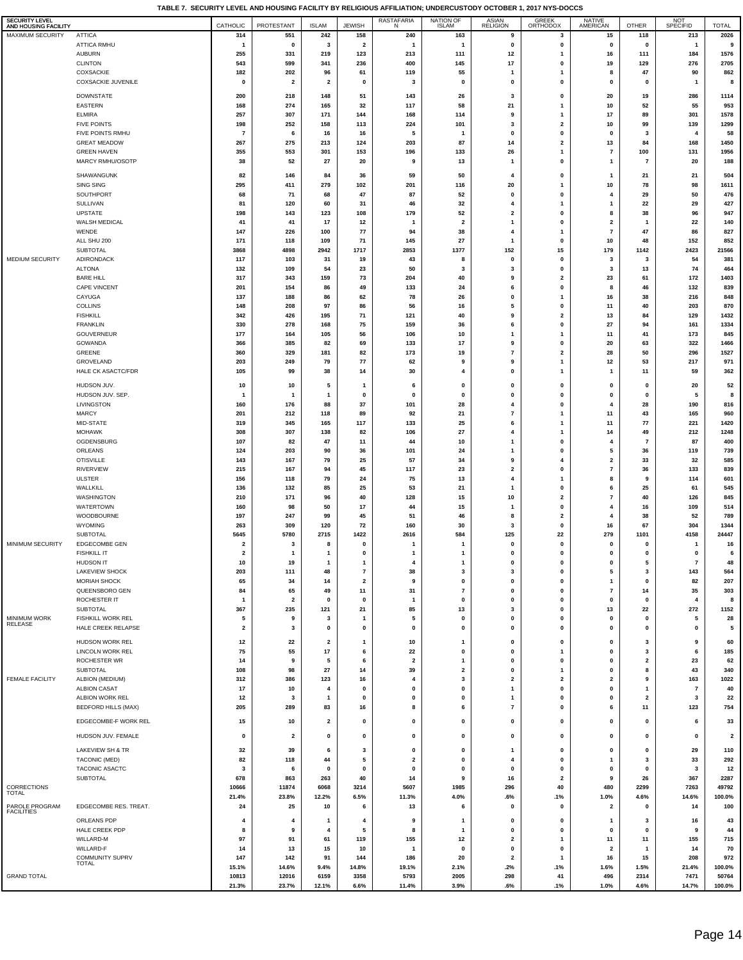**TABLE 7. SECURITY LEVEL AND HOUSING FACILITY BY RELIGIOUS AFFILIATION; UNDERCUSTODY OCTOBER 1, 2017 NYS-DOCCS**

| <b>SECURITY LEVEL</b><br>AND HOUSING FACILITY |                                              | CATHOLIC                | PROTESTANT              | <b>ISLAM</b>            | <b>JEWISH</b>                    | <b>RASTAFARIA</b><br>N        | <b>NATION OF</b><br><b>ISLAM</b> | <b>ASIAN</b><br><b>RELIGION</b> | <b>GREEK</b><br>ORTHODOX | <b>NATIVE</b><br>AMERICAN                 | <b>OTHER</b>            | <b>NOT</b><br>SPECIFID | <b>TOTAL</b>            |
|-----------------------------------------------|----------------------------------------------|-------------------------|-------------------------|-------------------------|----------------------------------|-------------------------------|----------------------------------|---------------------------------|--------------------------|-------------------------------------------|-------------------------|------------------------|-------------------------|
| MAXIMUM SECURITY                              | <b>ATTICA</b>                                | 314                     | 551                     | 242                     | 158                              | 240                           | 163                              | 9                               | 3                        | 15                                        | 118                     | 213                    | 2026                    |
|                                               | ATTICA RMHU                                  | -1                      | $\mathbf 0$             | 3                       | $\overline{2}$                   | -1                            | $\mathbf{1}$                     | $\mathbf 0$                     | $\pmb{0}$                | 0                                         | $\mathbf 0$             | 1                      | 9                       |
|                                               | <b>AUBURN</b>                                | 255                     | 331                     | 219                     | 123                              | 213                           | 111                              | 12                              | $\mathbf{1}$             | 16                                        | 111                     | 184                    | 1576                    |
|                                               | <b>CLINTON</b><br>COXSACKIE                  | 543<br>182              | 599<br>202              | 341<br>96               | 236<br>61                        | 400<br>119                    | 145<br>55                        | 17<br>1                         | 0<br>1                   | 19<br>8                                   | 129<br>47               | 276<br>90              | 2705<br>862             |
|                                               | <b>COXSACKIE JUVENILE</b>                    | 0                       | $\overline{\mathbf{2}}$ | $\overline{\mathbf{2}}$ | $\mathbf{0}$                     | 3                             | 0                                | 0                               | 0                        | 0                                         | $\mathbf 0$             | 1                      | 8                       |
|                                               | <b>DOWNSTATE</b>                             | 200                     | 218                     | 148                     | 51                               | 143                           | 26                               | 3                               | 0                        | 20                                        | 19                      | 286                    | 1114                    |
|                                               | EASTERN                                      | 168                     | 274                     | 165                     | 32                               | 117                           | 58                               | 21                              | $\mathbf{1}$             | 10                                        | 52                      | 55                     | 953                     |
|                                               | ELMIRA                                       | 257                     | 307                     | 171                     | 144                              | 168                           | 114                              | 9                               | $\mathbf{1}$             | 17                                        | 89                      | 301                    | 1578                    |
|                                               | <b>FIVE POINTS</b>                           | 198                     | 252                     | 158                     | 113                              | 224                           | 101                              | $\overline{\mathbf{3}}$         | $\mathbf{2}$             | 10                                        | 99                      | 139                    | 1299                    |
|                                               | FIVE POINTS RMHU                             | 7                       | 6                       | 16                      | 16                               | 5                             | 1                                | $\mathbf 0$                     | 0                        | 0                                         | 3                       | $\overline{4}$         | 58                      |
|                                               | <b>GREAT MEADOW</b>                          | 267                     | 275                     | 213                     | 124                              | 203                           | 87                               | 14                              | $\mathbf{2}$             | 13                                        | 84                      | 168                    | 1450                    |
|                                               | <b>GREEN HAVEN</b><br>MARCY RMHU/OSOTP       | 355<br>38               | 553<br>52               | 301<br>27               | 153<br>20                        | 196<br>9                      | 133<br>13                        | 26<br>1                         | $\mathbf{1}$<br>0        | 7<br>$\mathbf{1}$                         | 100<br>$\overline{7}$   | 131<br>20              | 1956<br>188             |
|                                               |                                              |                         |                         |                         |                                  |                               |                                  |                                 |                          |                                           |                         |                        |                         |
|                                               | SHAWANGUNK                                   | 82                      | 146                     | 84                      | 36                               | 59                            | 50                               | 4                               | 0                        | -1                                        | 21                      | 21                     | 504                     |
|                                               | <b>SING SING</b><br>SOUTHPORT                | 295<br>68               | 411<br>71               | 279<br>68               | 102<br>47                        | 201<br>87                     | 116<br>52                        | 20<br>0                         | 1<br>0                   | 10<br>4                                   | 78<br>29                | 98<br>50               | 1611<br>476             |
|                                               | <b>SULLIVAN</b>                              | 81                      | 120                     | 60                      | 31                               | 46                            | 32                               | $\overline{4}$                  | 1                        | $\mathbf{1}$                              | 22                      | 29                     | 427                     |
|                                               | <b>UPSTATE</b>                               | 198                     | 143                     | 123                     | 108                              | 179                           | 52                               | $\overline{\mathbf{2}}$         | 0                        | 8                                         | 38                      | 96                     | 947                     |
|                                               | WALSH MEDICAL                                | 41                      | 41                      | 17                      | 12                               | $\overline{\mathbf{1}}$       | $\overline{2}$                   | 1                               | 0                        | $\overline{\mathbf{2}}$                   | $\overline{\mathbf{1}}$ | 22                     | 140                     |
|                                               | WENDE                                        | 147                     | 226                     | 100                     | 77                               | 94                            | 38                               | $\overline{4}$                  | $\mathbf{1}$             | $\overline{7}$                            | 47                      | 86                     | 827                     |
|                                               | ALL SHU 200                                  | 171<br>3868             | 118<br>4898             | 109                     | 71                               | 145<br>2853                   | 27                               | 1                               | $\mathbf 0$              | 10                                        | 48<br>1142              | 152                    | 852<br>21566            |
| MEDIUM SECURITY                               | SUBTOTAL<br>ADIRONDACK                       | 117                     | 103                     | 2942<br>31              | 1717<br>19                       | 43                            | 1377<br>8                        | 152<br>0                        | 15<br>0                  | 179<br>3                                  | 3                       | 2423<br>54             | 381                     |
|                                               | <b>ALTONA</b>                                | 132                     | 109                     | 54                      | 23                               | 50                            | 3                                | 3                               | 0                        | 3                                         | 13                      | 74                     | 464                     |
|                                               | <b>BARE HILL</b>                             | 317                     | 343                     | 159                     | 73                               | 204                           | 40                               | 9                               | $\mathbf{2}$             | 23                                        | 61                      | 172                    | 1403                    |
|                                               | <b>CAPE VINCENT</b>                          | 201                     | 154                     | 86                      | 49                               | 133                           | 24                               | 6                               | 0                        | 8                                         | 46                      | 132                    | 839                     |
|                                               | CAYUGA                                       | 137                     | 188                     | 86                      | 62                               | 78                            | 26                               | $\mathbf 0$                     | $\mathbf{1}$             | 16                                        | 38                      | 216                    | 848                     |
|                                               | <b>COLLINS</b><br><b>FISHKILL</b>            | 148<br>342              | 208<br>426              | 97<br>195               | 86<br>71                         | 56<br>121                     | 16<br>40                         | 5<br>9                          | 0<br>$\mathbf 2$         | 11<br>13                                  | 40<br>84                | 203<br>129             | 870<br>1432             |
|                                               | <b>FRANKLIN</b>                              | 330                     | 278                     | 168                     | 75                               | 159                           | 36                               | 6                               | $\mathbf 0$              | 27                                        | 94                      | 161                    | 1334                    |
|                                               | GOUVERNEUR                                   | 177                     | 164                     | 105                     | 56                               | 106                           | 10                               | 1                               | 1                        | 11                                        | 41                      | 173                    | 845                     |
|                                               | GOWANDA                                      | 366                     | 385                     | 82                      | 69                               | 133                           | 17                               | 9                               | 0                        | 20                                        | 63                      | 322                    | 1466                    |
|                                               | GREENE                                       | 360                     | 329                     | 181                     | 82                               | 173                           | 19                               | $\overline{7}$                  | $\mathbf{2}$             | 28                                        | 50                      | 296                    | 1527                    |
|                                               | GROVELAND<br>HALE CK ASACTC/FDR              | 203                     | 249                     | 79                      | 77                               | 62                            | 9<br>4                           | 9<br>$\mathbf 0$                | $\mathbf{1}$             | 12                                        | 53                      | 217<br>59              | 971                     |
|                                               |                                              | 105                     | 99                      | 38                      | 14                               | 30                            |                                  |                                 | $\mathbf{1}$             | $\mathbf{1}$                              | 11                      |                        | 362                     |
|                                               | HUDSON JUV.                                  | 10                      | 10                      | 5                       | $\mathbf{1}$                     | 6                             | 0                                | 0                               | 0                        | 0                                         | $\mathbf 0$             | 20                     | 52                      |
|                                               | HUDSON JUV. SEP.<br>LIVINGSTON               | -1<br>160               | $\mathbf{1}$<br>176     | 1<br>88                 | $\mathbf{0}$<br>37               | $\mathbf 0$<br>101            | $\mathbf{0}$<br>28               | $\mathbf 0$<br>$\overline{4}$   | 0<br>$\mathbf 0$         | 0<br>$\overline{4}$                       | $\mathbf 0$<br>28       | 5<br>190               | 8<br>816                |
|                                               | <b>MARCY</b>                                 | 201                     | 212                     | 118                     | 89                               | 92                            | 21                               | $\overline{7}$                  | 1                        | 11                                        | 43                      | 165                    | 960                     |
|                                               | MID-STATE                                    | 319                     | 345                     | 165                     | 117                              | 133                           | 25                               | 6                               | 1                        | 11                                        | 77                      | 221                    | 1420                    |
|                                               | <b>MOHAWK</b>                                | 308                     | 307                     | 138                     | 82                               | 106                           | 27                               | 4                               | 1                        | 14                                        | 49                      | 212                    | 1248                    |
|                                               | OGDENSBURG                                   | 107                     | 82                      | 47                      | 11                               | 44                            | 10                               | 1                               | 0                        | 4                                         | $\overline{7}$          | 87                     | 400                     |
|                                               | ORLEANS                                      | 124                     | 203                     | 90                      | 36                               | 101                           | 24                               | 1<br>9                          | 0<br>4                   | 5                                         | 36                      | 119                    | 739                     |
|                                               | <b>OTISVILLE</b><br><b>RIVERVIEW</b>         | 143<br>215              | 167<br>167              | 79<br>94                | 25<br>45                         | 57<br>117                     | 34<br>23                         | $\mathbf{2}$                    | 0                        | $\overline{\mathbf{2}}$<br>$\overline{7}$ | 33<br>36                | 32<br>133              | 585<br>839              |
|                                               | <b>ULSTER</b>                                | 156                     | 118                     | 79                      | 24                               | 75                            | 13                               | $\overline{4}$                  | $\mathbf{1}$             | 8                                         | 9                       | 114                    | 601                     |
|                                               | WALLKILL                                     | 136                     | 132                     | 85                      | 25                               | 53                            | 21                               | 1                               | 0                        | 6                                         | 25                      | 61                     | 545                     |
|                                               | WASHINGTON                                   | 210                     | 171                     | 96                      | 40                               | 128                           | 15                               | 10                              | $\mathbf 2$              | 7                                         | 40                      | 126                    | 845                     |
|                                               | WATERTOWN                                    | 160                     | 98                      | 50                      | 17                               | 44                            | 15                               | 1                               | $\mathbf 0$              | 4                                         | 16                      | 109                    | 514                     |
|                                               | WOODBOURNE<br>WYOMING                        | 197<br>263              | 247<br>309              | 99<br>120               | 45<br>72                         | 51<br>160                     | 46<br>30                         | 8<br>3                          | $\mathbf{2}$<br>0        | 4<br>16                                   | 38<br>67                | 52<br>304              | 789<br>1344             |
|                                               | SUBTOTAL                                     | 5645                    | 5780                    | 2715                    | 1422                             | 2616                          | 584                              | 125                             | 22                       | 279                                       | 1101                    | 4158                   | 24447                   |
| MINIMUM SECURITY                              | <b>EDGECOMBE GEN</b>                         | $\overline{\mathbf{2}}$ | 3                       | 8                       | 0                                | $\mathbf{1}$                  | $\mathbf{1}$                     | 0                               | 0                        | 0                                         | $\mathbf 0$             | $\mathbf{1}$           | 16                      |
|                                               | <b>FISHKILL IT</b>                           | $\overline{\mathbf{2}}$ | $\overline{1}$          | $\mathbf{1}$            | $\mathbf{0}$                     | $\mathbf{1}$                  | $\mathbf{1}$                     | 0                               | $\pmb{0}$                | $\pmb{0}$                                 | $\bf{0}$                | $\mathbf 0$            | 6                       |
|                                               | HUDSON IT                                    | 10                      | 19                      | -1                      | -1                               | 4                             | 1                                | $\mathbf 0$                     | 0                        | $\mathbf 0$                               | 5                       | $\overline{7}$         | 48                      |
|                                               | <b>LAKEVIEW SHOCK</b><br><b>MORIAH SHOCK</b> | 203<br>65               | 111<br>34               | 48<br>14                | $\overline{7}$<br>$\overline{2}$ | 38<br>9                       | 3<br>$\mathbf 0$                 | 3<br>$\mathbf 0$                | $\mathbf 0$<br>0         | 5<br>$\mathbf{1}$                         | 3<br>$\mathbf 0$        | 143<br>82              | 564<br>207              |
|                                               | QUEENSBORO GEN                               | 84                      | 65                      | 49                      | 11                               | 31                            | $\overline{\phantom{a}}$         | 0                               | 0                        | $\overline{\phantom{a}}$                  | 14                      | 35                     | 303                     |
|                                               | ROCHESTER IT                                 | $\mathbf{1}$            | $\overline{\mathbf{2}}$ | 0                       | 0                                | $\mathbf{1}$                  | 0                                | 0                               | 0                        | 0                                         | $\mathbf 0$             | $\overline{\bf{4}}$    | 8                       |
|                                               | SUBTOTAL                                     | 367                     | 235                     | 121                     | 21                               | 85                            | 13                               | 3                               | 0                        | 13                                        | 22                      | 272                    | 1152                    |
| <b>MINIMUM WORK</b><br><b>RELEASE</b>         | FISHKILL WORK REL                            | 5                       | 9                       | 3                       | $\mathbf{1}$                     | 5                             | 0                                | 0                               | 0                        | $\mathbf 0$                               | $\mathbf 0$             | 5                      | 28                      |
|                                               | HALE CREEK RELAPSE                           | $\overline{\mathbf{2}}$ | 3                       | $\mathbf 0$             | 0                                | 0                             | 0                                | $\mathbf 0$                     | 0                        | 0                                         | $\mathbf 0$             | $\mathbf 0$            | 5                       |
|                                               | HUDSON WORK REL                              | 12                      | 22                      | 2                       | $\mathbf{1}$                     | 10                            | 1                                | 0                               | 0                        | 0                                         | 3                       | 9                      | 60                      |
|                                               | <b>LINCOLN WORK REL</b>                      | 75                      | 55                      | 17                      | 6                                | 22                            | 0                                | $\mathbf 0$                     | $\mathbf{1}$             | $\mathbf 0$                               | 3                       | 6                      | 185                     |
|                                               | ROCHESTER WR<br>SUBTOTAL                     | 14<br>108               | 9<br>98                 | 5<br>27                 | 6<br>14                          | $\overline{\mathbf{2}}$<br>39 | $\mathbf{1}$<br>$\mathbf{2}$     | $\mathbf 0$<br>0                | 0<br>$\mathbf{1}$        | $\mathbf 0$<br>0                          | $\overline{2}$<br>8     | 23<br>43               | 62<br>340               |
| <b>FEMALE FACILITY</b>                        | ALBION (MEDIUM)                              | 312                     | 386                     | 123                     | 16                               | 4                             | 3                                | $\mathbf{2}$                    | $\mathbf{2}$             | $\overline{\mathbf{2}}$                   | 9                       | 163                    | 1022                    |
|                                               | <b>ALBION CASAT</b>                          | 17                      | 10                      | 4                       | 0                                | 0                             | 0                                | 1                               | 0                        | 0                                         | $\mathbf{1}$            | $\overline{7}$         | 40                      |
|                                               | ALBION WORK REL                              | 12                      | 3                       | 1                       | 0                                | 0                             | 0                                | 1                               | 0                        | 0                                         | $\overline{\mathbf{2}}$ | 3                      | 22                      |
|                                               | <b>BEDFORD HILLS (MAX)</b>                   | 205                     | 289                     | 83                      | 16                               | 8                             | 6                                | $\overline{7}$                  | 0                        | 6                                         | 11                      | 123                    | 754                     |
|                                               | EDGECOMBE-F WORK REL                         | 15                      | 10                      | 2                       | 0                                | 0                             | 0                                | 0                               | 0                        | 0                                         | 0                       | 6                      | 33                      |
|                                               | HUDSON JUV. FEMALE                           | 0                       | $\overline{\mathbf{2}}$ | 0                       | 0                                | 0                             | 0                                | 0                               | 0                        | 0                                         | 0                       | 0                      | $\overline{\mathbf{2}}$ |
|                                               | LAKEVIEW SH & TR                             | 32                      | 39                      | 6                       | 3                                | 0                             | 0                                | 1                               | 0                        | 0                                         | 0                       | 29                     | 110                     |
|                                               | <b>TACONIC (MED)</b>                         | 82                      | 118                     | 44                      | 5                                | $\overline{\mathbf{2}}$       | 0                                | 4                               | 0                        | $\mathbf{1}$                              | 3                       | 33                     | 292                     |
|                                               | TACONIC ASACTC                               | 3                       | 6                       | 0                       | 0                                | 0                             | 0                                | 0                               | 0                        | 0                                         | 0                       | 3                      | 12                      |
|                                               | SUBTOTAL                                     | 678                     | 863                     | 263                     | 40                               | 14                            | 9                                | 16                              | $\overline{\mathbf{2}}$  | 9                                         | 26                      | 367                    | 2287                    |
| CORRECTIONS<br>TOTAL                          |                                              | 10666                   | 11874                   | 6068                    | 3214                             | 5607                          | 1985                             | 296                             | 40                       | 480                                       | 2299                    | 7263                   | 49792                   |
| PAROLE PROGRAM                                | EDGECOMBE RES. TREAT.                        | 21.4%<br>24             | 23.8%<br>25             | 12.2%<br>10             | 6.5%<br>6                        | 11.3%<br>13                   | 4.0%<br>6                        | .6%<br>$\mathbf 0$              | .1%<br>0                 | 1.0%<br>2                                 | 4.6%<br>$\mathbf 0$     | 14.6%<br>14            | 100.0%<br>100           |
| <b>FACILITIES</b>                             |                                              |                         |                         |                         |                                  |                               |                                  |                                 |                          |                                           |                         |                        |                         |
|                                               | ORLEANS PDP                                  | 4                       | $\overline{4}$          | 1                       | 4                                | 9                             | $\mathbf{1}$                     | $\mathbf 0$                     | 0                        | -1                                        | 3                       | 16                     | 43                      |
|                                               | HALE CREEK PDP<br>WILLARD-M                  | 8<br>97                 | 9<br>91                 | 4<br>61                 | 5<br>119                         | 8<br>155                      | $\mathbf{1}$<br>12               | $\mathbf 0$<br>$\mathbf{2}$     | 0<br>$\mathbf{1}$        | 0<br>11                                   | $\mathbf 0$<br>11       | 9<br>155               | 44<br>715               |
|                                               | WILLARD-F                                    | 14                      | 13                      | 15                      | 10                               | -1                            | $\pmb{0}$                        | 0                               | 0                        | $\overline{\mathbf{2}}$                   | $\overline{\mathbf{1}}$ | 14                     | 70                      |
|                                               | COMMUNITY SUPRV                              | 147                     | 142                     | 91                      | 144                              | 186                           | 20                               | $\mathbf{2}$                    | 1                        | 16                                        | 15                      | 208                    | 972                     |
|                                               | TOTAL                                        | 15.1%                   | 14.6%                   | 9.4%                    | 14.8%                            | 19.1%                         | 2.1%                             | .2%                             | .1%                      | 1.6%                                      | 1.5%                    | 21.4%                  | 100.0%                  |
| <b>GRAND TOTAL</b>                            |                                              | 10813<br>21.3%          | 12016<br>23.7%          | 6159<br>12.1%           | 3358<br>6.6%                     | 5793<br>11.4%                 | 2005<br>3.9%                     | 298<br>.6%                      | 41<br>.1%                | 496<br>1.0%                               | 2314<br>4.6%            | 7471<br>14.7%          | 50764<br>100.0%         |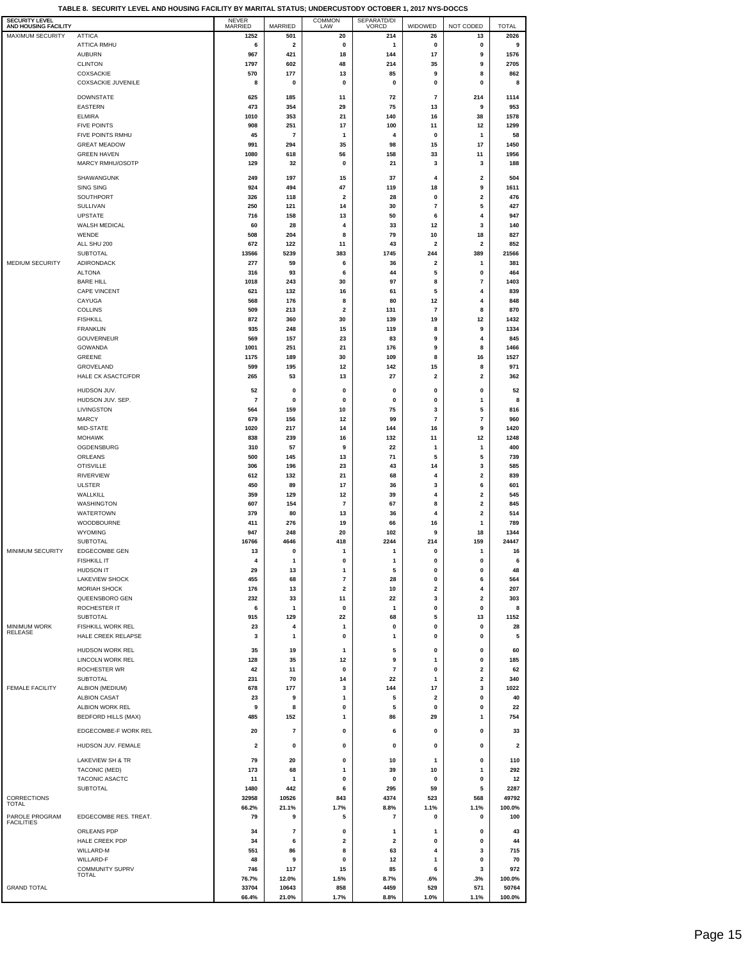| <b>SECURITY LEVEL</b><br>AND HOUSING FACILITY |                                       | <b>NEVER</b><br>MARRIED | MARRIED                  | <b>COMMON</b><br>LAW    | SEPARATD/DI<br><b>VORCD</b> | WIDOWED                      | NOT CODED   | <b>TOTAL</b>    |
|-----------------------------------------------|---------------------------------------|-------------------------|--------------------------|-------------------------|-----------------------------|------------------------------|-------------|-----------------|
| <b>MAXIMUM SECURITY</b>                       | <b>ATTICA</b>                         | 1252                    | 501                      | 20                      | 214                         | 26                           | 13          | 2026            |
|                                               | <b>ATTICA RMHU</b>                    | 6                       | $\overline{\mathbf{2}}$  | 0                       | 1                           | 0                            | 0           | 9               |
|                                               | <b>AUBURN</b>                         | 967                     | 421                      | 18                      | 144                         | 17                           | 9           | 1576            |
|                                               | <b>CLINTON</b>                        | 1797                    | 602                      | 48                      | 214                         | 35                           | 9           | 2705            |
|                                               | COXSACKIE                             | 570                     | 177                      | 13                      | 85                          | 9                            | 8           | 862             |
|                                               | <b>COXSACKIE JUVENILE</b>             | 8                       | 0                        | 0                       | $\mathbf 0$                 | 0                            | 0           | 8               |
|                                               | <b>DOWNSTATE</b>                      | 625                     | 185                      | 11                      | 72                          | $\overline{\phantom{a}}$     | 214         | 1114            |
|                                               | EASTERN                               | 473                     | 354                      | 29                      | 75                          | 13                           | 9           | 953             |
|                                               | <b>ELMIRA</b>                         | 1010                    | 353                      | 21                      | 140                         | 16                           | 38          | 1578            |
|                                               | <b>FIVE POINTS</b>                    | 908                     | 251                      | 17                      | 100                         | 11                           | 12          | 1299            |
|                                               | FIVE POINTS RMHU                      | 45                      | $\overline{7}$           | 1                       | 4                           | 0                            | 1           | 58              |
|                                               | <b>GREAT MEADOW</b>                   | 991                     | 294                      | 35                      | 98                          | 15                           | 17          | 1450            |
|                                               | <b>GREEN HAVEN</b>                    | 1080                    | 618                      | 56                      | 158                         | 33                           | 11          | 1956            |
|                                               | MARCY RMHU/OSOTP                      | 129                     | 32                       | 0                       | 21                          | 3                            | 3           | 188             |
|                                               | SHAWANGUNK                            | 249                     | 197                      | 15                      | 37                          | 4                            | 2           | 504             |
|                                               | <b>SING SING</b>                      | 924                     | 494                      | 47                      | 119                         | 18                           | 9           | 1611            |
|                                               | SOUTHPORT                             | 326                     | 118                      | $\overline{\mathbf{2}}$ | 28                          | 0                            | 2           | 476             |
|                                               | SULLIVAN                              | 250                     | 121                      | 14                      | 30                          | $\overline{\phantom{a}}$     | 5           | 427             |
|                                               | <b>UPSTATE</b>                        | 716                     | 158                      | 13                      | 50                          | 6                            | 4           | 947             |
|                                               | <b>WALSH MEDICAL</b>                  | 60                      | 28                       | 4                       | 33                          | 12                           | 3           | 140             |
|                                               | WENDE                                 | 508                     | 204                      | 8                       | 79                          | 10                           | 18          | 827             |
|                                               | ALL SHU 200                           | 672                     | 122                      | 11                      | 43                          | $\overline{\mathbf{2}}$      | 2           | 852             |
| MEDIUM SECURITY                               | <b>SUBTOTAL</b>                       | 13566                   | 5239                     | 383                     | 1745                        | 244                          | 389         | 21566           |
|                                               | ADIRONDACK                            | 277                     | 59                       | 6                       | 36                          | $\overline{\mathbf{2}}$<br>5 | 1           | 381             |
|                                               | <b>ALTONA</b><br><b>BARE HILL</b>     | 316<br>1018             | 93<br>243                | 6<br>30                 | 44<br>97                    | 8                            | 0<br>7      | 464<br>1403     |
|                                               | <b>CAPE VINCENT</b>                   | 621                     | 132                      | 16                      | 61                          | 5                            | 4           | 839             |
|                                               | CAYUGA                                | 568                     | 176                      | 8                       | 80                          | 12                           | 4           | 848             |
|                                               | <b>COLLINS</b>                        | 509                     | 213                      | $\overline{\mathbf{2}}$ | 131                         | $\overline{\mathbf{r}}$      | 8           | 870             |
|                                               | <b>FISHKILL</b>                       | 872                     | 360                      | 30                      | 139                         | 19                           | 12          | 1432            |
|                                               | <b>FRANKLIN</b>                       | 935                     | 248                      | 15                      | 119                         | 8                            | 9           | 1334            |
|                                               | GOUVERNEUR                            | 569                     | 157                      | 23                      | 83                          | 9                            | 4           | 845             |
|                                               | <b>GOWANDA</b>                        | 1001                    | 251                      | 21                      | 176                         | 9                            | 8           | 1466            |
|                                               | GREENE                                | 1175                    | 189                      | 30                      | 109                         | 8                            | 16          | 1527            |
|                                               | GROVELAND                             | 599                     | 195                      | 12                      | 142                         | 15                           | 8           | 971             |
|                                               | HALE CK ASACTC/FDR                    | 265                     | 53                       | 13                      | 27                          | 2                            | 2           | 362             |
|                                               | HUDSON JUV.                           | 52                      | 0                        | 0                       | 0                           | 0                            | 0           | 52              |
|                                               | HUDSON JUV. SEP.                      | 7                       | 0                        | 0                       | 0                           | 0                            | 1           | 8               |
|                                               | LIVINGSTON                            | 564                     | 159                      | 10                      | 75                          | 3                            | 5           | 816             |
|                                               | <b>MARCY</b>                          | 679                     | 156                      | 12                      | 99                          | $\overline{\mathbf{r}}$      | 7           | 960             |
|                                               | MID-STATE                             | 1020                    | 217                      | 14                      | 144                         | 16                           | 9           | 1420            |
|                                               | <b>MOHAWK</b>                         | 838                     | 239                      | 16                      | 132                         | 11                           | 12          | 1248            |
|                                               | OGDENSBURG                            | 310                     | 57                       | 9                       | 22                          | 1                            | 1           | 400             |
|                                               | ORLEANS                               | 500                     | 145                      | 13                      | 71                          | 5                            | 5           | 739             |
|                                               | <b>OTISVILLE</b><br><b>RIVERVIEW</b>  | 306                     | 196                      | 23<br>21                | 43                          | 14<br>4                      | 3<br>2      | 585<br>839      |
|                                               | ULSTER                                | 612<br>450              | 132<br>89                | 17                      | 68<br>36                    | 3                            | 6           | 601             |
|                                               | WALLKILL                              | 359                     | 129                      | 12                      | 39                          | 4                            | 2           | 545             |
|                                               | WASHINGTON                            | 607                     | 154                      | 7                       | 67                          | 8                            | 2           | 845             |
|                                               | WATERTOWN                             | 379                     | 80                       | 13                      | 36                          | 4                            | 2           | 514             |
|                                               | WOODBOURNE                            | 411                     | 276                      | 19                      | 66                          | 16                           | 1           | 789             |
|                                               | <b>WYOMING</b>                        | 947                     | 248                      | 20                      | 102                         | 9                            | 18          | 1344            |
|                                               | SUBTOTAL                              | 16766                   | 4646                     | 418                     | 2244                        | 214                          | 159         | 24447           |
| MINIMUM SECURITY                              | <b>EDGECOMBE GEN</b>                  | 13                      | 0                        | 1                       | 1                           | 0                            | 1           | 16              |
|                                               | <b>FISHKILL IT</b>                    |                         |                          | 0                       |                             | O                            | Ō           | 6               |
|                                               | <b>HUDSON IT</b>                      | 29                      | 13                       | 1                       | 5                           | $\pmb{0}$                    | 0           | 48              |
|                                               | <b>LAKEVIEW SHOCK</b>                 | 455                     | 68                       | 7                       | 28                          | 0                            | 6           | 564             |
|                                               | <b>MORIAH SHOCK</b><br>QUEENSBORO GEN | 176<br>232              | 13<br>33                 | 2<br>11                 | 10<br>22                    | 2<br>3                       | 4<br>2      | 207<br>303      |
|                                               | ROCHESTER IT                          | 6                       | $\mathbf{1}$             | 0                       | 1                           | 0                            | $\pmb{0}$   | 8               |
|                                               | <b>SUBTOTAL</b>                       | 915                     | 129                      | 22                      | 68                          | 5                            | 13          | 1152            |
| MINIMUM WORK                                  | FISHKILL WORK REL                     | 23                      | 4                        | $\mathbf{1}$            | 0                           | $\pmb{0}$                    | $\pmb{0}$   | 28              |
| RELEASE                                       | HALE CREEK RELAPSE                    | 3                       | $\mathbf{1}$             | 0                       | 1                           | 0                            | 0           | 5               |
|                                               | HUDSON WORK REL                       |                         |                          |                         |                             | 0                            |             |                 |
|                                               | LINCOLN WORK REL                      | 35<br>128               | 19<br>35                 | 1<br>12                 | 5<br>9                      | 1                            | 0<br>0      | 60<br>185       |
|                                               | <b>ROCHESTER WR</b>                   | 42                      | 11                       | 0                       | $\overline{7}$              | 0                            | $\mathbf 2$ | 62              |
|                                               | <b>SUBTOTAL</b>                       | 231                     | 70                       | 14                      | 22                          | 1                            | $\mathbf 2$ | 340             |
| <b>FEMALE FACILITY</b>                        | ALBION (MEDIUM)                       | 678                     | 177                      | 3                       | 144                         | 17                           | 3           | 1022            |
|                                               | <b>ALBION CASAT</b>                   | 23                      | 9                        | 1                       | 5                           | $\overline{\mathbf{2}}$      | 0           | 40              |
|                                               | ALBION WORK REL                       | 9                       | 8                        | 0                       | 5                           | 0                            | 0           | 22              |
|                                               | <b>BEDFORD HILLS (MAX)</b>            | 485                     | 152                      | 1                       | 86                          | 29                           | 1           | 754             |
|                                               | EDGECOMBE-F WORK REL                  | 20                      | 7                        | 0                       | 6                           | 0                            | 0           | 33              |
|                                               |                                       |                         |                          |                         |                             |                              |             |                 |
|                                               | HUDSON JUV. FEMALE                    | 2                       | 0                        | 0                       | 0                           | 0                            | 0           | 2               |
|                                               | LAKEVIEW SH & TR                      | 79                      | 20                       | 0                       | 10                          | 1                            | 0           | 110             |
|                                               | <b>TACONIC (MED)</b>                  | 173                     | 68                       | 1                       | 39                          | 10                           | 1           | 292             |
|                                               | TACONIC ASACTC                        | 11                      | $\mathbf{1}$             | 0                       | 0                           | 0                            | 0           | 12              |
|                                               | <b>SUBTOTAL</b>                       | 1480                    | 442                      | 6                       | 295                         | 59                           | 5           | 2287            |
| CORRECTIONS<br><b>TOTAL</b>                   |                                       | 32958                   | 10526                    | 843                     | 4374                        | 523                          | 568         | 49792           |
|                                               |                                       | 66.2%                   | 21.1%                    | 1.7%                    | 8.8%                        | 1.1%                         | 1.1%        | 100.0%          |
| PAROLE PROGRAM<br><b>FACILITIES</b>           | EDGECOMBE RES. TREAT.                 | 79                      | 9                        | 5                       | 7                           | 0                            | 0           | 100             |
|                                               | ORLEANS PDP                           | 34                      | $\overline{\phantom{a}}$ | 0                       | 1                           | 1                            | 0           | 43              |
|                                               | HALE CREEK PDP                        | 34                      | 6                        | 2                       | 2                           | $\bf{0}$                     | 0           | 44              |
|                                               | WILLARD-M                             | 551                     | 86                       | 8                       | 63                          | 4                            | 3           | 715             |
|                                               | WILLARD-F                             | 48                      | 9                        | 0                       | 12                          | 1                            | 0           | 70              |
|                                               | <b>COMMUNITY SUPRV</b><br>TOTAL       | 746                     | 117                      | 15                      | 85                          | 6                            | 3           | 972             |
| <b>GRAND TOTAL</b>                            |                                       | 76.7%<br>33704          | 12.0%<br>10643           | 1.5%                    | 8.7%<br>4459                | .6%<br>529                   | .3%<br>571  | 100.0%<br>50764 |
|                                               |                                       | 66.4%                   | 21.0%                    | 858<br>1.7%             | 8.8%                        | 1.0%                         | 1.1%        | 100.0%          |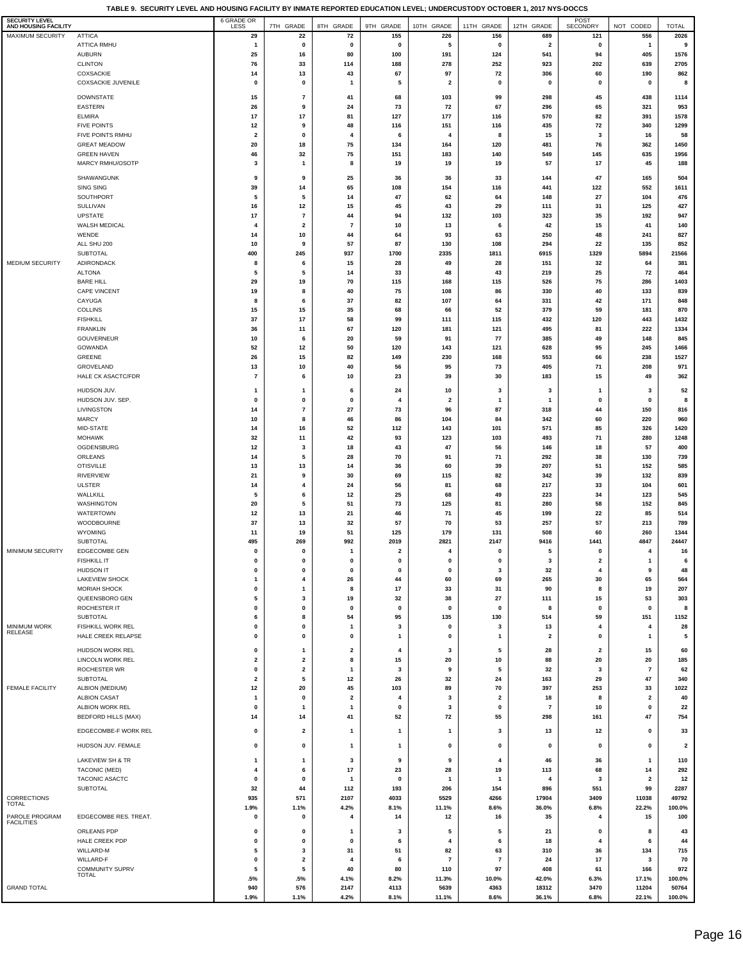**TABLE 9. SECURITY LEVEL AND HOUSING FACILITY BY INMATE REPORTED EDUCATION LEVEL; UNDERCUSTODY OCTOBER 1, 2017 NYS-DOCCS**

| SECURITY LEVEL<br>AND HOUSING FACILITY |                                        | 6 GRADE OR<br>LESS            | 7TH GRADE               | 8TH GRADE               | 9TH GRADE               | 10TH GRADE              | 11TH GRADE              | 12TH GRADE                     | POST<br>SECONDRY                 | NOT CODED               | <b>TOTAL</b>    |
|----------------------------------------|----------------------------------------|-------------------------------|-------------------------|-------------------------|-------------------------|-------------------------|-------------------------|--------------------------------|----------------------------------|-------------------------|-----------------|
| <b>MAXIMUM SECURITY</b>                | <b>ATTICA</b>                          | 29                            | 22                      | 72                      | 155                     | 226                     | 156                     | 689                            | 121                              | 556                     | 2026            |
|                                        | ATTICA RMHU<br>AUBURN                  | $\mathbf{1}$<br>25            | 0<br>16                 | $\mathbf 0$<br>80       | $\pmb{0}$<br>100        | 5<br>191                | 0<br>124                | $\overline{\mathbf{2}}$<br>541 | 0<br>94                          | $\mathbf{1}$<br>405     | 9<br>1576       |
|                                        | <b>CLINTON</b>                         | 76                            | 33                      | 114                     | 188                     | 278                     | 252                     | 923                            | 202                              | 639                     | 2705            |
|                                        | COXSACKIE                              | 14                            | 13                      | 43                      | 67                      | 97                      | 72                      | 306                            | 60                               | 190                     | 862             |
|                                        | <b>COXSACKIE JUVENILE</b>              | 0                             | 0                       | -1                      | 5                       | $\overline{2}$          | 0                       | $\mathbf{0}$                   | 0                                | $\mathbf 0$             | 8               |
|                                        | <b>DOWNSTATE</b>                       | 15                            | $\overline{\mathbf{r}}$ | 41                      | 68                      | 103                     | 99                      | 298                            | 45                               | 438                     | 1114            |
|                                        | EASTERN                                | 26                            | 9                       | 24                      | 73                      | 72                      | 67                      | 296                            | 65                               | 321                     | 953             |
|                                        | <b>ELMIRA</b>                          | 17                            | 17                      | 81                      | 127                     | 177                     | 116                     | 570                            | 82                               | 391                     | 1578            |
|                                        | <b>FIVE POINTS</b><br>FIVE POINTS RMHU | 12<br>$\overline{\mathbf{2}}$ | 9<br>0                  | 48<br>$\overline{4}$    | 116<br>6                | 151<br>4                | 116<br>8                | 435<br>15                      | 72<br>3                          | 340<br>16               | 1299<br>58      |
|                                        | <b>GREAT MEADOW</b>                    | 20                            | 18                      | 75                      | 134                     | 164                     | 120                     | 481                            | 76                               | 362                     | 1450            |
|                                        | <b>GREEN HAVEN</b>                     | 46                            | 32                      | 75                      | 151                     | 183                     | 140                     | 549                            | 145                              | 635                     | 1956            |
|                                        | MARCY RMHU/OSOTP                       | 3                             | $\mathbf{1}$            | 8                       | 19                      | 19                      | 19                      | 57                             | 17                               | 45                      | 188             |
|                                        | SHAWANGUNK                             | 9                             | 9                       | 25                      | 36                      | 36                      | 33                      | 144                            | 47                               | 165                     | 504             |
|                                        | SING SING                              | 39                            | 14                      | 65                      | 108                     | 154                     | 116                     | 441                            | 122                              | 552                     | 1611            |
|                                        | SOUTHPORT                              | 5                             | 5                       | 14                      | 47<br>45                | 62<br>43                | 64                      | 148                            | 27                               | 104<br>125              | 476             |
|                                        | SULLIVAN<br><b>UPSTATE</b>             | 16<br>17                      | 12<br>$\overline{7}$    | 15<br>44                | 94                      | 132                     | 29<br>103               | 111<br>323                     | 31<br>35                         | 192                     | 427<br>947      |
|                                        | <b>WALSH MEDICAL</b>                   | 4                             | 2                       | $\overline{7}$          | 10                      | 13                      | 6                       | 42                             | 15                               | 41                      | 140             |
|                                        | WENDE                                  | 14                            | 10                      | 44                      | 64                      | 93                      | 63                      | 250                            | 48                               | 241                     | 827             |
|                                        | ALL SHU 200                            | 10<br>400                     | 9                       | 57<br>937               | 87                      | 130                     | 108<br>1811             | 294<br>6915                    | 22                               | 135                     | 852             |
| <b>MEDIUM SECURITY</b>                 | SUBTOTAL<br>ADIRONDACK                 | 8                             | 245<br>6                | 15                      | 1700<br>28              | 2335<br>49              | 28                      | 151                            | 1329<br>32                       | 5894<br>64              | 21566<br>381    |
|                                        | <b>ALTONA</b>                          | 5                             | 5                       | 14                      | 33                      | 48                      | 43                      | 219                            | 25                               | 72                      | 464             |
|                                        | <b>BARE HILL</b>                       | 29                            | 19                      | 70                      | 115                     | 168                     | 115                     | 526                            | 75                               | 286                     | 1403            |
|                                        | CAPE VINCENT                           | 19<br>8                       | 8<br>6                  | 40<br>37                | 75<br>82                | 108<br>107              | 86<br>64                | 330<br>331                     | 40<br>42                         | 133<br>171              | 839<br>848      |
|                                        | CAYUGA<br>COLLINS                      | 15                            | 15                      | 35                      | 68                      | 66                      | 52                      | 379                            | 59                               | 181                     | 870             |
|                                        | <b>FISHKILL</b>                        | 37                            | 17                      | 58                      | 99                      | 111                     | 115                     | 432                            | 120                              | 443                     | 1432            |
|                                        | <b>FRANKLIN</b>                        | 36                            | 11                      | 67                      | 120                     | 181                     | 121                     | 495                            | 81                               | 222                     | 1334            |
|                                        | GOUVERNEUR                             | 10<br>52                      | 6                       | 20<br>50                | 59                      | 91                      | 77                      | 385<br>628                     | 49                               | 148<br>245              | 845<br>1466     |
|                                        | GOWANDA<br>GREENE                      | 26                            | 12<br>15                | 82                      | 120<br>149              | 143<br>230              | 121<br>168              | 553                            | 95<br>66                         | 238                     | 1527            |
|                                        | GROVELAND                              | 13                            | 10                      | 40                      | 56                      | 95                      | 73                      | 405                            | 71                               | 208                     | 971             |
|                                        | <b>HALE CK ASACTC/FDR</b>              | $\overline{7}$                | 6                       | 10                      | 23                      | 39                      | 30                      | 183                            | 15                               | 49                      | 362             |
|                                        | HUDSON JUV.                            | $\mathbf{1}$                  | 1                       | 6                       | 24                      | 10                      | 3                       | 3                              | $\mathbf{1}$                     | 3                       | 52              |
|                                        | HUDSON JUV. SEP.                       | 0                             | 0                       | $\mathbf 0$             | 4                       | $\overline{\mathbf{2}}$ | $\overline{1}$          | $\overline{1}$                 | 0                                | $\mathbf 0$             | 8               |
|                                        | LIVINGSTON                             | 14                            | 7                       | 27                      | 73                      | 96                      | 87                      | 318                            | 44                               | 150                     | 816             |
|                                        | <b>MARCY</b><br>MID-STATE              | 10<br>14                      | 8<br>16                 | 46<br>52                | 86<br>112               | 104<br>143              | 84<br>101               | 342<br>571                     | 60<br>85                         | 220<br>326              | 960<br>1420     |
|                                        | <b>MOHAWK</b>                          | 32                            | 11                      | 42                      | 93                      | 123                     | 103                     | 493                            | 71                               | 280                     | 1248            |
|                                        | OGDENSBURG                             | 12                            | 3                       | 18                      | 43                      | 47                      | 56                      | 146                            | 18                               | 57                      | 400             |
|                                        | ORLEANS                                | 14                            | 5                       | 28                      | 70                      | 91                      | 71                      | 292                            | 38                               | 130                     | 739             |
|                                        | <b>OTISVILLE</b><br>RIVERVIEW          | 13<br>21                      | 13<br>9                 | 14<br>30                | 36<br>69                | 60<br>115               | 39<br>82                | 207<br>342                     | 51<br>39                         | 152<br>132              | 585<br>839      |
|                                        | <b>ULSTER</b>                          | 14                            | 4                       | 24                      | 56                      | 81                      | 68                      | 217                            | 33                               | 104                     | 601             |
|                                        | WALLKILL                               | 5                             | 6                       | 12                      | 25                      | 68                      | 49                      | 223                            | 34                               | 123                     | 545             |
|                                        | WASHINGTON                             | 20                            | 5                       | 51                      | 73                      | 125                     | 81                      | 280                            | 58                               | 152                     | 845             |
|                                        | WATERTOWN<br>WOODBOURNE                | 12<br>37                      | 13<br>13                | 21<br>32                | 46<br>57                | 71<br>70                | 45<br>53                | 199<br>257                     | 22<br>57                         | 85<br>213               | 514<br>789      |
|                                        | <b>WYOMING</b>                         | 11                            | 19                      | 51                      | 125                     | 179                     | 131                     | 508                            | 60                               | 260                     | 1344            |
|                                        | SUBTOTAL                               | 495                           | 269                     | 992                     | 2019                    | 2821                    | 2147                    | 9416                           | 1441                             | 4847                    | 24447           |
| MINIMUM SECURITY                       | <b>EDGECOMBE GEN</b>                   | 0                             | 0                       | $\mathbf{1}$            | $\overline{\mathbf{2}}$ | 4                       | 0                       | 5                              | 0                                | 4                       | 16              |
|                                        | <b>FISHKILL IT</b><br><b>HUDSON IT</b> | $\bf{0}$<br>$\pmb{0}$         | $\mathbf{0}$<br>0       | $\Omega$<br>$\pmb{0}$   | $\Omega$<br>$\pmb{0}$   | $\pmb{0}$               | $\mathbf 3$             | $\overline{\mathbf{3}}$<br>32  | $\overline{2}$<br>$\overline{4}$ | 9                       | 6<br>48         |
|                                        | <b>LAKEVIEW SHOCK</b>                  | 1                             | 4                       | 26                      | 44                      | 60                      | 69                      | 265                            | 30                               | 65                      | 564             |
|                                        | <b>MORIAH SHOCK</b>                    | 0                             | 1                       | 8                       | 17                      | 33                      | 31                      | 90                             | 8                                | 19                      | 207             |
|                                        | QUEENSBORO GEN                         | 5                             | 3                       | 19                      | 32                      | 38                      | 27                      | 111                            | 15                               | 53                      | 303             |
|                                        | ROCHESTER IT<br>SUBTOTAL               | 0<br>6                        | 0<br>8                  | 0<br>54                 | 0<br>95                 | 0<br>135                | $\mathbf 0$<br>130      | 8<br>514                       | 0<br>59                          | $\mathbf 0$<br>151      | 8<br>1152       |
| <b>MINIMUM WORK</b>                    | FISHKILL WORK REL                      | $\pmb{0}$                     | 0                       | $\mathbf{1}$            | 3                       | $\pmb{0}$               | $\mathbf 3$             | 13                             | 4                                | 4                       | 28              |
| RELEASE                                | HALE CREEK RELAPSE                     | 0                             | 0                       | 0                       | $\mathbf{1}$            | 0                       | $\overline{\mathbf{1}}$ | $\overline{\mathbf{2}}$        | 0                                | $\mathbf{1}$            | 5               |
|                                        | HUDSON WORK REL                        | 0                             | 1                       | $\mathbf{2}$            | 4                       | 3                       | 5                       | 28                             | $\overline{\mathbf{2}}$          | 15                      | 60              |
|                                        | LINCOLN WORK REL                       | $\overline{\mathbf{2}}$       | 2                       | 8                       | 15                      | 20                      | 10                      | 88                             | 20                               | 20                      | 185             |
|                                        | <b>ROCHESTER WR</b>                    | $\pmb{0}$                     | $\mathbf{2}$            | $\mathbf{1}$            | 3                       | 9                       | 5                       | 32                             | 3                                | $\overline{7}$          | 62              |
| <b>FEMALE FACILITY</b>                 | SUBTOTAL<br>ALBION (MEDIUM)            | $\overline{\mathbf{2}}$<br>12 | 5<br>20                 | 12<br>45                | 26<br>103               | 32<br>89                | 24<br>70                | 163<br>397                     | 29<br>253                        | 47<br>33                | 340<br>1022     |
|                                        | <b>ALBION CASAT</b>                    | $\mathbf{1}$                  | 0                       | $\overline{\mathbf{2}}$ | 4                       | 3                       | $\overline{\mathbf{2}}$ | 18                             | 8                                | $\overline{\mathbf{2}}$ | 40              |
|                                        | ALBION WORK REL                        | 0                             | 1                       | $\mathbf{1}$            | 0                       | 3                       | 0                       | $\overline{7}$                 | 10                               | $\pmb{0}$               | 22              |
|                                        | <b>BEDFORD HILLS (MAX)</b>             | 14                            | 14                      | 41                      | 52                      | 72                      | 55                      | 298                            | 161                              | 47                      | 754             |
|                                        | EDGECOMBE-F WORK REL                   | 0                             | 2                       | $\mathbf{1}$            | $\mathbf{1}$            | $\mathbf{1}$            | 3                       | 13                             | 12                               | 0                       | 33              |
|                                        | HUDSON JUV. FEMALE                     | 0                             | 0                       | $\mathbf{1}$            | 1                       | 0                       | 0                       | $\mathbf{0}$                   | 0                                | 0                       | 2               |
|                                        | LAKEVIEW SH & TR                       | $\mathbf{1}$                  | 1                       | 3                       | 9                       | 9                       | $\overline{4}$          | 46                             | 36                               | $\mathbf{1}$            | 110             |
|                                        | TACONIC (MED)                          | 4                             | 6                       | 17                      | 23                      | 28                      | 19                      | 113                            | 68                               | 14                      | 292             |
|                                        | TACONIC ASACTC                         | 0                             | 0                       | $\mathbf{1}$            | $\pmb{0}$               | $\mathbf{1}$            | -1                      | $\overline{4}$                 | 3                                | $\overline{\mathbf{2}}$ | 12              |
| CORRECTIONS                            | SUBTOTAL                               | 32<br>935                     | 44<br>571               | 112<br>2107             | 193<br>4033             | 206<br>5529             | 154<br>4266             | 896<br>17904                   | 551<br>3409                      | 99<br>11038             | 2287<br>49792   |
| <b>TOTAL</b>                           |                                        | 1.9%                          | 1.1%                    | 4.2%                    | 8.1%                    | 11.1%                   | 8.6%                    | 36.0%                          | 6.8%                             | 22.2%                   | 100.0%          |
| PAROLE PROGRAM<br><b>FACILITIES</b>    | EDGECOMBE RES. TREAT.                  | 0                             | 0                       | 4                       | 14                      | 12                      | 16                      | 35                             | 4                                | 15                      | 100             |
|                                        | ORLEANS PDP                            | 0                             | 0                       | -1                      | 3                       | 5                       | 5                       | 21                             | 0                                | 8                       | 43              |
|                                        | HALE CREEK PDP                         | 0                             | 0                       | 0                       | 6                       | 4                       | 6                       | 18                             | 4                                | 6                       | 44              |
|                                        | WILLARD-M<br>WILLARD-F                 | 5<br>0                        | 3<br>2                  | 31<br>$\overline{4}$    | 51<br>6                 | 82<br>$\overline{7}$    | 63<br>$\overline{7}$    | 310<br>24                      | 36<br>17                         | 134<br>3                | 715<br>70       |
|                                        | COMMUNITY SUPRV                        | 5                             | 5                       | 40                      | 80                      | 110                     | 97                      | 408                            | 61                               | 166                     | 972             |
|                                        | <b>TOTAL</b>                           | .5%                           | .5%                     | 4.1%                    | 8.2%                    | 11.3%                   | 10.0%                   | 42.0%                          | 6.3%                             | 17.1%                   | 100.0%          |
| <b>GRAND TOTAL</b>                     |                                        | 940<br>1.9%                   | 576<br>1.1%             | 2147<br>4.2%            | 4113<br>8.1%            | 5639<br>11.1%           | 4363<br>8.6%            | 18312<br>36.1%                 | 3470<br>6.8%                     | 11204<br>22.1%          | 50764<br>100.0% |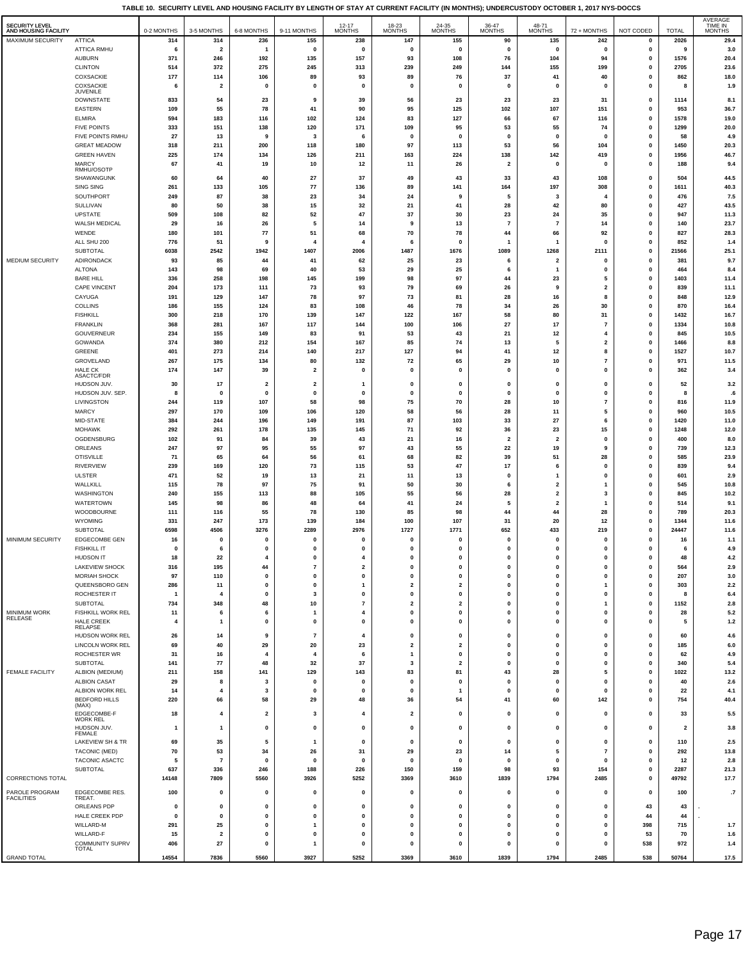**TABLE 10. SECURITY LEVEL AND HOUSING FACILITY BY LENGTH OF STAY AT CURRENT FACILITY (IN MONTHS); UNDERCUSTODY OCTOBER 1, 2017 NYS-DOCCS**

| SECURITY LEVEL<br>AND HOUSING FACILITY |                                           | 0-2 MONTHS         | 3-5 MONTHS                     | 6-8 MONTHS                     | 9-11 MONTHS                     | 12-17<br>MONTHS               | 18-23<br>MONTHS              | $24-35$ MONTHS                       | 36-47<br>MONTHS          | 48-71<br><b>MONTHS</b>    | 72 + MONTHS                  | NOT CODED              | <b>TOTAL</b>            | AVERAGE<br>TIME IN<br><b>MONTHS</b> |
|----------------------------------------|-------------------------------------------|--------------------|--------------------------------|--------------------------------|---------------------------------|-------------------------------|------------------------------|--------------------------------------|--------------------------|---------------------------|------------------------------|------------------------|-------------------------|-------------------------------------|
| <b>MAXIMUM SECURITY</b>                | <b>ATTICA</b><br><b>ATTICA RMHU</b>       | 314<br>6           | 314<br>$\overline{\mathbf{2}}$ | 236<br>$\overline{\mathbf{1}}$ | 155<br>$\pmb{0}$                | 238<br>$\mathbf 0$            | 147<br>$\mathbf 0$           | 155<br>0                             | 90<br>0                  | 135<br>0                  | 242<br>$\pmb{0}$             | $\mathbf 0$<br>0       | 2026<br>9               | 29.4<br>3.0                         |
|                                        | <b>AUBURN</b>                             | 371                | 246                            | 192                            | 135                             | 157                           | 93                           | 108                                  | 76                       | 104                       | 94                           | 0                      | 1576                    | 20.4                                |
|                                        | <b>CLINTON</b>                            | 514                | 372                            | 275                            | 245                             | 313                           | 239                          | 249                                  | 144                      | 155                       | 199                          | 0                      | 2705                    | 23.6                                |
|                                        | COXSACKIE                                 | 177                | 114                            | 106                            | 89                              | 93                            | 89                           | 76                                   | 37                       | 41                        | 40                           | $\pmb{0}$              | 862                     | 18.0                                |
|                                        | COXSACKIE<br>JUVENILE                     | 6                  | $\overline{2}$                 | $\mathbf 0$                    | $\mathbf 0$                     | $\mathbf 0$                   | $\mathbf{0}$                 | $\pmb{0}$                            | 0                        | $\pmb{0}$                 | $\mathbf{0}$                 | $\pmb{0}$              | 8                       | 1.9                                 |
|                                        | <b>DOWNSTATE</b>                          | 833                | 54                             | 23                             | 9                               | 39                            | 56                           | 23                                   | 23                       | 23                        | 31                           | 0                      | 1114                    | 8.1                                 |
|                                        | EASTERN                                   | 109                | 55                             | 78                             | 41                              | 90                            | 95                           | 125                                  | 102                      | 107                       | 151                          | 0                      | 953                     | 36.7                                |
|                                        | ELMIRA                                    | 594                | 183                            | 116                            | 102                             | 124                           | 83                           | 127                                  | 66                       | 67                        | 116                          | $\pmb{0}$              | 1578                    | 19.0                                |
|                                        | <b>FIVE POINTS</b>                        | 333                | 151                            | 138                            | 120                             | 171                           | 109                          | 95                                   | 53                       | 55                        | 74                           | 0                      | 1299                    | 20.0                                |
|                                        | FIVE POINTS RMHU                          | 27                 | 13                             | 9                              | 3                               | 6                             | $\mathbf 0$                  | 0                                    | 0                        | $\mathbf 0$               | $\mathbf 0$                  | $\pmb{0}$              | 58                      | 4.9                                 |
|                                        | <b>GREAT MEADOW</b><br><b>GREEN HAVEN</b> | 318<br>225         | 211<br>174                     | 200<br>134                     | 118<br>126                      | 180<br>211                    | 97<br>163                    | 113<br>224                           | 53<br>138                | 56<br>142                 | 104<br>419                   | 0<br>0                 | 1450<br>1956            | 20.3<br>46.7                        |
|                                        | <b>MARCY</b>                              | 67                 | 41                             | 19                             | 10                              | 12                            | 11                           | 26                                   | $\overline{\mathbf{2}}$  | $\pmb{0}$                 | 0                            | 0                      | 188                     | 9.4                                 |
|                                        | RMHU/OSOTP                                |                    |                                |                                |                                 |                               |                              |                                      |                          |                           |                              |                        |                         |                                     |
|                                        | SHAWANGUNK                                | 60                 | 64                             | 40                             | 27                              | 37                            | 49                           | 43                                   | 33                       | 43                        | 108                          | 0                      | 504                     | 44.5                                |
|                                        | SING SING<br>SOUTHPORT                    | 261<br>249         | 133<br>87                      | 105<br>38                      | 77<br>23                        | 136<br>34                     | 89<br>24                     | 141<br>9                             | 164<br>5                 | 197<br>3                  | 308<br>4                     | 0<br>0                 | 1611<br>476             | 40.3<br>7.5                         |
|                                        | SULLIVAN                                  | 80                 | 50                             | 38                             | 15                              | 32                            | 21                           | 41                                   | 28                       | 42                        | 80                           | $\pmb{0}$              | 427                     | 43.5                                |
|                                        | UPSTATE                                   | 509                | 108                            | 82                             | 52                              | 47                            | 37                           | 30                                   | 23                       | 24                        | 35                           | 0                      | 947                     | 11.3                                |
|                                        | WALSH MEDICAL                             | 29                 | 16                             | 26                             | 5                               | 14                            | 9                            | 13                                   | 7                        | 7                         | 14                           | $\pmb{0}$              | 140                     | 23.7                                |
|                                        | WENDE                                     | 180                | 101                            | ${\bf 77}$                     | 51                              | 68                            | 70                           | 78                                   | 44                       | 66                        | 92                           | 0                      | 827                     | 28.3                                |
|                                        | ALL SHU 200<br>SUBTOTAL                   | 776<br>6038        | 51<br>2542                     | 9<br>1942                      | $\overline{\mathbf{4}}$<br>1407 | $\mathbf{A}$<br>2006          | 6<br>1487                    | 0<br>1676                            | 1<br>1089                | $\mathbf{1}$<br>1268      | $\mathbf 0$<br>2111          | $\pmb{0}$<br>0         | 852<br>21566            | 1.4<br>25.1                         |
| MEDIUM SECURITY                        | ADIRONDACK                                | 93                 | 85                             | 44                             | 41                              | 62                            | 25                           | 23                                   | 6                        | $\overline{\mathbf{2}}$   | $\mathbf 0$                  | $\pmb{0}$              | 381                     | 9.7                                 |
|                                        | <b>ALTONA</b>                             | 143                | 98                             | 69                             | 40                              | 53                            | 29                           | 25                                   | 6                        | $\mathbf{1}$              | $\mathbf 0$                  | 0                      | 464                     | 8.4                                 |
|                                        | <b>BARE HILL</b>                          | 336                | 258                            | 198                            | 145                             | 199                           | 98                           | 97                                   | 44                       | 23                        | 5                            | $\pmb{0}$              | 1403                    | 11.4                                |
|                                        | CAPE VINCENT                              | 204                | 173                            | 111                            | 73                              | 93                            | 79                           | 69                                   | 26                       | 9                         | $\overline{\mathbf{2}}$      | $\pmb{0}$              | 839                     | 11.1                                |
|                                        | CAYUGA                                    | 191                | 129                            | 147                            | 78                              | 97                            | 73                           | 81                                   | 28                       | 16                        | 8                            | $\pmb{0}$              | 848                     | 12.9                                |
|                                        | <b>COLLINS</b><br><b>FISHKILL</b>         | 186<br>300         | 155<br>218                     | 124<br>170                     | 83<br>139                       | 108<br>147                    | 46<br>122                    | 78<br>167                            | 34<br>58                 | 26<br>80                  | 30<br>31                     | 0<br>$\pmb{0}$         | 870<br>1432             | 16.4<br>16.7                        |
|                                        | <b>FRANKLIN</b>                           | 368                | 281                            | 167                            | 117                             | 144                           | 100                          | 106                                  | 27                       | 17                        | $\overline{7}$               | $\pmb{0}$              | 1334                    | 10.8                                |
|                                        | <b>GOUVERNEUR</b>                         | 234                | 155                            | 149                            | 83                              | 91                            | 53                           | 43                                   | 21                       | 12                        |                              | $\pmb{0}$              | 845                     | 10.5                                |
|                                        | GOWANDA                                   | 374                | 380                            | 212                            | 154                             | 167                           | 85                           | 74                                   | 13                       | 5                         | $\overline{\mathbf{2}}$      | 0                      | 1466                    | 8.8                                 |
|                                        | GREENE                                    | 401                | 273                            | 214                            | 140                             | 217                           | 127                          | 94                                   | 41                       | 12                        | 8                            | $\pmb{0}$              | 1527                    | 10.7                                |
|                                        | GROVELAND                                 | 267                | 175                            | 134                            | 80                              | 132                           | 72                           | 65                                   | 29                       | 10                        | $\overline{7}$               | $\pmb{0}$              | 971                     | 11.5                                |
|                                        | HALE CK<br>ASACTC/FDR                     | 174                | 147                            | 39                             | $\overline{2}$                  | $\mathbf 0$                   | $\mathbf{0}$                 | $\pmb{0}$                            | $\mathbf 0$              | $\mathbf{0}$              | $\mathbf{0}$                 | $\pmb{0}$              | 362                     | 3.4                                 |
|                                        | HUDSON JUV.                               | 30                 | 17                             | $\overline{\mathbf{2}}$        | $\overline{\mathbf{2}}$         | $\overline{\mathbf{1}}$       | $\mathbf{0}$                 | $\pmb{0}$                            | 0                        | 0                         | $\mathbf 0$                  | $\pmb{0}$              | 52                      | 3.2                                 |
|                                        | HUDSON JUV. SEP.                          | 8                  | 0                              | $\mathbf 0$                    | $\mathbf 0$                     | $\mathbf 0$                   | $\mathbf{0}$                 | $\pmb{0}$                            | $\mathbf{0}$             | $\mathbf{0}$              | $\mathbf 0$                  | 0                      | 8                       | $\epsilon$                          |
|                                        | LIVINGSTON<br><b>MARCY</b>                | 244<br>297         | 119<br>170                     | 107<br>109                     | 58<br>106                       | 98<br>120                     | 75<br>58                     | 70<br>56                             | 28<br>28                 | 10<br>11                  | $\overline{7}$<br>5          | $\pmb{0}$<br>$\pmb{0}$ | 816<br>960              | 11.9<br>10.5                        |
|                                        | MID-STATE                                 | 384                | 244                            | 196                            | 149                             | 191                           | 87                           | 103                                  | 33                       | 27                        | 6                            | $\pmb{0}$              | 1420                    | 11.0                                |
|                                        | <b>MOHAWK</b>                             | 292                | 261                            | 178                            | 135                             | 145                           | 71                           | 92                                   | 36                       | 23                        | 15                           | 0                      | 1248                    | 12.0                                |
|                                        | OGDENSBURG                                | 102                | 91                             | 84                             | 39                              | 43                            | 21                           | 16                                   | $\overline{\mathbf{2}}$  | $\overline{\mathbf{2}}$   | $\mathbf 0$                  | $\pmb{0}$              | 400                     | 8.0                                 |
|                                        | ORLEANS                                   | 247                | 97                             | 95                             | 55                              | 97                            | 43                           | 55                                   | 22                       | 19                        | 9                            | $\pmb{0}$              | 739                     | 12.3                                |
|                                        | <b>OTISVILLE</b>                          | 71                 | 65                             | 64                             | 56                              | 61                            | 68                           | 82                                   | 39                       | 51                        | 28                           | $\pmb{0}$              | 585                     | 23.9                                |
|                                        | <b>RIVERVIEW</b>                          | 239<br>471         | 169<br>52                      | 120                            | 73<br>13                        | 115                           | 53                           | 47<br>13                             | 17<br>$\mathbf 0$        | 6<br>$\overline{1}$       | $\mathbf{0}$<br>$\mathbf{0}$ | $\pmb{0}$              | 839                     | 9.4                                 |
|                                        | <b>ULSTER</b><br>WALLKILL                 | 115                | 78                             | 19<br>97                       | 75                              | 21<br>91                      | 11<br>50                     | 30                                   | 6                        | $\overline{2}$            | -1                           | $\pmb{0}$<br>$\pmb{0}$ | 601<br>545              | 2.9<br>10.8                         |
|                                        | WASHINGTON                                | 240                | 155                            | 113                            | 88                              | 105                           | 55                           | 56                                   | 28                       | $\overline{2}$            | 3                            | $\pmb{0}$              | 845                     | 10.2                                |
|                                        | <b>WATERTOWN</b>                          | 145                | 98                             | 86                             | 48                              | 64                            | 41                           | 24                                   | 5                        | $\overline{\mathbf{2}}$   | 1                            | $\pmb{0}$              | 514                     | 9.1                                 |
|                                        | WOODBOURNE                                | 111                | 116                            | 55                             | 78                              | 130                           | 85                           | 98                                   | 44                       | 44                        | 28                           | $\pmb{0}$              | 789                     | 20.3                                |
|                                        | WYOMING                                   | 331                | 247                            | 173                            | 139                             | 184                           | 100                          | 107                                  | 31                       | 20                        | 12                           | $\pmb{0}$              | 1344                    | 11.6                                |
| MINIMUM SECURITY                       | <b>SUBTOTAL</b><br><b>EDGECOMBE GEN</b>   | 6598<br>16         | 4506<br>0                      | 3276<br>$\mathbf 0$            | 2289<br>$\mathbf 0$             | 2976<br>$\mathbf 0$           | 1727<br>$\mathbf{0}$         | 1771<br>$\pmb{0}$                    | 652<br>$\mathbf 0$       | 433<br>$\mathbf{0}$       | 219<br>$\mathbf{0}$          | $\pmb{0}$<br>$\pmb{0}$ | 24447<br>16             | 11.6<br>1.1                         |
|                                        | <b>FISHKILL IT</b>                        | $\pmb{\mathsf{o}}$ | 6                              | $\mathbf 0$                    | $\mathbf 0$                     | $\mathbf 0$                   | $\pmb{0}$                    | $\pmb{0}$                            | 0                        | $\pmb{0}$                 | $\mathbf{0}$                 | $\pmb{0}$              | 6                       | 4.9                                 |
|                                        | <b>HUDSON IT</b>                          | 18                 | 22                             | 4                              | $\mathbf{0}$                    | 4                             | $\mathbf{0}$                 | $\mathbf{0}$                         | $\mathbf{0}$             | $\mathbf{0}$              | $\Omega$                     | $\mathbf{0}$           | 48                      | 4.2                                 |
|                                        | <b>LAKEVIEW SHOCK</b>                     | 316                | 195                            | 44                             | $\overline{7}$                  | $\overline{\mathbf{2}}$       | 0                            | $\pmb{0}$                            | 0                        | 0                         | $\mathbf 0$                  | 0                      | 564                     | 2.9                                 |
|                                        | MORIAH SHOCK                              | 97                 | 110                            | $\mathbf 0$                    | 0                               | $\mathbf 0$                   | $\pmb{0}$                    | $\pmb{0}$                            | $\mathbf{0}$             | $\mathbf{0}$              | $\mathbf{0}$                 | 0                      | 207                     | 3.0                                 |
|                                        | QUEENSBORO GEN                            | 286                | 11                             | $\mathbf 0$                    | $\mathbf 0$                     | $\mathbf{1}$                  | $\overline{\mathbf{2}}$      | $\overline{\mathbf{2}}$              | $\bf{0}$                 | $\pmb{0}$                 | $\mathbf{1}$                 | 0                      | 303                     | 2.2                                 |
|                                        | ROCHESTER IT<br>SUBTOTAL                  | -1<br>734          | $\overline{4}$<br>348          | $\Omega$<br>48                 | 3<br>$10\,$                     | $\mathbf 0$<br>$\overline{7}$ | $\pmb{0}$<br>$\mathbf{2}$    | $\pmb{0}$<br>$\overline{\mathbf{2}}$ | $\mathbf 0$<br>$\bf{0}$  | $\mathbf{0}$<br>$\pmb{0}$ | $\mathbf{0}$<br>-1           | $\pmb{0}$<br>0         | 8<br>1152               | 6.4<br>2.8                          |
| <b>MINIMUM WORK</b>                    | FISHKILL WORK REL                         | 11                 | 6                              | -6                             | $\mathbf{1}$                    | $\overline{4}$                | $\pmb{0}$                    | $\pmb{0}$                            | $\mathbf 0$              | $\pmb{0}$                 | $\Omega$                     | $\pmb{0}$              | 28                      | 5.2                                 |
| RELEASE                                | <b>HALE CREEK</b>                         | 4                  | $\mathbf{1}$                   | $\mathbf 0$                    | $\mathbf 0$                     | $\mathbf 0$                   | $\pmb{0}$                    | $\pmb{0}$                            | $\bf{0}$                 | $\pmb{0}$                 | $\mathbf{0}$                 | $\pmb{0}$              | 5                       | $1.2$                               |
|                                        | RELAPSE<br>HUDSON WORK REL                | 26                 | 14                             | 9                              | $\overline{7}$                  | $\overline{4}$                | $\pmb{0}$                    | $\pmb{0}$                            | $\mathbf{0}$             | $\mathbf{0}$              | $\pmb{0}$                    | $\pmb{0}$              | 60                      | 4.6                                 |
|                                        | <b>LINCOLN WORK REL</b>                   | 69                 | 40                             | 29                             | ${\bf 20}$                      | 23                            | $\overline{\mathbf{2}}$      | $\overline{\mathbf{2}}$              | 0                        | $\mathbf{0}$              | $\mathbf{0}$                 | $\pmb{0}$              | 185                     | 6.0                                 |
|                                        | ROCHESTER WR                              | 31                 | 16                             | 4                              | $\overline{4}$                  | 6                             | $\mathbf{1}$                 | $\pmb{0}$                            | $\bf{0}$                 | $\pmb{0}$                 | $\mathbf 0$                  | 0                      | 62                      | 4.9                                 |
|                                        | SUBTOTAL                                  | 141                | 77                             | 48                             | 32                              | 37                            | $\mathbf{3}$                 | $\mathbf{2}$                         | $\mathbf{0}$             | $\mathbf{0}$              | $\Omega$                     | $\pmb{0}$              | 340                     | 5.4                                 |
| <b>FEMALE FACILITY</b>                 | ALBION (MEDIUM)                           | 211                | 158                            | 141                            | 129                             | 143                           | 83                           | 81                                   | 43                       | 28                        | 5                            | $\pmb{0}$              | 1022                    | 13.2                                |
|                                        | <b>ALBION CASAT</b>                       | 29                 | 8<br>$\overline{4}$            | 3                              | $\mathbf 0$<br>$\mathbf 0$      | 0                             | $\mathbf{0}$<br>$\mathbf{0}$ | $\pmb{0}$<br>$\overline{1}$          | $\mathbf{0}$<br>$\bf{0}$ | $\mathbf{0}$<br>$\pmb{0}$ | $\mathbf{0}$<br>$\Omega$     | $\pmb{0}$              | 40                      | 2.6                                 |
|                                        | ALBION WORK REL<br><b>BEDFORD HILLS</b>   | 14<br>220          | 66                             | 3<br>58                        | 29                              | $\mathbf 0$<br>48             | 36                           | 54                                   | 41                       | 60                        | 142                          | 0<br>$\pmb{0}$         | 22<br>754               | 4.1<br>40.4                         |
|                                        | (MAX)                                     |                    |                                |                                |                                 |                               |                              |                                      |                          |                           |                              |                        |                         |                                     |
|                                        | EDGECOMBE-F<br><b>WORK REL</b>            | 18                 | $\overline{4}$                 | $\overline{2}$                 | 3                               | $\overline{\mathbf{4}}$       | $\overline{\mathbf{2}}$      | $\pmb{0}$                            | $\mathbf 0$              | $\mathbf{0}$              | $\pmb{0}$                    | $\pmb{0}$              | 33                      | 5.5                                 |
|                                        | HUDSON JUV.                               | $\mathbf{1}$       | $\mathbf{1}$                   | $\mathbf 0$                    | $\mathbf 0$                     | $\mathbf 0$                   | $\mathbf{0}$                 | $\pmb{0}$                            | $\bf{0}$                 | 0                         | $\mathbf 0$                  | 0                      | $\overline{\mathbf{2}}$ | 3.8                                 |
|                                        | FEMALE<br>LAKEVIEW SH & TR                | 69                 | 35                             | 5                              | $\overline{1}$                  | 0                             | 0                            | 0                                    | 0                        | 0                         | 0                            | 0                      | 110                     | 2.5                                 |
|                                        | TACONIC (MED)                             | 70                 | 53                             | 34                             | 26                              | 31                            | 29                           | 23                                   | 14                       | 5                         | $\overline{7}$               | $\pmb{0}$              | 292                     | 13.8                                |
|                                        | TACONIC ASACTC                            | 5                  | $\overline{7}$                 | $\mathbf 0$                    | 0                               | 0                             | $\mathbf 0$                  | 0                                    | 0                        | 0                         | 0                            | 0                      | 12                      | 2.8                                 |
|                                        | SUBTOTAL                                  | 637                | 336                            | 246                            | 188                             | 226                           | 150                          | 159                                  | 98                       | 93                        | 154                          | 0                      | 2287                    | 21.3                                |
| CORRECTIONS TOTAL                      |                                           | 14148              | 7809                           | 5560                           | 3926                            | 5252                          | 3369                         | 3610                                 | 1839                     | 1794                      | 2485                         | 0                      | 49792                   | 17.7                                |
| PAROLE PROGRAM<br><b>FACILITIES</b>    | EDGECOMBE RES.<br>TREAT.                  | 100                | 0                              | 0                              | 0                               | 0                             | $\mathbf 0$                  | 0                                    | 0                        | 0                         | 0                            | $\pmb{0}$              | 100                     | .7                                  |
|                                        | ORLEANS PDP                               | 0                  | $\mathbf 0$                    | $\mathbf 0$                    | 0                               | 0                             | $\mathbf 0$                  | $\pmb{0}$                            | 0                        | 0                         | $\mathbf 0$                  | 43                     | 43                      |                                     |
|                                        | HALE CREEK PDP                            | $\mathbf{0}$       | $\Omega$                       | $\Omega$                       | 0                               | $\mathbf 0$                   | $\mathbf 0$                  | $\pmb{0}$                            | 0                        | $\mathbf{0}$              | $\mathbf{0}$                 | 44                     | 44                      |                                     |
|                                        | WILLARD-M                                 | 291                | 25                             | $\mathbf 0$                    | $\mathbf{1}$                    | $\mathbf 0$                   | $\mathbf{0}$                 | $\pmb{0}$                            | $\mathbf{0}$             | $\pmb{0}$                 | $\mathbf{0}$                 | 398                    | 715                     | $1.7$                               |
|                                        | WILLARD-F<br>COMMUNITY SUPRV              | 15<br>406          | $\overline{2}$<br>27           | $\Omega$                       | $\mathbf 0$                     | $\mathbf{0}$                  | $\pmb{0}$                    | $\pmb{0}$                            | 0                        | $\mathbf 0$<br>$\pmb{0}$  | $\mathbf{0}$                 | 53                     | 70<br>972               | 1.6                                 |
|                                        | <b>TOTAL</b>                              |                    |                                | $\mathbf 0$                    | $\mathbf{1}$                    | $\mathbf 0$                   | $\pmb{0}$                    | $\pmb{0}$                            | 0                        |                           | $\mathbf 0$                  | 538                    |                         | 1.4                                 |
| <b>GRAND TOTAL</b>                     |                                           | 14554              | 7836                           | 5560                           | 3927                            | 5252                          | 3369                         | 3610                                 | 1839                     | 1794                      | 2485                         | 538                    | 50764                   | 17.5                                |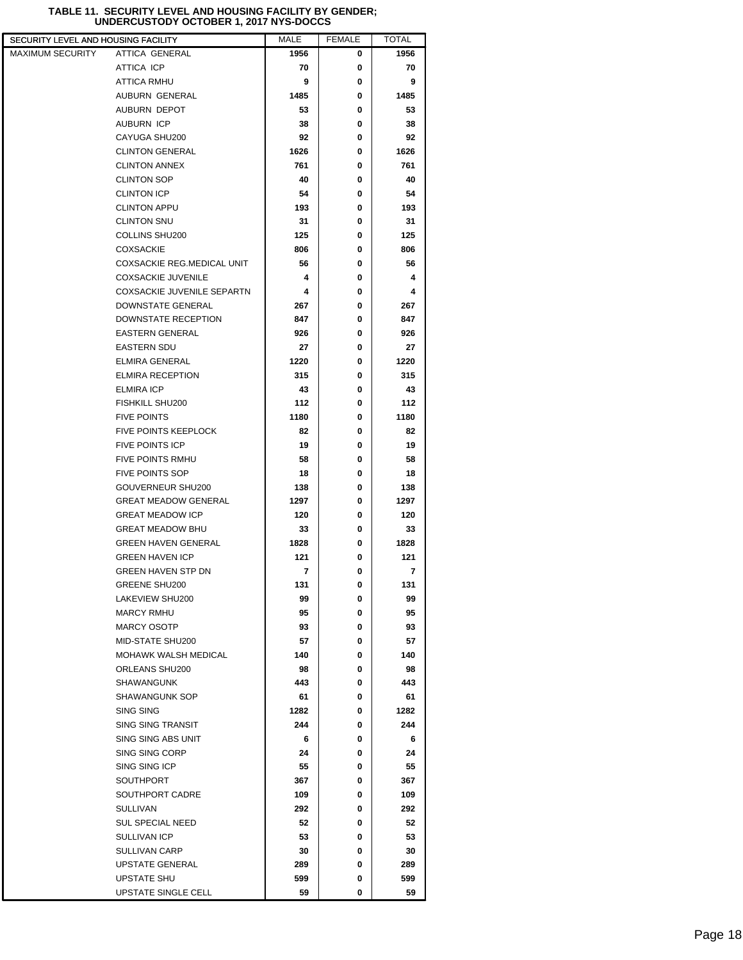| SECURITY LEVEL AND HOUSING FACILITY |                             | MALE | <b>FEMALE</b> | <b>TOTAL</b> |
|-------------------------------------|-----------------------------|------|---------------|--------------|
| <b>MAXIMUM SECURITY</b>             | ATTICA GENERAL              | 1956 | 0             | 1956         |
|                                     | ATTICA ICP                  | 70   | 0             | 70           |
|                                     | ATTICA RMHU                 | 9    | 0             | 9            |
|                                     | AUBURN GENERAL              | 1485 | 0             | 1485         |
|                                     | AUBURN DEPOT                | 53   | 0             | 53           |
|                                     | <b>AUBURN ICP</b>           | 38   | 0             | 38           |
|                                     | CAYUGA SHU200               | 92   | 0             | 92           |
|                                     | <b>CLINTON GENERAL</b>      | 1626 | 0             | 1626         |
|                                     | <b>CLINTON ANNEX</b>        | 761  | 0             | 761          |
|                                     | <b>CLINTON SOP</b>          | 40   | 0             | 40           |
|                                     | <b>CLINTON ICP</b>          | 54   | 0             | 54           |
|                                     | <b>CLINTON APPU</b>         | 193  | 0             | 193          |
|                                     | <b>CLINTON SNU</b>          | 31   | 0             | 31           |
|                                     | COLLINS SHU200              | 125  | 0             | 125          |
|                                     | <b>COXSACKIE</b>            | 806  | 0             | 806          |
|                                     | COXSACKIE REG.MEDICAL UNIT  | 56   | 0             | 56           |
|                                     | <b>COXSACKIE JUVENILE</b>   | 4    | 0             | 4            |
|                                     | COXSACKIE JUVENILE SEPARTN  | 4    | 0             | 4            |
|                                     | <b>DOWNSTATE GENERAL</b>    | 267  | 0             | 267          |
|                                     | DOWNSTATE RECEPTION         | 847  | 0             | 847          |
|                                     | <b>EASTERN GENERAL</b>      | 926  | 0             | 926          |
|                                     | <b>EASTERN SDU</b>          | 27   | 0             | 27           |
|                                     | <b>ELMIRA GENERAL</b>       | 1220 | 0             | 1220         |
|                                     | <b>ELMIRA RECEPTION</b>     | 315  | 0             | 315          |
|                                     | <b>ELMIRA ICP</b>           | 43   | 0             | 43           |
|                                     | FISHKILL SHU200             | 112  | 0             | 112          |
|                                     | <b>FIVE POINTS</b>          | 1180 | 0             | 1180         |
|                                     | <b>FIVE POINTS KEEPLOCK</b> | 82   | 0             | 82           |
|                                     | <b>FIVE POINTS ICP</b>      | 19   | 0             | 19           |
|                                     | <b>FIVE POINTS RMHU</b>     | 58   | 0             | 58           |
|                                     | <b>FIVE POINTS SOP</b>      | 18   | 0             | 18           |
|                                     | GOUVERNEUR SHU200           | 138  | 0             | 138          |
|                                     | <b>GREAT MEADOW GENERAL</b> | 1297 | 0             | 1297         |
|                                     | <b>GREAT MEADOW ICP</b>     | 120  | 0             | 120          |
|                                     | <b>GREAT MEADOW BHU</b>     | 33   | 0             | 33           |
|                                     | <b>GREEN HAVEN GENERAL</b>  | 1828 | 0             | 1828         |
|                                     | <b>GREEN HAVEN ICP</b>      | 121  | 0             | 121          |
|                                     | <b>GREEN HAVEN STP DN</b>   | 7    | 0             | 7            |
|                                     | <b>GREENE SHU200</b>        | 131  | 0             | 131          |
|                                     | LAKEVIEW SHU200             | 99   | 0             | 99           |
|                                     | <b>MARCY RMHU</b>           | 95   | 0             | 95           |
|                                     | <b>MARCY OSOTP</b>          | 93   | 0             | 93           |
|                                     | MID-STATE SHU200            | 57   | 0             | 57           |
|                                     | MOHAWK WALSH MEDICAL        | 140  | 0             | 140          |
|                                     | ORLEANS SHU200              | 98   | 0             | 98           |
|                                     | <b>SHAWANGUNK</b>           | 443  | 0             | 443          |
|                                     | SHAWANGUNK SOP              | 61   | 0             | 61           |
|                                     | <b>SING SING</b>            | 1282 | 0             | 1282         |
|                                     | SING SING TRANSIT           | 244  | 0             | 244          |
|                                     | SING SING ABS UNIT          | 6    | 0             | 6            |
|                                     | SING SING CORP              | 24   | 0             | 24           |
|                                     | SING SING ICP               | 55   | 0             | 55           |
|                                     | SOUTHPORT                   | 367  | 0             | 367          |
|                                     | SOUTHPORT CADRE             | 109  | 0             | 109          |
|                                     | SULLIVAN                    | 292  | 0             | 292          |
|                                     | <b>SUL SPECIAL NEED</b>     | 52   | 0             | 52           |
|                                     | SULLIVAN ICP                | 53   | 0             | 53           |
|                                     | <b>SULLIVAN CARP</b>        | 30   | 0             | 30           |
|                                     | UPSTATE GENERAL             | 289  | 0             | 289          |
|                                     | UPSTATE SHU                 | 599  | 0             | 599          |
|                                     | UPSTATE SINGLE CELL         | 59   | 0             | 59           |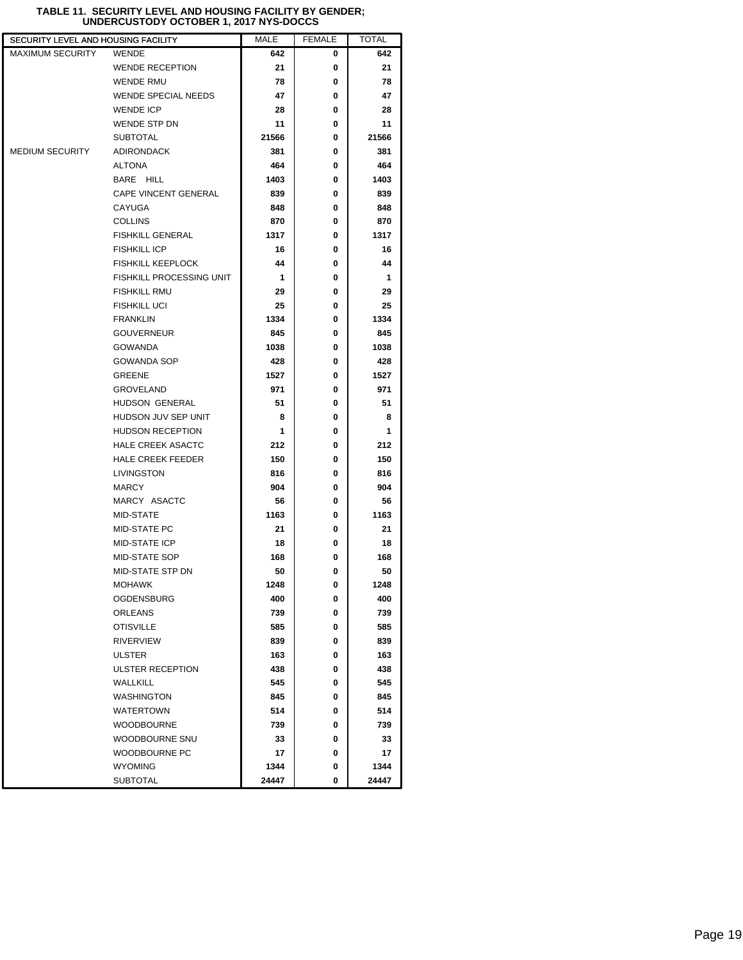L

| SECURITY LEVEL AND HOUSING FACILITY |                                 | <b>MALE</b> | <b>FEMALE</b> | TOTAL |  |
|-------------------------------------|---------------------------------|-------------|---------------|-------|--|
| <b>MAXIMUM SECURITY</b>             | <b>WENDE</b>                    | 642         | 0             | 642   |  |
|                                     | <b>WENDE RECEPTION</b>          | 21          | 0             | 21    |  |
|                                     | <b>WENDE RMU</b>                | 78          | 0             | 78    |  |
|                                     | <b>WENDE SPECIAL NEEDS</b>      | 47          | 0             | 47    |  |
|                                     | <b>WENDE ICP</b>                | 28          | 0             | 28    |  |
|                                     | WENDE STP DN                    | 11          | 0             | 11    |  |
|                                     | <b>SUBTOTAL</b>                 | 21566       | 0             | 21566 |  |
| <b>MEDIUM SECURITY</b>              | <b>ADIRONDACK</b>               | 381         | 0             | 381   |  |
|                                     | <b>ALTONA</b>                   | 464         | 0             | 464   |  |
|                                     | BARE HILL                       | 1403        | 0             | 1403  |  |
|                                     | <b>CAPE VINCENT GENERAL</b>     | 839         | 0             | 839   |  |
|                                     | CAYUGA                          | 848         | 0             | 848   |  |
|                                     | <b>COLLINS</b>                  | 870         | 0             | 870   |  |
|                                     | <b>FISHKILL GENERAL</b>         | 1317        | 0             | 1317  |  |
|                                     | <b>FISHKILL ICP</b>             | 16          | 0             | 16    |  |
|                                     | <b>FISHKILL KEEPLOCK</b>        | 44          | 0             | 44    |  |
|                                     | <b>FISHKILL PROCESSING UNIT</b> | 1           | 0             | 1     |  |
|                                     | <b>FISHKILL RMU</b>             | 29          | 0             | 29    |  |
|                                     | <b>FISHKILL UCI</b>             | 25          | 0             | 25    |  |
|                                     | <b>FRANKLIN</b>                 | 1334        | 0             | 1334  |  |
|                                     | <b>GOUVERNEUR</b>               | 845         | 0             | 845   |  |
|                                     | <b>GOWANDA</b>                  | 1038        | 0             | 1038  |  |
|                                     | <b>GOWANDA SOP</b>              | 428         | 0             | 428   |  |
|                                     | <b>GREENE</b>                   | 1527        | 0             | 1527  |  |
|                                     | <b>GROVELAND</b>                | 971         | 0             | 971   |  |
|                                     | HUDSON GENERAL                  | 51          | 0             | 51    |  |
|                                     | HUDSON JUV SEP UNIT             | 8           | 0             | 8     |  |
|                                     | <b>HUDSON RECEPTION</b>         | 1           | 0             | 1     |  |
|                                     | <b>HALE CREEK ASACTC</b>        | 212         | 0             | 212   |  |
|                                     | <b>HALE CREEK FEEDER</b>        | 150         | 0             | 150   |  |
|                                     | LIVINGSTON                      | 816         | 0             | 816   |  |
|                                     | <b>MARCY</b>                    | 904         | 0             | 904   |  |
|                                     | MARCY ASACTC                    | 56          | 0             | 56    |  |
|                                     | MID-STATE                       | 1163        | 0             | 1163  |  |
|                                     | <b>MID-STATE PC</b>             | 21          | 0             | 21    |  |
|                                     | <b>MID-STATE ICP</b>            | 18          | 0             | 18    |  |
|                                     | <b>MID-STATE SOP</b>            | 168         | 0             | 168   |  |
|                                     | MID-STATE STP DN                | 50          | 0             | 50    |  |
|                                     | <b>MOHAWK</b>                   | 1248        | 0             | 1248  |  |
|                                     | <b>OGDENSBURG</b>               | 400         | 0             | 400   |  |
|                                     | <b>ORLEANS</b>                  | 739         | 0             | 739   |  |
|                                     | <b>OTISVILLE</b>                | 585         | 0             | 585   |  |
|                                     | <b>RIVERVIEW</b>                | 839         | 0             | 839   |  |
|                                     | <b>ULSTER</b>                   | 163         | 0             | 163   |  |
|                                     | <b>ULSTER RECEPTION</b>         | 438         | 0             | 438   |  |
|                                     | WALLKILL                        | 545         | 0             | 545   |  |
|                                     | <b>WASHINGTON</b>               | 845         | 0             | 845   |  |
|                                     | <b>WATERTOWN</b>                | 514         | 0             | 514   |  |
|                                     | <b>WOODBOURNE</b>               | 739         | 0             | 739   |  |
|                                     | WOODBOURNE SNU                  | 33          | 0             | 33    |  |
|                                     | WOODBOURNE PC                   | 17          | 0             | 17    |  |
|                                     | <b>WYOMING</b>                  | 1344        | 0             | 1344  |  |
|                                     | <b>SUBTOTAL</b>                 | 24447       | 0             | 24447 |  |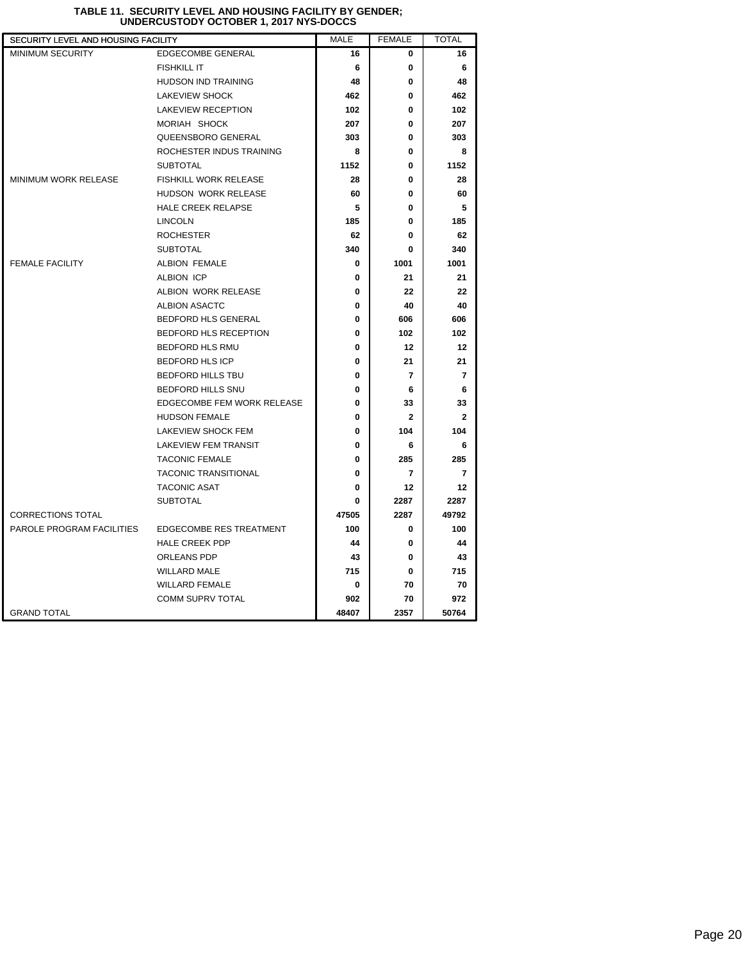| SECURITY LEVEL AND HOUSING FACILITY |                              | <b>MALE</b> | <b>FEMALE</b> | <b>TOTAL</b>   |
|-------------------------------------|------------------------------|-------------|---------------|----------------|
| <b>MINIMUM SECURITY</b>             | EDGECOMBE GENERAL            | 16          | 0             | 16             |
|                                     | <b>FISHKILL IT</b>           | 6           | 0             | 6              |
|                                     | <b>HUDSON IND TRAINING</b>   | 48          | 0             | 48             |
|                                     | <b>LAKEVIEW SHOCK</b>        | 462         | 0             | 462            |
|                                     | <b>LAKEVIEW RECEPTION</b>    | 102         | 0             | 102            |
|                                     | MORIAH SHOCK                 | 207         | 0             | 207            |
|                                     | QUEENSBORO GENERAL           | 303         | 0             | 303            |
|                                     | ROCHESTER INDUS TRAINING     | 8           | 0             | 8              |
|                                     | <b>SUBTOTAL</b>              | 1152        | 0             | 1152           |
| <b>MINIMUM WORK RELEASE</b>         | <b>FISHKILL WORK RELEASE</b> | 28          | 0             | 28             |
|                                     | HUDSON WORK RELEASE          | 60          | 0             | 60             |
|                                     | <b>HALE CREEK RELAPSE</b>    | 5           | 0             | 5              |
|                                     | <b>LINCOLN</b>               | 185         | 0             | 185            |
|                                     | <b>ROCHESTER</b>             | 62          | 0             | 62             |
|                                     | <b>SUBTOTAL</b>              | 340         | 0             | 340            |
| <b>FEMALE FACILITY</b>              | <b>ALBION FEMALE</b>         | 0           | 1001          | 1001           |
|                                     | <b>ALBION ICP</b>            | 0           | 21            | 21             |
|                                     | ALBION WORK RELEASE          | 0           | 22            | 22             |
|                                     | <b>ALBION ASACTC</b>         | 0           | 40            | 40             |
|                                     | BEDFORD HLS GENERAL          | 0           | 606           | 606            |
|                                     | BEDFORD HLS RECEPTION        | 0           | 102           | 102            |
|                                     | BEDFORD HLS RMU              | 0           | 12            | 12             |
|                                     | <b>BEDFORD HLS ICP</b>       | 0           | 21            | 21             |
|                                     | <b>BEDFORD HILLS TBU</b>     | 0           | 7             | 7              |
|                                     | BEDFORD HILLS SNU            | 0           | 6             | 6              |
|                                     | EDGECOMBE FEM WORK RELEASE   | 0           | 33            | 33             |
|                                     | <b>HUDSON FEMALE</b>         | 0           | $\mathbf{2}$  | $\mathbf{2}$   |
|                                     | LAKEVIEW SHOCK FEM           | 0           | 104           | 104            |
|                                     | <b>LAKEVIEW FEM TRANSIT</b>  | 0           | 6             | 6              |
|                                     | <b>TACONIC FEMALE</b>        | 0           | 285           | 285            |
|                                     | <b>TACONIC TRANSITIONAL</b>  | 0           | 7             | $\overline{7}$ |
|                                     | <b>TACONIC ASAT</b>          | 0           | 12            | 12             |
|                                     | <b>SUBTOTAL</b>              | 0           | 2287          | 2287           |
| <b>CORRECTIONS TOTAL</b>            |                              | 47505       | 2287          | 49792          |
| PAROLE PROGRAM FACILITIES           | EDGECOMBE RES TREATMENT      | 100         | 0             | 100            |
|                                     | <b>HALE CREEK PDP</b>        | 44          | 0             | 44             |
|                                     | ORLEANS PDP                  | 43          | 0             | 43             |
|                                     | <b>WILLARD MALE</b>          | 715         | 0             | 715            |
|                                     | <b>WILLARD FEMALE</b>        | 0           | 70            | 70             |
|                                     | COMM SUPRV TOTAL             | 902         | 70            | 972            |
| <b>GRAND TOTAL</b>                  |                              | 48407       | 2357          | 50764          |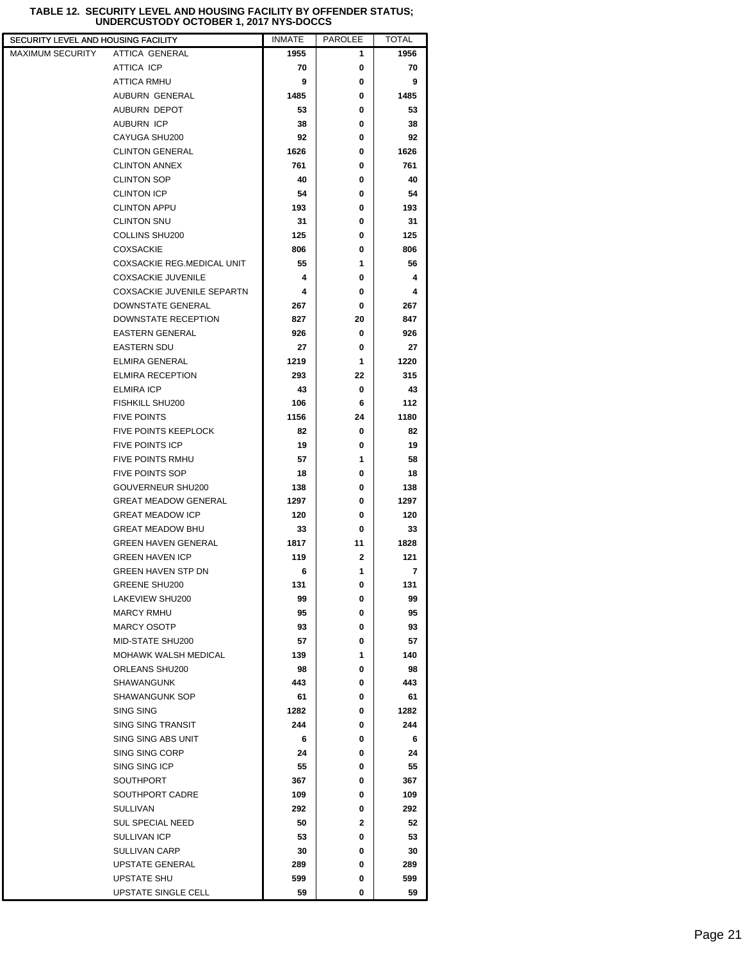## **TABLE 12. SECURITY LEVEL AND HOUSING FACILITY BY OFFENDER STATUS; UNDERCUSTODY OCTOBER 1, 2017 NYS-DOCCS**

| SECURITY LEVEL AND HOUSING FACILITY |                             | <b>INMATE</b> | <b>PAROLEE</b> | TOTAL |
|-------------------------------------|-----------------------------|---------------|----------------|-------|
| <b>MAXIMUM SECURITY</b>             | ATTICA GENERAL              | 1955          | 1              | 1956  |
|                                     | ATTICA ICP                  | 70            | 0              | 70    |
|                                     | <b>ATTICA RMHU</b>          | 9             | 0              | 9     |
|                                     | AUBURN GENERAL              | 1485          | 0              | 1485  |
|                                     | AUBURN DEPOT                | 53            | 0              | 53    |
|                                     | AUBURN ICP                  | 38            | 0              | 38    |
|                                     | CAYUGA SHU200               | 92            | 0              | 92    |
|                                     | <b>CLINTON GENERAL</b>      | 1626          | 0              | 1626  |
|                                     | <b>CLINTON ANNEX</b>        | 761           | 0              | 761   |
|                                     | <b>CLINTON SOP</b>          | 40            | 0              | 40    |
|                                     | <b>CLINTON ICP</b>          | 54            | 0              | 54    |
|                                     | <b>CLINTON APPU</b>         | 193           | 0              | 193   |
|                                     | <b>CLINTON SNU</b>          | 31            | 0              | 31    |
|                                     | COLLINS SHU200              | 125           | 0              | 125   |
|                                     | <b>COXSACKIE</b>            | 806           | 0              | 806   |
|                                     | COXSACKIE REG.MEDICAL UNIT  | 55            | 1              | 56    |
|                                     | <b>COXSACKIE JUVENILE</b>   | 4             | 0              | 4     |
|                                     | COXSACKIE JUVENILE SEPARTN  | 4             | 0              | 4     |
|                                     |                             |               | 0              |       |
|                                     | DOWNSTATE GENERAL           | 267           |                | 267   |
|                                     | DOWNSTATE RECEPTION         | 827           | 20             | 847   |
|                                     | <b>EASTERN GENERAL</b>      | 926           | 0              | 926   |
|                                     | <b>EASTERN SDU</b>          | 27            | 0              | 27    |
|                                     | <b>ELMIRA GENERAL</b>       | 1219          | 1              | 1220  |
|                                     | <b>ELMIRA RECEPTION</b>     | 293           | 22             | 315   |
|                                     | <b>ELMIRA ICP</b>           | 43            | 0              | 43    |
|                                     | FISHKILL SHU200             | 106           | 6              | 112   |
|                                     | <b>FIVE POINTS</b>          | 1156          | 24             | 1180  |
|                                     | <b>FIVE POINTS KEEPLOCK</b> | 82            | 0              | 82    |
|                                     | <b>FIVE POINTS ICP</b>      | 19            | 0              | 19    |
|                                     | FIVE POINTS RMHU            | 57            | 1              | 58    |
|                                     | <b>FIVE POINTS SOP</b>      | 18            | 0              | 18    |
|                                     | GOUVERNEUR SHU200           | 138           | 0              | 138   |
|                                     | <b>GREAT MEADOW GENERAL</b> | 1297          | 0              | 1297  |
|                                     | <b>GREAT MEADOW ICP</b>     | 120           | 0              | 120   |
|                                     | <b>GREAT MEADOW BHU</b>     | 33            | 0              | 33    |
|                                     | <b>GREEN HAVEN GENERAL</b>  | 1817          | 11             | 1828  |
|                                     | <b>GREEN HAVEN ICP</b>      | 119           | 2              | 121   |
|                                     | <b>GREEN HAVEN STP DN</b>   | 6             | 1              | 7     |
|                                     | <b>GREENE SHU200</b>        | 131           | 0              | 131   |
|                                     | LAKEVIEW SHU200             | 99            | 0              | 99    |
|                                     | <b>MARCY RMHU</b>           | 95            | 0              | 95    |
|                                     | <b>MARCY OSOTP</b>          | 93            | 0              | 93    |
|                                     | MID-STATE SHU200            | 57            | 0              | 57    |
|                                     | <b>MOHAWK WALSH MEDICAL</b> | 139           | 1              | 140   |
|                                     | ORLEANS SHU200              | 98            | 0              | 98    |
|                                     | SHAWANGUNK                  | 443           | 0              | 443   |
|                                     | <b>SHAWANGUNK SOP</b>       | 61            | 0              | 61    |
|                                     | SING SING                   | 1282          | 0              | 1282  |
|                                     | SING SING TRANSIT           | 244           | 0              | 244   |
|                                     | SING SING ABS UNIT          | 6             | 0              | 6     |
|                                     | SING SING CORP              | 24            | 0              | 24    |
|                                     | SING SING ICP               | 55            | 0              | 55    |
|                                     | <b>SOUTHPORT</b>            | 367           | 0              | 367   |
|                                     | SOUTHPORT CADRE             | 109           | 0              | 109   |
|                                     | <b>SULLIVAN</b>             | 292           | 0              | 292   |
|                                     | <b>SUL SPECIAL NEED</b>     | 50            | 2              | 52    |
|                                     | SULLIVAN ICP                | 53            | 0              | 53    |
|                                     | <b>SULLIVAN CARP</b>        | 30            | 0              | 30    |
|                                     | UPSTATE GENERAL             | 289           | 0              | 289   |
|                                     | UPSTATE SHU                 | 599           | 0              | 599   |
|                                     | UPSTATE SINGLE CELL         | 59            | 0              | 59    |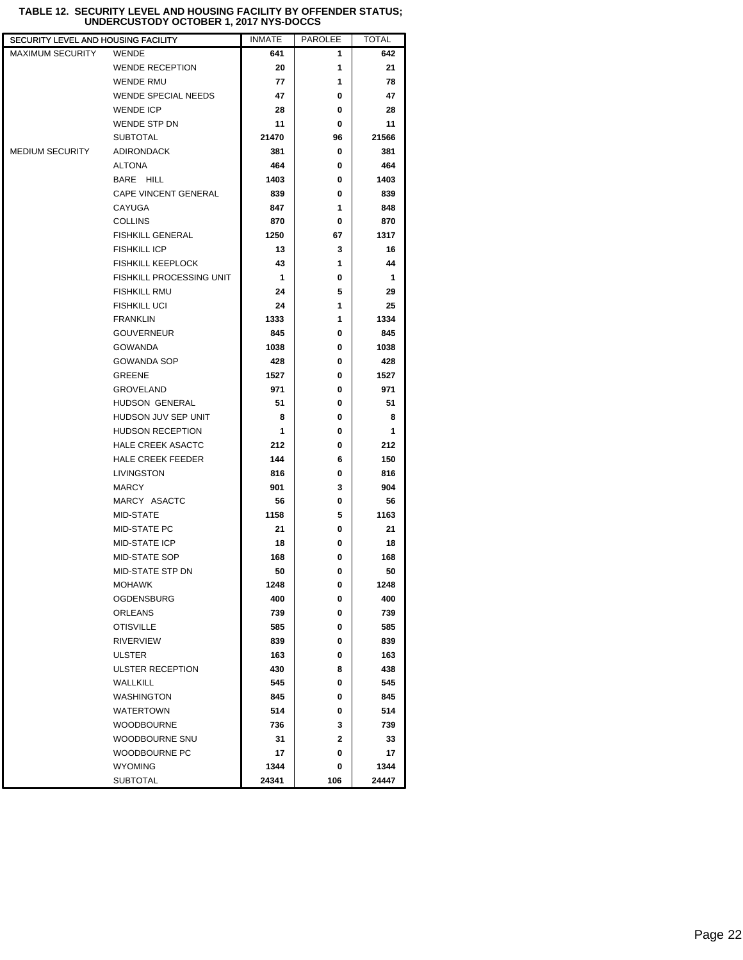| SECURITY LEVEL AND HOUSING FACILITY |                             | <b>INMATE</b> | <b>PAROLEE</b> | TOTAL |  |
|-------------------------------------|-----------------------------|---------------|----------------|-------|--|
| <b>MAXIMUM SECURITY</b>             | <b>WENDE</b>                | 641           | 1              | 642   |  |
|                                     | <b>WENDE RECEPTION</b>      | 20            | 1              | 21    |  |
|                                     | <b>WENDE RMU</b>            | 77            | 1              | 78    |  |
|                                     | <b>WENDE SPECIAL NEEDS</b>  | 47            | 0              | 47    |  |
|                                     | <b>WENDE ICP</b>            | 28            | 0              | 28    |  |
|                                     | <b>WENDE STP DN</b>         | 11            | 0              | 11    |  |
|                                     | <b>SUBTOTAL</b>             | 21470         | 96             | 21566 |  |
| <b>MEDIUM SECURITY</b>              | <b>ADIRONDACK</b>           | 381           | 0              | 381   |  |
|                                     | <b>ALTONA</b>               | 464           | 0              | 464   |  |
|                                     | BARE HILL                   | 1403          | 0              | 1403  |  |
|                                     | <b>CAPE VINCENT GENERAL</b> | 839           | 0              | 839   |  |
|                                     | CAYUGA                      | 847           | 1              | 848   |  |
|                                     | <b>COLLINS</b>              | 870           | 0              | 870   |  |
|                                     | <b>FISHKILL GENERAL</b>     | 1250          | 67             | 1317  |  |
|                                     | <b>FISHKILL ICP</b>         | 13            | 3              | 16    |  |
|                                     | <b>FISHKILL KEEPLOCK</b>    | 43            | 1              | 44    |  |
|                                     | FISHKILL PROCESSING UNIT    | 1             | 0              | 1     |  |
|                                     | <b>FISHKILL RMU</b>         | 24            | 5              | 29    |  |
|                                     | <b>FISHKILL UCI</b>         | 24            | 1              | 25    |  |
|                                     | <b>FRANKLIN</b>             | 1333          | 1              | 1334  |  |
|                                     | <b>GOUVERNEUR</b>           | 845           | 0              | 845   |  |
|                                     | <b>GOWANDA</b>              | 1038          | 0              | 1038  |  |
|                                     | <b>GOWANDA SOP</b>          | 428           | 0              | 428   |  |
|                                     | GREENE                      | 1527          | 0              | 1527  |  |
|                                     | <b>GROVELAND</b>            | 971           | 0              | 971   |  |
|                                     | HUDSON GENERAL              | 51            | 0              | 51    |  |
|                                     | HUDSON JUV SEP UNIT         | 8             | 0              | 8     |  |
|                                     | <b>HUDSON RECEPTION</b>     | 1             | 0              | 1     |  |
|                                     | <b>HALE CREEK ASACTC</b>    | 212           | 0              | 212   |  |
|                                     | <b>HALE CREEK FEEDER</b>    | 144           | 6              | 150   |  |
|                                     | LIVINGSTON                  | 816           | 0              | 816   |  |
|                                     | <b>MARCY</b>                | 901           | 3              | 904   |  |
|                                     | MARCY ASACTC                | 56            | 0              | 56    |  |
|                                     | MID-STATE                   | 1158          | 5              | 1163  |  |
|                                     | <b>MID-STATE PC</b>         | 21            | 0              | 21    |  |
|                                     | MID-STATE ICP               | 18            | 0              | 18    |  |
|                                     | <b>MID-STATE SOP</b>        | 168           | 0              | 168   |  |
|                                     | MID-STATE STP DN            | 50            | 0              | 50    |  |
|                                     | MOHAWK                      | 1248          | 0              | 1248  |  |
|                                     | <b>OGDENSBURG</b>           | 400           | 0              | 400   |  |
|                                     | <b>ORLEANS</b>              | 739           | 0              | 739   |  |
|                                     | <b>OTISVILLE</b>            | 585           | 0              | 585   |  |
|                                     | <b>RIVERVIEW</b>            | 839           | 0              | 839   |  |
|                                     | <b>ULSTER</b>               | 163           | 0              | 163   |  |
|                                     | ULSTER RECEPTION            | 430           | 8              | 438   |  |
|                                     | WALLKILL                    | 545           | 0              | 545   |  |
|                                     | <b>WASHINGTON</b>           | 845           | 0              | 845   |  |
|                                     | <b>WATERTOWN</b>            | 514           | 0              | 514   |  |
|                                     | <b>WOODBOURNE</b>           | 736           | 3              | 739   |  |
|                                     | <b>WOODBOURNE SNU</b>       | 31            | $\mathbf{2}$   | 33    |  |
|                                     | WOODBOURNE PC               | 17            | 0              | 17    |  |
|                                     | <b>WYOMING</b>              | 1344          | 0              | 1344  |  |
|                                     | <b>SUBTOTAL</b>             | 24341         | 106            | 24447 |  |

#### **TABLE 12. SECURITY LEVEL AND HOUSING FACILITY BY OFFENDER STATUS; UNDERCUSTODY OCTOBER 1, 2017 NYS-DOCCS**